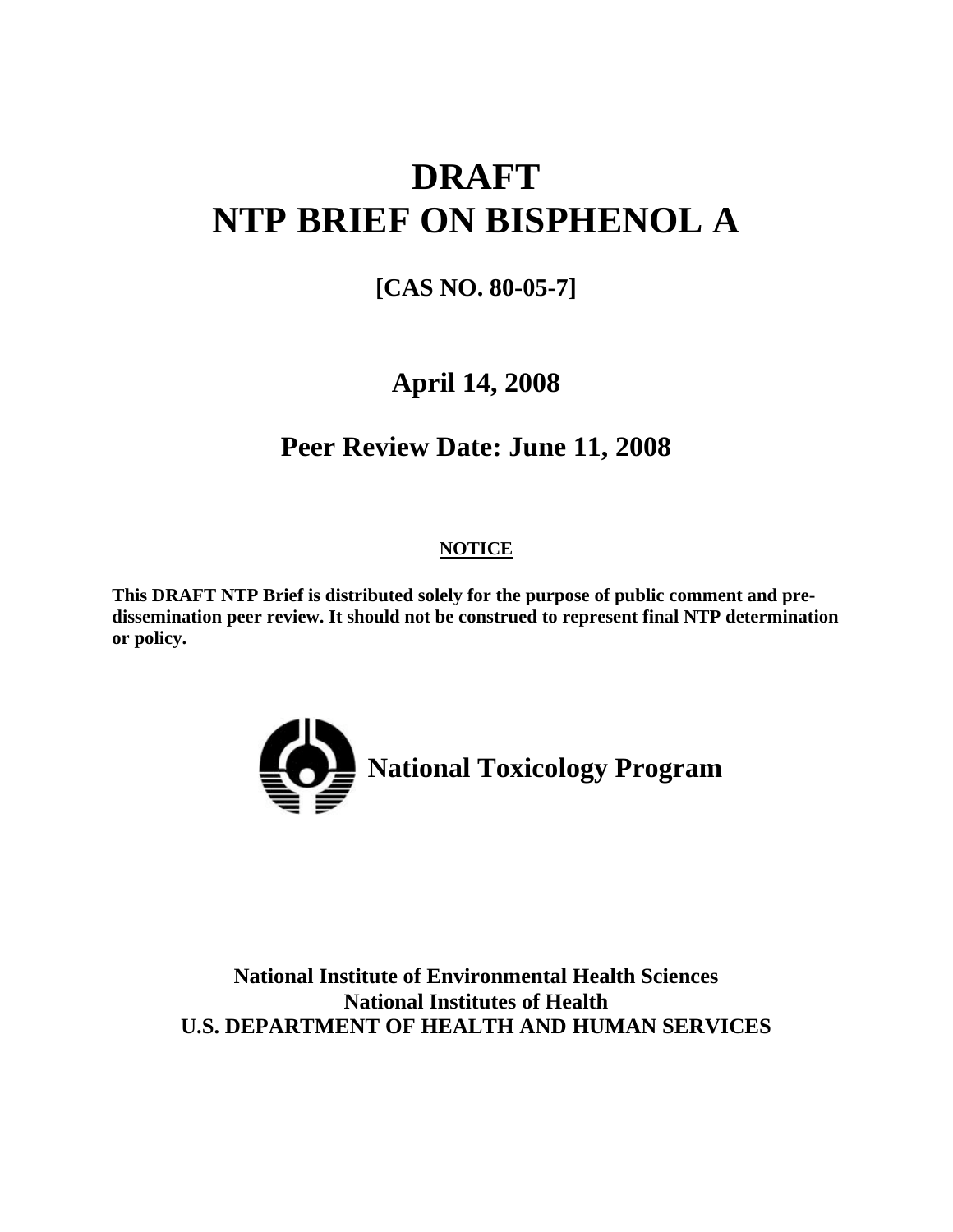# **DRAFT NTP BRIEF ON BISPHENOL A**

## **[CAS NO. 80-05-7]**

## **April 14, 2008**

## **Peer Review Date: June 11, 2008**

## **NOTICE**

**This DRAFT NTP Brief is distributed solely for the purpose of public comment and predissemination peer review. It should not be construed to represent final NTP determination or policy.** 



**National Institute of Environmental Health Sciences National Institutes of Health U.S. DEPARTMENT OF HEALTH AND HUMAN SERVICES**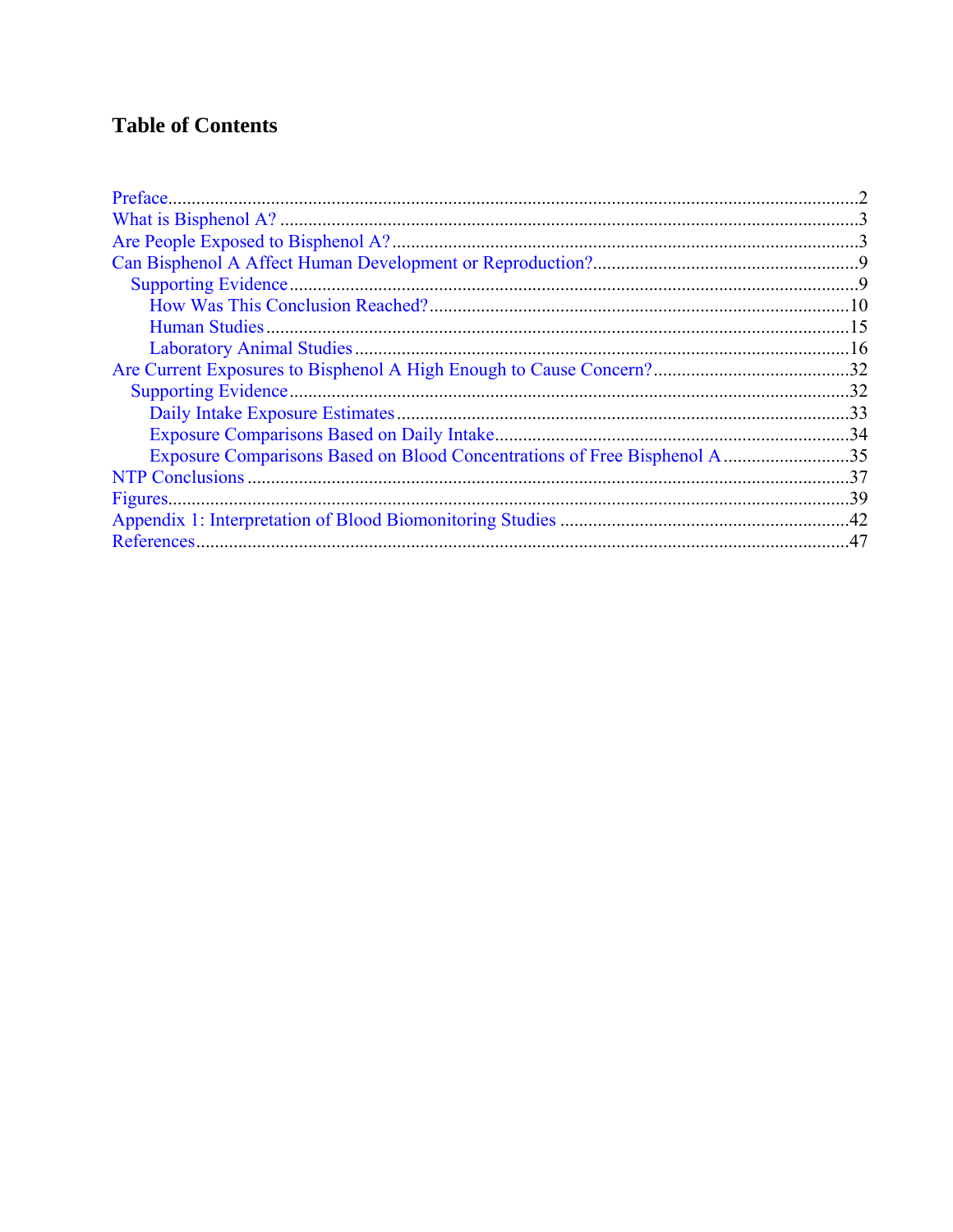## **Table of Contents**

| Exposure Comparisons Based on Blood Concentrations of Free Bisphenol A35 |  |
|--------------------------------------------------------------------------|--|
|                                                                          |  |
|                                                                          |  |
|                                                                          |  |
|                                                                          |  |
|                                                                          |  |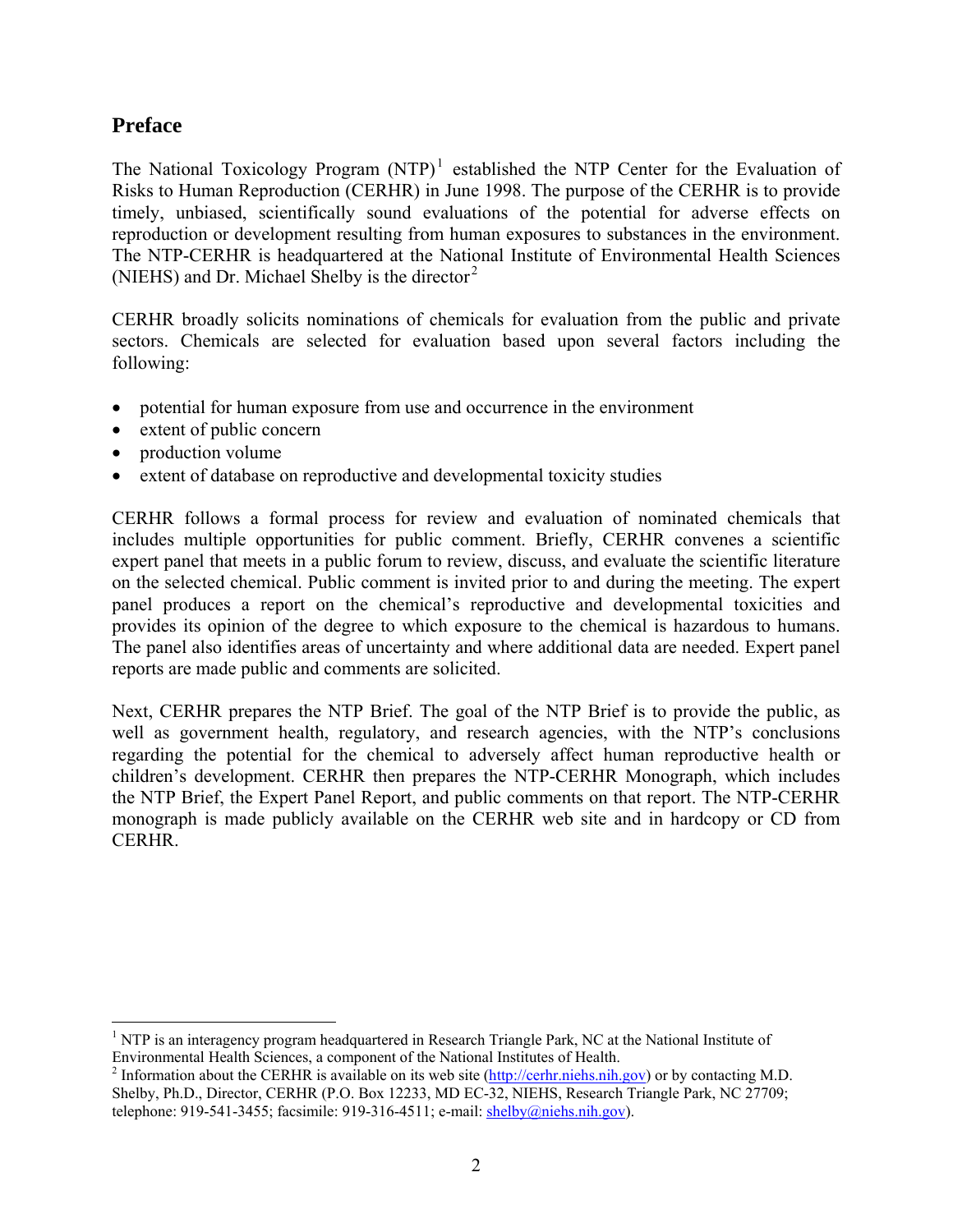### <span id="page-2-0"></span>**Preface**

The National Toxicology Program  $(NTP)^1$  established the NTP Center for the Evaluation of [Risks to Human Reproduction \(CERHR\) in June 1998. The purpose of the CERHR is to provide](#page-2-1)  [timely, unbiased, scientifically sound evaluations of the potential for adverse effects on](#page-2-1)  [reproduction or development resulting from human exposures to substances in the environment.](#page-2-1)  [The NTP-CERHR is headquartered at the National Institute of Environmental Health Sciences](#page-2-1)  [\(NIEHS\) and Dr. Michael Shelby is the director](#page-2-1)<sup>2</sup>

CERHR broadly solicits nominations of chemicals for evaluation from the public and private sectors. Chemicals are selected for evaluation based upon several factors including the following:

- potential for human exposure from use and occurrence in the environment
- extent of public concern
- production volume

 $\overline{a}$ 

• extent of database on reproductive and developmental toxicity studies

CERHR follows a formal process for review and evaluation of nominated chemicals that includes multiple opportunities for public comment. Briefly, CERHR convenes a scientific expert panel that meets in a public forum to review, discuss, and evaluate the scientific literature on the selected chemical. Public comment is invited prior to and during the meeting. The expert panel produces a report on the chemical's reproductive and developmental toxicities and provides its opinion of the degree to which exposure to the chemical is hazardous to humans. The panel also identifies areas of uncertainty and where additional data are needed. Expert panel reports are made public and comments are solicited.

Next, CERHR prepares the NTP Brief. The goal of the NTP Brief is to provide the public, as well as government health, regulatory, and research agencies, with the NTP's conclusions regarding the potential for the chemical to adversely affect human reproductive health or children's development. CERHR then prepares the NTP-CERHR Monograph, which includes the NTP Brief, the Expert Panel Report, and public comments on that report. The NTP-CERHR monograph is made publicly available on the CERHR web site and in hardcopy or CD from CERHR.

<sup>&</sup>lt;sup>1</sup> NTP is an interagency program headquartered in Research Triangle Park, NC at the National Institute of Environmental Health Sciences, a component of the National Institutes of Health. 2

<span id="page-2-1"></span><sup>&</sup>lt;sup>2</sup> Information about the CERHR is available on its web site  $(\frac{http://cerhr.niehs.nih.gov})$  or by contacting M.D. Shelby, Ph.D., Director, CERHR (P.O. Box 12233, MD EC-32, NIEHS, Research Triangle Park, NC 27709; telephone: 919-541-3455; facsimile: 919-316-4511; e-mail: shelby@niehs.nih.gov).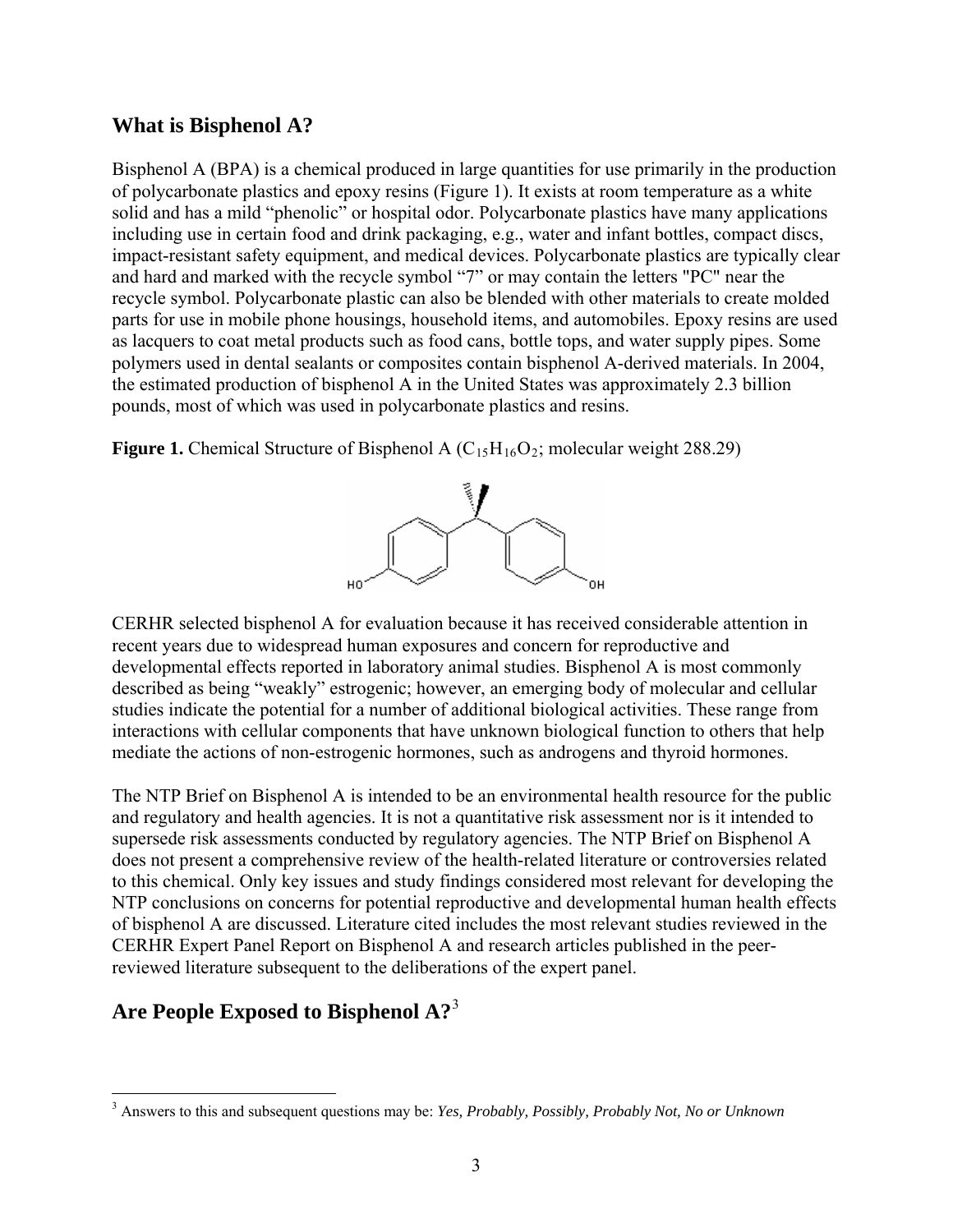#### <span id="page-3-0"></span>**What is Bisphenol A?**

Bisphenol A (BPA) is a chemical produced in large quantities for use primarily in the production of polycarbonate plastics and epoxy resins (Figure 1). It exists at room temperature as a white solid and has a mild "phenolic" or hospital odor. Polycarbonate plastics have many applications including use in certain food and drink packaging, e.g., water and infant bottles, compact discs, impact-resistant safety equipment, and medical devices. Polycarbonate plastics are typically clear and hard and marked with the recycle symbol "7" or may contain the letters "PC" near the recycle symbol. Polycarbonate plastic can also be blended with other materials to create molded parts for use in mobile phone housings, household items, and automobiles. Epoxy resins are used as lacquers to coat metal products such as food cans, bottle tops, and water supply pipes. Some polymers used in dental sealants or composites contain bisphenol A-derived materials. In 2004, the estimated production of bisphenol A in the United States was approximately 2.3 billion pounds, most of which was used in polycarbonate plastics and resins.

**Figure 1.** Chemical Structure of Bisphenol A  $(C_{15}H_{16}O_2)$ ; molecular weight 288.29)



CERHR selected bisphenol A for evaluation because it has received considerable attention in recent years due to widespread human exposures and concern for reproductive and developmental effects reported in laboratory animal studies. Bisphenol A is most commonly described as being "weakly" estrogenic; however, an emerging body of molecular and cellular studies indicate the potential for a number of additional biological activities. These range from interactions with cellular components that have unknown biological function to others that help mediate the actions of non-estrogenic hormones, such as androgens and thyroid hormones.

The NTP Brief on Bisphenol A is intended to be an environmental health resource for the public and regulatory and health agencies. It is not a quantitative risk assessment nor is it intended to supersede risk assessments conducted by regulatory agencies. The NTP Brief on Bisphenol A does not present a comprehensive review of the health-related literature or controversies related to this chemical. Only key issues and study findings considered most relevant for developing the NTP conclusions on concerns for potential reproductive and developmental human health effects of bisphenol A are discussed. Literature cited includes the most relevant studies reviewed in the CERHR Expert Panel Report on Bisphenol A and research articles published in the peerreviewed literature subsequent to the deliberations of the expert panel.

## **Are People Exposed to Bisphenol A?**[3](#page-3-1)

 $\overline{a}$ 

<span id="page-3-1"></span><sup>3</sup> Answers to this and subsequent questions may be: *Yes, Probably, Possibly, Probably Not, No or Unknown*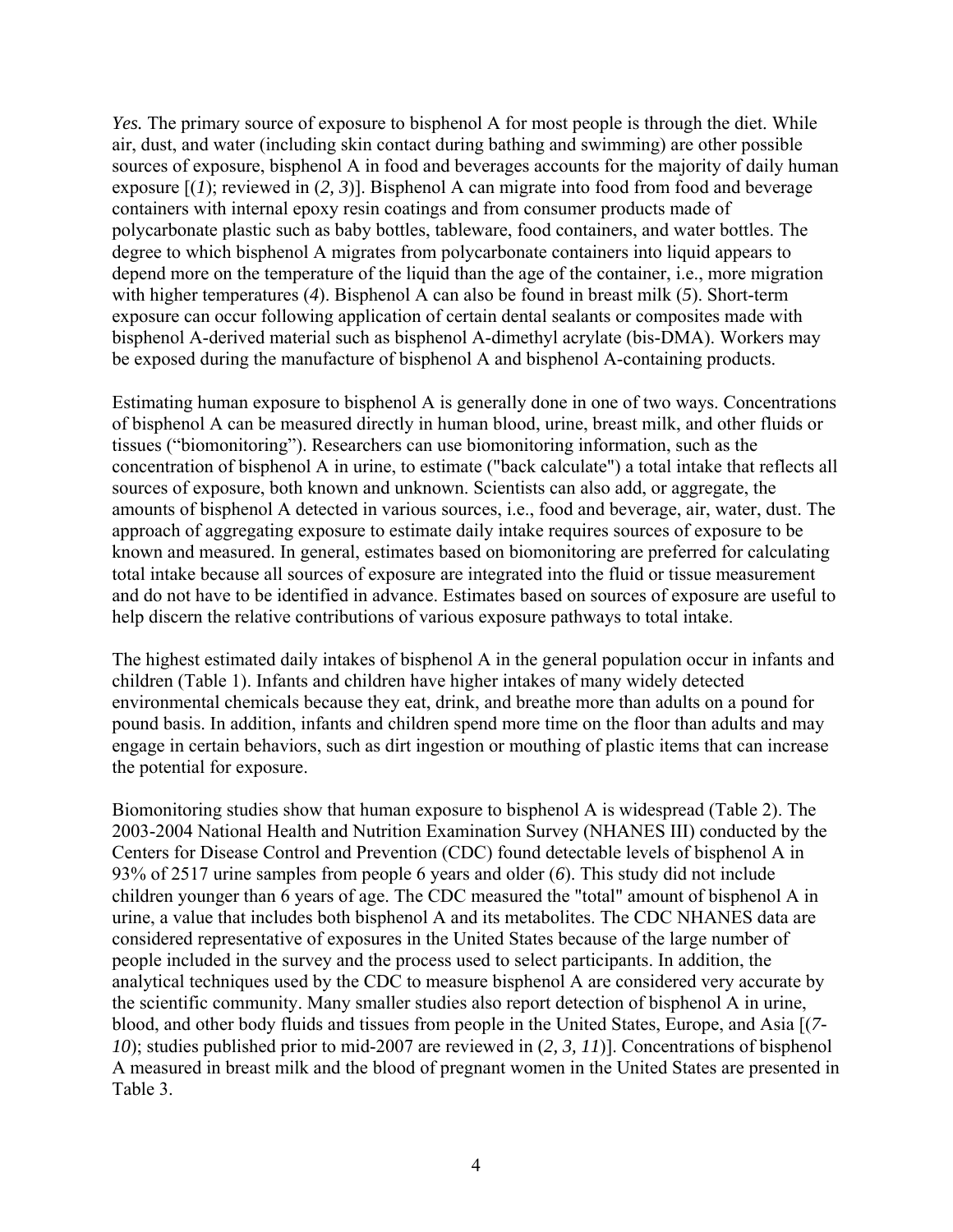*Yes.* The primary source of exposure to bisphenol A for most people is through the diet. While air, dust, and water (including skin contact during bathing and swimming) are other possible sources of exposure, bisphenol A in food and beverages accounts for the majority of daily human exposure [(*1*); reviewed in (*2, 3*)]. Bisphenol A can migrate into food from food and beverage containers with internal epoxy resin coatings and from consumer products made of polycarbonate plastic such as baby bottles, tableware, food containers, and water bottles. The degree to which bisphenol A migrates from polycarbonate containers into liquid appears to depend more on the temperature of the liquid than the age of the container, i.e., more migration with higher temperatures (*4*). Bisphenol A can also be found in breast milk (*5*). Short-term exposure can occur following application of certain dental sealants or composites made with bisphenol A-derived material such as bisphenol A-dimethyl acrylate (bis-DMA). Workers may be exposed during the manufacture of bisphenol A and bisphenol A-containing products.

Estimating human exposure to bisphenol A is generally done in one of two ways. Concentrations of bisphenol A can be measured directly in human blood, urine, breast milk, and other fluids or tissues ("biomonitoring"). Researchers can use biomonitoring information, such as the concentration of bisphenol A in urine, to estimate ("back calculate") a total intake that reflects all sources of exposure, both known and unknown. Scientists can also add, or aggregate, the amounts of bisphenol A detected in various sources, i.e., food and beverage, air, water, dust. The approach of aggregating exposure to estimate daily intake requires sources of exposure to be known and measured. In general, estimates based on biomonitoring are preferred for calculating total intake because all sources of exposure are integrated into the fluid or tissue measurement and do not have to be identified in advance. Estimates based on sources of exposure are useful to help discern the relative contributions of various exposure pathways to total intake.

The highest estimated daily intakes of bisphenol A in the general population occur in infants and children (Table 1). Infants and children have higher intakes of many widely detected environmental chemicals because they eat, drink, and breathe more than adults on a pound for pound basis. In addition, infants and children spend more time on the floor than adults and may engage in certain behaviors, such as dirt ingestion or mouthing of plastic items that can increase the potential for exposure.

Biomonitoring studies show that human exposure to bisphenol A is widespread (Table 2). The 2003-2004 National Health and Nutrition Examination Survey (NHANES III) conducted by the Centers for Disease Control and Prevention (CDC) found detectable levels of bisphenol A in 93% of 2517 urine samples from people 6 years and older (*6*). This study did not include children younger than 6 years of age. The CDC measured the "total" amount of bisphenol A in urine, a value that includes both bisphenol A and its metabolites. The CDC NHANES data are considered representative of exposures in the United States because of the large number of people included in the survey and the process used to select participants. In addition, the analytical techniques used by the CDC to measure bisphenol A are considered very accurate by the scientific community. Many smaller studies also report detection of bisphenol A in urine, blood, and other body fluids and tissues from people in the United States, Europe, and Asia [(*7- 10*); studies published prior to mid-2007 are reviewed in (*2, 3, 11*)]. Concentrations of bisphenol A measured in breast milk and the blood of pregnant women in the United States are presented in Table 3.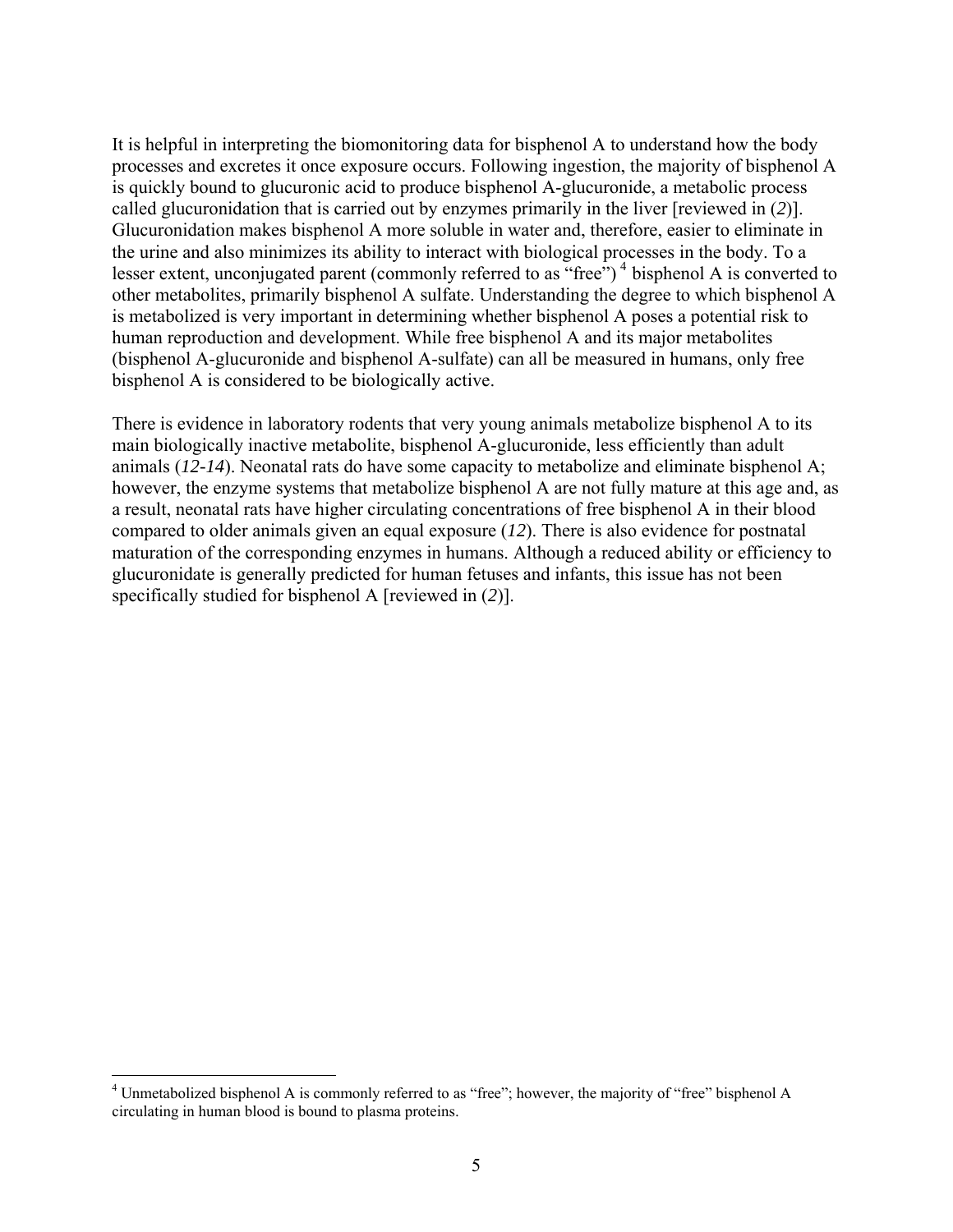It is helpful in interpreting the biomonitoring data for bisphenol A to understand how the body processes and excretes it once exposure occurs. Following ingestion, the majority of bisphenol A is quickly bound to glucuronic acid to produce bisphenol A-glucuronide, a metabolic process called glucuronidation that is carried out by enzymes primarily in the liver [reviewed in (*2*)]. Glucuronidation makes bisphenol A more soluble in water and, therefore, easier to eliminate in the urine and also minimizes its ability to interact with biological processes in the body. To a lesser extent, unconjugated parent (commonly referred to as "free")<sup>[4](#page-5-0)</sup> bisphenol A is converted to other metabolites, primarily bisphenol A sulfate. Understanding the degree to which bisphenol A is metabolized is very important in determining whether bisphenol A poses a potential risk to human reproduction and development. While free bisphenol A and its major metabolites (bisphenol A-glucuronide and bisphenol A-sulfate) can all be measured in humans, only free bisphenol A is considered to be biologically active.

There is evidence in laboratory rodents that very young animals metabolize bisphenol A to its main biologically inactive metabolite, bisphenol A-glucuronide, less efficiently than adult animals (*12-14*). Neonatal rats do have some capacity to metabolize and eliminate bisphenol A; however, the enzyme systems that metabolize bisphenol A are not fully mature at this age and, as a result, neonatal rats have higher circulating concentrations of free bisphenol A in their blood compared to older animals given an equal exposure (*12*). There is also evidence for postnatal maturation of the corresponding enzymes in humans. Although a reduced ability or efficiency to glucuronidate is generally predicted for human fetuses and infants, this issue has not been specifically studied for bisphenol A [reviewed in (*2*)].

<span id="page-5-0"></span> 4 Unmetabolized bisphenol A is commonly referred to as "free"; however, the majority of "free" bisphenol A circulating in human blood is bound to plasma proteins.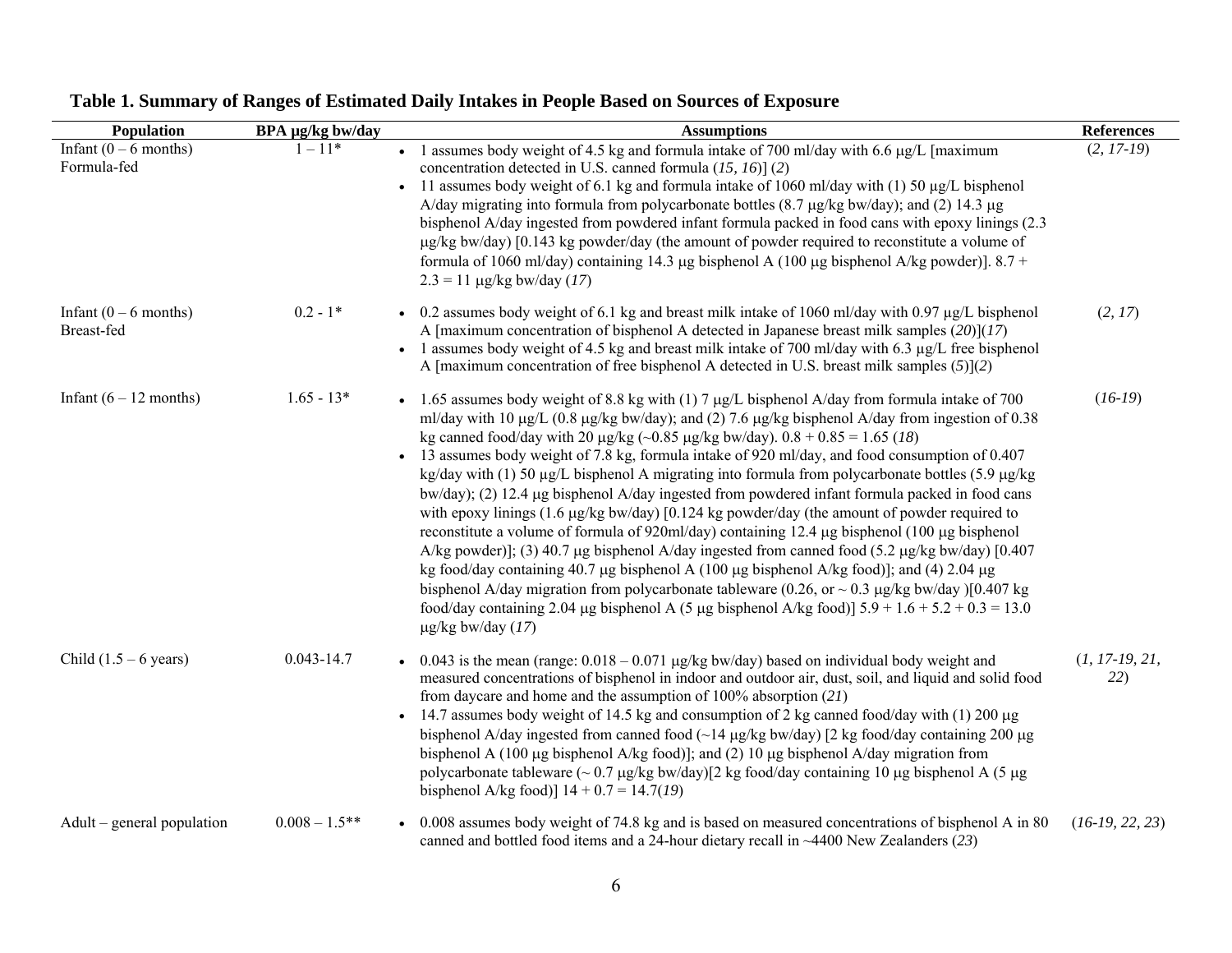| Population                             | BPA µg/kg bw/day | <b>Assumptions</b>                                                                                                                                                                                                                                                                                                                                                                                                                                                                                                                                                                                                                                                                                                                                                                                                                                                                                                                                                                                                                                                                                                                                                                                                                                                                 | <b>References</b>       |
|----------------------------------------|------------------|------------------------------------------------------------------------------------------------------------------------------------------------------------------------------------------------------------------------------------------------------------------------------------------------------------------------------------------------------------------------------------------------------------------------------------------------------------------------------------------------------------------------------------------------------------------------------------------------------------------------------------------------------------------------------------------------------------------------------------------------------------------------------------------------------------------------------------------------------------------------------------------------------------------------------------------------------------------------------------------------------------------------------------------------------------------------------------------------------------------------------------------------------------------------------------------------------------------------------------------------------------------------------------|-------------------------|
| Infant $(0 - 6$ months)<br>Formula-fed | $1 - 11*$        | • 1 assumes body weight of 4.5 kg and formula intake of 700 ml/day with 6.6 $\mu$ g/L [maximum]<br>concentration detected in U.S. canned formula $(15, 16)$ ] $(2)$<br>11 assumes body weight of 6.1 kg and formula intake of 1060 ml/day with (1) 50 $\mu$ g/L bisphenol<br>A/day migrating into formula from polycarbonate bottles $(8.7 \mu g/kg$ bw/day); and $(2)$ 14.3 $\mu$ g<br>bisphenol A/day ingested from powdered infant formula packed in food cans with epoxy linings (2.3)<br>$\mu$ g/kg bw/day) [0.143 kg powder/day (the amount of powder required to reconstitute a volume of<br>formula of 1060 ml/day) containing 14.3 µg bisphenol A (100 µg bisphenol A/kg powder)]. 8.7 +<br>$2.3 = 11 \mu g/kg$ bw/day (17)                                                                                                                                                                                                                                                                                                                                                                                                                                                                                                                                               | $(2, 17-19)$            |
| Infant $(0 - 6$ months)<br>Breast-fed  | $0.2 - 1*$       | • 0.2 assumes body weight of 6.1 kg and breast milk intake of 1060 ml/day with 0.97 $\mu$ g/L bisphenol<br>A [maximum concentration of bisphenol A detected in Japanese breast milk samples $(20)(17)$<br>• 1 assumes body weight of 4.5 kg and breast milk intake of 700 ml/day with 6.3 $\mu$ g/L free bisphenol<br>A [maximum concentration of free bisphenol A detected in U.S. breast milk samples $(5)(2)$                                                                                                                                                                                                                                                                                                                                                                                                                                                                                                                                                                                                                                                                                                                                                                                                                                                                   | (2, 17)                 |
| Infant $(6 - 12$ months)               | $1.65 - 13*$     | • 1.65 assumes body weight of 8.8 kg with (1) 7 $\mu$ g/L bisphenol A/day from formula intake of 700<br>ml/day with 10 $\mu$ g/L (0.8 $\mu$ g/kg bw/day); and (2) 7.6 $\mu$ g/kg bisphenol A/day from ingestion of 0.38<br>kg canned food/day with 20 $\mu$ g/kg (~0.85 $\mu$ g/kg bw/day). 0.8 + 0.85 = 1.65 (18)<br>• 13 assumes body weight of 7.8 kg, formula intake of 920 ml/day, and food consumption of 0.407<br>kg/day with (1) 50 µg/L bisphenol A migrating into formula from polycarbonate bottles (5.9 µg/kg)<br>bw/day); (2) 12.4 µg bisphenol A/day ingested from powdered infant formula packed in food cans<br>with epoxy linings $(1.6 \mu g/kg$ bw/day) $[0.124 \text{ kg}$ powder/day (the amount of powder required to<br>reconstitute a volume of formula of 920ml/day) containing 12.4 µg bisphenol (100 µg bisphenol<br>A/kg powder)]; (3) 40.7 µg bisphenol A/day ingested from canned food (5.2 µg/kg bw/day) [0.407<br>kg food/day containing 40.7 µg bisphenol A (100 µg bisphenol A/kg food)]; and (4) 2.04 µg<br>bisphenol A/day migration from polycarbonate tableware (0.26, or $\sim$ 0.3 µg/kg bw/day )[0.407 kg<br>food/day containing 2.04 µg bisphenol A (5 µg bisphenol A/kg food)] $5.9 + 1.6 + 5.2 + 0.3 = 13.0$<br>$\mu$ g/kg bw/day (17) | $(16-19)$               |
| Child $(1.5 – 6 \text{ years})$        | $0.043 - 14.7$   | 0.043 is the mean (range: $0.018 - 0.071$ µg/kg bw/day) based on individual body weight and<br>measured concentrations of bisphenol in indoor and outdoor air, dust, soil, and liquid and solid food<br>from daycare and home and the assumption of $100\%$ absorption (21)<br>14.7 assumes body weight of 14.5 kg and consumption of 2 kg canned food/day with (1) 200 µg<br>bisphenol A/day ingested from canned food $(\sim 14 \,\mu g/kg$ bw/day) [2 kg food/day containing 200 $\mu$ g<br>bisphenol A (100 µg bisphenol A/kg food)]; and (2) 10 µg bisphenol A/day migration from<br>polycarbonate tableware $\left(\sim 0.7 \,\mu g/kg$ bw/day)[2 kg food/day containing 10 µg bisphenol A (5 µg)<br>bisphenol A/kg food)] $14 + 0.7 = 14.7(19)$                                                                                                                                                                                                                                                                                                                                                                                                                                                                                                                             | $(1, 17-19, 21,$<br>22) |
| Adult – general population             | $0.008 - 1.5**$  | 0.008 assumes body weight of 74.8 kg and is based on measured concentrations of bisphenol A in 80<br>canned and bottled food items and a 24-hour dietary recall in $~1400$ New Zealanders (23)                                                                                                                                                                                                                                                                                                                                                                                                                                                                                                                                                                                                                                                                                                                                                                                                                                                                                                                                                                                                                                                                                     | $(16-19, 22, 23)$       |

## **Table 1. Summary of Ranges of Estimated Daily Intakes in People Based on Sources of Exposure**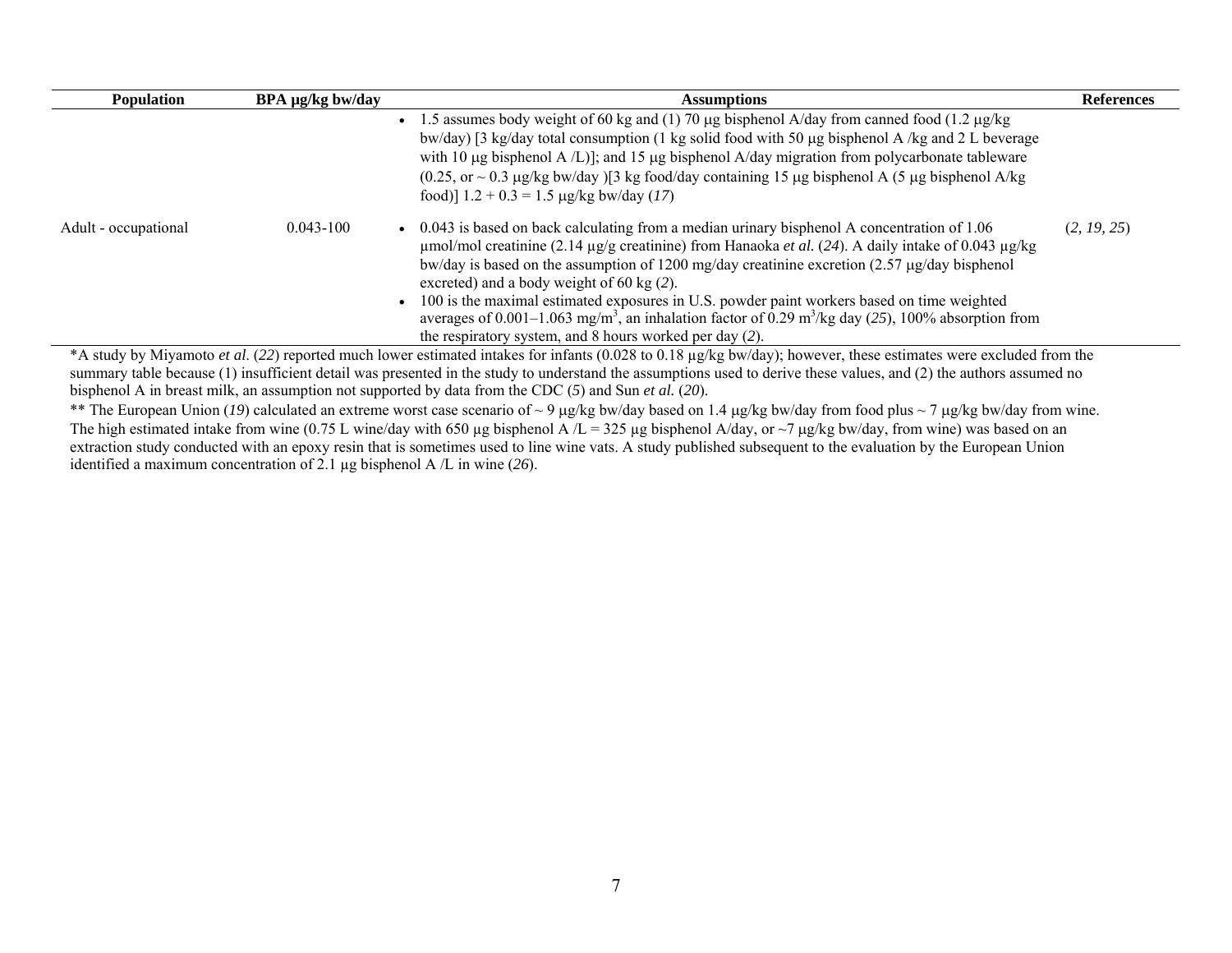| <b>Population</b>    | BPA µg/kg bw/day | <b>Assumptions</b>                                                                                                                                                                                                                                                                                                                                                                                                                                                                                                                                                                                                                            | <b>References</b> |
|----------------------|------------------|-----------------------------------------------------------------------------------------------------------------------------------------------------------------------------------------------------------------------------------------------------------------------------------------------------------------------------------------------------------------------------------------------------------------------------------------------------------------------------------------------------------------------------------------------------------------------------------------------------------------------------------------------|-------------------|
|                      |                  | 1.5 assumes body weight of 60 kg and (1) 70 µg bisphenol A/day from canned food (1.2 µg/kg)<br>bw/day [3 kg/day total consumption (1 kg solid food with 50 µg bisphenol A /kg and 2 L beverage<br>with 10 $\mu$ g bisphenol A/L)]; and 15 $\mu$ g bisphenol A/day migration from polycarbonate tableware<br>$(0.25, \text{ or } 0.3 \text{ µg/kg})$ bw/day $\frac{3}{4}$ kg food/day containing 15 µg bisphenol A (5 µg bisphenol A/kg<br>food)] $1.2 + 0.3 = 1.5 \mu g/kg$ bw/day (17)                                                                                                                                                       |                   |
| Adult - occupational | $0.043 - 100$    | 0.043 is based on back calculating from a median urinary bisphenol A concentration of 1.06<br>umol/mol creatinine (2.14 µg/g creatinine) from Hanaoka et al. (24). A daily intake of 0.043 µg/kg<br>bw/day is based on the assumption of 1200 mg/day creatinine excretion $(2.57 \mu g/day)$ bisphenol<br>excreted) and a body weight of 60 kg $(2)$ .<br>100 is the maximal estimated exposures in U.S. powder paint workers based on time weighted<br>averages of 0.001–1.063 mg/m <sup>3</sup> , an inhalation factor of 0.29 m <sup>3</sup> /kg day (25), 100% absorption from<br>the respiratory system, and 8 hours worked per day (2). | (2, 19, 25)       |
|                      |                  | *A study by Miyamoto et al. (22) reported much lower estimated intakes for infants (0.028 to 0.18 µg/kg bw/day); however, these estimates were excluded from the<br>ournous toble because (1) ingufficient detail was presented in the study to understand the ecountries used to derive these yellies, and (2) the outbors essumed no                                                                                                                                                                                                                                                                                                        |                   |

summary table because (1) insufficient detail was presented in the study to understand the assumptions used to derive these values, and (2) the authors assumed no bisphenol A in breast milk, an assumption not supported by data from the CDC (*5*) and Sun *et al.* (*20*).

\*\* The European Union (*19*) calculated an extreme worst case scenario of ~ 9 μg/kg bw/day based on 1.4 μg/kg bw/day from food plus ~ 7 μg/kg bw/day from wine. The high estimated intake from wine (0.75 L wine/day with 650 µg bisphenol A /L = 325 µg bisphenol A/day, or ~7 µg/kg bw/day, from wine) was based on an extraction study conducted with an epoxy resin that is sometimes used to line wine vats. A study published subsequent to the evaluation by the European Union identified a maximum concentration of 2.1 µg bisphenol A /L in wine (*26*).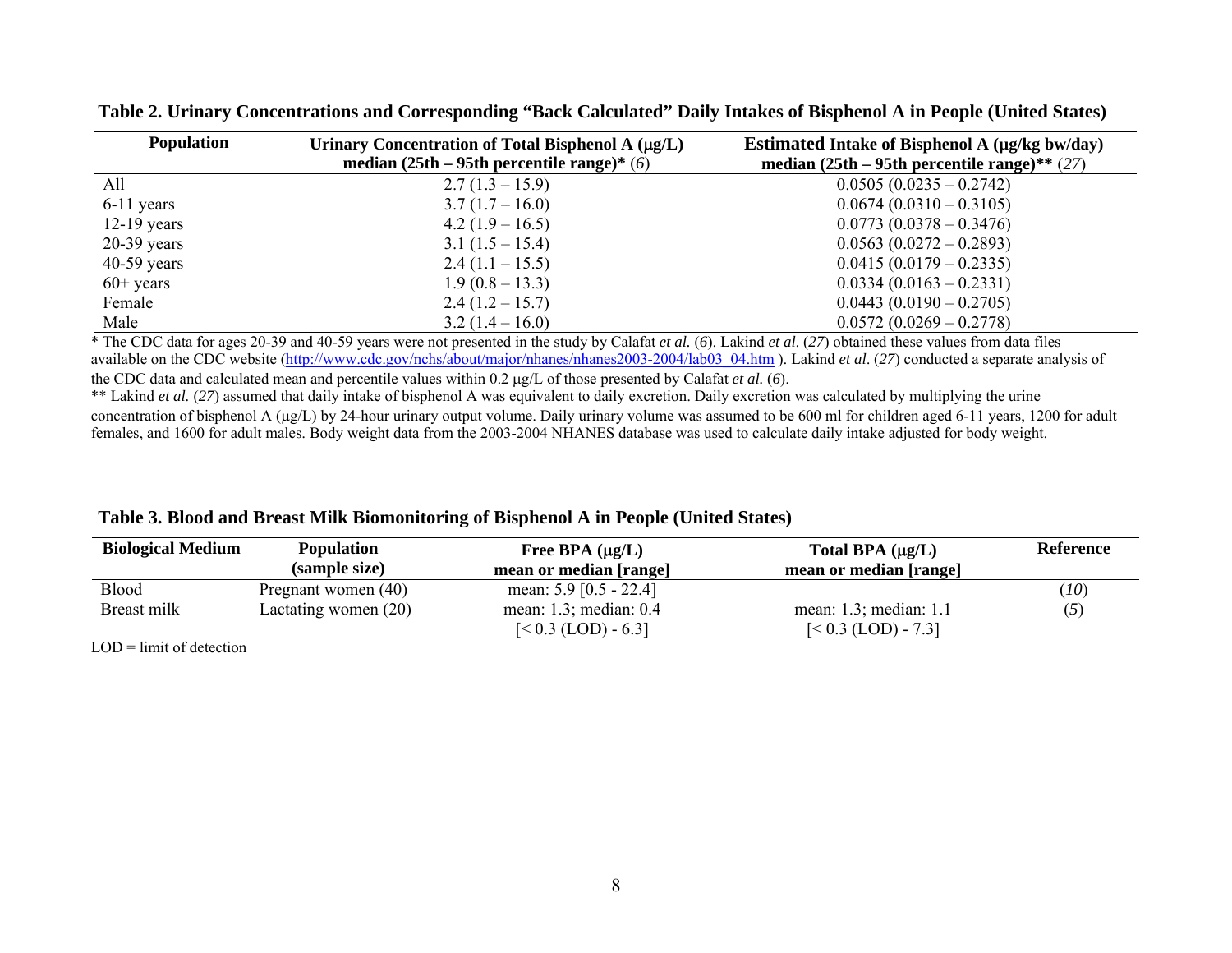| <b>Population</b> | Urinary Concentration of Total Bisphenol A $(\mu g/L)$<br>median $(25th - 95th)$ percentile range)* (6) | Estimated Intake of Bisphenol A (µg/kg bw/day)<br>median $(25th - 95th)$ percentile range)** $(27)$ |
|-------------------|---------------------------------------------------------------------------------------------------------|-----------------------------------------------------------------------------------------------------|
| All               | $2.7(1.3-15.9)$                                                                                         | $0.0505(0.0235-0.2742)$                                                                             |
| $6-11$ years      | $3.7(1.7-16.0)$                                                                                         | $0.0674(0.0310-0.3105)$                                                                             |
| $12-19$ years     | $4.2(1.9-16.5)$                                                                                         | $0.0773(0.0378 - 0.3476)$                                                                           |
| $20-39$ years     | $3.1(1.5-15.4)$                                                                                         | $0.0563(0.0272-0.2893)$                                                                             |
| $40-59$ years     | $2.4(1.1-15.5)$                                                                                         | $0.0415(0.0179 - 0.2335)$                                                                           |
| $60+$ years       | $1.9(0.8-13.3)$                                                                                         | $0.0334(0.0163 - 0.2331)$                                                                           |
| Female            | $2.4(1.2-15.7)$                                                                                         | $0.0443(0.0190 - 0.2705)$                                                                           |
| Male              | $3.2(1.4-16.0)$                                                                                         | $0.0572(0.0269 - 0.2778)$                                                                           |

**Table 2. Urinary Concentrations and Corresponding "Back Calculated" Daily Intakes of Bisphenol A in People (United States)** 

\* The CDC data for ages 20-39 and 40-59 years were not presented in the study by Calafat *et al.* ( *6*). Lakind *et al*. (*27*) obtained these values from data files available on the CDC website (http://www.cdc.gov/nchs/about/major/nhanes/nhanes2003-2004/lab03\_04.htm). Lakind *et al.* (27) conducted a separate analysis of the CDC data and calculated mean and percentile values within 0.2 μg/L of those presented by Calafat *et al.* ( *6*).

\*\* Lakind *et al.* (*27*) assumed that daily intake of bisphenol A was equivalent to daily excretion. Daily excretion was calculated by multiplying the urine concentration of bisphenol A (µg/L) by 24-hour urinary output volume. Daily urinary volume was assumed to be 600 ml for children aged 6-11 years, 1200 for adult females, and 1600 for adult males. Body weight data from the 2003-2004 NHANES database was used to calculate daily intake adjusted for body weight.

| <b>Biological Medium</b> | <b>Population</b>    | Free BPA $(\mu g/L)$        | Total BPA $(\mu g/L)$       | <b>Reference</b> |
|--------------------------|----------------------|-----------------------------|-----------------------------|------------------|
|                          | (sample size)        | mean or median [range]      | mean or median [range]      |                  |
| Blood                    | Pregnant women (40)  | mean: $5.9$ [0.5 - 22.4]    |                             | (10)             |
| Breast milk              | Lactating women (20) | mean: $1.3$ ; median: $0.4$ | mean: $1.3$ ; median: $1.1$ | (5)              |
|                          |                      | $[< 0.3$ (LOD) - 6.3]       | $[< 0.3$ (LOD) - 7.3]       |                  |

LOD = limit of detection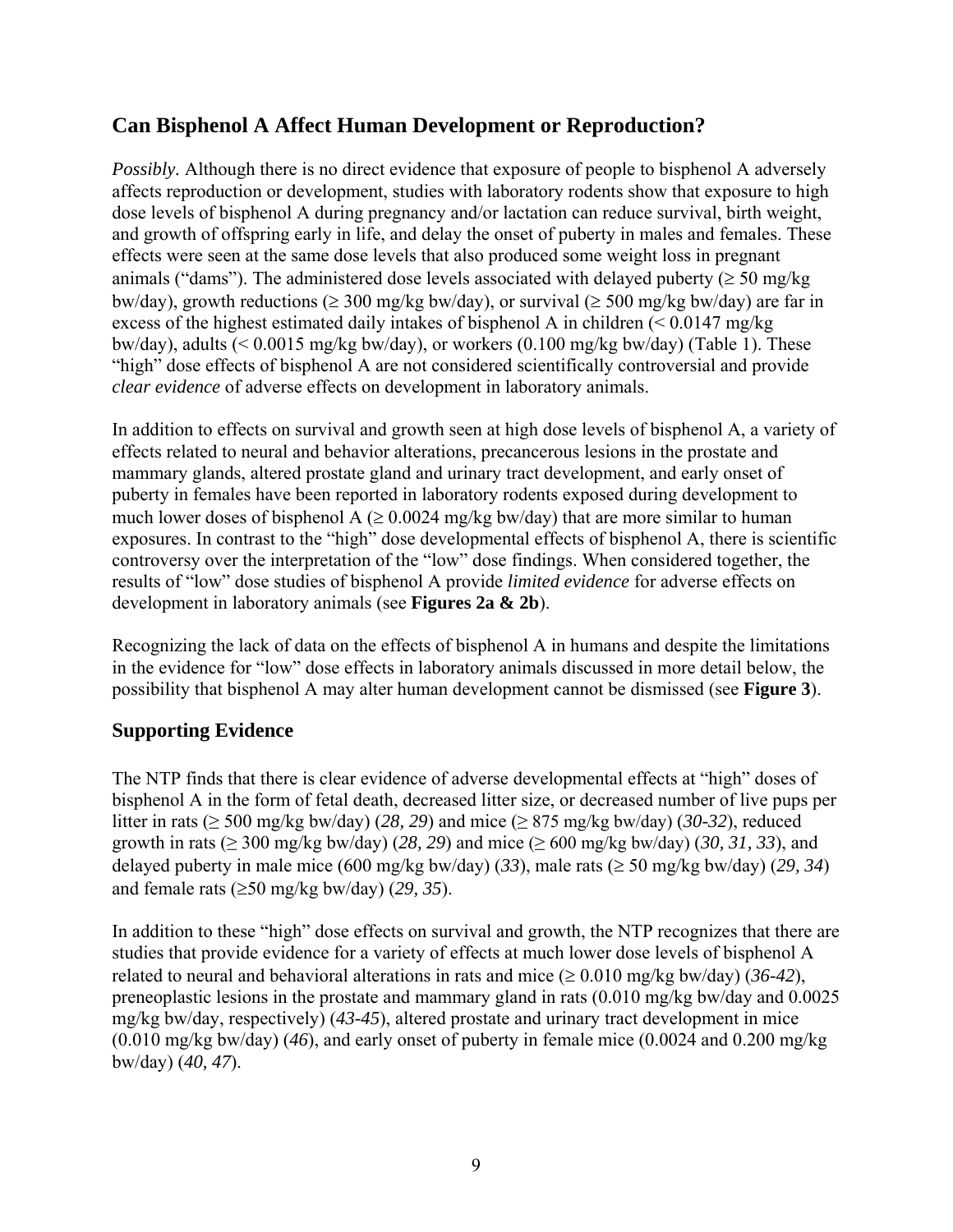## <span id="page-9-0"></span>**Can Bisphenol A Affect Human Development or Reproduction?**

*Possibly.* Although there is no direct evidence that exposure of people to bisphenol A adversely affects reproduction or development, studies with laboratory rodents show that exposure to high dose levels of bisphenol A during pregnancy and/or lactation can reduce survival, birth weight, and growth of offspring early in life, and delay the onset of puberty in males and females. These effects were seen at the same dose levels that also produced some weight loss in pregnant animals ("dams"). The administered dose levels associated with delayed puberty ( $\geq$  50 mg/kg bw/day), growth reductions ( $\geq 300$  mg/kg bw/day), or survival ( $\geq 500$  mg/kg bw/day) are far in excess of the highest estimated daily intakes of bisphenol A in children  $(< 0.0147$  mg/kg bw/day), adults (< 0.0015 mg/kg bw/day), or workers (0.100 mg/kg bw/day) (Table 1). These "high" dose effects of bisphenol A are not considered scientifically controversial and provide *clear evidence* of adverse effects on development in laboratory animals.

In addition to effects on survival and growth seen at high dose levels of bisphenol A, a variety of effects related to neural and behavior alterations, precancerous lesions in the prostate and mammary glands, altered prostate gland and urinary tract development, and early onset of puberty in females have been reported in laboratory rodents exposed during development to much lower doses of bisphenol A ( $\geq 0.0024$  mg/kg bw/day) that are more similar to human exposures. In contrast to the "high" dose developmental effects of bisphenol A, there is scientific controversy over the interpretation of the "low" dose findings. When considered together, the results of "low" dose studies of bisphenol A provide *limited evidence* for adverse effects on development in laboratory animals (see **Figures 2a & 2b**).

Recognizing the lack of data on the effects of bisphenol A in humans and despite the limitations in the evidence for "low" dose effects in laboratory animals discussed in more detail below, the possibility that bisphenol A may alter human development cannot be dismissed (see **Figure 3**).

#### **Supporting Evidence**

The NTP finds that there is clear evidence of adverse developmental effects at "high" doses of bisphenol A in the form of fetal death, decreased litter size, or decreased number of live pups per litter in rats (≥ 500 mg/kg bw/day) (*28, 29*) and mice (≥ 875 mg/kg bw/day) (*30-32*), reduced growth in rats (≥ 300 mg/kg bw/day) (*28, 29*) and mice (≥ 600 mg/kg bw/day) (*30, 31, 33*), and delayed puberty in male mice (600 mg/kg bw/day) (*33*), male rats (≥ 50 mg/kg bw/day) (*29, 34*) and female rats (≥50 mg/kg bw/day) (*29, 35*).

In addition to these "high" dose effects on survival and growth, the NTP recognizes that there are studies that provide evidence for a variety of effects at much lower dose levels of bisphenol A related to neural and behavioral alterations in rats and mice ( $\geq 0.010$  mg/kg bw/day) (36-42), preneoplastic lesions in the prostate and mammary gland in rats (0.010 mg/kg bw/day and 0.0025 mg/kg bw/day, respectively) (*43-45*), altered prostate and urinary tract development in mice (0.010 mg/kg bw/day) (*46*), and early onset of puberty in female mice (0.0024 and 0.200 mg/kg bw/day) (*40, 47*).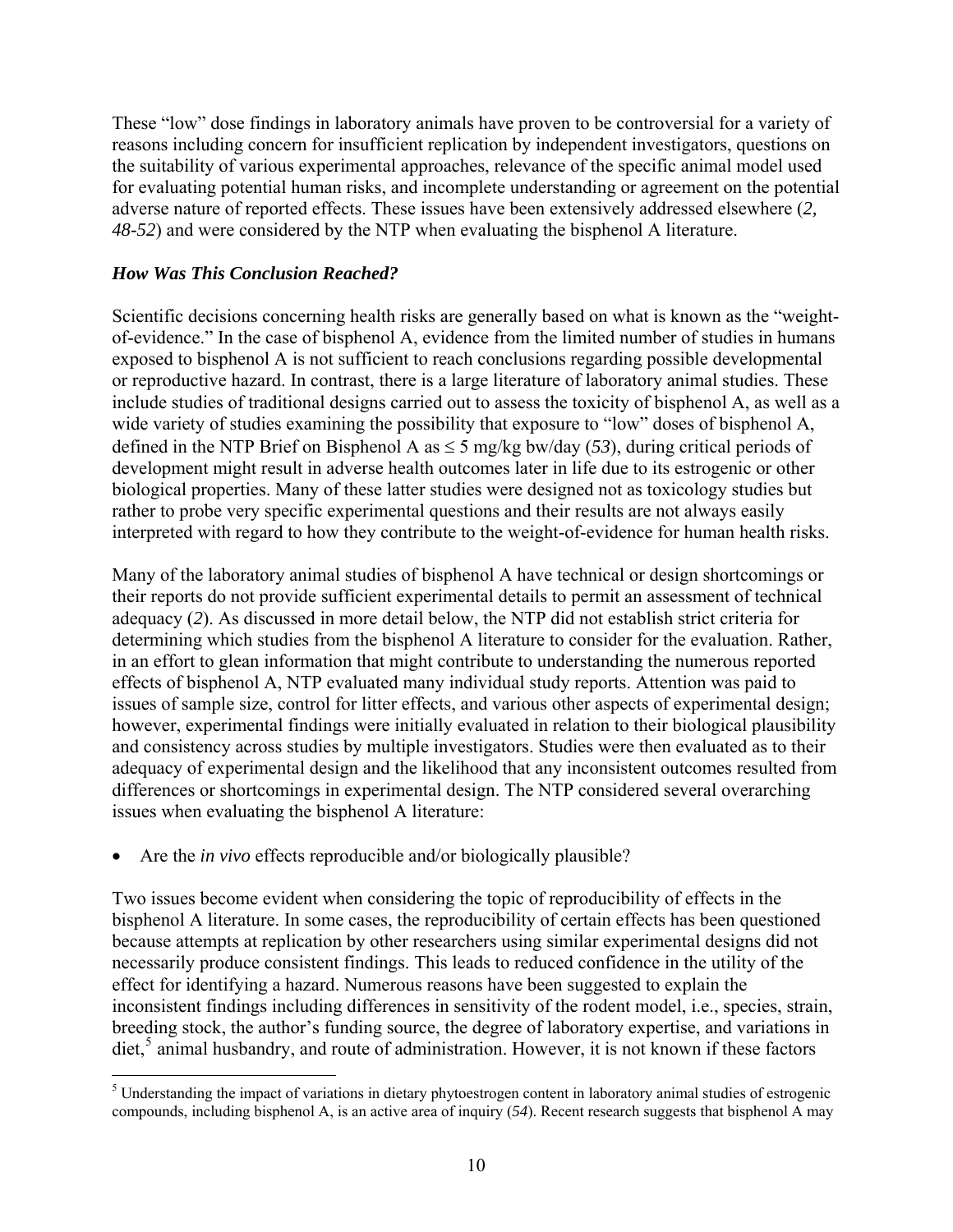<span id="page-10-0"></span>These "low" dose findings in laboratory animals have proven to be controversial for a variety of reasons including concern for insufficient replication by independent investigators, questions on the suitability of various experimental approaches, relevance of the specific animal model used for evaluating potential human risks, and incomplete understanding or agreement on the potential adverse nature of reported effects. These issues have been extensively addressed elsewhere (*2, 48-52*) and were considered by the NTP when evaluating the bisphenol A literature.

#### *How Was This Conclusion Reached?*

Scientific decisions concerning health risks are generally based on what is known as the "weightof-evidence." In the case of bisphenol A, evidence from the limited number of studies in humans exposed to bisphenol A is not sufficient to reach conclusions regarding possible developmental or reproductive hazard. In contrast, there is a large literature of laboratory animal studies. These include studies of traditional designs carried out to assess the toxicity of bisphenol A, as well as a wide variety of studies examining the possibility that exposure to "low" doses of bisphenol A, defined in the NTP Brief on Bisphenol A as  $\leq$  5 mg/kg bw/day (53), during critical periods of development might result in adverse health outcomes later in life due to its estrogenic or other biological properties. Many of these latter studies were designed not as toxicology studies but rather to probe very specific experimental questions and their results are not always easily interpreted with regard to how they contribute to the weight-of-evidence for human health risks.

Many of the laboratory animal studies of bisphenol A have technical or design shortcomings or their reports do not provide sufficient experimental details to permit an assessment of technical adequacy (*2*). As discussed in more detail below, the NTP did not establish strict criteria for determining which studies from the bisphenol A literature to consider for the evaluation. Rather, in an effort to glean information that might contribute to understanding the numerous reported effects of bisphenol A, NTP evaluated many individual study reports. Attention was paid to issues of sample size, control for litter effects, and various other aspects of experimental design; however, experimental findings were initially evaluated in relation to their biological plausibility and consistency across studies by multiple investigators. Studies were then evaluated as to their adequacy of experimental design and the likelihood that any inconsistent outcomes resulted from differences or shortcomings in experimental design. The NTP considered several overarching issues when evaluating the bisphenol A literature:

• Are the *in vivo* effects reproducible and/or biologically plausible?

Two issues become evident when considering the topic of reproducibility of effects in the bisphenol A literature. In some cases, the reproducibility of certain effects has been questioned because attempts at replication by other researchers using similar experimental designs did not necessarily produce consistent findings. This leads to reduced confidence in the utility of the effect for identifying a hazard. Numerous reasons have been suggested to explain the inconsistent findings including differences in sensitivity of the rodent model, i.e., species, strain, breeding stock, the author's funding source, the degree of laboratory expertise, and variations in diet,<sup>[5](#page-10-0)</sup> animal husbandry, and route of administration. However, it is not known if these factors

<sup>&</sup>lt;sup>5</sup><br>Understanding the impact of variations in dietary phytoestrogen content in laboratory animal studies of estrogenic compounds, including bisphenol A, is an active area of inquiry (*54*). Recent research suggests that bisphenol A may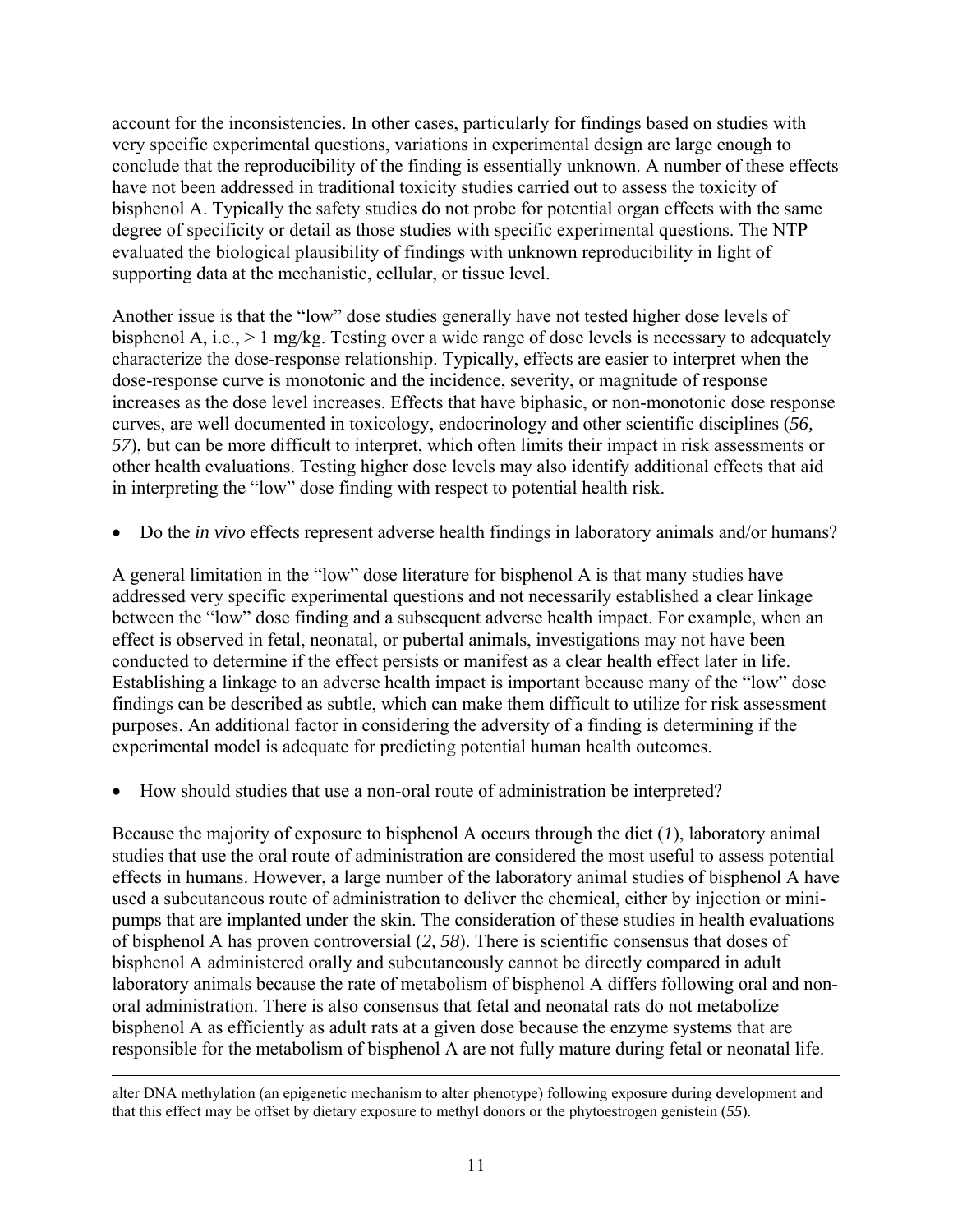account for the inconsistencies. In other cases, particularly for findings based on studies with very specific experimental questions, variations in experimental design are large enough to conclude that the reproducibility of the finding is essentially unknown. A number of these effects have not been addressed in traditional toxicity studies carried out to assess the toxicity of bisphenol A. Typically the safety studies do not probe for potential organ effects with the same degree of specificity or detail as those studies with specific experimental questions. The NTP evaluated the biological plausibility of findings with unknown reproducibility in light of supporting data at the mechanistic, cellular, or tissue level.

Another issue is that the "low" dose studies generally have not tested higher dose levels of bisphenol A, i.e., > 1 mg/kg. Testing over a wide range of dose levels is necessary to adequately characterize the dose-response relationship. Typically, effects are easier to interpret when the dose-response curve is monotonic and the incidence, severity, or magnitude of response increases as the dose level increases. Effects that have biphasic, or non-monotonic dose response curves, are well documented in toxicology, endocrinology and other scientific disciplines (*56, 57*), but can be more difficult to interpret, which often limits their impact in risk assessments or other health evaluations. Testing higher dose levels may also identify additional effects that aid in interpreting the "low" dose finding with respect to potential health risk.

• Do the *in vivo* effects represent adverse health findings in laboratory animals and/or humans?

A general limitation in the "low" dose literature for bisphenol A is that many studies have addressed very specific experimental questions and not necessarily established a clear linkage between the "low" dose finding and a subsequent adverse health impact. For example, when an effect is observed in fetal, neonatal, or pubertal animals, investigations may not have been conducted to determine if the effect persists or manifest as a clear health effect later in life. Establishing a linkage to an adverse health impact is important because many of the "low" dose findings can be described as subtle, which can make them difficult to utilize for risk assessment purposes. An additional factor in considering the adversity of a finding is determining if the experimental model is adequate for predicting potential human health outcomes.

• How should studies that use a non-oral route of administration be interpreted?

Because the majority of exposure to bisphenol A occurs through the diet (*1*), laboratory animal studies that use the oral route of administration are considered the most useful to assess potential effects in humans. However, a large number of the laboratory animal studies of bisphenol A have used a subcutaneous route of administration to deliver the chemical, either by injection or minipumps that are implanted under the skin. The consideration of these studies in health evaluations of bisphenol A has proven controversial (*2, 58*). There is scientific consensus that doses of bisphenol A administered orally and subcutaneously cannot be directly compared in adult laboratory animals because the rate of metabolism of bisphenol A differs following oral and nonoral administration. There is also consensus that fetal and neonatal rats do not metabolize bisphenol A as efficiently as adult rats at a given dose because the enzyme systems that are responsible for the metabolism of bisphenol A are not fully mature during fetal or neonatal life.

alter DNA methylation (an epigenetic mechanism to alter phenotype) following exposure during development and that this effect may be offset by dietary exposure to methyl donors or the phytoestrogen genistein (*55*).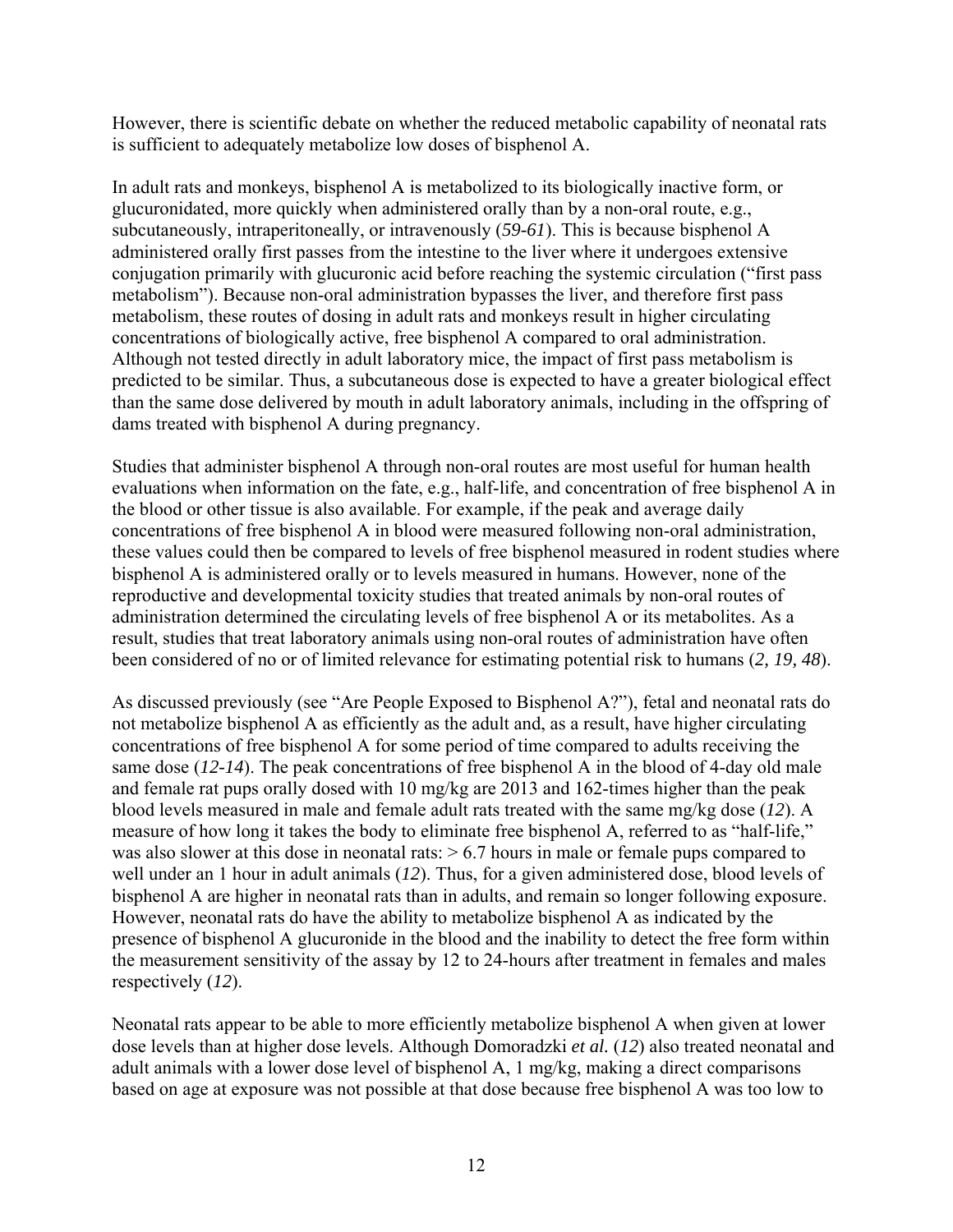However, there is scientific debate on whether the reduced metabolic capability of neonatal rats is sufficient to adequately metabolize low doses of bisphenol A.

In adult rats and monkeys, bisphenol A is metabolized to its biologically inactive form, or glucuronidated, more quickly when administered orally than by a non-oral route, e.g., subcutaneously, intraperitoneally, or intravenously (*59-61*). This is because bisphenol A administered orally first passes from the intestine to the liver where it undergoes extensive conjugation primarily with glucuronic acid before reaching the systemic circulation ("first pass metabolism"). Because non-oral administration bypasses the liver, and therefore first pass metabolism, these routes of dosing in adult rats and monkeys result in higher circulating concentrations of biologically active, free bisphenol A compared to oral administration. Although not tested directly in adult laboratory mice, the impact of first pass metabolism is predicted to be similar. Thus, a subcutaneous dose is expected to have a greater biological effect than the same dose delivered by mouth in adult laboratory animals, including in the offspring of dams treated with bisphenol A during pregnancy.

Studies that administer bisphenol A through non-oral routes are most useful for human health evaluations when information on the fate, e.g., half-life, and concentration of free bisphenol A in the blood or other tissue is also available. For example, if the peak and average daily concentrations of free bisphenol A in blood were measured following non-oral administration, these values could then be compared to levels of free bisphenol measured in rodent studies where bisphenol A is administered orally or to levels measured in humans. However, none of the reproductive and developmental toxicity studies that treated animals by non-oral routes of administration determined the circulating levels of free bisphenol A or its metabolites. As a result, studies that treat laboratory animals using non-oral routes of administration have often been considered of no or of limited relevance for estimating potential risk to humans (*2, 19, 48*).

As discussed previously (see "Are People Exposed to Bisphenol A?"), fetal and neonatal rats do not metabolize bisphenol A as efficiently as the adult and, as a result, have higher circulating concentrations of free bisphenol A for some period of time compared to adults receiving the same dose (*12-14*). The peak concentrations of free bisphenol A in the blood of 4-day old male and female rat pups orally dosed with 10 mg/kg are 2013 and 162-times higher than the peak blood levels measured in male and female adult rats treated with the same mg/kg dose (*12*). A measure of how long it takes the body to eliminate free bisphenol A, referred to as "half-life," was also slower at this dose in neonatal rats:  $> 6.7$  hours in male or female pups compared to well under an 1 hour in adult animals (*12*). Thus, for a given administered dose, blood levels of bisphenol A are higher in neonatal rats than in adults, and remain so longer following exposure. However, neonatal rats do have the ability to metabolize bisphenol A as indicated by the presence of bisphenol A glucuronide in the blood and the inability to detect the free form within the measurement sensitivity of the assay by 12 to 24-hours after treatment in females and males respectively (*12*).

Neonatal rats appear to be able to more efficiently metabolize bisphenol A when given at lower dose levels than at higher dose levels. Although Domoradzki *et al.* (*12*) also treated neonatal and adult animals with a lower dose level of bisphenol A, 1 mg/kg, making a direct comparisons based on age at exposure was not possible at that dose because free bisphenol A was too low to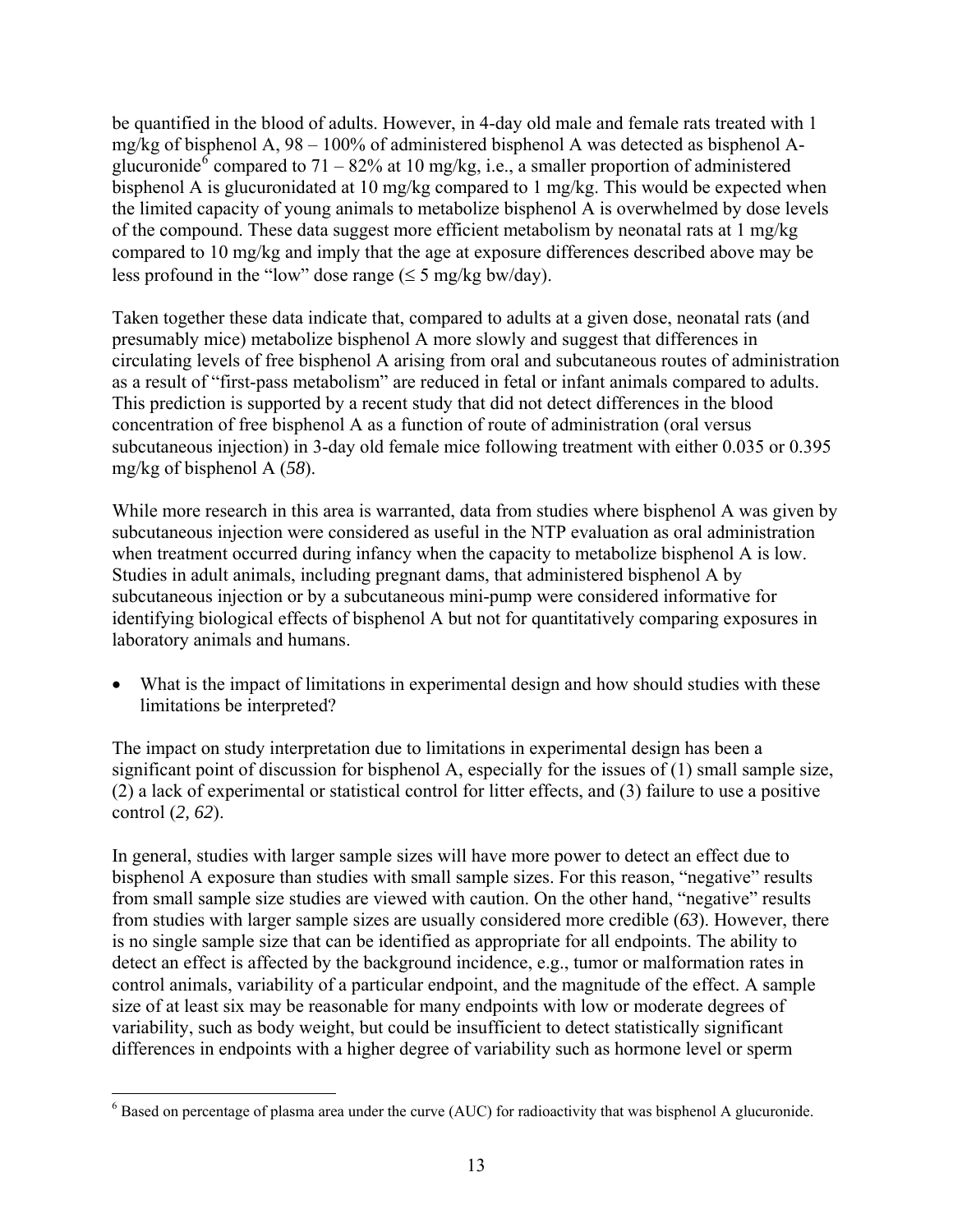<span id="page-13-0"></span>be quantified in the blood of adults. However, in 4-day old male and female rats treated with 1 mg/kg of bisphenol A, 98 – 100% of administered bisphenol A was detected as bisphenol A-glucuronide<sup>[6](#page-13-0)</sup> compared to 71 – 82% at 10 mg/kg, i.e., a smaller proportion of administered bisphenol A is glucuronidated at 10 mg/kg compared to 1 mg/kg. This would be expected when the limited capacity of young animals to metabolize bisphenol A is overwhelmed by dose levels of the compound. These data suggest more efficient metabolism by neonatal rats at 1 mg/kg compared to 10 mg/kg and imply that the age at exposure differences described above may be less profound in the "low" dose range  $(\leq 5 \text{ mg/kg bw/day})$ .

Taken together these data indicate that, compared to adults at a given dose, neonatal rats (and presumably mice) metabolize bisphenol A more slowly and suggest that differences in circulating levels of free bisphenol A arising from oral and subcutaneous routes of administration as a result of "first-pass metabolism" are reduced in fetal or infant animals compared to adults. This prediction is supported by a recent study that did not detect differences in the blood concentration of free bisphenol A as a function of route of administration (oral versus subcutaneous injection) in 3-day old female mice following treatment with either 0.035 or 0.395 mg/kg of bisphenol A (*58*).

While more research in this area is warranted, data from studies where bisphenol A was given by subcutaneous injection were considered as useful in the NTP evaluation as oral administration when treatment occurred during infancy when the capacity to metabolize bisphenol A is low. Studies in adult animals, including pregnant dams, that administered bisphenol A by subcutaneous injection or by a subcutaneous mini-pump were considered informative for identifying biological effects of bisphenol A but not for quantitatively comparing exposures in laboratory animals and humans.

• What is the impact of limitations in experimental design and how should studies with these limitations be interpreted?

The impact on study interpretation due to limitations in experimental design has been a significant point of discussion for bisphenol A, especially for the issues of (1) small sample size, (2) a lack of experimental or statistical control for litter effects, and (3) failure to use a positive control (*2, 62*).

In general, studies with larger sample sizes will have more power to detect an effect due to bisphenol A exposure than studies with small sample sizes. For this reason, "negative" results from small sample size studies are viewed with caution. On the other hand, "negative" results from studies with larger sample sizes are usually considered more credible (*63*). However, there is no single sample size that can be identified as appropriate for all endpoints. The ability to detect an effect is affected by the background incidence, e.g., tumor or malformation rates in control animals, variability of a particular endpoint, and the magnitude of the effect. A sample size of at least six may be reasonable for many endpoints with low or moderate degrees of variability, such as body weight, but could be insufficient to detect statistically significant differences in endpoints with a higher degree of variability such as hormone level or sperm

 $\overline{a}$ 

 $6$  Based on percentage of plasma area under the curve (AUC) for radioactivity that was bisphenol A glucuronide.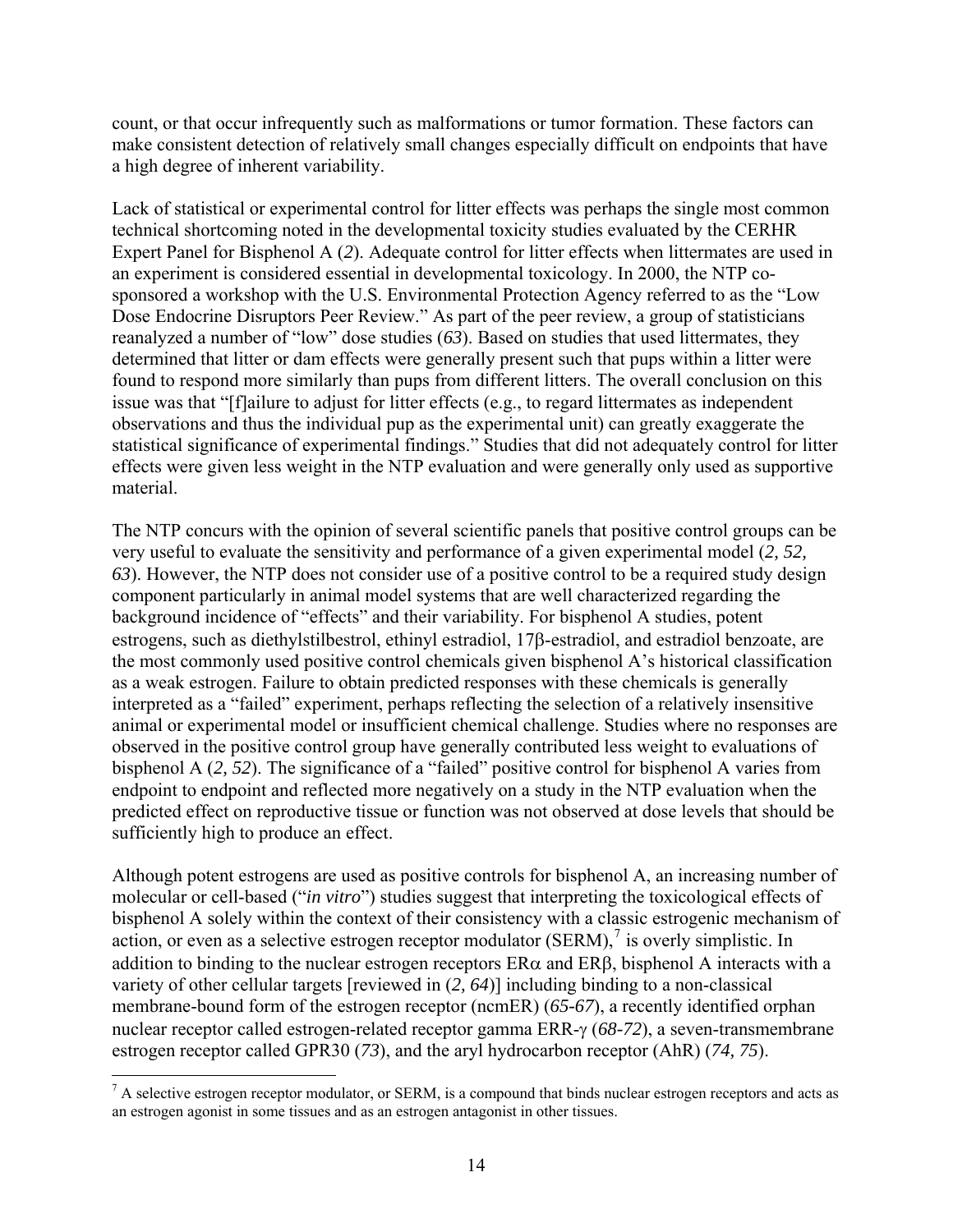<span id="page-14-0"></span>count, or that occur infrequently such as malformations or tumor formation. These factors can make consistent detection of relatively small changes especially difficult on endpoints that have a high degree of inherent variability.

Lack of statistical or experimental control for litter effects was perhaps the single most common technical shortcoming noted in the developmental toxicity studies evaluated by the CERHR Expert Panel for Bisphenol A (*2*). Adequate control for litter effects when littermates are used in an experiment is considered essential in developmental toxicology. In 2000, the NTP cosponsored a workshop with the U.S. Environmental Protection Agency referred to as the "Low Dose Endocrine Disruptors Peer Review." As part of the peer review, a group of statisticians reanalyzed a number of "low" dose studies (*63*). Based on studies that used littermates, they determined that litter or dam effects were generally present such that pups within a litter were found to respond more similarly than pups from different litters. The overall conclusion on this issue was that "[f]ailure to adjust for litter effects (e.g., to regard littermates as independent observations and thus the individual pup as the experimental unit) can greatly exaggerate the statistical significance of experimental findings." Studies that did not adequately control for litter effects were given less weight in the NTP evaluation and were generally only used as supportive material.

The NTP concurs with the opinion of several scientific panels that positive control groups can be very useful to evaluate the sensitivity and performance of a given experimental model (*2, 52, 63*). However, the NTP does not consider use of a positive control to be a required study design component particularly in animal model systems that are well characterized regarding the background incidence of "effects" and their variability. For bisphenol A studies, potent estrogens, such as diethylstilbestrol, ethinyl estradiol, 17β-estradiol, and estradiol benzoate, are the most commonly used positive control chemicals given bisphenol A's historical classification as a weak estrogen. Failure to obtain predicted responses with these chemicals is generally interpreted as a "failed" experiment, perhaps reflecting the selection of a relatively insensitive animal or experimental model or insufficient chemical challenge. Studies where no responses are observed in the positive control group have generally contributed less weight to evaluations of bisphenol A (*2, 52*). The significance of a "failed" positive control for bisphenol A varies from endpoint to endpoint and reflected more negatively on a study in the NTP evaluation when the predicted effect on reproductive tissue or function was not observed at dose levels that should be sufficiently high to produce an effect.

Although potent estrogens are used as positive controls for bisphenol A, an increasing number of molecular or cell-based ("*in vitro*") studies suggest that interpreting the toxicological effects of bisphenol A solely within the context of their consistency with a classic estrogenic mechanism of action, or even as a selective estrogen receptor modulator  $(SERM)$ , is overly simplistic. In addition to binding to the nuclear estrogen receptors  $ER\alpha$  and  $ER\beta$ , bisphenol A interacts with a variety of other cellular targets [reviewed in (*2, 64*)] including binding to a non-classical membrane-bound form of the estrogen receptor (ncmER) (*65-67*), a recently identified orphan nuclear receptor called estrogen-related receptor gamma ERR-γ (*68-72*), a seven-transmembrane estrogen receptor called GPR30 (*73*), and the aryl hydrocarbon receptor (AhR) (*74, 75*).

<sup>&</sup>lt;sup>7</sup> A selective estrogen receptor modulator, or SERM, is a compound that binds nuclear estrogen receptors and acts as an estrogen agonist in some tissues and as an estrogen antagonist in other tissues.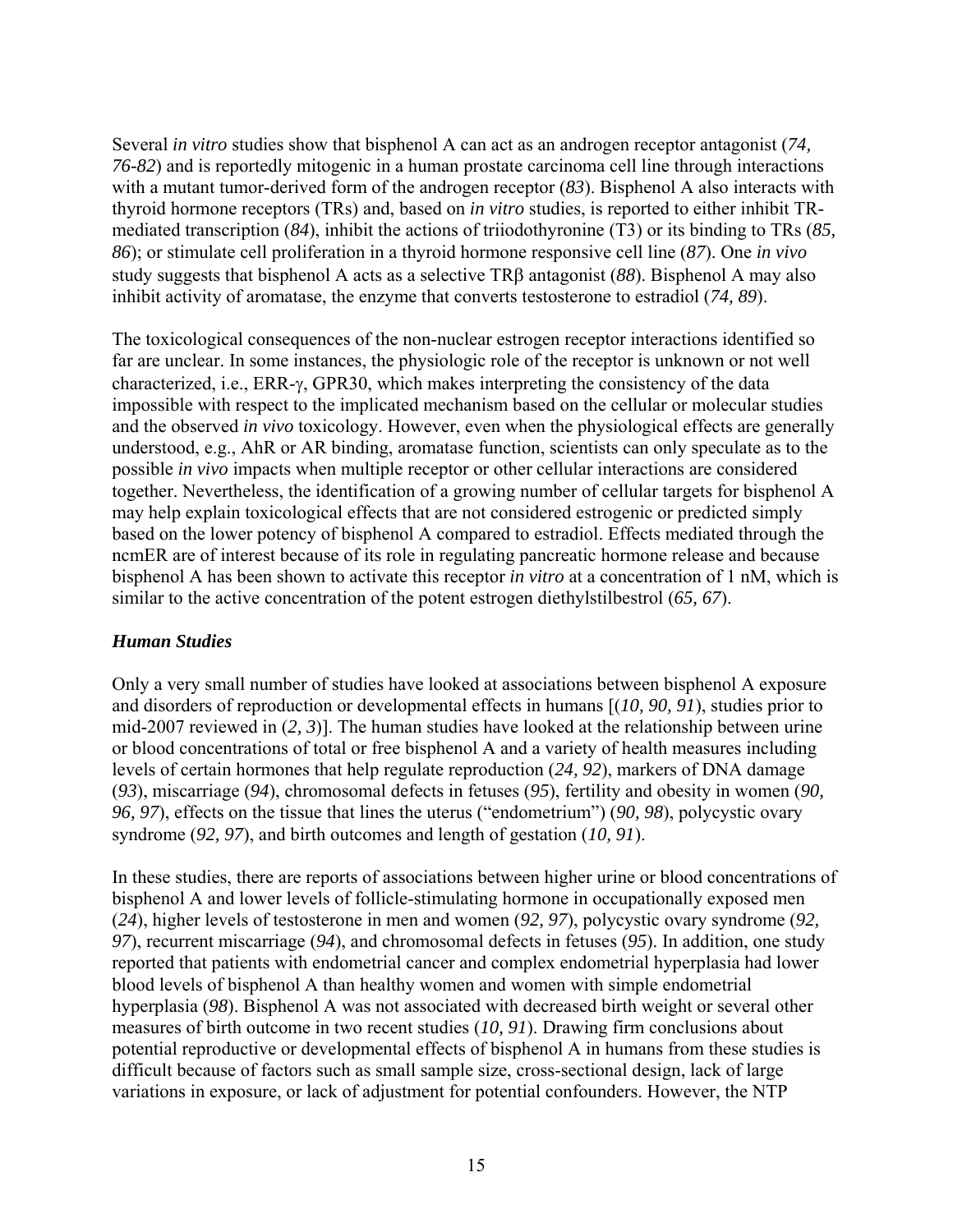<span id="page-15-0"></span>Several *in vitro* studies show that bisphenol A can act as an androgen receptor antagonist (*74, 76-82*) and is reportedly mitogenic in a human prostate carcinoma cell line through interactions with a mutant tumor-derived form of the androgen receptor (*83*). Bisphenol A also interacts with thyroid hormone receptors (TRs) and, based on *in vitro* studies, is reported to either inhibit TRmediated transcription (*84*), inhibit the actions of triiodothyronine (T3) or its binding to TRs (*85, 86*); or stimulate cell proliferation in a thyroid hormone responsive cell line (*87*). One *in vivo* study suggests that bisphenol A acts as a selective TRβ antagonist (*88*). Bisphenol A may also inhibit activity of aromatase, the enzyme that converts testosterone to estradiol (*74, 89*).

The toxicological consequences of the non-nuclear estrogen receptor interactions identified so far are unclear. In some instances, the physiologic role of the receptor is unknown or not well characterized, i.e., ERR-γ, GPR30, which makes interpreting the consistency of the data impossible with respect to the implicated mechanism based on the cellular or molecular studies and the observed *in vivo* toxicology. However, even when the physiological effects are generally understood, e.g., AhR or AR binding, aromatase function, scientists can only speculate as to the possible *in vivo* impacts when multiple receptor or other cellular interactions are considered together. Nevertheless, the identification of a growing number of cellular targets for bisphenol A may help explain toxicological effects that are not considered estrogenic or predicted simply based on the lower potency of bisphenol A compared to estradiol. Effects mediated through the ncmER are of interest because of its role in regulating pancreatic hormone release and because bisphenol A has been shown to activate this receptor *in vitro* at a concentration of 1 nM, which is similar to the active concentration of the potent estrogen diethylstilbestrol (*65, 67*).

#### *Human Studies*

Only a very small number of studies have looked at associations between bisphenol A exposure and disorders of reproduction or developmental effects in humans [(*10, 90, 91*), studies prior to mid-2007 reviewed in (*2, 3*)]. The human studies have looked at the relationship between urine or blood concentrations of total or free bisphenol A and a variety of health measures including levels of certain hormones that help regulate reproduction (*24, 92*), markers of DNA damage (*93*), miscarriage (*94*), chromosomal defects in fetuses (*95*), fertility and obesity in women (*90, 96, 97*), effects on the tissue that lines the uterus ("endometrium") (*90, 98*), polycystic ovary syndrome (*92, 97*), and birth outcomes and length of gestation (*10, 91*).

In these studies, there are reports of associations between higher urine or blood concentrations of bisphenol A and lower levels of follicle-stimulating hormone in occupationally exposed men (*24*), higher levels of testosterone in men and women (*92, 97*), polycystic ovary syndrome (*92, 97*), recurrent miscarriage (*94*), and chromosomal defects in fetuses (*95*). In addition, one study reported that patients with endometrial cancer and complex endometrial hyperplasia had lower blood levels of bisphenol A than healthy women and women with simple endometrial hyperplasia (*98*). Bisphenol A was not associated with decreased birth weight or several other measures of birth outcome in two recent studies (*10, 91*). Drawing firm conclusions about potential reproductive or developmental effects of bisphenol A in humans from these studies is difficult because of factors such as small sample size, cross-sectional design, lack of large variations in exposure, or lack of adjustment for potential confounders. However, the NTP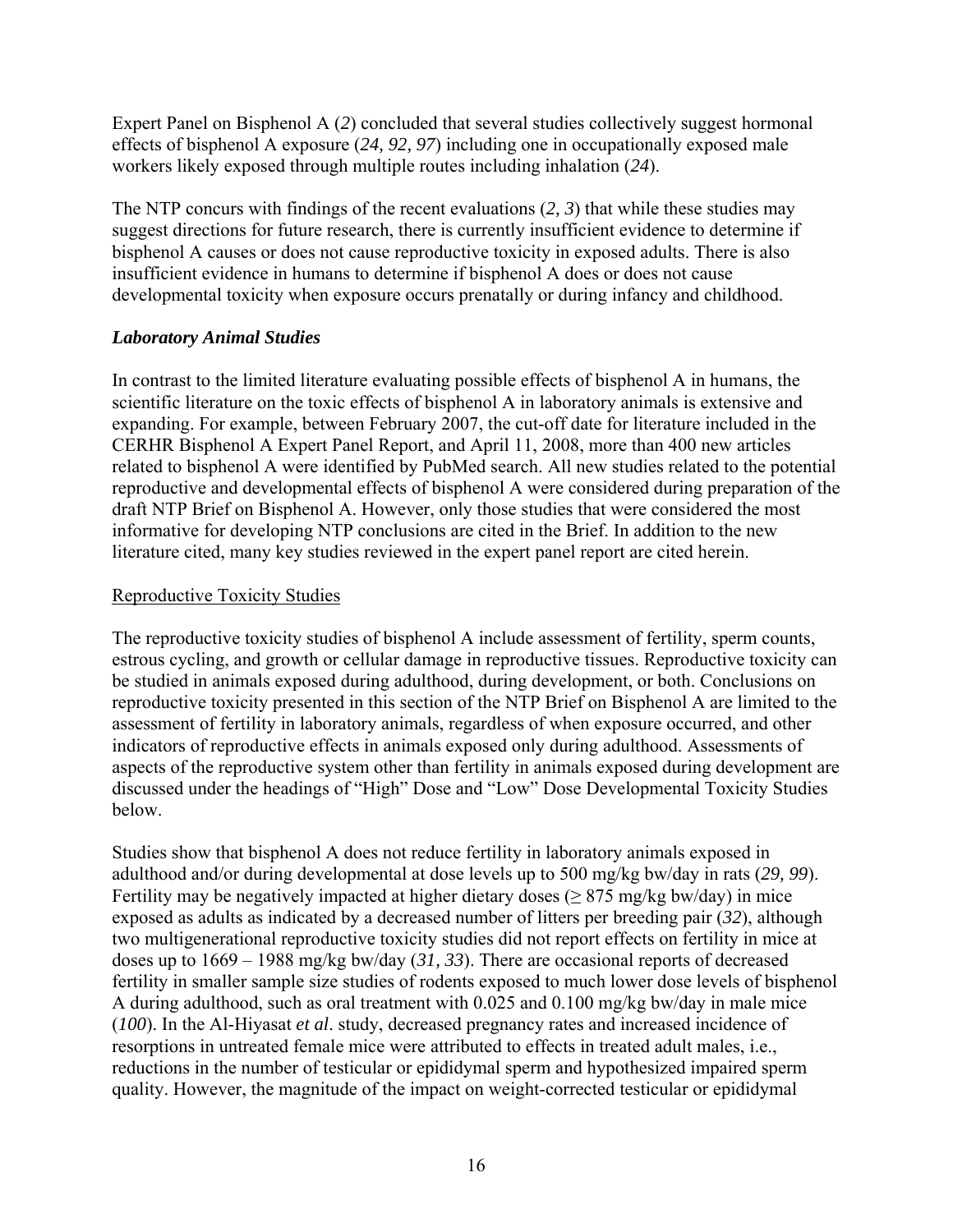<span id="page-16-0"></span>Expert Panel on Bisphenol A (*2*) concluded that several studies collectively suggest hormonal effects of bisphenol A exposure (*24, 92, 97*) including one in occupationally exposed male workers likely exposed through multiple routes including inhalation (*24*).

The NTP concurs with findings of the recent evaluations (*2, 3*) that while these studies may suggest directions for future research, there is currently insufficient evidence to determine if bisphenol A causes or does not cause reproductive toxicity in exposed adults. There is also insufficient evidence in humans to determine if bisphenol A does or does not cause developmental toxicity when exposure occurs prenatally or during infancy and childhood.

#### *Laboratory Animal Studies*

In contrast to the limited literature evaluating possible effects of bisphenol A in humans, the scientific literature on the toxic effects of bisphenol A in laboratory animals is extensive and expanding. For example, between February 2007, the cut-off date for literature included in the CERHR Bisphenol A Expert Panel Report, and April 11, 2008, more than 400 new articles related to bisphenol A were identified by PubMed search. All new studies related to the potential reproductive and developmental effects of bisphenol A were considered during preparation of the draft NTP Brief on Bisphenol A. However, only those studies that were considered the most informative for developing NTP conclusions are cited in the Brief. In addition to the new literature cited, many key studies reviewed in the expert panel report are cited herein.

#### Reproductive Toxicity Studies

The reproductive toxicity studies of bisphenol A include assessment of fertility, sperm counts, estrous cycling, and growth or cellular damage in reproductive tissues. Reproductive toxicity can be studied in animals exposed during adulthood, during development, or both. Conclusions on reproductive toxicity presented in this section of the NTP Brief on Bisphenol A are limited to the assessment of fertility in laboratory animals, regardless of when exposure occurred, and other indicators of reproductive effects in animals exposed only during adulthood. Assessments of aspects of the reproductive system other than fertility in animals exposed during development are discussed under the headings of "High" Dose and "Low" Dose Developmental Toxicity Studies below.

Studies show that bisphenol A does not reduce fertility in laboratory animals exposed in adulthood and/or during developmental at dose levels up to 500 mg/kg bw/day in rats (*29, 99*). Fertility may be negatively impacted at higher dietary doses ( $\geq$  875 mg/kg bw/day) in mice exposed as adults as indicated by a decreased number of litters per breeding pair (*32*), although two multigenerational reproductive toxicity studies did not report effects on fertility in mice at doses up to 1669 – 1988 mg/kg bw/day (*31, 33*). There are occasional reports of decreased fertility in smaller sample size studies of rodents exposed to much lower dose levels of bisphenol A during adulthood, such as oral treatment with 0.025 and 0.100 mg/kg bw/day in male mice (*100*). In the Al-Hiyasat *et al*. study, decreased pregnancy rates and increased incidence of resorptions in untreated female mice were attributed to effects in treated adult males, i.e., reductions in the number of testicular or epididymal sperm and hypothesized impaired sperm quality. However, the magnitude of the impact on weight-corrected testicular or epididymal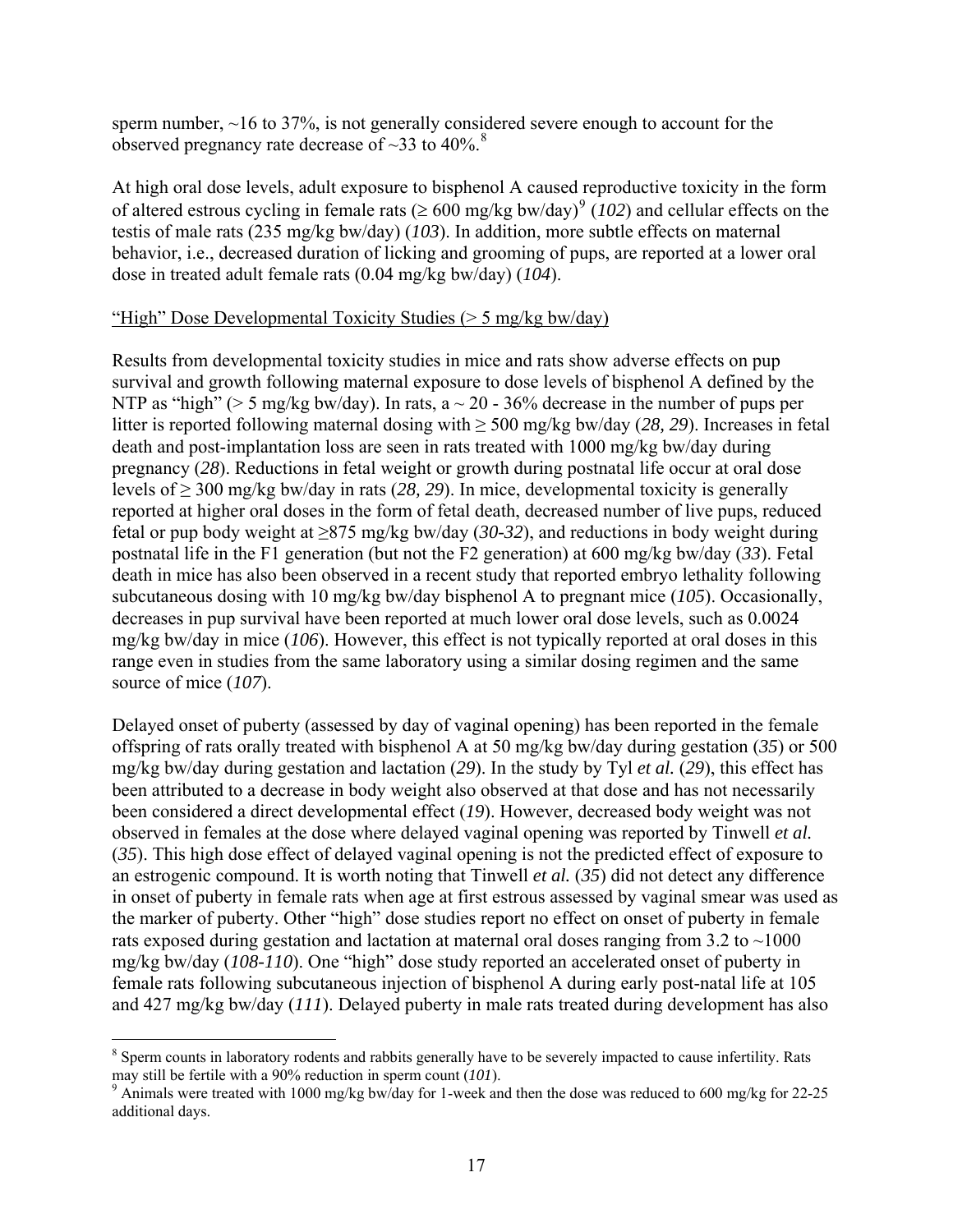<span id="page-17-0"></span>sperm number, ~16 to 37%, is not generally considered severe enough to account for the observed pregnancy rate decrease of  $\sim$ 33 to 40%.<sup>[8](#page-17-0)</sup>

At high oral dose levels, adult exposure to bisphenol A caused reproductive toxicity in the form of altered estrous cycling in female rats ( $\geq 600$  mg/kg bw/day)<sup>[9](#page-17-0)</sup> (102) and cellular effects on the testis of male rats (235 mg/kg bw/day) (*103*). In addition, more subtle effects on maternal behavior, i.e., decreased duration of licking and grooming of pups, are reported at a lower oral dose in treated adult female rats (0.04 mg/kg bw/day) (*104*).

#### "High" Dose Developmental Toxicity Studies (> 5 mg/kg bw/day)

Results from developmental toxicity studies in mice and rats show adverse effects on pup survival and growth following maternal exposure to dose levels of bisphenol A defined by the NTP as "high" ( $> 5$  mg/kg bw/day). In rats, a  $\sim 20$  - 36% decrease in the number of pups per litter is reported following maternal dosing with ≥ 500 mg/kg bw/day (*28, 29*). Increases in fetal death and post-implantation loss are seen in rats treated with 1000 mg/kg bw/day during pregnancy (*28*). Reductions in fetal weight or growth during postnatal life occur at oral dose levels of ≥ 300 mg/kg bw/day in rats (*28, 29*). In mice, developmental toxicity is generally reported at higher oral doses in the form of fetal death, decreased number of live pups, reduced fetal or pup body weight at ≥875 mg/kg bw/day (*30-32*), and reductions in body weight during postnatal life in the F1 generation (but not the F2 generation) at 600 mg/kg bw/day (*33*). Fetal death in mice has also been observed in a recent study that reported embryo lethality following subcutaneous dosing with 10 mg/kg bw/day bisphenol A to pregnant mice (*105*). Occasionally, decreases in pup survival have been reported at much lower oral dose levels, such as 0.0024 mg/kg bw/day in mice (*106*). However, this effect is not typically reported at oral doses in this range even in studies from the same laboratory using a similar dosing regimen and the same source of mice (*107*).

Delayed onset of puberty (assessed by day of vaginal opening) has been reported in the female offspring of rats orally treated with bisphenol A at 50 mg/kg bw/day during gestation (*35*) or 500 mg/kg bw/day during gestation and lactation (*29*). In the study by Tyl *et al.* (*29*), this effect has been attributed to a decrease in body weight also observed at that dose and has not necessarily been considered a direct developmental effect (*19*). However, decreased body weight was not observed in females at the dose where delayed vaginal opening was reported by Tinwell *et al.*  (*35*). This high dose effect of delayed vaginal opening is not the predicted effect of exposure to an estrogenic compound. It is worth noting that Tinwell *et al.* (*35*) did not detect any difference in onset of puberty in female rats when age at first estrous assessed by vaginal smear was used as the marker of puberty. Other "high" dose studies report no effect on onset of puberty in female rats exposed during gestation and lactation at maternal oral doses ranging from  $3.2$  to  $\sim$ 1000 mg/kg bw/day (*108-110*). One "high" dose study reported an accelerated onset of puberty in female rats following subcutaneous injection of bisphenol A during early post-natal life at 105 and 427 mg/kg bw/day (*111*). Delayed puberty in male rats treated during development has also

<u>.</u>

 $8$  Sperm counts in laboratory rodents and rabbits generally have to be severely impacted to cause infertility. Rats may still be fertile with a  $90\%$  reduction in sperm count ( $101$ ).

<sup>&</sup>lt;sup>9</sup> Animals were treated with 1000 mg/kg bw/day for 1-week and then the dose was reduced to 600 mg/kg for 22-25 additional days.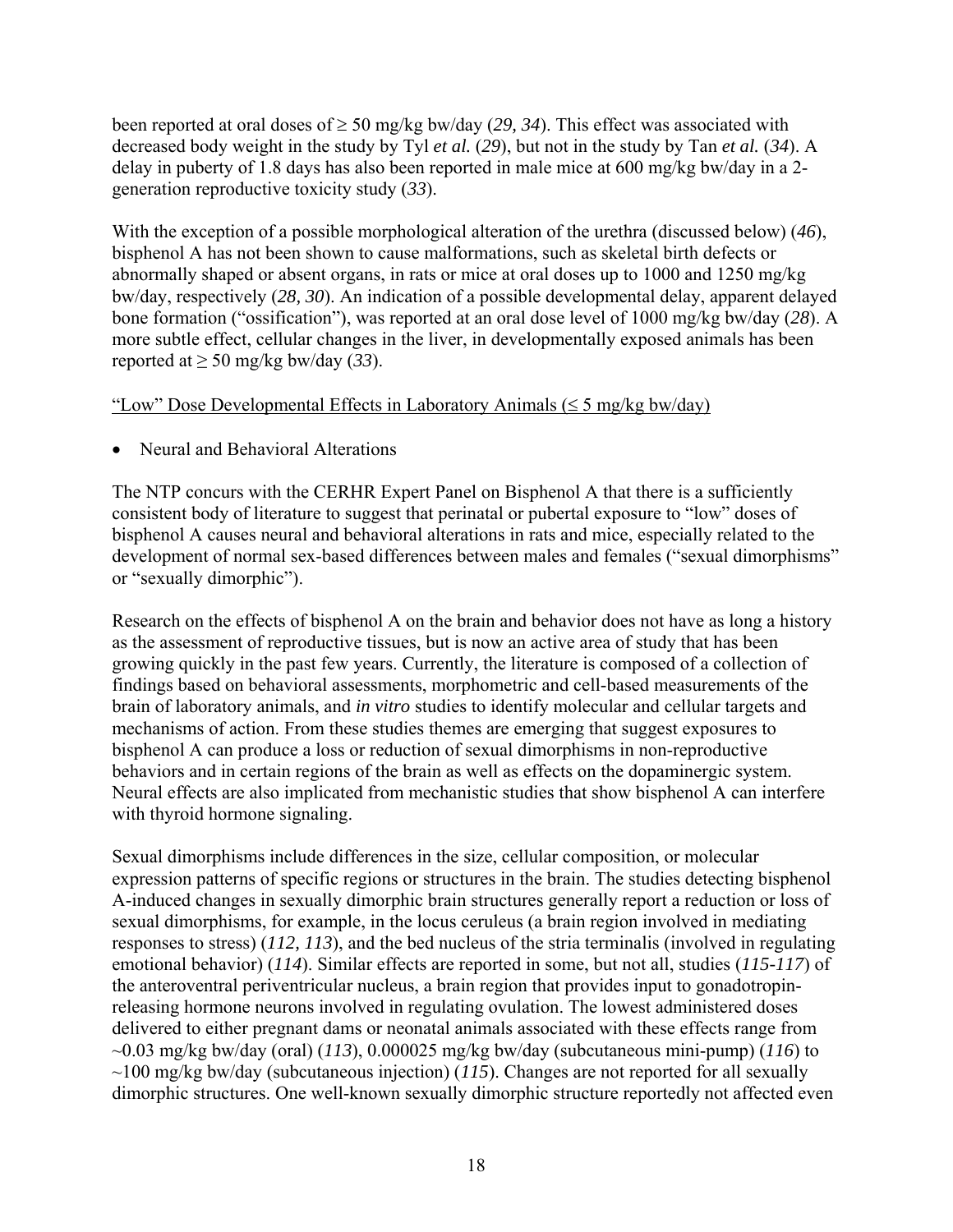been reported at oral doses of  $\geq$  50 mg/kg bw/day (29, 34). This effect was associated with decreased body weight in the study by Tyl *et al.* (*29*), but not in the study by Tan *et al.* (*34*). A delay in puberty of 1.8 days has also been reported in male mice at 600 mg/kg bw/day in a 2 generation reproductive toxicity study (*33*).

With the exception of a possible morphological alteration of the urethra (discussed below) (*46*), bisphenol A has not been shown to cause malformations, such as skeletal birth defects or abnormally shaped or absent organs, in rats or mice at oral doses up to 1000 and 1250 mg/kg bw/day, respectively (*28, 30*). An indication of a possible developmental delay, apparent delayed bone formation ("ossification"), was reported at an oral dose level of 1000 mg/kg bw/day (*28*). A more subtle effect, cellular changes in the liver, in developmentally exposed animals has been reported at ≥ 50 mg/kg bw/day (*33*).

#### "Low" Dose Developmental Effects in Laboratory Animals ( $\leq 5$  mg/kg bw/day)

• Neural and Behavioral Alterations

The NTP concurs with the CERHR Expert Panel on Bisphenol A that there is a sufficiently consistent body of literature to suggest that perinatal or pubertal exposure to "low" doses of bisphenol A causes neural and behavioral alterations in rats and mice, especially related to the development of normal sex-based differences between males and females ("sexual dimorphisms" or "sexually dimorphic").

Research on the effects of bisphenol A on the brain and behavior does not have as long a history as the assessment of reproductive tissues, but is now an active area of study that has been growing quickly in the past few years. Currently, the literature is composed of a collection of findings based on behavioral assessments, morphometric and cell-based measurements of the brain of laboratory animals, and *in vitro* studies to identify molecular and cellular targets and mechanisms of action. From these studies themes are emerging that suggest exposures to bisphenol A can produce a loss or reduction of sexual dimorphisms in non-reproductive behaviors and in certain regions of the brain as well as effects on the dopaminergic system. Neural effects are also implicated from mechanistic studies that show bisphenol A can interfere with thyroid hormone signaling.

Sexual dimorphisms include differences in the size, cellular composition, or molecular expression patterns of specific regions or structures in the brain. The studies detecting bisphenol A-induced changes in sexually dimorphic brain structures generally report a reduction or loss of sexual dimorphisms, for example, in the locus ceruleus (a brain region involved in mediating responses to stress) (*112, 113*), and the bed nucleus of the stria terminalis (involved in regulating emotional behavior) (*114*). Similar effects are reported in some, but not all, studies (*115-117*) of the anteroventral periventricular nucleus, a brain region that provides input to gonadotropinreleasing hormone neurons involved in regulating ovulation. The lowest administered doses delivered to either pregnant dams or neonatal animals associated with these effects range from ~0.03 mg/kg bw/day (oral) (*113*), 0.000025 mg/kg bw/day (subcutaneous mini-pump) (*116*) to ~100 mg/kg bw/day (subcutaneous injection) (*115*). Changes are not reported for all sexually dimorphic structures. One well-known sexually dimorphic structure reportedly not affected even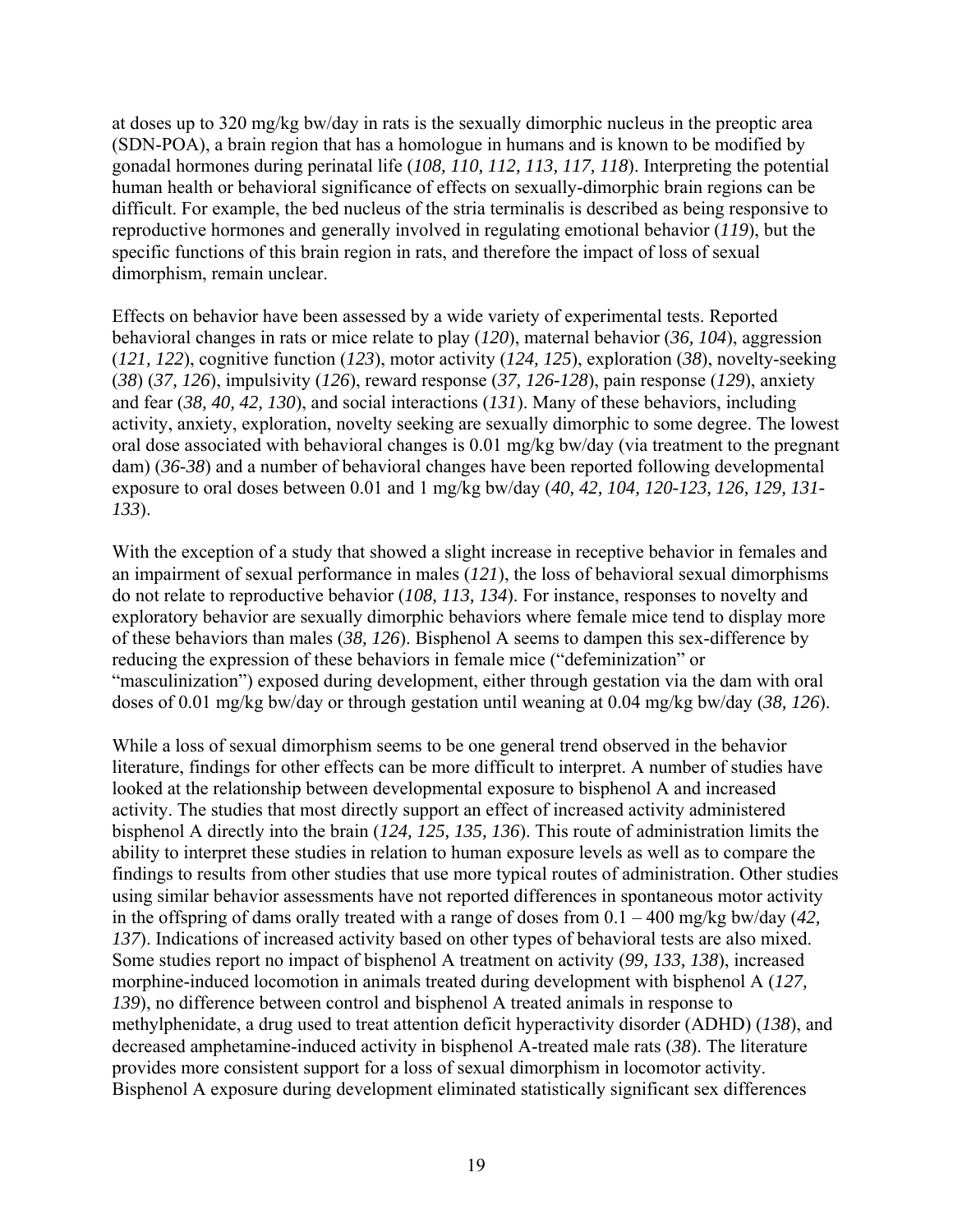at doses up to 320 mg/kg bw/day in rats is the sexually dimorphic nucleus in the preoptic area (SDN-POA), a brain region that has a homologue in humans and is known to be modified by gonadal hormones during perinatal life (*108, 110, 112, 113, 117, 118*). Interpreting the potential human health or behavioral significance of effects on sexually-dimorphic brain regions can be difficult. For example, the bed nucleus of the stria terminalis is described as being responsive to reproductive hormones and generally involved in regulating emotional behavior (*119*), but the specific functions of this brain region in rats, and therefore the impact of loss of sexual dimorphism, remain unclear.

Effects on behavior have been assessed by a wide variety of experimental tests. Reported behavioral changes in rats or mice relate to play (*120*), maternal behavior (*36, 104*), aggression (*121, 122*), cognitive function (*123*), motor activity (*124, 125*), exploration (*38*), novelty-seeking (*38*) (*37, 126*), impulsivity (*126*), reward response (*37, 126-128*), pain response (*129*), anxiety and fear (*38, 40, 42, 130*), and social interactions (*131*). Many of these behaviors, including activity, anxiety, exploration, novelty seeking are sexually dimorphic to some degree. The lowest oral dose associated with behavioral changes is 0.01 mg/kg bw/day (via treatment to the pregnant dam) (*36-38*) and a number of behavioral changes have been reported following developmental exposure to oral doses between 0.01 and 1 mg/kg bw/day (*40, 42, 104, 120-123, 126, 129, 131- 133*).

With the exception of a study that showed a slight increase in receptive behavior in females and an impairment of sexual performance in males (*121*), the loss of behavioral sexual dimorphisms do not relate to reproductive behavior (*108, 113, 134*). For instance, responses to novelty and exploratory behavior are sexually dimorphic behaviors where female mice tend to display more of these behaviors than males (*38, 126*). Bisphenol A seems to dampen this sex-difference by reducing the expression of these behaviors in female mice ("defeminization" or "masculinization") exposed during development, either through gestation via the dam with oral doses of 0.01 mg/kg bw/day or through gestation until weaning at 0.04 mg/kg bw/day (*38, 126*).

While a loss of sexual dimorphism seems to be one general trend observed in the behavior literature, findings for other effects can be more difficult to interpret. A number of studies have looked at the relationship between developmental exposure to bisphenol A and increased activity. The studies that most directly support an effect of increased activity administered bisphenol A directly into the brain (*124, 125, 135, 136*). This route of administration limits the ability to interpret these studies in relation to human exposure levels as well as to compare the findings to results from other studies that use more typical routes of administration. Other studies using similar behavior assessments have not reported differences in spontaneous motor activity in the offspring of dams orally treated with a range of doses from 0.1 – 400 mg/kg bw/day (*42, 137*). Indications of increased activity based on other types of behavioral tests are also mixed. Some studies report no impact of bisphenol A treatment on activity (*99, 133, 138*), increased morphine-induced locomotion in animals treated during development with bisphenol A (*127, 139*), no difference between control and bisphenol A treated animals in response to methylphenidate, a drug used to treat attention deficit hyperactivity disorder (ADHD) (*138*), and decreased amphetamine-induced activity in bisphenol A-treated male rats (*38*). The literature provides more consistent support for a loss of sexual dimorphism in locomotor activity. Bisphenol A exposure during development eliminated statistically significant sex differences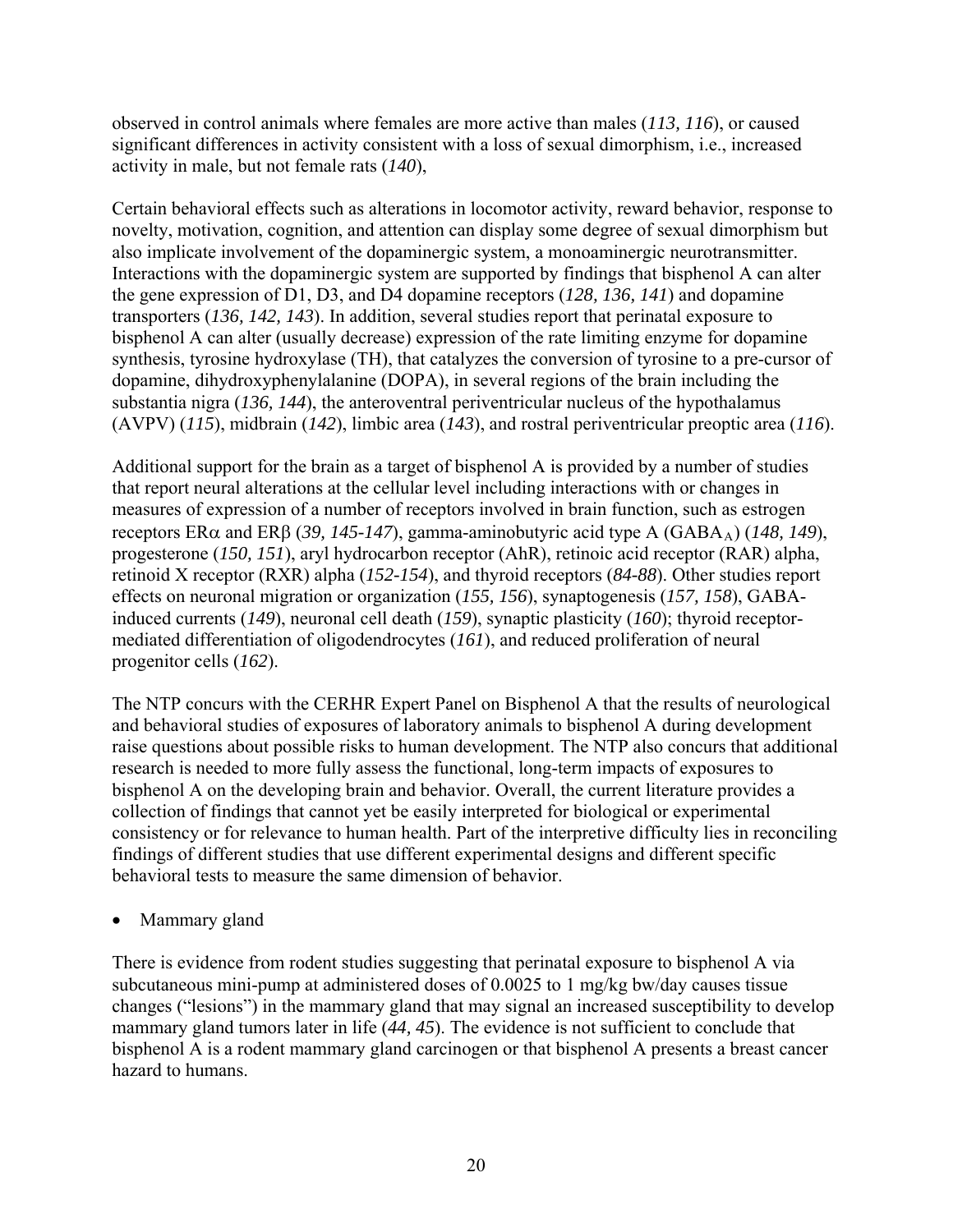observed in control animals where females are more active than males (*113, 116*), or caused significant differences in activity consistent with a loss of sexual dimorphism, i.e., increased activity in male, but not female rats (*140*),

Certain behavioral effects such as alterations in locomotor activity, reward behavior, response to novelty, motivation, cognition, and attention can display some degree of sexual dimorphism but also implicate involvement of the dopaminergic system, a monoaminergic neurotransmitter. Interactions with the dopaminergic system are supported by findings that bisphenol A can alter the gene expression of D1, D3, and D4 dopamine receptors (*128, 136, 141*) and dopamine transporters (*136, 142, 143*). In addition, several studies report that perinatal exposure to bisphenol A can alter (usually decrease) expression of the rate limiting enzyme for dopamine synthesis, tyrosine hydroxylase (TH), that catalyzes the conversion of tyrosine to a pre-cursor of dopamine, dihydroxyphenylalanine (DOPA), in several regions of the brain including the substantia nigra (*136, 144*), the anteroventral periventricular nucleus of the hypothalamus (AVPV) (*115*), midbrain (*142*), limbic area (*143*), and rostral periventricular preoptic area (*116*).

Additional support for the brain as a target of bisphenol A is provided by a number of studies that report neural alterations at the cellular level including interactions with or changes in measures of expression of a number of receptors involved in brain function, such as estrogen receptors ERα and ERβ (39, 145-147), gamma-aminobutyric acid type A (GABA<sub>A</sub>) (148, 149), progesterone (*150, 151*), aryl hydrocarbon receptor (AhR), retinoic acid receptor (RAR) alpha, retinoid X receptor (RXR) alpha (*152-154*), and thyroid receptors (*84-88*). Other studies report effects on neuronal migration or organization (*155, 156*), synaptogenesis (*157, 158*), GABAinduced currents (*149*), neuronal cell death (*159*), synaptic plasticity (*160*); thyroid receptormediated differentiation of oligodendrocytes (*161*), and reduced proliferation of neural progenitor cells (*162*).

The NTP concurs with the CERHR Expert Panel on Bisphenol A that the results of neurological and behavioral studies of exposures of laboratory animals to bisphenol A during development raise questions about possible risks to human development. The NTP also concurs that additional research is needed to more fully assess the functional, long-term impacts of exposures to bisphenol A on the developing brain and behavior. Overall, the current literature provides a collection of findings that cannot yet be easily interpreted for biological or experimental consistency or for relevance to human health. Part of the interpretive difficulty lies in reconciling findings of different studies that use different experimental designs and different specific behavioral tests to measure the same dimension of behavior.

• Mammary gland

There is evidence from rodent studies suggesting that perinatal exposure to bisphenol A via subcutaneous mini-pump at administered doses of 0.0025 to 1 mg/kg bw/day causes tissue changes ("lesions") in the mammary gland that may signal an increased susceptibility to develop mammary gland tumors later in life (*44, 45*). The evidence is not sufficient to conclude that bisphenol A is a rodent mammary gland carcinogen or that bisphenol A presents a breast cancer hazard to humans.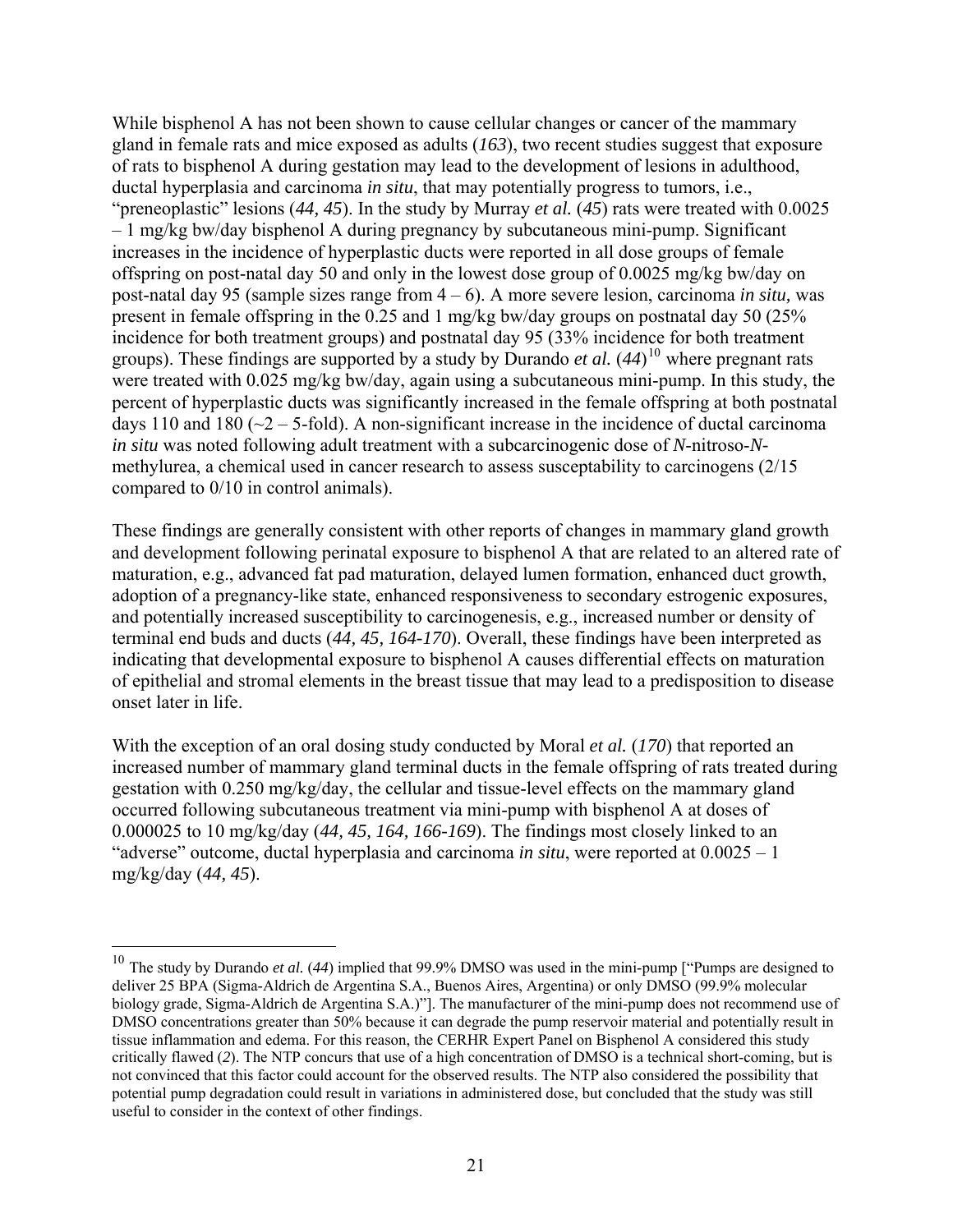<span id="page-21-0"></span>While bisphenol A has not been shown to cause cellular changes or cancer of the mammary gland in female rats and mice exposed as adults (*163*), two recent studies suggest that exposure of rats to bisphenol A during gestation may lead to the development of lesions in adulthood, ductal hyperplasia and carcinoma *in situ*, that may potentially progress to tumors, i.e., "preneoplastic" lesions (*44, 45*). In the study by Murray *et al.* (*45*) rats were treated with 0.0025 – 1 mg/kg bw/day bisphenol A during pregnancy by subcutaneous mini-pump. Significant increases in the incidence of hyperplastic ducts were reported in all dose groups of female offspring on post-natal day 50 and only in the lowest dose group of 0.0025 mg/kg bw/day on post-natal day 95 (sample sizes range from 4 – 6). A more severe lesion, carcinoma *in situ,* was present in female offspring in the 0.25 and 1 mg/kg bw/day groups on postnatal day 50 (25% incidence for both treatment groups) and postnatal day 95 (33% incidence for both treatment groups). These findings are supported by a study by Durando *et al.* (*44*) [10](#page-21-0) where pregnant rats were treated with 0.025 mg/kg bw/day, again using a subcutaneous mini-pump. In this study, the percent of hyperplastic ducts was significantly increased in the female offspring at both postnatal days 110 and 180 ( $\sim$ 2 – 5-fold). A non-significant increase in the incidence of ductal carcinoma *in situ* was noted following adult treatment with a subcarcinogenic dose of *N*-nitroso-*N*methylurea, a chemical used in cancer research to assess susceptability to carcinogens (2/15 compared to 0/10 in control animals).

These findings are generally consistent with other reports of changes in mammary gland growth and development following perinatal exposure to bisphenol A that are related to an altered rate of maturation, e.g., advanced fat pad maturation, delayed lumen formation, enhanced duct growth, adoption of a pregnancy-like state, enhanced responsiveness to secondary estrogenic exposures, and potentially increased susceptibility to carcinogenesis, e.g., increased number or density of terminal end buds and ducts (*44, 45, 164-170*). Overall, these findings have been interpreted as indicating that developmental exposure to bisphenol A causes differential effects on maturation of epithelial and stromal elements in the breast tissue that may lead to a predisposition to disease onset later in life.

With the exception of an oral dosing study conducted by Moral *et al.* (*170*) that reported an increased number of mammary gland terminal ducts in the female offspring of rats treated during gestation with 0.250 mg/kg/day, the cellular and tissue-level effects on the mammary gland occurred following subcutaneous treatment via mini-pump with bisphenol A at doses of 0.000025 to 10 mg/kg/day (*44, 45, 164, 166-169*). The findings most closely linked to an "adverse" outcome, ductal hyperplasia and carcinoma *in situ*, were reported at 0.0025 – 1 mg/kg/day (*44, 45*).

 $\overline{a}$ 

<sup>10</sup> The study by Durando *et al.* (*44*) implied that 99.9% DMSO was used in the mini-pump ["Pumps are designed to deliver 25 BPA (Sigma-Aldrich de Argentina S.A., Buenos Aires, Argentina) or only DMSO (99.9% molecular biology grade, Sigma-Aldrich de Argentina S.A.)"]. The manufacturer of the mini-pump does not recommend use of DMSO concentrations greater than 50% because it can degrade the pump reservoir material and potentially result in tissue inflammation and edema. For this reason, the CERHR Expert Panel on Bisphenol A considered this study critically flawed (*2*). The NTP concurs that use of a high concentration of DMSO is a technical short-coming, but is not convinced that this factor could account for the observed results. The NTP also considered the possibility that potential pump degradation could result in variations in administered dose, but concluded that the study was still useful to consider in the context of other findings.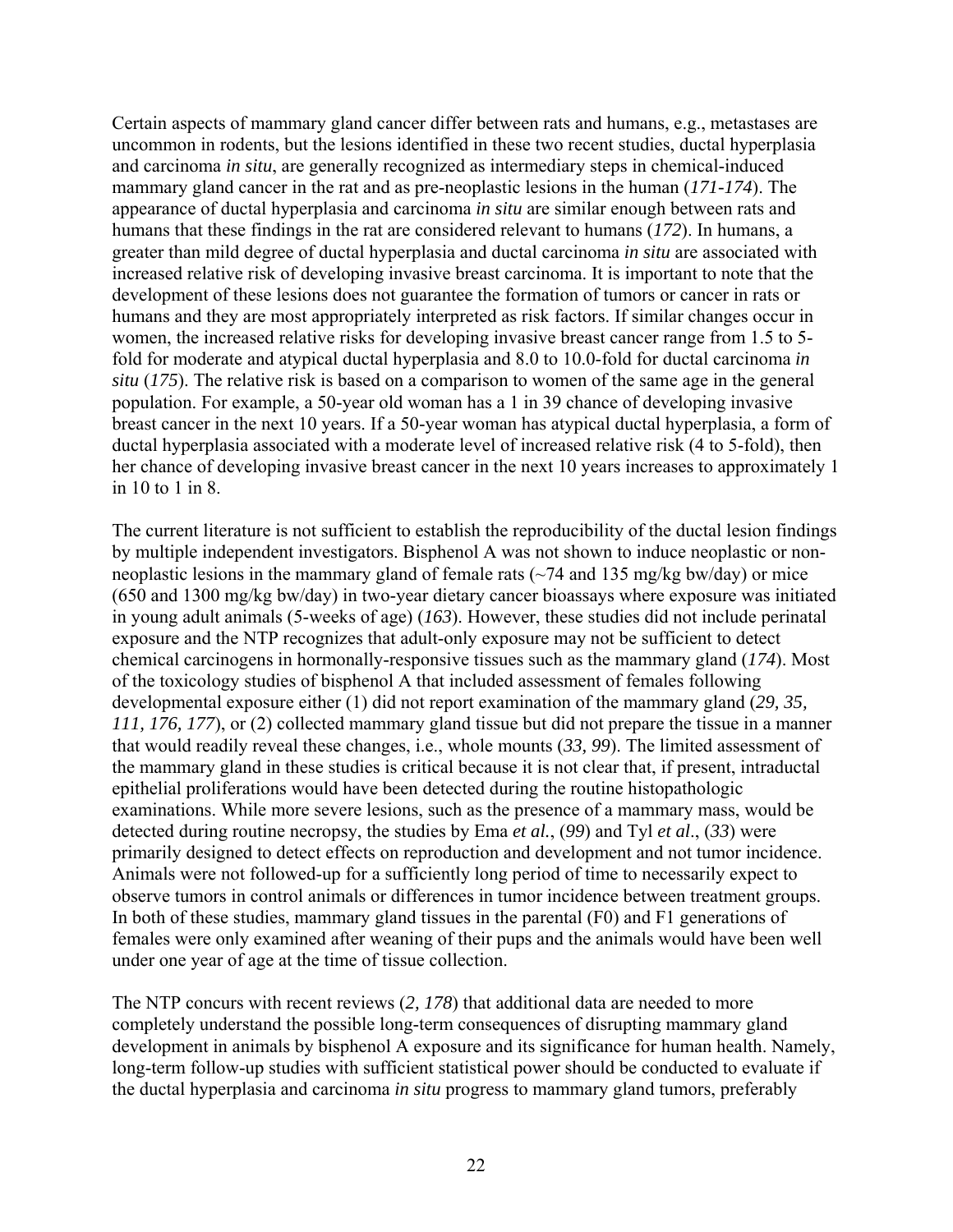Certain aspects of mammary gland cancer differ between rats and humans, e.g., metastases are uncommon in rodents, but the lesions identified in these two recent studies, ductal hyperplasia and carcinoma *in situ*, are generally recognized as intermediary steps in chemical-induced mammary gland cancer in the rat and as pre-neoplastic lesions in the human (*171-174*). The appearance of ductal hyperplasia and carcinoma *in situ* are similar enough between rats and humans that these findings in the rat are considered relevant to humans (*172*). In humans, a greater than mild degree of ductal hyperplasia and ductal carcinoma *in situ* are associated with increased relative risk of developing invasive breast carcinoma. It is important to note that the development of these lesions does not guarantee the formation of tumors or cancer in rats or humans and they are most appropriately interpreted as risk factors. If similar changes occur in women, the increased relative risks for developing invasive breast cancer range from 1.5 to 5 fold for moderate and atypical ductal hyperplasia and 8.0 to 10.0-fold for ductal carcinoma *in situ* (*175*). The relative risk is based on a comparison to women of the same age in the general population. For example, a 50-year old woman has a 1 in 39 chance of developing invasive breast cancer in the next 10 years. If a 50-year woman has atypical ductal hyperplasia, a form of ductal hyperplasia associated with a moderate level of increased relative risk (4 to 5-fold), then her chance of developing invasive breast cancer in the next 10 years increases to approximately 1 in 10 to 1 in 8.

The current literature is not sufficient to establish the reproducibility of the ductal lesion findings by multiple independent investigators. Bisphenol A was not shown to induce neoplastic or nonneoplastic lesions in the mammary gland of female rats  $(\sim 74$  and 135 mg/kg bw/day) or mice (650 and 1300 mg/kg bw/day) in two-year dietary cancer bioassays where exposure was initiated in young adult animals (5-weeks of age) (*163*). However, these studies did not include perinatal exposure and the NTP recognizes that adult-only exposure may not be sufficient to detect chemical carcinogens in hormonally-responsive tissues such as the mammary gland (*174*). Most of the toxicology studies of bisphenol A that included assessment of females following developmental exposure either (1) did not report examination of the mammary gland (*29, 35, 111, 176, 177*), or (2) collected mammary gland tissue but did not prepare the tissue in a manner that would readily reveal these changes, i.e., whole mounts (*33, 99*). The limited assessment of the mammary gland in these studies is critical because it is not clear that, if present, intraductal epithelial proliferations would have been detected during the routine histopathologic examinations. While more severe lesions, such as the presence of a mammary mass, would be detected during routine necropsy, the studies by Ema *et al.*, (*99*) and Tyl *et al*., (*33*) were primarily designed to detect effects on reproduction and development and not tumor incidence. Animals were not followed-up for a sufficiently long period of time to necessarily expect to observe tumors in control animals or differences in tumor incidence between treatment groups. In both of these studies, mammary gland tissues in the parental (F0) and F1 generations of females were only examined after weaning of their pups and the animals would have been well under one year of age at the time of tissue collection.

The NTP concurs with recent reviews (*2, 178*) that additional data are needed to more completely understand the possible long-term consequences of disrupting mammary gland development in animals by bisphenol A exposure and its significance for human health. Namely, long-term follow-up studies with sufficient statistical power should be conducted to evaluate if the ductal hyperplasia and carcinoma *in situ* progress to mammary gland tumors, preferably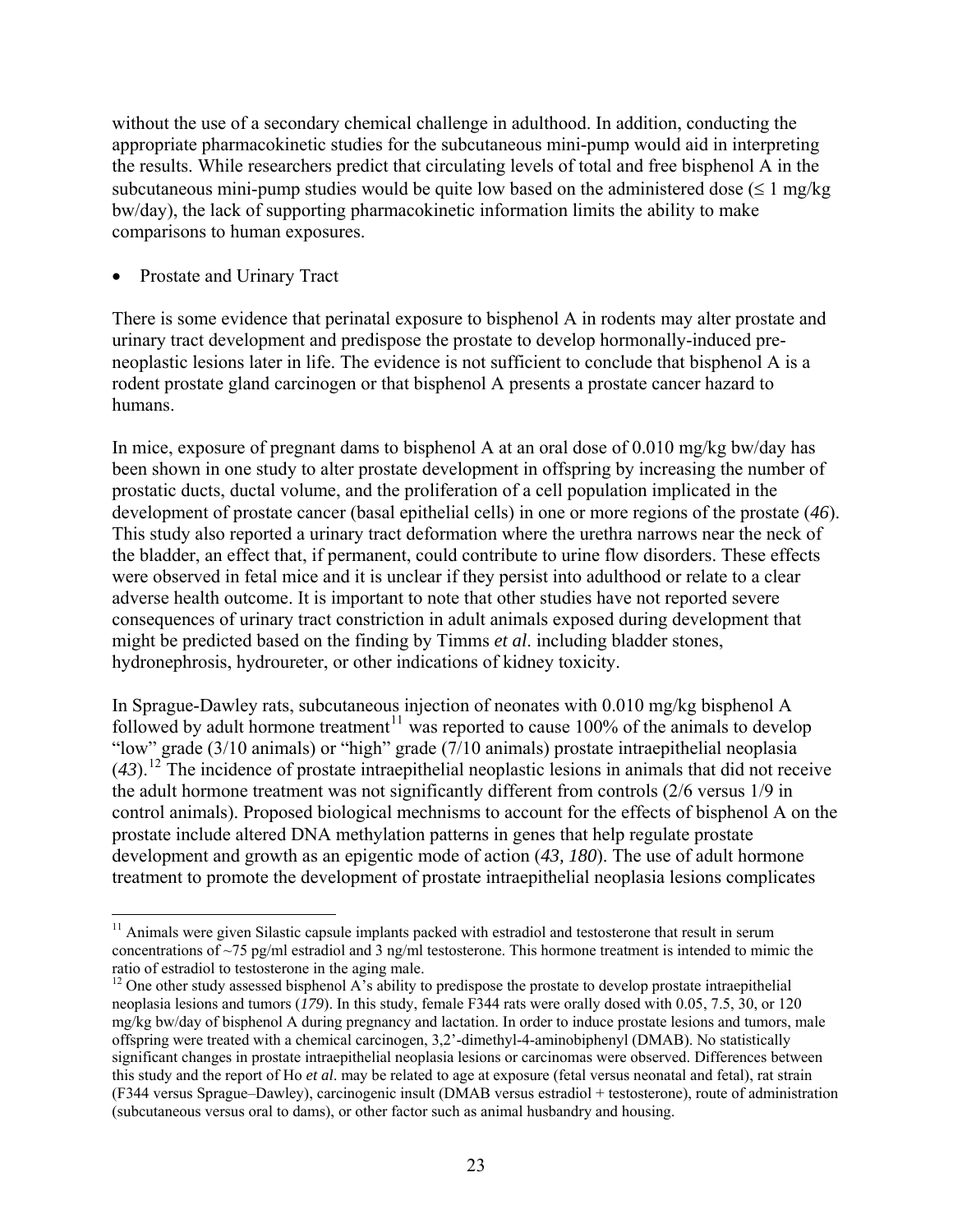<span id="page-23-0"></span>without the use of a secondary chemical challenge in adulthood. In addition, conducting the appropriate pharmacokinetic studies for the subcutaneous mini-pump would aid in interpreting the results. While researchers predict that circulating levels of total and free bisphenol A in the subcutaneous mini-pump studies would be quite low based on the administered dose ( $\leq 1$  mg/kg) bw/day), the lack of supporting pharmacokinetic information limits the ability to make comparisons to human exposures.

• Prostate and Urinary Tract

 $\overline{a}$ 

There is some evidence that perinatal exposure to bisphenol A in rodents may alter prostate and urinary tract development and predispose the prostate to develop hormonally-induced preneoplastic lesions later in life. The evidence is not sufficient to conclude that bisphenol A is a rodent prostate gland carcinogen or that bisphenol A presents a prostate cancer hazard to humans.

In mice, exposure of pregnant dams to bisphenol A at an oral dose of 0.010 mg/kg bw/day has been shown in one study to alter prostate development in offspring by increasing the number of prostatic ducts, ductal volume, and the proliferation of a cell population implicated in the development of prostate cancer (basal epithelial cells) in one or more regions of the prostate (*46*). This study also reported a urinary tract deformation where the urethra narrows near the neck of the bladder, an effect that, if permanent, could contribute to urine flow disorders. These effects were observed in fetal mice and it is unclear if they persist into adulthood or relate to a clear adverse health outcome. It is important to note that other studies have not reported severe consequences of urinary tract constriction in adult animals exposed during development that might be predicted based on the finding by Timms *et al*. including bladder stones, hydronephrosis, hydroureter, or other indications of kidney toxicity.

In Sprague-Dawley rats, subcutaneous injection of neonates with 0.010 mg/kg bisphenol A followed by adult hormone treatment<sup>[11](#page-23-0)</sup> was reported to cause 100% of the animals to develop "low" grade (3/10 animals) or "high" grade (7/10 animals) prostate intraepithelial neoplasia  $(43)$ .<sup>[12](#page-23-0)</sup> The incidence of prostate intraepithelial neoplastic lesions in animals that did not receive the adult hormone treatment was not significantly different from controls (2/6 versus 1/9 in control animals). Proposed biological mechnisms to account for the effects of bisphenol A on the prostate include altered DNA methylation patterns in genes that help regulate prostate development and growth as an epigentic mode of action (*43, 180*). The use of adult hormone treatment to promote the development of prostate intraepithelial neoplasia lesions complicates

<sup>&</sup>lt;sup>11</sup> Animals were given Silastic capsule implants packed with estradiol and testosterone that result in serum concentrations of ~75 pg/ml estradiol and 3 ng/ml testosterone. This hormone treatment is intended to mimic the ratio of estradiol to testosterone in the aging male.

<sup>&</sup>lt;sup>12</sup> One other study assessed bisphenol A's ability to predispose the prostate to develop prostate intraepithelial neoplasia lesions and tumors (*179*). In this study, female F344 rats were orally dosed with 0.05, 7.5, 30, or 120 mg/kg bw/day of bisphenol A during pregnancy and lactation. In order to induce prostate lesions and tumors, male offspring were treated with a chemical carcinogen, 3,2'-dimethyl-4-aminobiphenyl (DMAB). No statistically significant changes in prostate intraepithelial neoplasia lesions or carcinomas were observed. Differences between this study and the report of Ho *et al*. may be related to age at exposure (fetal versus neonatal and fetal), rat strain (F344 versus Sprague–Dawley), carcinogenic insult (DMAB versus estradiol + testosterone), route of administration (subcutaneous versus oral to dams), or other factor such as animal husbandry and housing.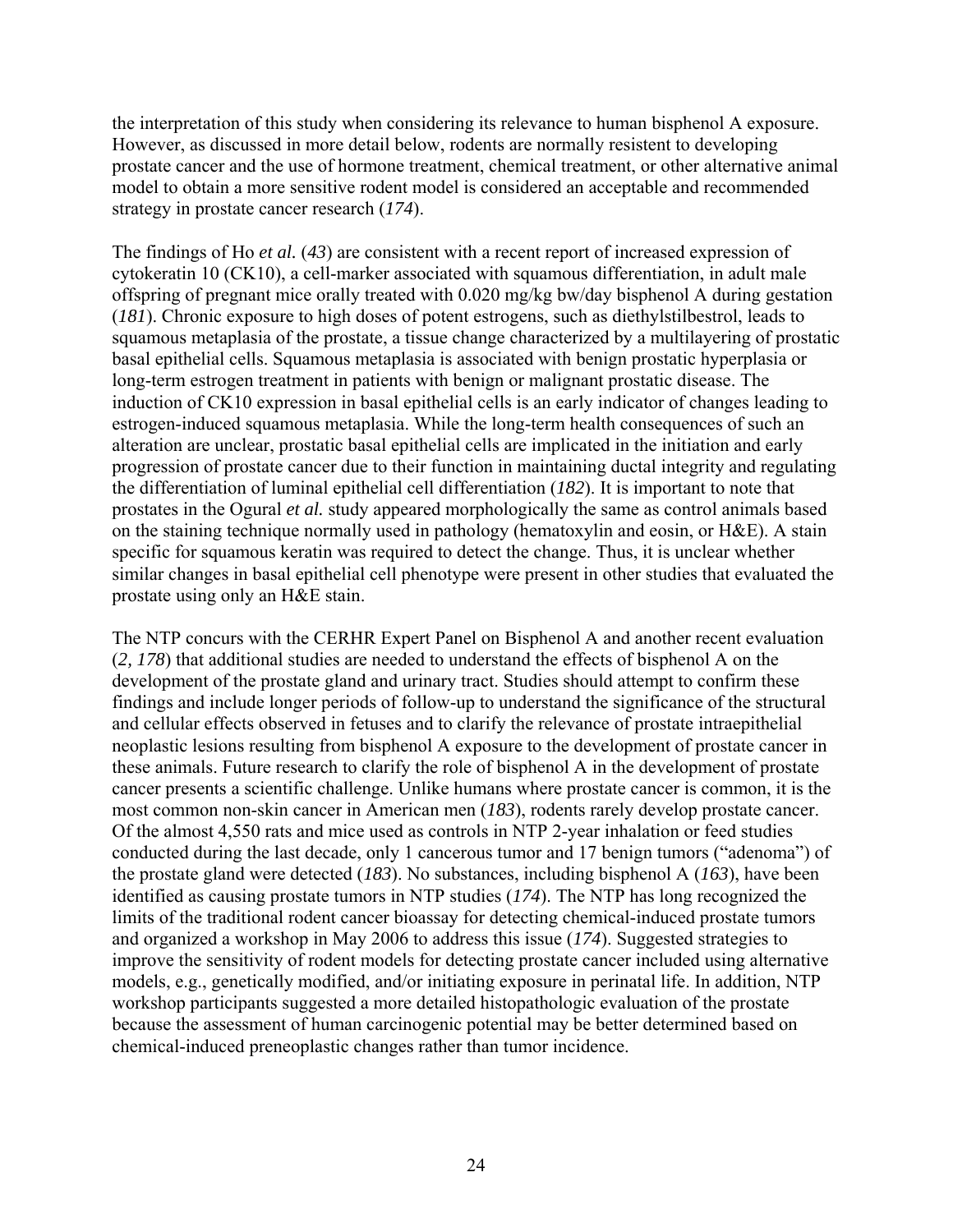the interpretation of this study when considering its relevance to human bisphenol A exposure. However, as discussed in more detail below, rodents are normally resistent to developing prostate cancer and the use of hormone treatment, chemical treatment, or other alternative animal model to obtain a more sensitive rodent model is considered an acceptable and recommended strategy in prostate cancer research (*174*).

The findings of Ho *et al.* (*43*) are consistent with a recent report of increased expression of cytokeratin 10 (CK10), a cell-marker associated with squamous differentiation, in adult male offspring of pregnant mice orally treated with 0.020 mg/kg bw/day bisphenol A during gestation (*181*). Chronic exposure to high doses of potent estrogens, such as diethylstilbestrol, leads to squamous metaplasia of the prostate, a tissue change characterized by a multilayering of prostatic basal epithelial cells. Squamous metaplasia is associated with benign prostatic hyperplasia or long-term estrogen treatment in patients with benign or malignant prostatic disease. The induction of CK10 expression in basal epithelial cells is an early indicator of changes leading to estrogen-induced squamous metaplasia. While the long-term health consequences of such an alteration are unclear, prostatic basal epithelial cells are implicated in the initiation and early progression of prostate cancer due to their function in maintaining ductal integrity and regulating the differentiation of luminal epithelial cell differentiation (*182*). It is important to note that prostates in the Ogural *et al.* study appeared morphologically the same as control animals based on the staining technique normally used in pathology (hematoxylin and eosin, or H&E). A stain specific for squamous keratin was required to detect the change. Thus, it is unclear whether similar changes in basal epithelial cell phenotype were present in other studies that evaluated the prostate using only an H&E stain.

The NTP concurs with the CERHR Expert Panel on Bisphenol A and another recent evaluation (*2, 178*) that additional studies are needed to understand the effects of bisphenol A on the development of the prostate gland and urinary tract. Studies should attempt to confirm these findings and include longer periods of follow-up to understand the significance of the structural and cellular effects observed in fetuses and to clarify the relevance of prostate intraepithelial neoplastic lesions resulting from bisphenol A exposure to the development of prostate cancer in these animals. Future research to clarify the role of bisphenol A in the development of prostate cancer presents a scientific challenge. Unlike humans where prostate cancer is common, it is the most common non-skin cancer in American men (*183*), rodents rarely develop prostate cancer. Of the almost 4,550 rats and mice used as controls in NTP 2-year inhalation or feed studies conducted during the last decade, only 1 cancerous tumor and 17 benign tumors ("adenoma") of the prostate gland were detected (*183*). No substances, including bisphenol A (*163*), have been identified as causing prostate tumors in NTP studies (*174*). The NTP has long recognized the limits of the traditional rodent cancer bioassay for detecting chemical-induced prostate tumors and organized a workshop in May 2006 to address this issue (*174*). Suggested strategies to improve the sensitivity of rodent models for detecting prostate cancer included using alternative models, e.g., genetically modified, and/or initiating exposure in perinatal life. In addition, NTP workshop participants suggested a more detailed histopathologic evaluation of the prostate because the assessment of human carcinogenic potential may be better determined based on chemical-induced preneoplastic changes rather than tumor incidence.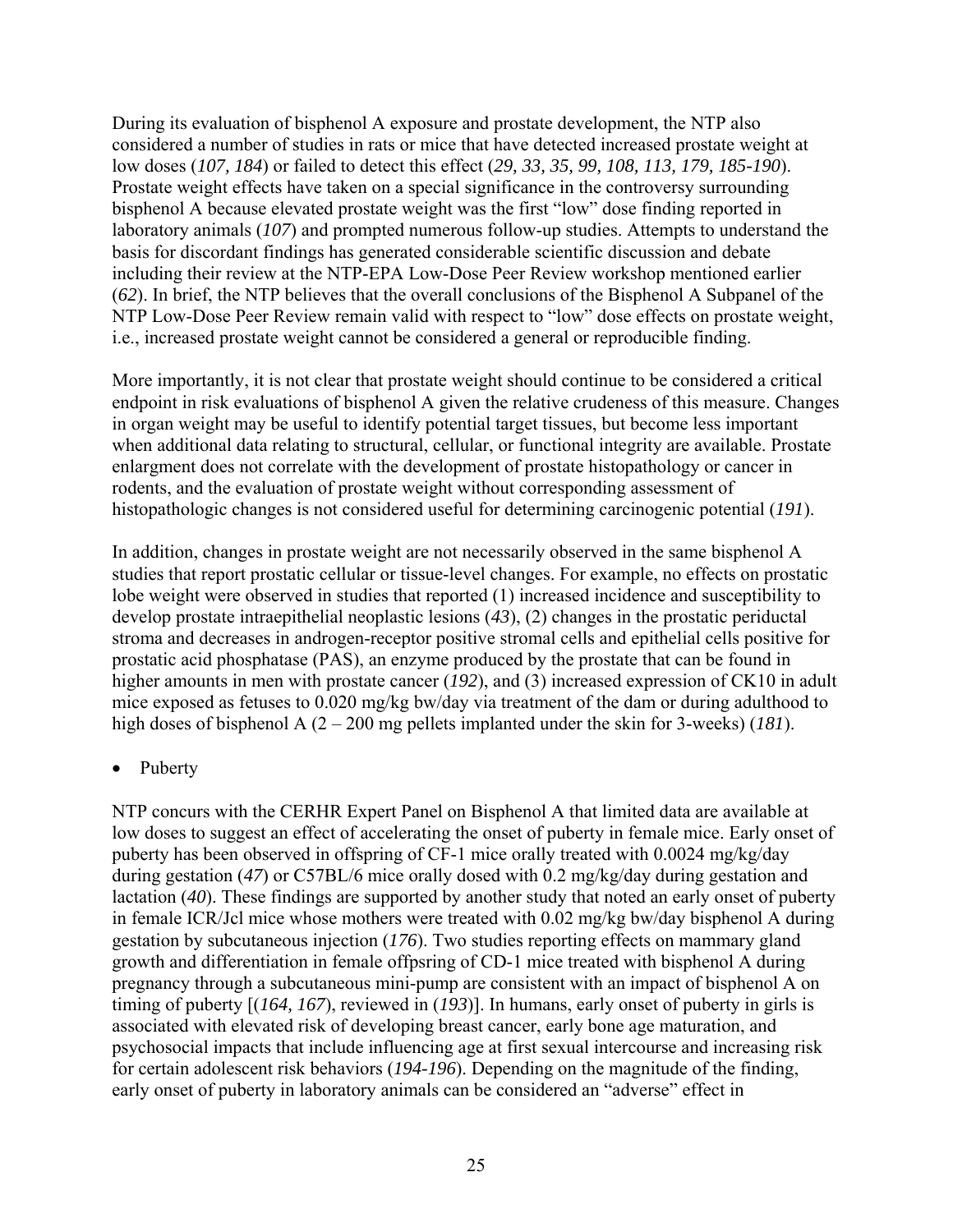During its evaluation of bisphenol A exposure and prostate development, the NTP also considered a number of studies in rats or mice that have detected increased prostate weight at low doses (*107, 184*) or failed to detect this effect (*29, 33, 35, 99, 108, 113, 179, 185-190*). Prostate weight effects have taken on a special significance in the controversy surrounding bisphenol A because elevated prostate weight was the first "low" dose finding reported in laboratory animals (*107*) and prompted numerous follow-up studies. Attempts to understand the basis for discordant findings has generated considerable scientific discussion and debate including their review at the NTP-EPA Low-Dose Peer Review workshop mentioned earlier (*62*). In brief, the NTP believes that the overall conclusions of the Bisphenol A Subpanel of the NTP Low-Dose Peer Review remain valid with respect to "low" dose effects on prostate weight, i.e., increased prostate weight cannot be considered a general or reproducible finding.

More importantly, it is not clear that prostate weight should continue to be considered a critical endpoint in risk evaluations of bisphenol A given the relative crudeness of this measure. Changes in organ weight may be useful to identify potential target tissues, but become less important when additional data relating to structural, cellular, or functional integrity are available. Prostate enlargment does not correlate with the development of prostate histopathology or cancer in rodents, and the evaluation of prostate weight without corresponding assessment of histopathologic changes is not considered useful for determining carcinogenic potential (*191*).

In addition, changes in prostate weight are not necessarily observed in the same bisphenol A studies that report prostatic cellular or tissue-level changes. For example, no effects on prostatic lobe weight were observed in studies that reported (1) increased incidence and susceptibility to develop prostate intraepithelial neoplastic lesions (*43*), (2) changes in the prostatic periductal stroma and decreases in androgen-receptor positive stromal cells and epithelial cells positive for prostatic acid phosphatase (PAS), an enzyme produced by the prostate that can be found in higher amounts in men with prostate cancer (192), and (3) increased expression of CK10 in adult mice exposed as fetuses to 0.020 mg/kg bw/day via treatment of the dam or during adulthood to high doses of bisphenol A (2 – 200 mg pellets implanted under the skin for 3-weeks) (*181*).

#### • Puberty

NTP concurs with the CERHR Expert Panel on Bisphenol A that limited data are available at low doses to suggest an effect of accelerating the onset of puberty in female mice. Early onset of puberty has been observed in offspring of CF-1 mice orally treated with 0.0024 mg/kg/day during gestation (*47*) or C57BL/6 mice orally dosed with 0.2 mg/kg/day during gestation and lactation (*40*). These findings are supported by another study that noted an early onset of puberty in female ICR/Jcl mice whose mothers were treated with 0.02 mg/kg bw/day bisphenol A during gestation by subcutaneous injection (*176*). Two studies reporting effects on mammary gland growth and differentiation in female offpsring of CD-1 mice treated with bisphenol A during pregnancy through a subcutaneous mini-pump are consistent with an impact of bisphenol A on timing of puberty [(*164, 167*), reviewed in (*193*)]. In humans, early onset of puberty in girls is associated with elevated risk of developing breast cancer, early bone age maturation, and psychosocial impacts that include influencing age at first sexual intercourse and increasing risk for certain adolescent risk behaviors (*194-196*). Depending on the magnitude of the finding, early onset of puberty in laboratory animals can be considered an "adverse" effect in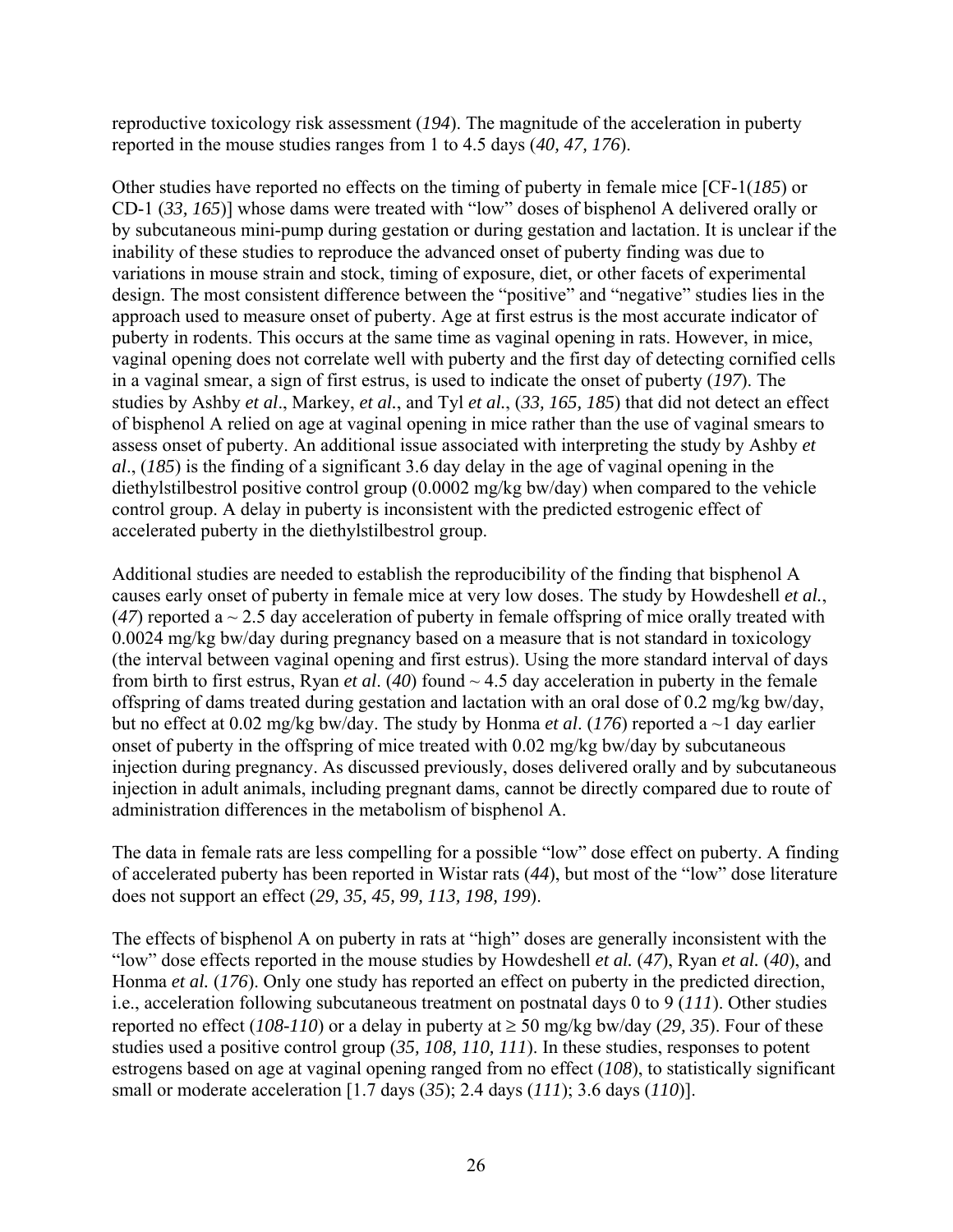reproductive toxicology risk assessment (*194*). The magnitude of the acceleration in puberty reported in the mouse studies ranges from 1 to 4.5 days (*40, 47, 176*).

Other studies have reported no effects on the timing of puberty in female mice [CF-1(*185*) or CD-1 (*33, 165*)] whose dams were treated with "low" doses of bisphenol A delivered orally or by subcutaneous mini-pump during gestation or during gestation and lactation. It is unclear if the inability of these studies to reproduce the advanced onset of puberty finding was due to variations in mouse strain and stock, timing of exposure, diet, or other facets of experimental design. The most consistent difference between the "positive" and "negative" studies lies in the approach used to measure onset of puberty. Age at first estrus is the most accurate indicator of puberty in rodents. This occurs at the same time as vaginal opening in rats. However, in mice, vaginal opening does not correlate well with puberty and the first day of detecting cornified cells in a vaginal smear, a sign of first estrus, is used to indicate the onset of puberty (*197*). The studies by Ashby *et al*., Markey, *et al.*, and Tyl *et al.*, (*33, 165, 185*) that did not detect an effect of bisphenol A relied on age at vaginal opening in mice rather than the use of vaginal smears to assess onset of puberty. An additional issue associated with interpreting the study by Ashby *et al*., (*185*) is the finding of a significant 3.6 day delay in the age of vaginal opening in the diethylstilbestrol positive control group (0.0002 mg/kg bw/day) when compared to the vehicle control group. A delay in puberty is inconsistent with the predicted estrogenic effect of accelerated puberty in the diethylstilbestrol group.

Additional studies are needed to establish the reproducibility of the finding that bisphenol A causes early onset of puberty in female mice at very low doses. The study by Howdeshell *et al.*, (47) reported a  $\sim$  2.5 day acceleration of puberty in female offspring of mice orally treated with 0.0024 mg/kg bw/day during pregnancy based on a measure that is not standard in toxicology (the interval between vaginal opening and first estrus). Using the more standard interval of days from birth to first estrus, Ryan *et al.* (40) found  $\sim$  4.5 day acceleration in puberty in the female offspring of dams treated during gestation and lactation with an oral dose of 0.2 mg/kg bw/day, but no effect at 0.02 mg/kg bw/day. The study by Honma *et al*. (*176*) reported a ~1 day earlier onset of puberty in the offspring of mice treated with 0.02 mg/kg bw/day by subcutaneous injection during pregnancy. As discussed previously, doses delivered orally and by subcutaneous injection in adult animals, including pregnant dams, cannot be directly compared due to route of administration differences in the metabolism of bisphenol A.

The data in female rats are less compelling for a possible "low" dose effect on puberty. A finding of accelerated puberty has been reported in Wistar rats (*44*), but most of the "low" dose literature does not support an effect (*29, 35, 45, 99, 113, 198, 199*).

The effects of bisphenol A on puberty in rats at "high" doses are generally inconsistent with the "low" dose effects reported in the mouse studies by Howdeshell *et al.* (*47*), Ryan *et al.* (*40*), and Honma *et al.* (176). Only one study has reported an effect on puberty in the predicted direction, i.e., acceleration following subcutaneous treatment on postnatal days 0 to 9 (*111*). Other studies reported no effect ( $108-110$ ) or a delay in puberty at  $\geq 50$  mg/kg bw/day (29, 35). Four of these studies used a positive control group (*35, 108, 110, 111*). In these studies, responses to potent estrogens based on age at vaginal opening ranged from no effect (*108*), to statistically significant small or moderate acceleration [1.7 days (*35*); 2.4 days (*111*); 3.6 days (*110*)].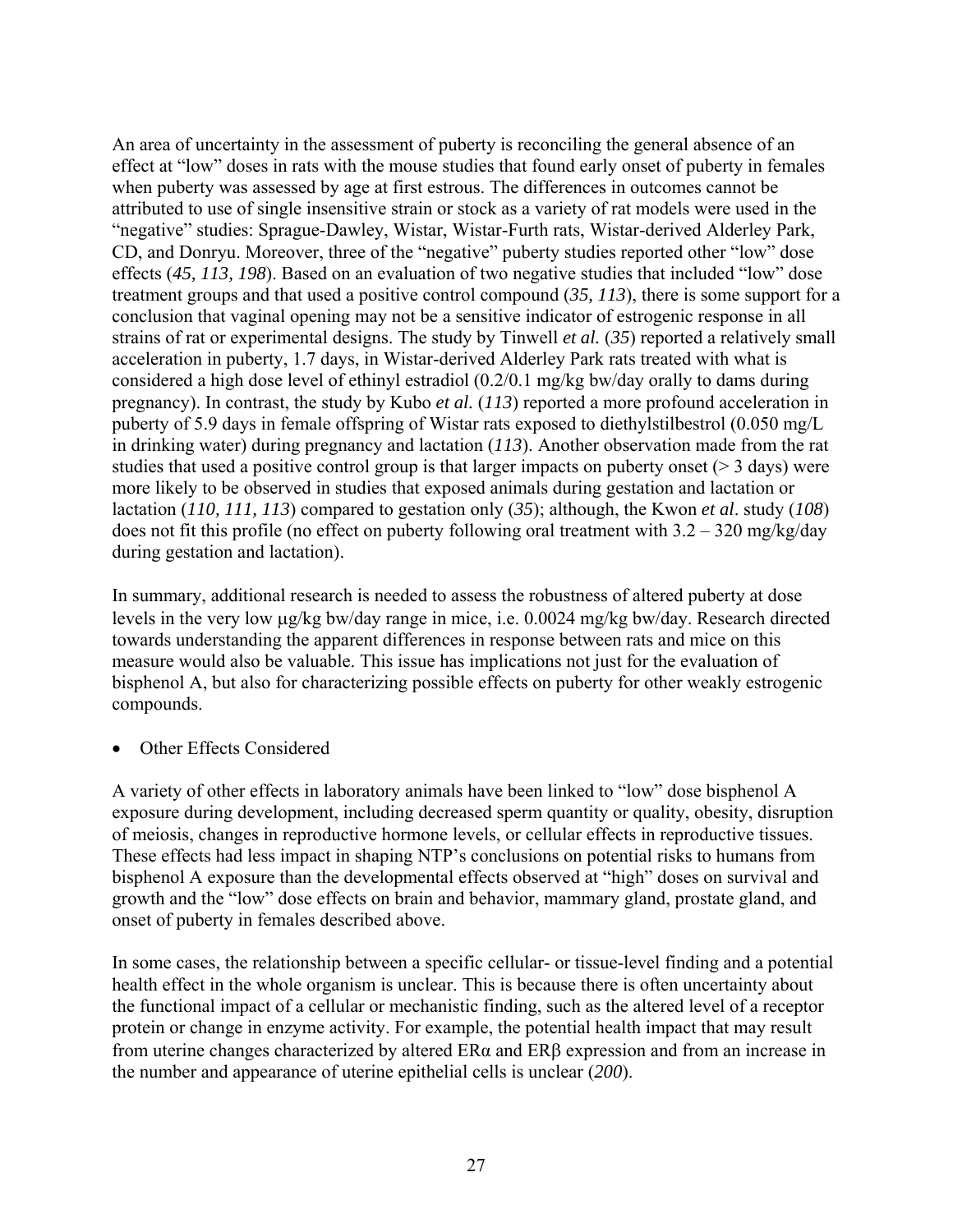An area of uncertainty in the assessment of puberty is reconciling the general absence of an effect at "low" doses in rats with the mouse studies that found early onset of puberty in females when puberty was assessed by age at first estrous. The differences in outcomes cannot be attributed to use of single insensitive strain or stock as a variety of rat models were used in the "negative" studies: Sprague-Dawley, Wistar, Wistar-Furth rats, Wistar-derived Alderley Park, CD, and Donryu. Moreover, three of the "negative" puberty studies reported other "low" dose effects (*45, 113, 198*). Based on an evaluation of two negative studies that included "low" dose treatment groups and that used a positive control compound (*35, 113*), there is some support for a conclusion that vaginal opening may not be a sensitive indicator of estrogenic response in all strains of rat or experimental designs. The study by Tinwell *et al.* (*35*) reported a relatively small acceleration in puberty, 1.7 days, in Wistar-derived Alderley Park rats treated with what is considered a high dose level of ethinyl estradiol (0.2/0.1 mg/kg bw/day orally to dams during pregnancy). In contrast, the study by Kubo *et al.* (*113*) reported a more profound acceleration in puberty of 5.9 days in female offspring of Wistar rats exposed to diethylstilbestrol (0.050 mg/L in drinking water) during pregnancy and lactation (*113*). Another observation made from the rat studies that used a positive control group is that larger impacts on puberty onset ( $>$  3 days) were more likely to be observed in studies that exposed animals during gestation and lactation or lactation (*110, 111, 113*) compared to gestation only (*35*); although, the Kwon *et al*. study (*108*) does not fit this profile (no effect on puberty following oral treatment with  $3.2 - 320$  mg/kg/day during gestation and lactation).

In summary, additional research is needed to assess the robustness of altered puberty at dose levels in the very low μg/kg bw/day range in mice, i.e. 0.0024 mg/kg bw/day. Research directed towards understanding the apparent differences in response between rats and mice on this measure would also be valuable. This issue has implications not just for the evaluation of bisphenol A, but also for characterizing possible effects on puberty for other weakly estrogenic compounds.

**Other Effects Considered** 

A variety of other effects in laboratory animals have been linked to "low" dose bisphenol A exposure during development, including decreased sperm quantity or quality, obesity, disruption of meiosis, changes in reproductive hormone levels, or cellular effects in reproductive tissues. These effects had less impact in shaping NTP's conclusions on potential risks to humans from bisphenol A exposure than the developmental effects observed at "high" doses on survival and growth and the "low" dose effects on brain and behavior, mammary gland, prostate gland, and onset of puberty in females described above.

In some cases, the relationship between a specific cellular- or tissue-level finding and a potential health effect in the whole organism is unclear. This is because there is often uncertainty about the functional impact of a cellular or mechanistic finding, such as the altered level of a receptor protein or change in enzyme activity. For example, the potential health impact that may result from uterine changes characterized by altered ERα and ERβ expression and from an increase in the number and appearance of uterine epithelial cells is unclear (*200*).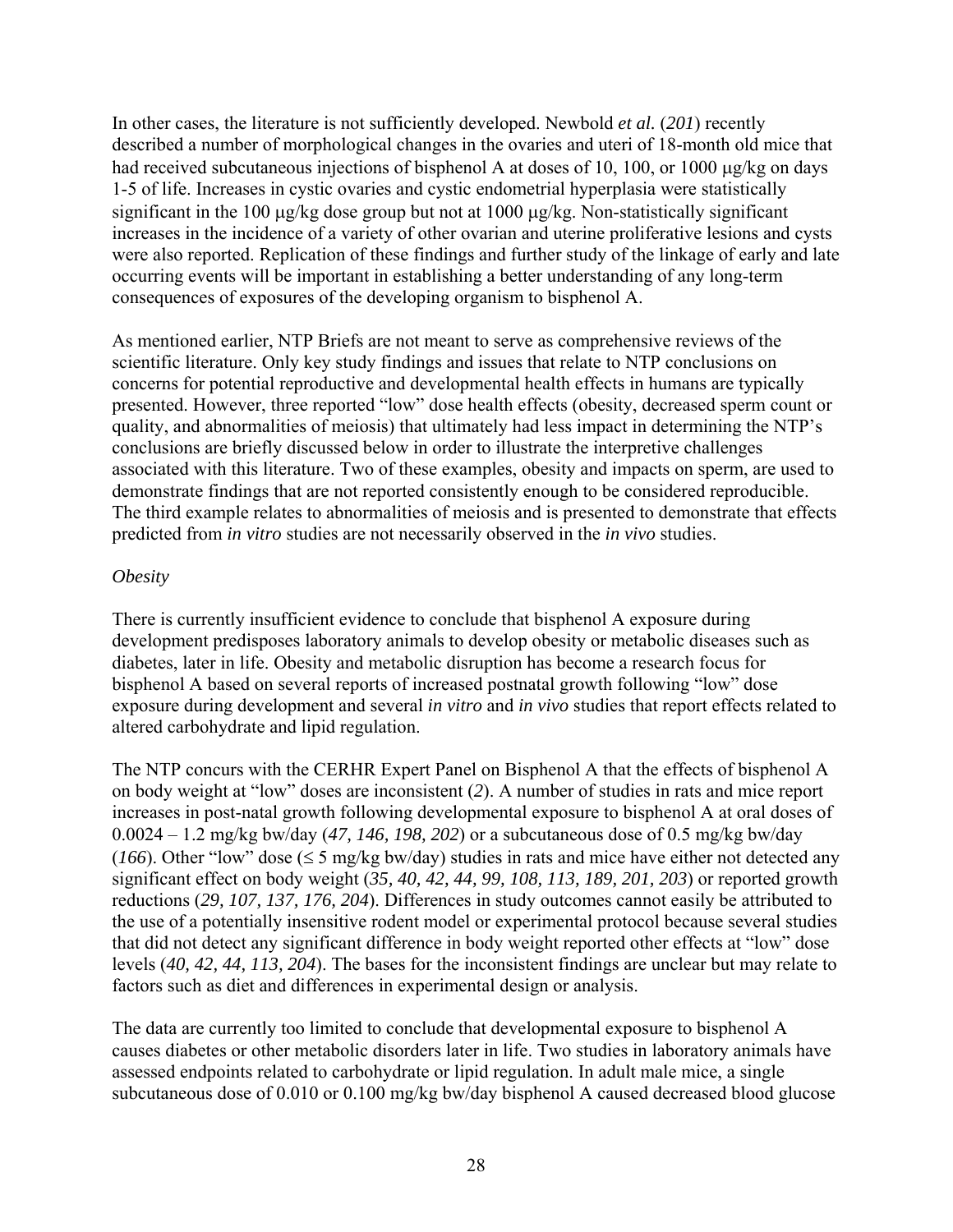In other cases, the literature is not sufficiently developed. Newbold *et al.* (*201*) recently described a number of morphological changes in the ovaries and uteri of 18-month old mice that had received subcutaneous injections of bisphenol A at doses of 10, 100, or 1000 μg/kg on days 1-5 of life. Increases in cystic ovaries and cystic endometrial hyperplasia were statistically significant in the 100 μg/kg dose group but not at 1000 μg/kg. Non-statistically significant increases in the incidence of a variety of other ovarian and uterine proliferative lesions and cysts were also reported. Replication of these findings and further study of the linkage of early and late occurring events will be important in establishing a better understanding of any long-term consequences of exposures of the developing organism to bisphenol A.

As mentioned earlier, NTP Briefs are not meant to serve as comprehensive reviews of the scientific literature. Only key study findings and issues that relate to NTP conclusions on concerns for potential reproductive and developmental health effects in humans are typically presented. However, three reported "low" dose health effects (obesity, decreased sperm count or quality, and abnormalities of meiosis) that ultimately had less impact in determining the NTP's conclusions are briefly discussed below in order to illustrate the interpretive challenges associated with this literature. Two of these examples, obesity and impacts on sperm, are used to demonstrate findings that are not reported consistently enough to be considered reproducible. The third example relates to abnormalities of meiosis and is presented to demonstrate that effects predicted from *in vitro* studies are not necessarily observed in the *in vivo* studies.

#### *Obesity*

There is currently insufficient evidence to conclude that bisphenol A exposure during development predisposes laboratory animals to develop obesity or metabolic diseases such as diabetes, later in life. Obesity and metabolic disruption has become a research focus for bisphenol A based on several reports of increased postnatal growth following "low" dose exposure during development and several *in vitro* and *in vivo* studies that report effects related to altered carbohydrate and lipid regulation.

The NTP concurs with the CERHR Expert Panel on Bisphenol A that the effects of bisphenol A on body weight at "low" doses are inconsistent (*2*). A number of studies in rats and mice report increases in post-natal growth following developmental exposure to bisphenol A at oral doses of 0.0024 – 1.2 mg/kg bw/day (*47, 146, 198, 202*) or a subcutaneous dose of 0.5 mg/kg bw/day ( $166$ ). Other "low" dose ( $\leq$  5 mg/kg bw/day) studies in rats and mice have either not detected any significant effect on body weight (*35, 40, 42, 44, 99, 108, 113, 189, 201, 203*) or reported growth reductions (*29, 107, 137, 176, 204*). Differences in study outcomes cannot easily be attributed to the use of a potentially insensitive rodent model or experimental protocol because several studies that did not detect any significant difference in body weight reported other effects at "low" dose levels (*40, 42, 44, 113, 204*). The bases for the inconsistent findings are unclear but may relate to factors such as diet and differences in experimental design or analysis.

The data are currently too limited to conclude that developmental exposure to bisphenol A causes diabetes or other metabolic disorders later in life. Two studies in laboratory animals have assessed endpoints related to carbohydrate or lipid regulation. In adult male mice, a single subcutaneous dose of 0.010 or 0.100 mg/kg bw/day bisphenol A caused decreased blood glucose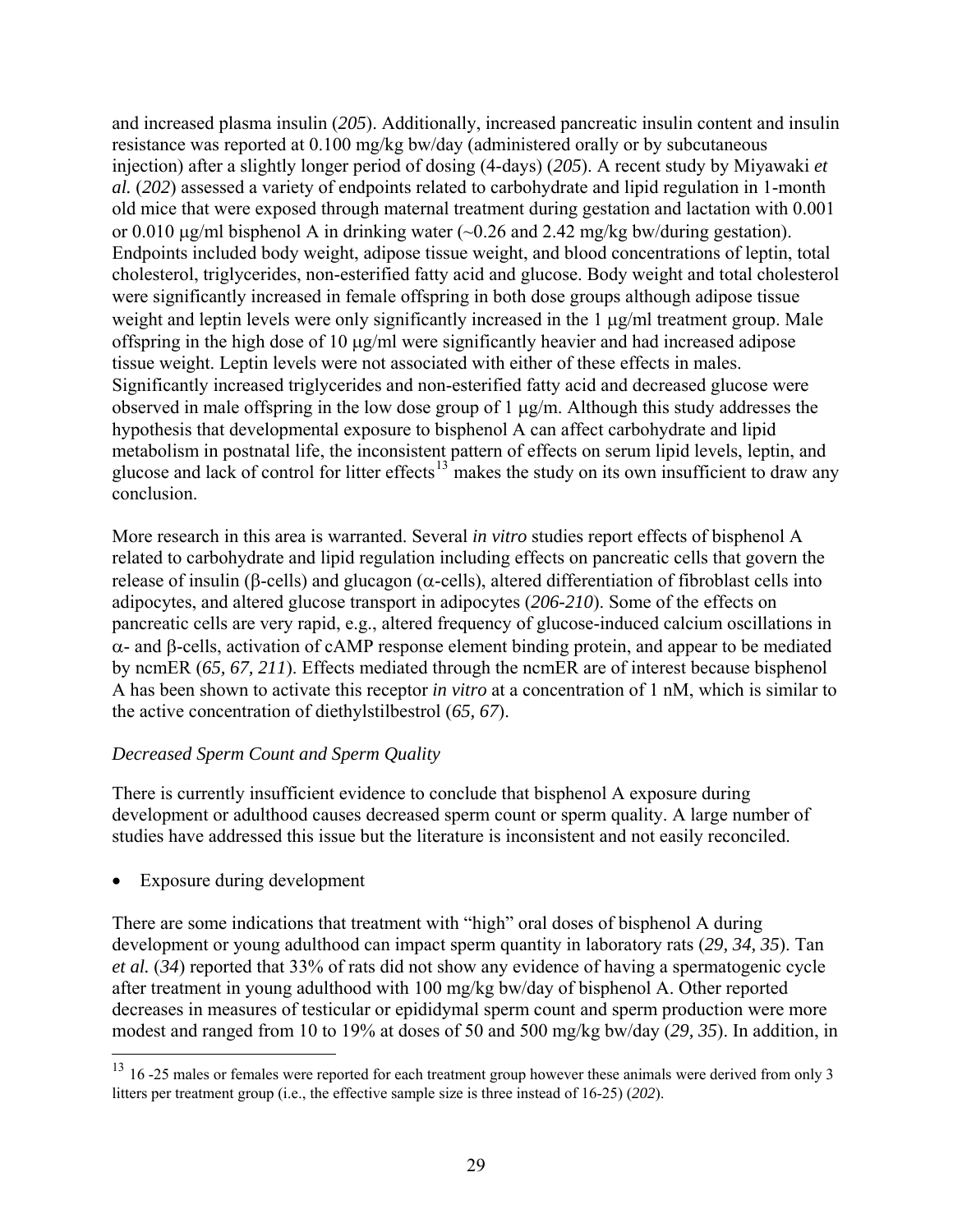<span id="page-29-0"></span>and increased plasma insulin (*205*). Additionally, increased pancreatic insulin content and insulin resistance was reported at 0.100 mg/kg bw/day (administered orally or by subcutaneous injection) after a slightly longer period of dosing (4-days) (*205*). A recent study by Miyawaki *et al.* (*202*) assessed a variety of endpoints related to carbohydrate and lipid regulation in 1-month old mice that were exposed through maternal treatment during gestation and lactation with 0.001 or 0.010 μg/ml bisphenol A in drinking water (~0.26 and 2.42 mg/kg bw/during gestation). Endpoints included body weight, adipose tissue weight, and blood concentrations of leptin, total cholesterol, triglycerides, non-esterified fatty acid and glucose. Body weight and total cholesterol were significantly increased in female offspring in both dose groups although adipose tissue weight and leptin levels were only significantly increased in the 1 μg/ml treatment group. Male offspring in the high dose of 10 μg/ml were significantly heavier and had increased adipose tissue weight. Leptin levels were not associated with either of these effects in males. Significantly increased triglycerides and non-esterified fatty acid and decreased glucose were observed in male offspring in the low dose group of 1 μg/m. Although this study addresses the hypothesis that developmental exposure to bisphenol A can affect carbohydrate and lipid metabolism in postnatal life, the inconsistent pattern of effects on serum lipid levels, leptin, and glucose and lack of control for litter effects<sup>[13](#page-29-0)</sup> makes the study on its own insufficient to draw any conclusion.

More research in this area is warranted. Several *in vitro* studies report effects of bisphenol A related to carbohydrate and lipid regulation including effects on pancreatic cells that govern the release of insulin (β-cells) and glucagon ( $α$ -cells), altered differentiation of fibroblast cells into adipocytes, and altered glucose transport in adipocytes (*206-210*). Some of the effects on pancreatic cells are very rapid, e.g., altered frequency of glucose-induced calcium oscillations in α- and β-cells, activation of cAMP response element binding protein, and appear to be mediated by ncmER (*65, 67, 211*). Effects mediated through the ncmER are of interest because bisphenol A has been shown to activate this receptor *in vitro* at a concentration of 1 nM, which is similar to the active concentration of diethylstilbestrol (*65, 67*).

#### *Decreased Sperm Count and Sperm Quality*

There is currently insufficient evidence to conclude that bisphenol A exposure during development or adulthood causes decreased sperm count or sperm quality. A large number of studies have addressed this issue but the literature is inconsistent and not easily reconciled.

Exposure during development

 $\overline{a}$ 

There are some indications that treatment with "high" oral doses of bisphenol A during development or young adulthood can impact sperm quantity in laboratory rats (*29, 34, 35*). Tan *et al.* (*34*) reported that 33% of rats did not show any evidence of having a spermatogenic cycle after treatment in young adulthood with 100 mg/kg bw/day of bisphenol A. Other reported decreases in measures of testicular or epididymal sperm count and sperm production were more modest and ranged from 10 to 19% at doses of 50 and 500 mg/kg bw/day (*29, 35*). In addition, in

 $13$  16 -25 males or females were reported for each treatment group however these animals were derived from only 3 litters per treatment group (i.e., the effective sample size is three instead of 16-25) (*202*).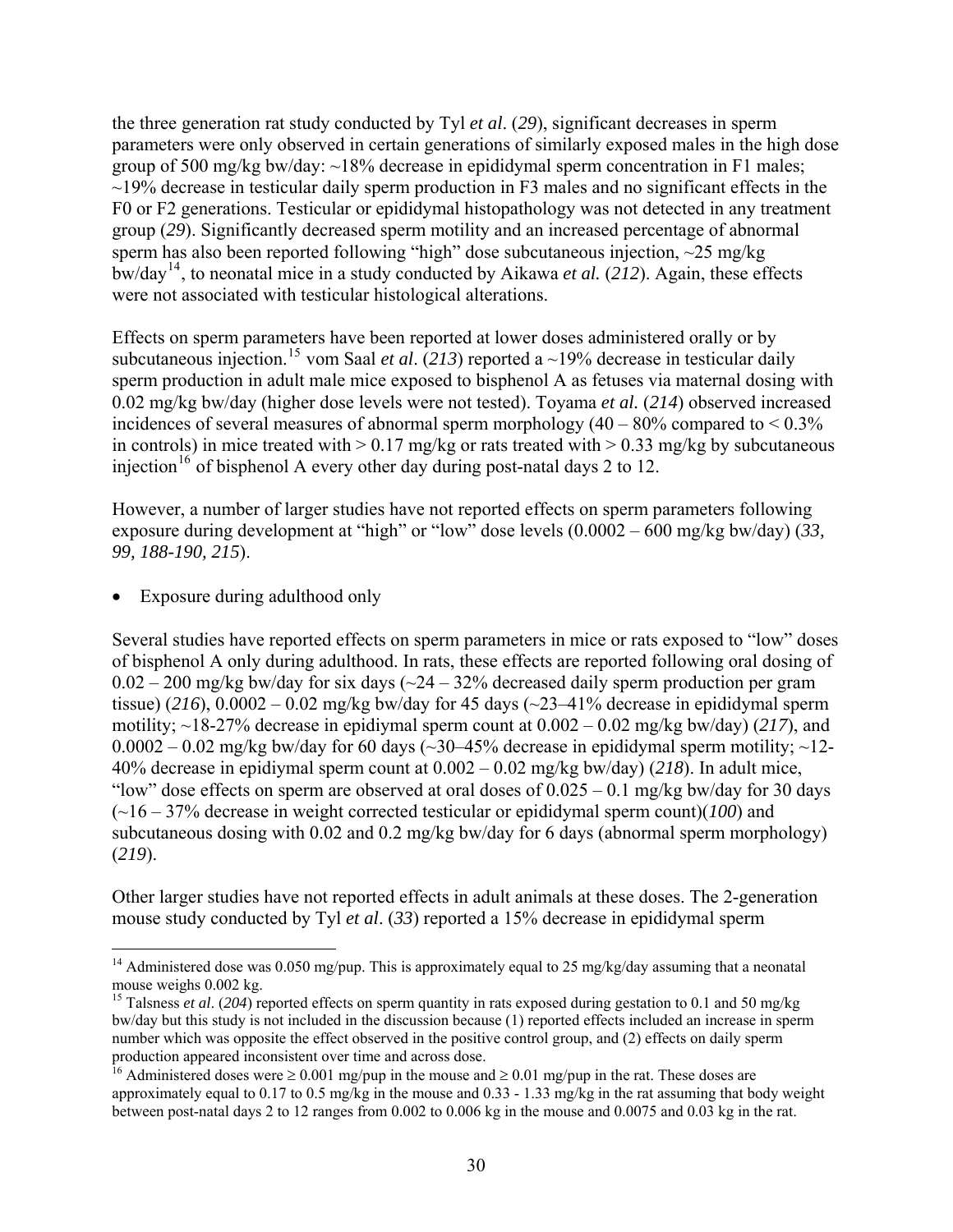<span id="page-30-0"></span>the three generation rat study conducted by Tyl *et al*. (*29*), significant decreases in sperm parameters were only observed in certain generations of similarly exposed males in the high dose group of 500 mg/kg bw/day:  $\sim$ 18% decrease in epididymal sperm concentration in F1 males;  $\sim$ 19% decrease in testicular daily sperm production in F3 males and no significant effects in the F0 or F2 generations. Testicular or epididymal histopathology was not detected in any treatment group (*29*). Significantly decreased sperm motility and an increased percentage of abnormal sperm has also been reported following "high" dose subcutaneous injection, ~25 mg/kg bw/day[14](#page-30-0), to neonatal mice in a study conducted by Aikawa *et al.* (*212*). Again, these effects were not associated with testicular histological alterations.

Effects on sperm parameters have been reported at lower doses administered orally or by subcutaneous injection.<sup>[15](#page-30-0)</sup> vom Saal *et al.* (213) reported a ~19% decrease in testicular daily sperm production in adult male mice exposed to bisphenol A as fetuses via maternal dosing with 0.02 mg/kg bw/day (higher dose levels were not tested). Toyama *et al.* (*214*) observed increased incidences of several measures of abnormal sperm morphology  $(40 - 80\%$  compared to  $\le 0.3\%$ in controls) in mice treated with  $> 0.17$  mg/kg or rats treated with  $> 0.33$  mg/kg by subcutaneous injection<sup>[16](#page-30-0)</sup> of bisphenol A every other day during post-natal days 2 to 12.

However, a number of larger studies have not reported effects on sperm parameters following exposure during development at "high" or "low" dose levels (0.0002 – 600 mg/kg bw/day) (*33, 99, 188-190, 215*).

Exposure during adulthood only

 $\overline{a}$ 

Several studies have reported effects on sperm parameters in mice or rats exposed to "low" doses of bisphenol A only during adulthood. In rats, these effects are reported following oral dosing of  $0.02 - 200$  mg/kg bw/day for six days ( $\sim$ 24 – 32% decreased daily sperm production per gram tissue) (216),  $0.0002 - 0.02$  mg/kg bw/day for 45 days ( $\sim$ 23–41% decrease in epididymal sperm motility; ~18-27% decrease in epidiymal sperm count at 0.002 – 0.02 mg/kg bw/day) (*217*), and  $0.0002 - 0.02$  mg/kg bw/day for 60 days (~30–45% decrease in epididymal sperm motility; ~12-40% decrease in epidiymal sperm count at 0.002 – 0.02 mg/kg bw/day) (*218*). In adult mice, "low" dose effects on sperm are observed at oral doses of  $0.025 - 0.1$  mg/kg bw/day for 30 days (~16 – 37% decrease in weight corrected testicular or epididymal sperm count)(*100*) and subcutaneous dosing with 0.02 and 0.2 mg/kg bw/day for 6 days (abnormal sperm morphology) (*219*).

Other larger studies have not reported effects in adult animals at these doses. The 2-generation mouse study conducted by Tyl *et al*. (*33*) reported a 15% decrease in epididymal sperm

<sup>&</sup>lt;sup>14</sup> Administered dose was 0.050 mg/pup. This is approximately equal to 25 mg/kg/day assuming that a neonatal mouse weighs 0.002 kg.

<sup>&</sup>lt;sup>15</sup> Talsness *et al.* (204) reported effects on sperm quantity in rats exposed during gestation to 0.1 and 50 mg/kg bw/day but this study is not included in the discussion because (1) reported effects included an increase in sperm number which was opposite the effect observed in the positive control group, and (2) effects on daily sperm production appeared inconsistent over time and across dose.

<sup>&</sup>lt;sup>16</sup> Administered doses were  $\geq 0.001$  mg/pup in the mouse and  $\geq 0.01$  mg/pup in the rat. These doses are approximately equal to 0.17 to 0.5 mg/kg in the mouse and 0.33 - 1.33 mg/kg in the rat assuming that body weight between post-natal days 2 to 12 ranges from 0.002 to 0.006 kg in the mouse and 0.0075 and 0.03 kg in the rat.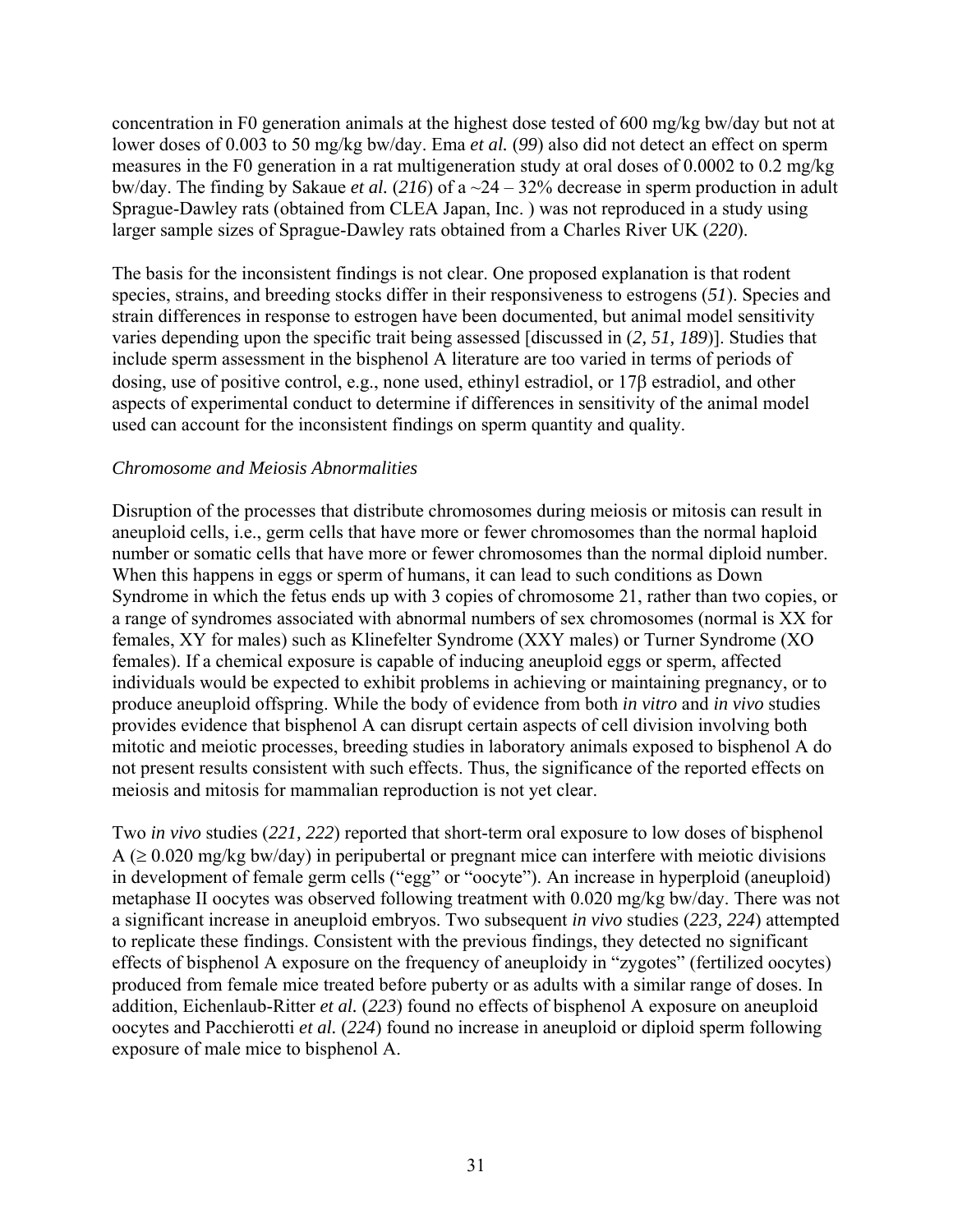concentration in F0 generation animals at the highest dose tested of 600 mg/kg bw/day but not at lower doses of 0.003 to 50 mg/kg bw/day. Ema *et al.* (*99*) also did not detect an effect on sperm measures in the F0 generation in a rat multigeneration study at oral doses of 0.0002 to 0.2 mg/kg bw/day. The finding by Sakaue *et al.* (*216*) of a ~24 – 32% decrease in sperm production in adult Sprague-Dawley rats (obtained from CLEA Japan, Inc. ) was not reproduced in a study using larger sample sizes of Sprague-Dawley rats obtained from a Charles River UK (*220*).

The basis for the inconsistent findings is not clear. One proposed explanation is that rodent species, strains, and breeding stocks differ in their responsiveness to estrogens (*51*). Species and strain differences in response to estrogen have been documented, but animal model sensitivity varies depending upon the specific trait being assessed [discussed in (*2, 51, 189*)]. Studies that include sperm assessment in the bisphenol A literature are too varied in terms of periods of dosing, use of positive control, e.g., none used, ethinyl estradiol, or 17β estradiol, and other aspects of experimental conduct to determine if differences in sensitivity of the animal model used can account for the inconsistent findings on sperm quantity and quality.

#### *Chromosome and Meiosis Abnormalities*

Disruption of the processes that distribute chromosomes during meiosis or mitosis can result in aneuploid cells, i.e., germ cells that have more or fewer chromosomes than the normal haploid number or somatic cells that have more or fewer chromosomes than the normal diploid number. When this happens in eggs or sperm of humans, it can lead to such conditions as Down Syndrome in which the fetus ends up with 3 copies of chromosome 21, rather than two copies, or a range of syndromes associated with abnormal numbers of sex chromosomes (normal is XX for females, XY for males) such as Klinefelter Syndrome (XXY males) or Turner Syndrome (XO females). If a chemical exposure is capable of inducing aneuploid eggs or sperm, affected individuals would be expected to exhibit problems in achieving or maintaining pregnancy, or to produce aneuploid offspring. While the body of evidence from both *in vitro* and *in vivo* studies provides evidence that bisphenol A can disrupt certain aspects of cell division involving both mitotic and meiotic processes, breeding studies in laboratory animals exposed to bisphenol A do not present results consistent with such effects. Thus, the significance of the reported effects on meiosis and mitosis for mammalian reproduction is not yet clear.

Two *in vivo* studies (*221, 222*) reported that short-term oral exposure to low doses of bisphenol  $A \approx 0.020$  mg/kg bw/day) in peripubertal or pregnant mice can interfere with meiotic divisions in development of female germ cells ("egg" or "oocyte"). An increase in hyperploid (aneuploid) metaphase II oocytes was observed following treatment with 0.020 mg/kg bw/day. There was not a significant increase in aneuploid embryos. Two subsequent *in vivo* studies (*223, 224*) attempted to replicate these findings. Consistent with the previous findings, they detected no significant effects of bisphenol A exposure on the frequency of aneuploidy in "zygotes" (fertilized oocytes) produced from female mice treated before puberty or as adults with a similar range of doses. In addition, Eichenlaub-Ritter *et al.* (*223*) found no effects of bisphenol A exposure on aneuploid oocytes and Pacchierotti *et al.* (*224*) found no increase in aneuploid or diploid sperm following exposure of male mice to bisphenol A.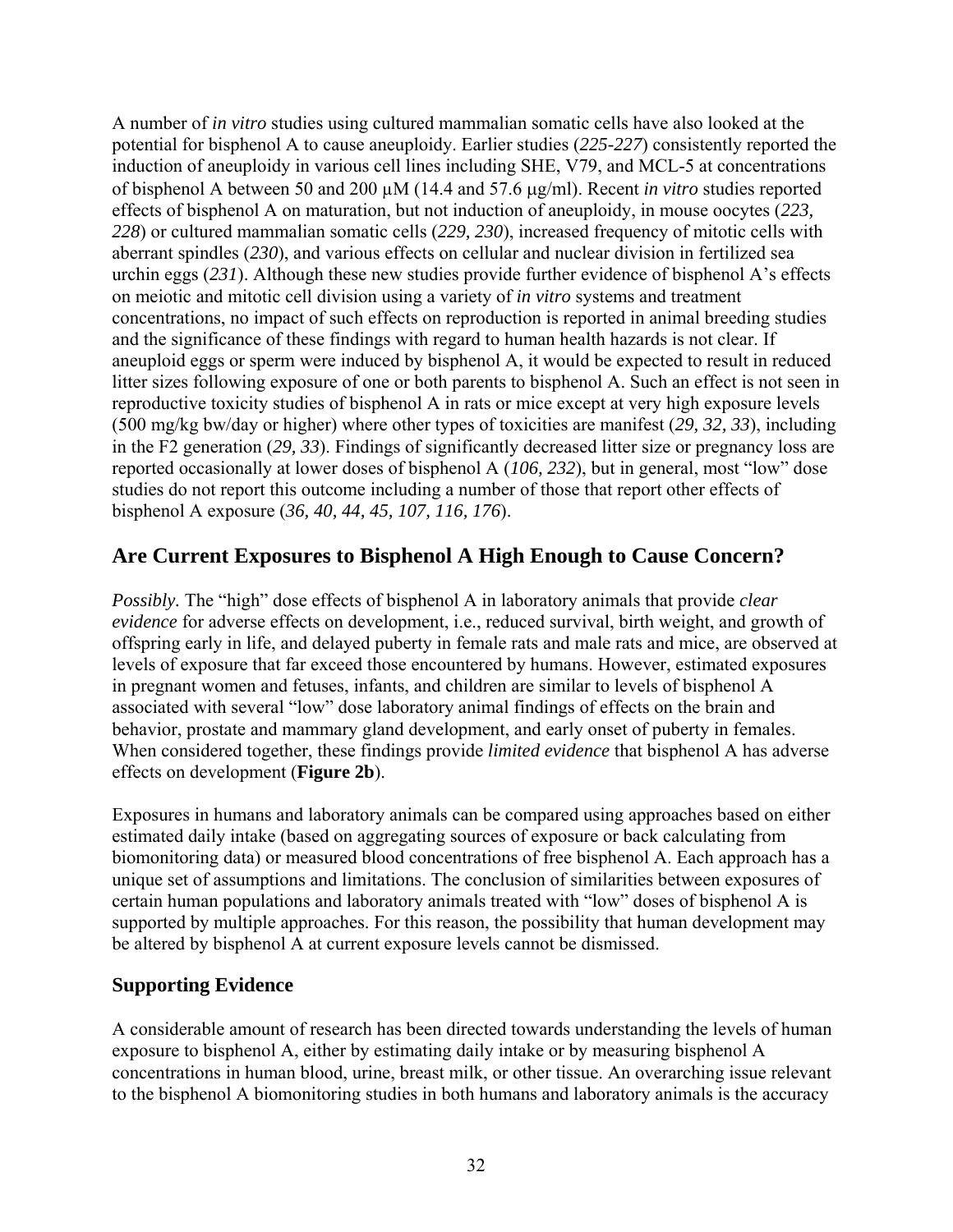<span id="page-32-0"></span>A number of *in vitro* studies using cultured mammalian somatic cells have also looked at the potential for bisphenol A to cause aneuploidy. Earlier studies (*225-227*) consistently reported the induction of aneuploidy in various cell lines including SHE, V79, and MCL-5 at concentrations of bisphenol A between 50 and 200 µM (14.4 and 57.6 μg/ml). Recent *in vitro* studies reported effects of bisphenol A on maturation, but not induction of aneuploidy, in mouse oocytes (*223, 228*) or cultured mammalian somatic cells (*229, 230*), increased frequency of mitotic cells with aberrant spindles (*230*), and various effects on cellular and nuclear division in fertilized sea urchin eggs (*231*). Although these new studies provide further evidence of bisphenol A's effects on meiotic and mitotic cell division using a variety of *in vitro* systems and treatment concentrations, no impact of such effects on reproduction is reported in animal breeding studies and the significance of these findings with regard to human health hazards is not clear. If aneuploid eggs or sperm were induced by bisphenol A, it would be expected to result in reduced litter sizes following exposure of one or both parents to bisphenol A. Such an effect is not seen in reproductive toxicity studies of bisphenol A in rats or mice except at very high exposure levels (500 mg/kg bw/day or higher) where other types of toxicities are manifest (*29, 32, 33*), including in the F2 generation (*29, 33*). Findings of significantly decreased litter size or pregnancy loss are reported occasionally at lower doses of bisphenol A (*106, 232*), but in general, most "low" dose studies do not report this outcome including a number of those that report other effects of bisphenol A exposure (*36, 40, 44, 45, 107, 116, 176*).

### **Are Current Exposures to Bisphenol A High Enough to Cause Concern?**

*Possibly.* The "high" dose effects of bisphenol A in laboratory animals that provide *clear evidence* for adverse effects on development, i.e., reduced survival, birth weight, and growth of offspring early in life, and delayed puberty in female rats and male rats and mice, are observed at levels of exposure that far exceed those encountered by humans. However, estimated exposures in pregnant women and fetuses, infants, and children are similar to levels of bisphenol A associated with several "low" dose laboratory animal findings of effects on the brain and behavior, prostate and mammary gland development, and early onset of puberty in females. When considered together, these findings provide *limited evidence* that bisphenol A has adverse effects on development (**Figure 2b**).

Exposures in humans and laboratory animals can be compared using approaches based on either estimated daily intake (based on aggregating sources of exposure or back calculating from biomonitoring data) or measured blood concentrations of free bisphenol A. Each approach has a unique set of assumptions and limitations. The conclusion of similarities between exposures of certain human populations and laboratory animals treated with "low" doses of bisphenol A is supported by multiple approaches. For this reason, the possibility that human development may be altered by bisphenol A at current exposure levels cannot be dismissed.

#### **Supporting Evidence**

A considerable amount of research has been directed towards understanding the levels of human exposure to bisphenol A, either by estimating daily intake or by measuring bisphenol A concentrations in human blood, urine, breast milk, or other tissue. An overarching issue relevant to the bisphenol A biomonitoring studies in both humans and laboratory animals is the accuracy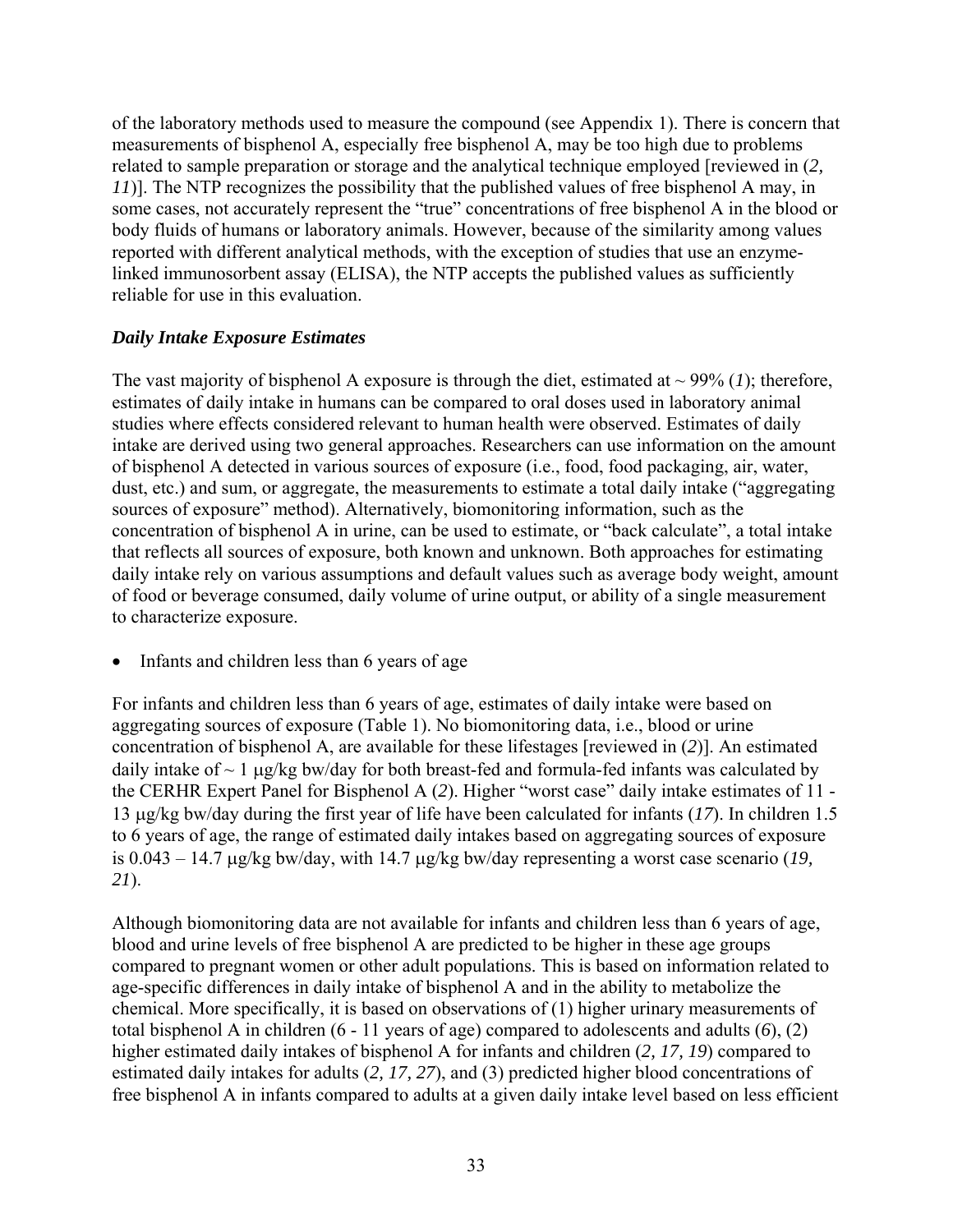<span id="page-33-0"></span>of the laboratory methods used to measure the compound (see Appendix 1). There is concern that measurements of bisphenol A, especially free bisphenol A, may be too high due to problems related to sample preparation or storage and the analytical technique employed [reviewed in (*2, 11*)]. The NTP recognizes the possibility that the published values of free bisphenol A may, in some cases, not accurately represent the "true" concentrations of free bisphenol A in the blood or body fluids of humans or laboratory animals. However, because of the similarity among values reported with different analytical methods, with the exception of studies that use an enzymelinked immunosorbent assay (ELISA), the NTP accepts the published values as sufficiently reliable for use in this evaluation.

#### *Daily Intake Exposure Estimates*

The vast majority of bisphenol A exposure is through the diet, estimated at  $\sim$  99% (1); therefore, estimates of daily intake in humans can be compared to oral doses used in laboratory animal studies where effects considered relevant to human health were observed. Estimates of daily intake are derived using two general approaches. Researchers can use information on the amount of bisphenol A detected in various sources of exposure (i.e., food, food packaging, air, water, dust, etc.) and sum, or aggregate, the measurements to estimate a total daily intake ("aggregating sources of exposure" method). Alternatively, biomonitoring information, such as the concentration of bisphenol A in urine, can be used to estimate, or "back calculate", a total intake that reflects all sources of exposure, both known and unknown. Both approaches for estimating daily intake rely on various assumptions and default values such as average body weight, amount of food or beverage consumed, daily volume of urine output, or ability of a single measurement to characterize exposure.

Infants and children less than 6 years of age

For infants and children less than 6 years of age, estimates of daily intake were based on aggregating sources of exposure (Table 1). No biomonitoring data, i.e., blood or urine concentration of bisphenol A, are available for these lifestages [reviewed in (*2*)]. An estimated daily intake of  $\sim 1$  μg/kg bw/day for both breast-fed and formula-fed infants was calculated by the CERHR Expert Panel for Bisphenol A (*2*). Higher "worst case" daily intake estimates of 11 - 13 μg/kg bw/day during the first year of life have been calculated for infants (*17*). In children 1.5 to 6 years of age, the range of estimated daily intakes based on aggregating sources of exposure is 0.043 – 14.7 μg/kg bw/day, with 14.7 μg/kg bw/day representing a worst case scenario (*19, 21*).

Although biomonitoring data are not available for infants and children less than 6 years of age, blood and urine levels of free bisphenol A are predicted to be higher in these age groups compared to pregnant women or other adult populations. This is based on information related to age-specific differences in daily intake of bisphenol A and in the ability to metabolize the chemical. More specifically, it is based on observations of (1) higher urinary measurements of total bisphenol A in children (6 - 11 years of age) compared to adolescents and adults (*6*), (2) higher estimated daily intakes of bisphenol A for infants and children (*2, 17, 19*) compared to estimated daily intakes for adults (*2, 17, 27*), and (3) predicted higher blood concentrations of free bisphenol A in infants compared to adults at a given daily intake level based on less efficient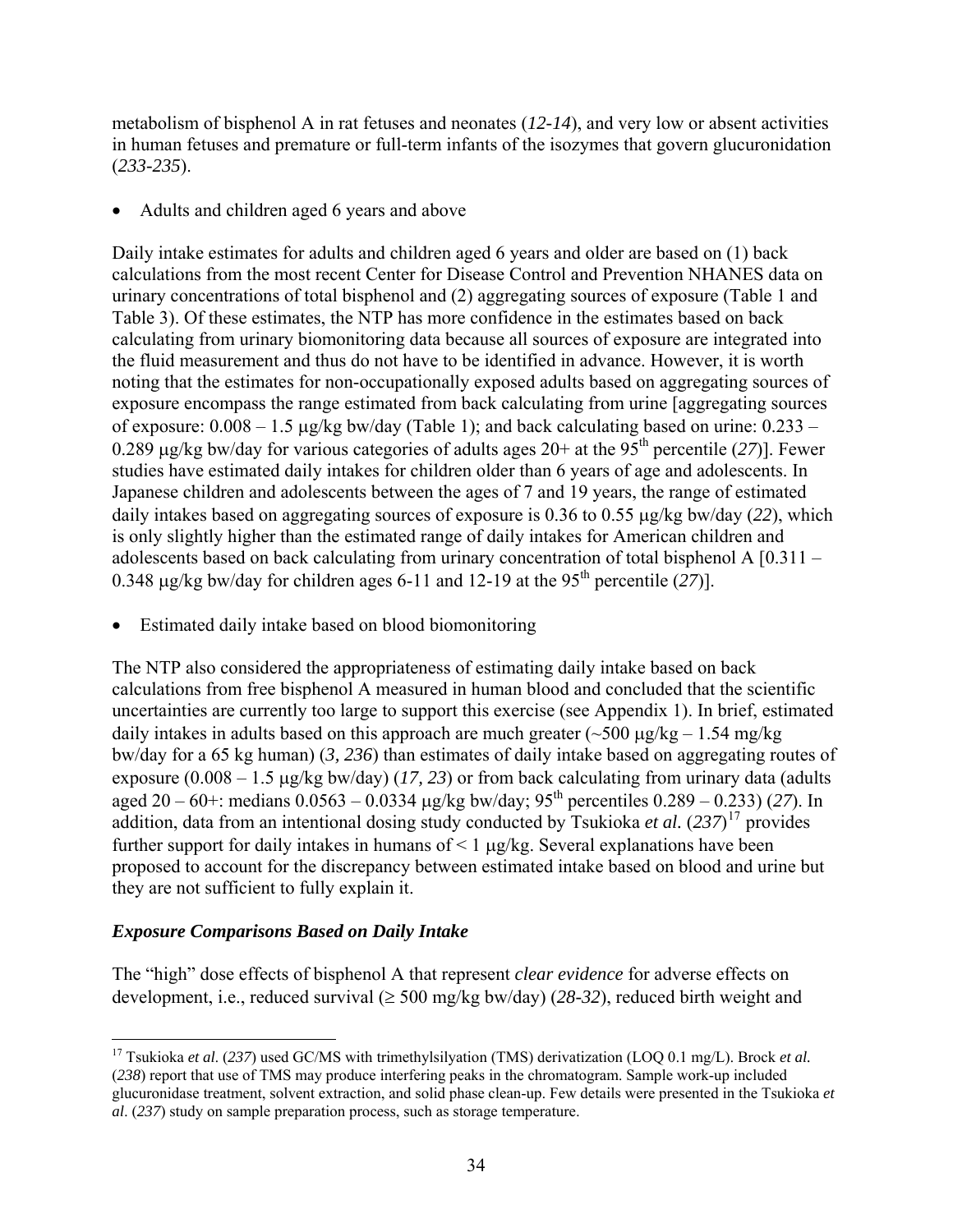<span id="page-34-0"></span>metabolism of bisphenol A in rat fetuses and neonates (*12-14*), and very low or absent activities in human fetuses and premature or full-term infants of the isozymes that govern glucuronidation (*233-235*).

Adults and children aged 6 years and above

Daily intake estimates for adults and children aged 6 years and older are based on (1) back calculations from the most recent Center for Disease Control and Prevention NHANES data on urinary concentrations of total bisphenol and (2) aggregating sources of exposure (Table 1 and Table 3). Of these estimates, the NTP has more confidence in the estimates based on back calculating from urinary biomonitoring data because all sources of exposure are integrated into the fluid measurement and thus do not have to be identified in advance. However, it is worth noting that the estimates for non-occupationally exposed adults based on aggregating sources of exposure encompass the range estimated from back calculating from urine [aggregating sources of exposure:  $0.008 - 1.5$  µg/kg bw/day (Table 1); and back calculating based on urine:  $0.233 -$ 0.289 μg/kg bw/day for various categories of adults ages 20+ at the 95th percentile (*27*)]. Fewer studies have estimated daily intakes for children older than 6 years of age and adolescents. In Japanese children and adolescents between the ages of 7 and 19 years, the range of estimated daily intakes based on aggregating sources of exposure is 0.36 to 0.55 μg/kg bw/day (*22*), which is only slightly higher than the estimated range of daily intakes for American children and adolescents based on back calculating from urinary concentration of total bisphenol A [0.311 – 0.348 μg/kg bw/day for children ages 6-11 and 12-19 at the 95<sup>th</sup> percentile  $(27)$ ].

• Estimated daily intake based on blood biomonitoring

The NTP also considered the appropriateness of estimating daily intake based on back calculations from free bisphenol A measured in human blood and concluded that the scientific uncertainties are currently too large to support this exercise (see Appendix 1). In brief, estimated daily intakes in adults based on this approach are much greater ( $\sim$ 500 μg/kg – 1.54 mg/kg bw/day for a 65 kg human) (*3, 236*) than estimates of daily intake based on aggregating routes of exposure (0.008 – 1.5 μg/kg bw/day) (*17, 23*) or from back calculating from urinary data (adults aged 20 – 60+: medians  $0.0563 - 0.0334$  µg/kg bw/day;  $95<sup>th</sup>$  percentiles  $0.289 - 0.233$ ) (27). In addition, data from an intentional dosing study conducted by Tsukioka *et al.* (*237*) [17](#page-34-0) provides further support for daily intakes in humans of  $\leq 1$  μg/kg. Several explanations have been proposed to account for the discrepancy between estimated intake based on blood and urine but they are not sufficient to fully explain it.

#### *Exposure Comparisons Based on Daily Intake*

The "high" dose effects of bisphenol A that represent *clear evidence* for adverse effects on development, i.e., reduced survival (≥ 500 mg/kg bw/day) (*28-32*), reduced birth weight and

<sup>&</sup>lt;u>.</u> 17 Tsukioka *et al*. (*237*) used GC/MS with trimethylsilyation (TMS) derivatization (LOQ 0.1 mg/L). Brock *et al.* (*238*) report that use of TMS may produce interfering peaks in the chromatogram. Sample work-up included glucuronidase treatment, solvent extraction, and solid phase clean-up. Few details were presented in the Tsukioka *et al*. (*237*) study on sample preparation process, such as storage temperature.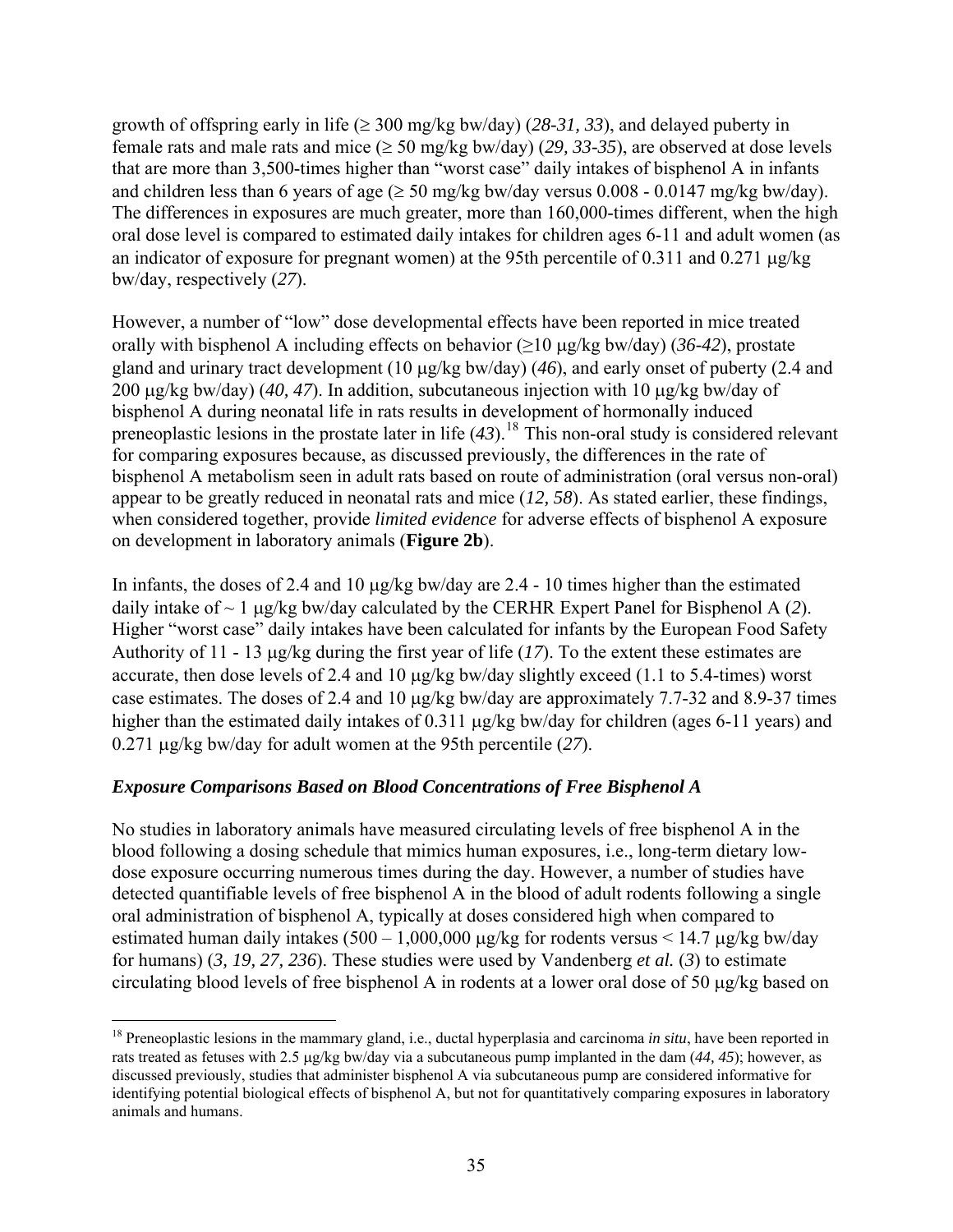<span id="page-35-0"></span>growth of offspring early in life ( $\geq 300$  mg/kg bw/day) (28-31, 33), and delayed puberty in female rats and male rats and mice (≥ 50 mg/kg bw/day) (*29, 33-35*), are observed at dose levels that are more than 3,500-times higher than "worst case" daily intakes of bisphenol A in infants and children less than 6 years of age ( $\geq$  50 mg/kg bw/day versus 0.008 - 0.0147 mg/kg bw/day). The differences in exposures are much greater, more than 160,000-times different, when the high oral dose level is compared to estimated daily intakes for children ages 6-11 and adult women (as an indicator of exposure for pregnant women) at the 95th percentile of 0.311 and 0.271 μg/kg bw/day, respectively (*27*).

However, a number of "low" dose developmental effects have been reported in mice treated orally with bisphenol A including effects on behavior (≥10 μg/kg bw/day) (*36-42*), prostate gland and urinary tract development (10 μg/kg bw/day) (*46*), and early onset of puberty (2.4 and 200 μg/kg bw/day) (*40, 47*). In addition, subcutaneous injection with 10 μg/kg bw/day of bisphenol A during neonatal life in rats results in development of hormonally induced preneoplastic lesions in the prostate later in life (*43*).[18](#page-35-0) This non-oral study is considered relevant for comparing exposures because, as discussed previously, the differences in the rate of bisphenol A metabolism seen in adult rats based on route of administration (oral versus non-oral) appear to be greatly reduced in neonatal rats and mice (*12, 58*). As stated earlier, these findings, when considered together, provide *limited evidence* for adverse effects of bisphenol A exposure on development in laboratory animals (**Figure 2b**).

In infants, the doses of 2.4 and 10 μg/kg bw/day are 2.4 - 10 times higher than the estimated daily intake of ~ 1 μg/kg bw/day calculated by the CERHR Expert Panel for Bisphenol A (*2*). Higher "worst case" daily intakes have been calculated for infants by the European Food Safety Authority of 11 - 13 μg/kg during the first year of life (*17*). To the extent these estimates are accurate, then dose levels of 2.4 and 10 μg/kg bw/day slightly exceed (1.1 to 5.4-times) worst case estimates. The doses of 2.4 and 10 μg/kg bw/day are approximately 7.7-32 and 8.9-37 times higher than the estimated daily intakes of 0.311 μg/kg bw/day for children (ages 6-11 years) and 0.271 μg/kg bw/day for adult women at the 95th percentile (*27*).

#### *Exposure Comparisons Based on Blood Concentrations of Free Bisphenol A*

 $\overline{a}$ 

No studies in laboratory animals have measured circulating levels of free bisphenol A in the blood following a dosing schedule that mimics human exposures, i.e., long-term dietary lowdose exposure occurring numerous times during the day. However, a number of studies have detected quantifiable levels of free bisphenol A in the blood of adult rodents following a single oral administration of bisphenol A, typically at doses considered high when compared to estimated human daily intakes  $(500 - 1,000,000 \mu g/kg$  for rodents versus < 14.7  $\mu g/kg$  bw/day for humans) (*3, 19, 27, 236*). These studies were used by Vandenberg *et al.* (*3*) to estimate circulating blood levels of free bisphenol A in rodents at a lower oral dose of 50 μg/kg based on

<sup>&</sup>lt;sup>18</sup> Preneoplastic lesions in the mammary gland, i.e., ductal hyperplasia and carcinoma *in situ*, have been reported in rats treated as fetuses with 2.5 μg/kg bw/day via a subcutaneous pump implanted in the dam (*44, 45*); however, as discussed previously, studies that administer bisphenol A via subcutaneous pump are considered informative for identifying potential biological effects of bisphenol A, but not for quantitatively comparing exposures in laboratory animals and humans.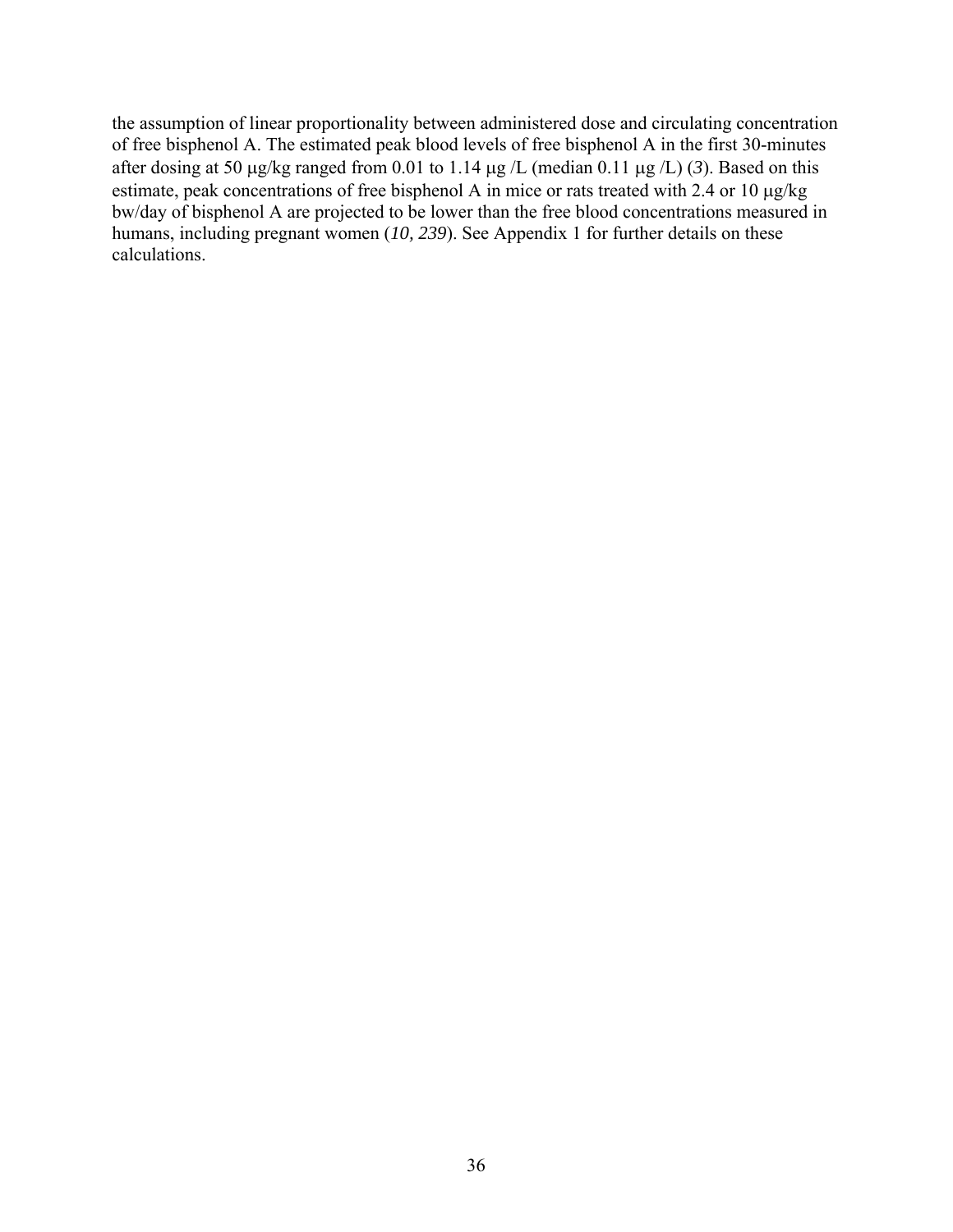the assumption of linear proportionality between administered dose and circulating concentration of free bisphenol A. The estimated peak blood levels of free bisphenol A in the first 30-minutes after dosing at 50 μg/kg ranged from 0.01 to 1.14 μg /L (median 0.11 μg /L) (*3*). Based on this estimate, peak concentrations of free bisphenol A in mice or rats treated with 2.4 or 10 μg/kg bw/day of bisphenol A are projected to be lower than the free blood concentrations measured in humans, including pregnant women (*10, 239*). See Appendix 1 for further details on these calculations.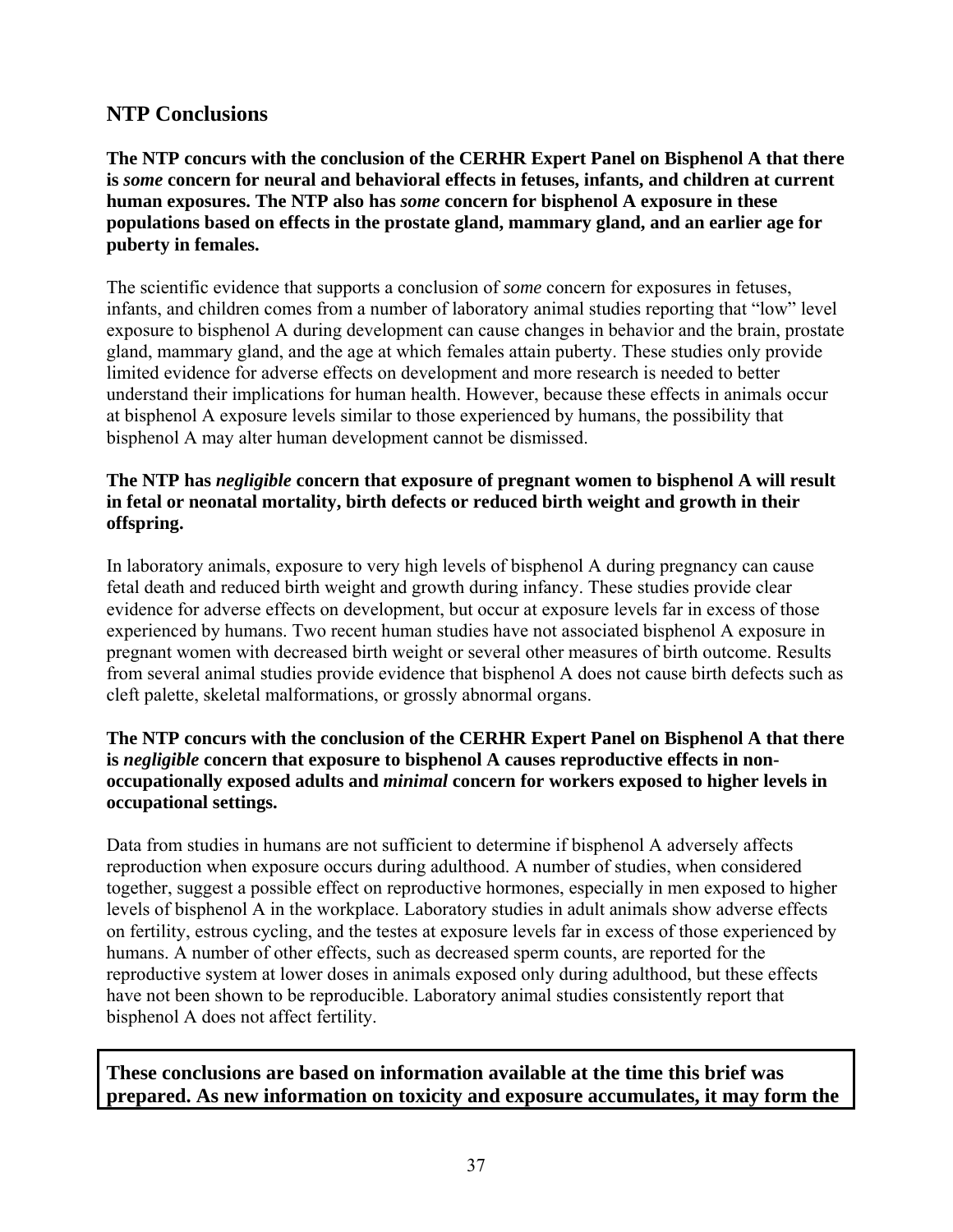## <span id="page-37-0"></span>**NTP Conclusions**

**The NTP concurs with the conclusion of the CERHR Expert Panel on Bisphenol A that there is** *some* **concern for neural and behavioral effects in fetuses, infants, and children at current human exposures. The NTP also has** *some* **concern for bisphenol A exposure in these populations based on effects in the prostate gland, mammary gland, and an earlier age for puberty in females.** 

The scientific evidence that supports a conclusion of *some* concern for exposures in fetuses, infants, and children comes from a number of laboratory animal studies reporting that "low" level exposure to bisphenol A during development can cause changes in behavior and the brain, prostate gland, mammary gland, and the age at which females attain puberty. These studies only provide limited evidence for adverse effects on development and more research is needed to better understand their implications for human health. However, because these effects in animals occur at bisphenol A exposure levels similar to those experienced by humans, the possibility that bisphenol A may alter human development cannot be dismissed.

#### **The NTP has** *negligible* **concern that exposure of pregnant women to bisphenol A will result in fetal or neonatal mortality, birth defects or reduced birth weight and growth in their offspring.**

In laboratory animals, exposure to very high levels of bisphenol A during pregnancy can cause fetal death and reduced birth weight and growth during infancy. These studies provide clear evidence for adverse effects on development, but occur at exposure levels far in excess of those experienced by humans. Two recent human studies have not associated bisphenol A exposure in pregnant women with decreased birth weight or several other measures of birth outcome. Results from several animal studies provide evidence that bisphenol A does not cause birth defects such as cleft palette, skeletal malformations, or grossly abnormal organs.

#### **The NTP concurs with the conclusion of the CERHR Expert Panel on Bisphenol A that there is** *negligible* **concern that exposure to bisphenol A causes reproductive effects in nonoccupationally exposed adults and** *minimal* **concern for workers exposed to higher levels in occupational settings.**

Data from studies in humans are not sufficient to determine if bisphenol A adversely affects reproduction when exposure occurs during adulthood. A number of studies, when considered together, suggest a possible effect on reproductive hormones, especially in men exposed to higher levels of bisphenol A in the workplace. Laboratory studies in adult animals show adverse effects on fertility, estrous cycling, and the testes at exposure levels far in excess of those experienced by humans. A number of other effects, such as decreased sperm counts, are reported for the reproductive system at lower doses in animals exposed only during adulthood, but these effects have not been shown to be reproducible. Laboratory animal studies consistently report that bisphenol A does not affect fertility.

### **These conclusions are based on information available at the time this brief was prepared. As new information on toxicity and exposure accumulates, it may form the**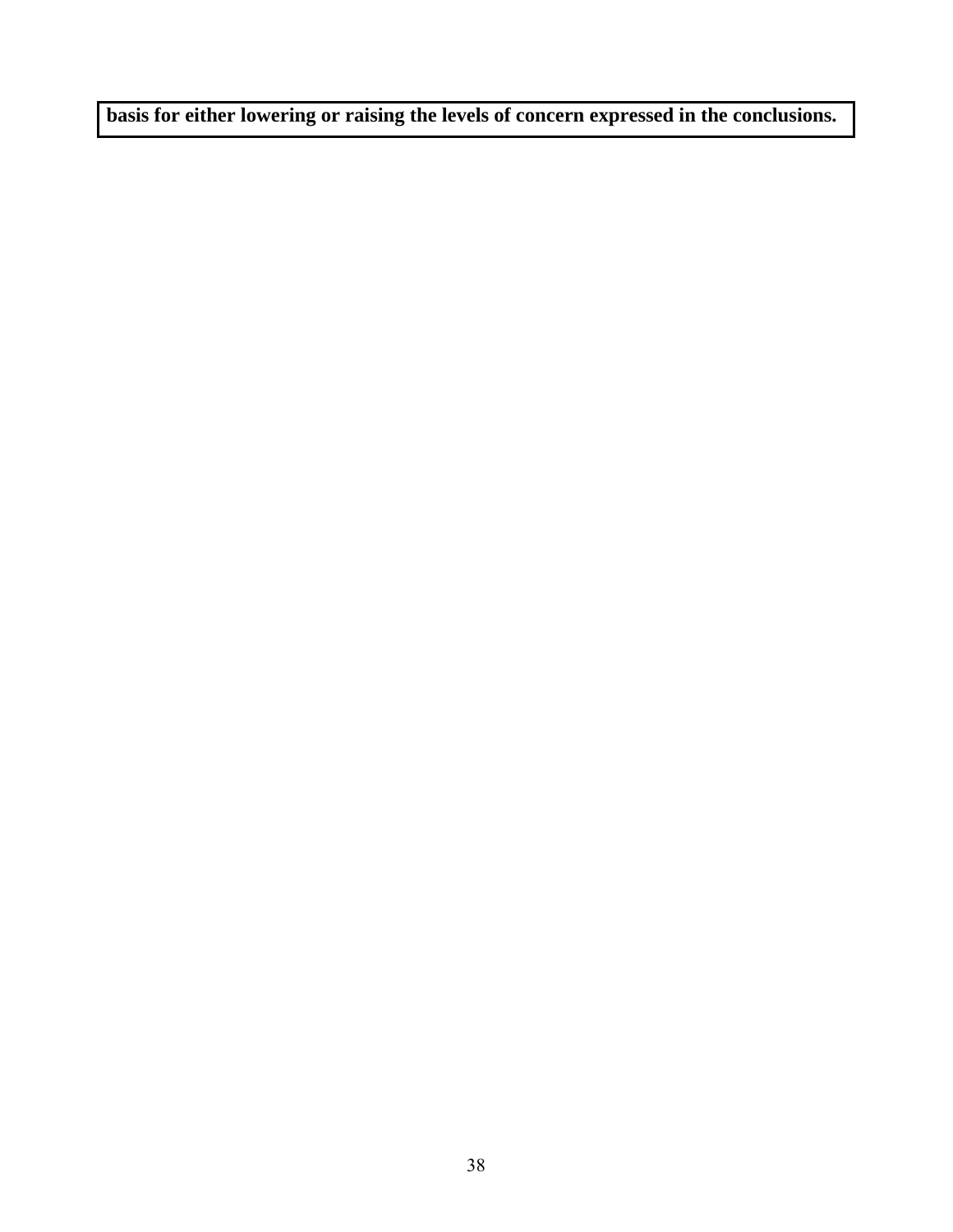**basis for either lowering or raising the levels of concern expressed in the conclusions.**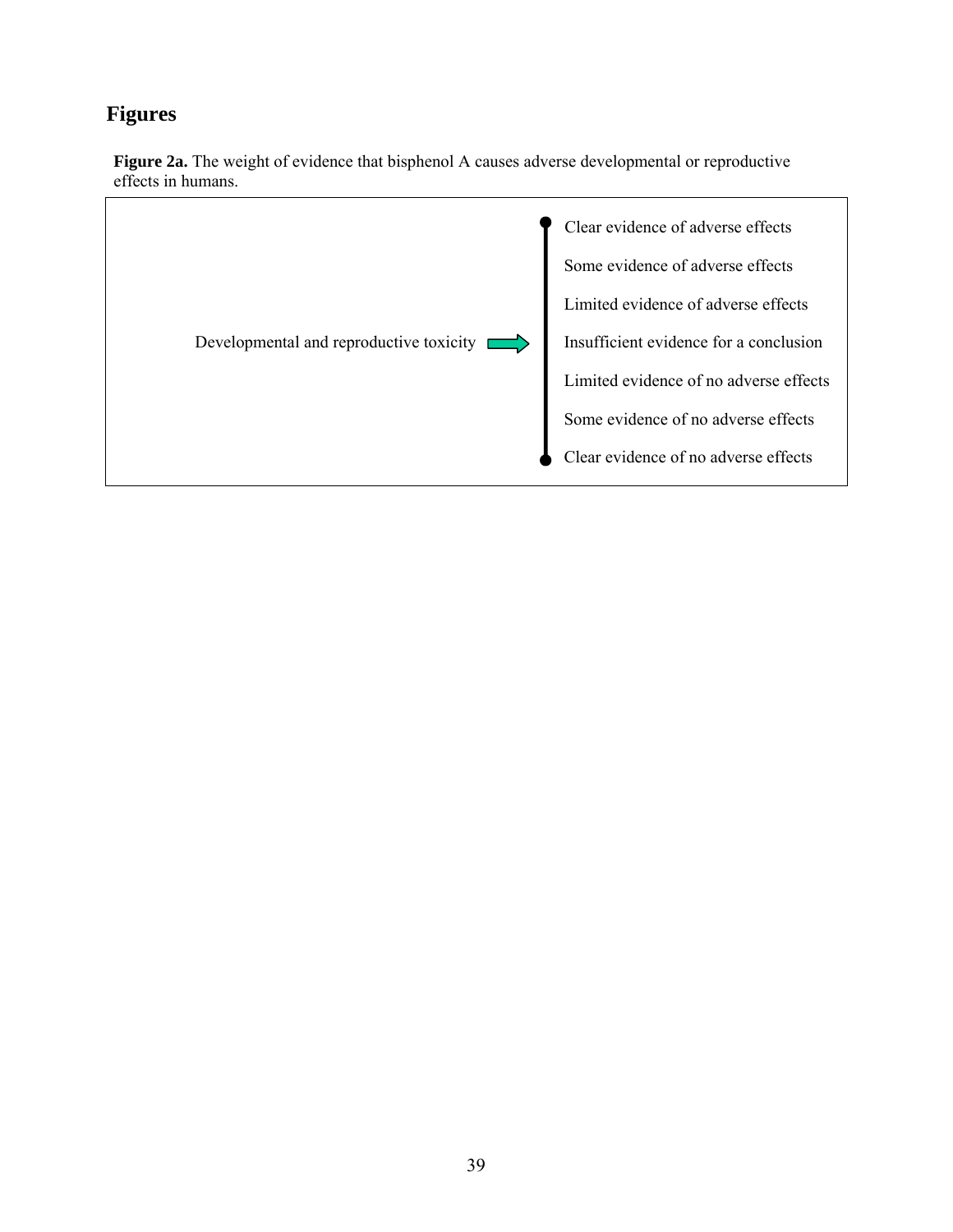## <span id="page-39-0"></span>**Figures**



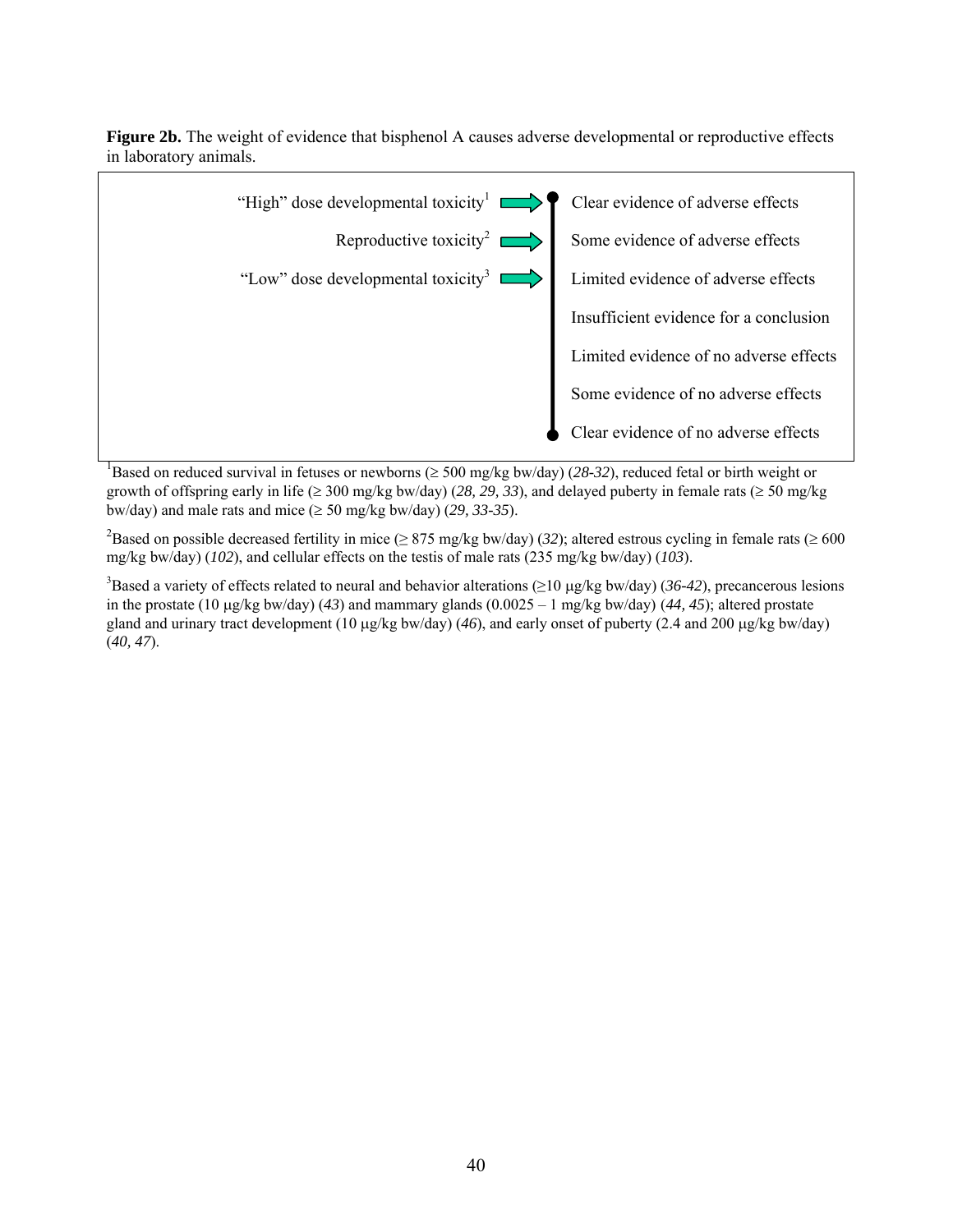**Figure 2b.** The weight of evidence that bisphenol A causes adverse developmental or reproductive effects in laboratory animals.



<sup>1</sup>Based on reduced survival in fetuses or newborns ( $\geq 500$  mg/kg bw/day) (28-32), reduced fetal or birth weight or growth of offspring early in life ( $\geq 300$  mg/kg bw/day) (28, 29, 33), and delayed puberty in female rats ( $\geq 50$  mg/kg bw/day) and male rats and mice ( $\geq$  50 mg/kg bw/day) (29, 33-35).

<sup>2</sup>Based on possible decreased fertility in mice ( $\geq$  875 mg/kg bw/day) (32); altered estrous cycling in female rats ( $\geq$  600 mg/kg bw/day) (*102*), and cellular effects on the testis of male rats (235 mg/kg bw/day) (*103*).

3 Based a variety of effects related to neural and behavior alterations (≥10 μg/kg bw/day) (*36-42*), precancerous lesions in the prostate (10 μg/kg bw/day) (*43*) and mammary glands (0.0025 – 1 mg/kg bw/day) (*44, 45*); altered prostate gland and urinary tract development (10 μg/kg bw/day) (*46*), and early onset of puberty (2.4 and 200 μg/kg bw/day) (*40, 47*).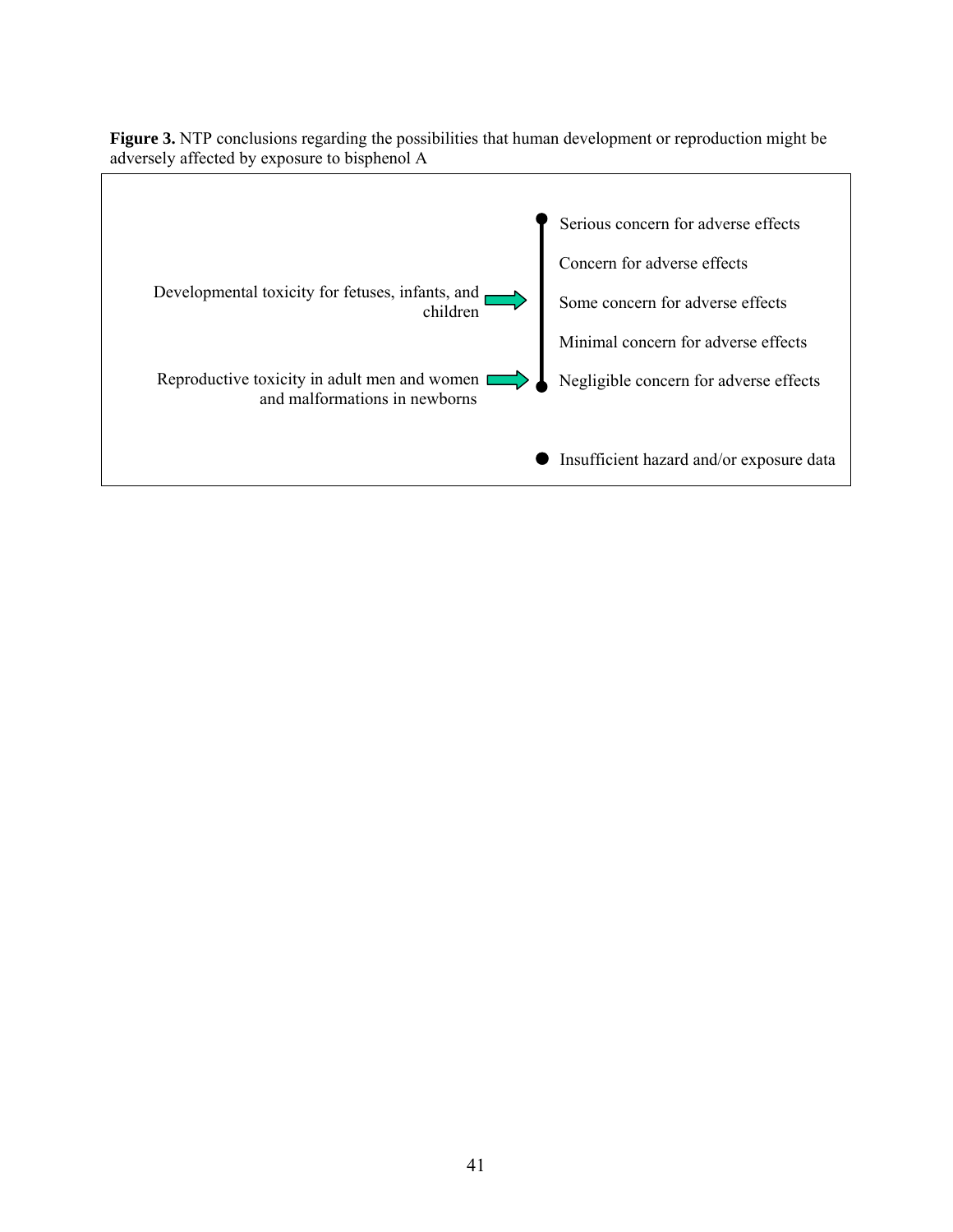

**Figure 3.** NTP conclusions regarding the possibilities that human development or reproduction might be adversely affected by exposure to bisphenol A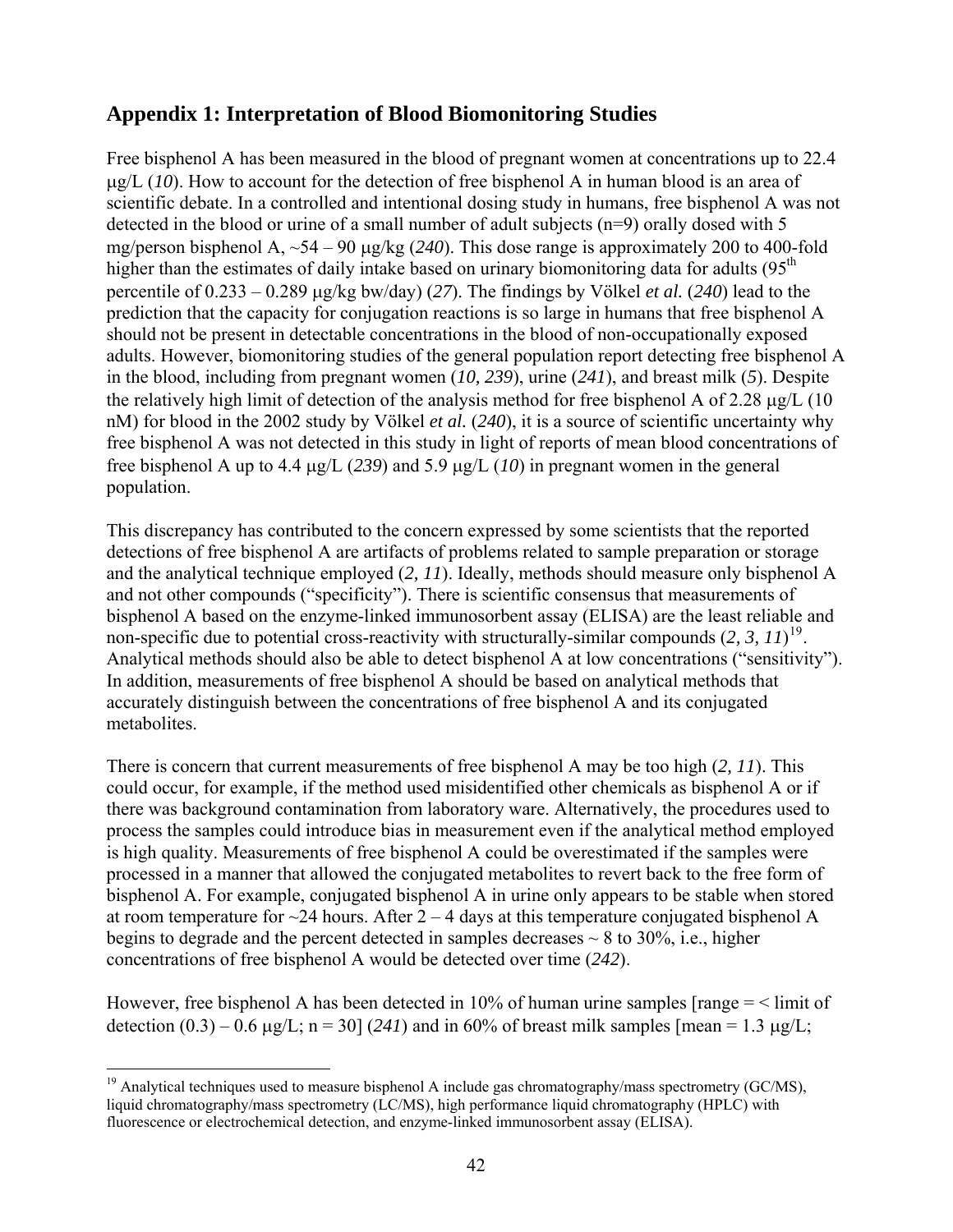## <span id="page-42-0"></span>**Appendix 1: Interpretation of Blood Biomonitoring Studies**

Free bisphenol A has been measured in the blood of pregnant women at concentrations up to 22.4 μg/L (*10*). How to account for the detection of free bisphenol A in human blood is an area of scientific debate. In a controlled and intentional dosing study in humans, free bisphenol A was not detected in the blood or urine of a small number of adult subjects (n=9) orally dosed with 5 mg/person bisphenol A, ~54 – 90 μg/kg (*240*). This dose range is approximately 200 to 400-fold higher than the estimates of daily intake based on urinary biomonitoring data for adults  $(95<sup>th</sup>$ percentile of 0.233 – 0.289 μg/kg bw/day) (*27*). The findings by Völkel *et al.* (*240*) lead to the prediction that the capacity for conjugation reactions is so large in humans that free bisphenol A should not be present in detectable concentrations in the blood of non-occupationally exposed adults. However, biomonitoring studies of the general population report detecting free bisphenol A in the blood, including from pregnant women (*10, 239*), urine (*241*), and breast milk (*5*). Despite the relatively high limit of detection of the analysis method for free bisphenol A of 2.28 μg/L (10 nM) for blood in the 2002 study by Völkel *et al.* (*240*), it is a source of scientific uncertainty why free bisphenol A was not detected in this study in light of reports of mean blood concentrations of free bisphenol A up to 4.4 μg/L (*239*) and 5.9 μg/L (*10*) in pregnant women in the general population.

This discrepancy has contributed to the concern expressed by some scientists that the reported detections of free bisphenol A are artifacts of problems related to sample preparation or storage and the analytical technique employed (*2, 11*). Ideally, methods should measure only bisphenol A and not other compounds ("specificity"). There is scientific consensus that measurements of bisphenol A based on the enzyme-linked immunosorbent assay (ELISA) are the least reliable and non-specific due to potential cross-reactivity with structurally-similar compounds (*2, 3, 11*) [19](#page-42-0). Analytical methods should also be able to detect bisphenol A at low concentrations ("sensitivity"). In addition, measurements of free bisphenol A should be based on analytical methods that accurately distinguish between the concentrations of free bisphenol A and its conjugated metabolites.

There is concern that current measurements of free bisphenol A may be too high (*2, 11*). This could occur, for example, if the method used misidentified other chemicals as bisphenol A or if there was background contamination from laboratory ware. Alternatively, the procedures used to process the samples could introduce bias in measurement even if the analytical method employed is high quality. Measurements of free bisphenol A could be overestimated if the samples were processed in a manner that allowed the conjugated metabolites to revert back to the free form of bisphenol A. For example, conjugated bisphenol A in urine only appears to be stable when stored at room temperature for  $\sim$ 24 hours. After 2 – 4 days at this temperature conjugated bisphenol A begins to degrade and the percent detected in samples decreases  $\sim 8$  to 30%, i.e., higher concentrations of free bisphenol A would be detected over time (*242*).

However, free bisphenol A has been detected in 10% of human urine samples  $\lceil \text{range} \rceil \leq 1$  imit of detection  $(0.3) - 0.6 \mu g/L$ ; n = 30] (241) and in 60% of breast milk samples [mean = 1.3  $\mu g/L$ ;

 $\overline{a}$ <sup>19</sup> Analytical techniques used to measure bisphenol A include gas chromatography/mass spectrometry (GC/MS), liquid chromatography/mass spectrometry (LC/MS), high performance liquid chromatography (HPLC) with fluorescence or electrochemical detection, and enzyme-linked immunosorbent assay (ELISA).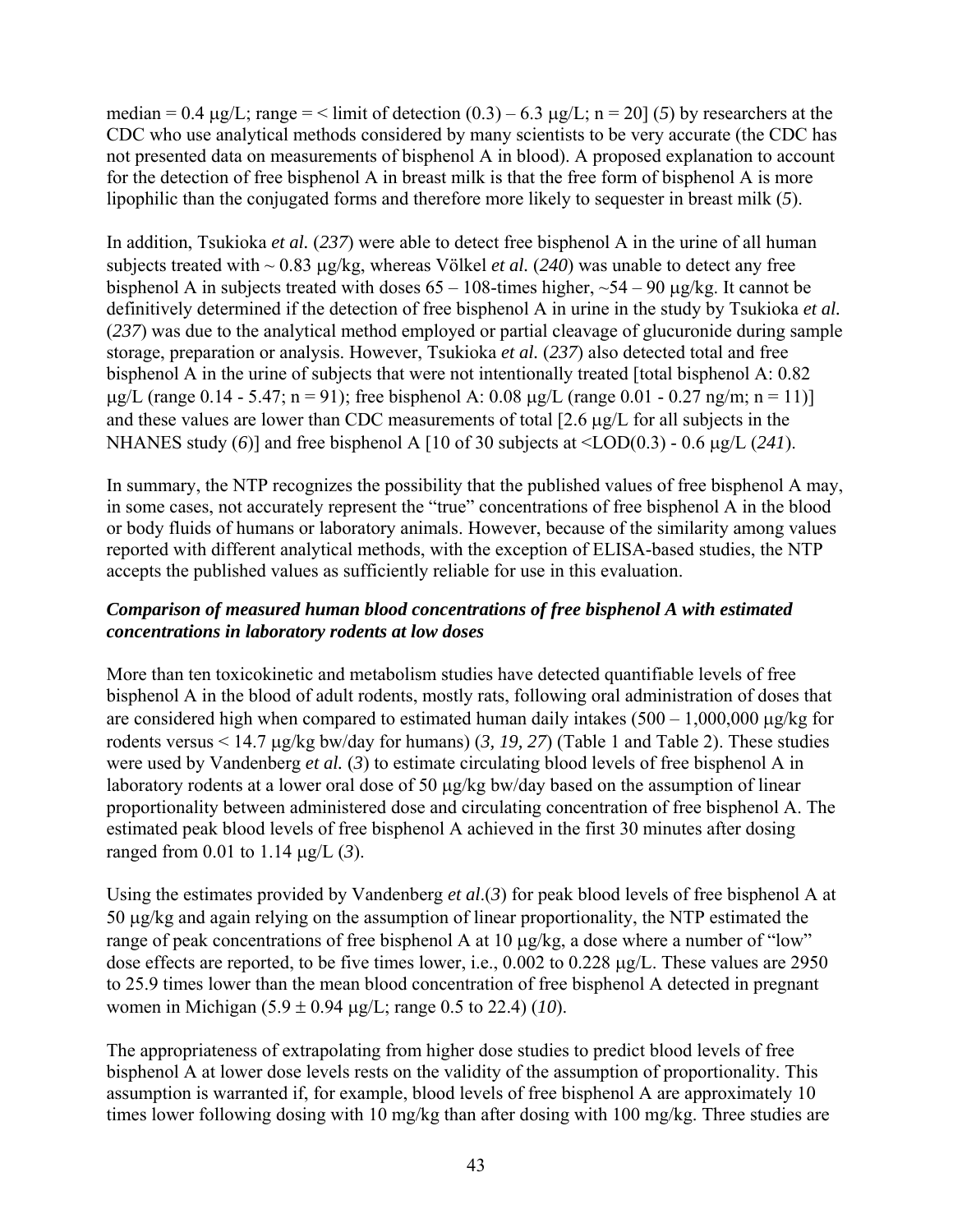median = 0.4  $\mu$ g/L; range = < limit of detection (0.3) – 6.3  $\mu$ g/L; n = 20] (5) by researchers at the CDC who use analytical methods considered by many scientists to be very accurate (the CDC has not presented data on measurements of bisphenol A in blood). A proposed explanation to account for the detection of free bisphenol A in breast milk is that the free form of bisphenol A is more lipophilic than the conjugated forms and therefore more likely to sequester in breast milk (*5*).

In addition, Tsukioka *et al.* (*237*) were able to detect free bisphenol A in the urine of all human subjects treated with ~ 0.83 μg/kg, whereas Völkel *et al.* (*240*) was unable to detect any free bisphenol A in subjects treated with doses  $65 - 108$ -times higher,  $\sim 54 - 90$  ug/kg. It cannot be definitively determined if the detection of free bisphenol A in urine in the study by Tsukioka *et al.* (*237*) was due to the analytical method employed or partial cleavage of glucuronide during sample storage, preparation or analysis. However, Tsukioka *et al.* (*237*) also detected total and free bisphenol A in the urine of subjects that were not intentionally treated [total bisphenol A: 0.82  $\mu$ g/L (range 0.14 - 5.47; n = 91); free bisphenol A: 0.08  $\mu$ g/L (range 0.01 - 0.27 ng/m; n = 11)] and these values are lower than CDC measurements of total [2.6 μg/L for all subjects in the NHANES study (*6*)] and free bisphenol A [10 of 30 subjects at <LOD(0.3) - 0.6 μg/L (*241*).

In summary, the NTP recognizes the possibility that the published values of free bisphenol A may, in some cases, not accurately represent the "true" concentrations of free bisphenol A in the blood or body fluids of humans or laboratory animals. However, because of the similarity among values reported with different analytical methods, with the exception of ELISA-based studies, the NTP accepts the published values as sufficiently reliable for use in this evaluation.

#### *Comparison of measured human blood concentrations of free bisphenol A with estimated concentrations in laboratory rodents at low doses*

More than ten toxicokinetic and metabolism studies have detected quantifiable levels of free bisphenol A in the blood of adult rodents, mostly rats, following oral administration of doses that are considered high when compared to estimated human daily intakes  $(500 - 1,000,000 \mu g/kg$  for rodents versus < 14.7 μg/kg bw/day for humans) (*3, 19, 27*) (Table 1 and Table 2). These studies were used by Vandenberg *et al.* (*3*) to estimate circulating blood levels of free bisphenol A in laboratory rodents at a lower oral dose of 50 μg/kg bw/day based on the assumption of linear proportionality between administered dose and circulating concentration of free bisphenol A. The estimated peak blood levels of free bisphenol A achieved in the first 30 minutes after dosing ranged from 0.01 to 1.14 μg/L (*3*).

Using the estimates provided by Vandenberg *et al*.(*3*) for peak blood levels of free bisphenol A at 50 μg/kg and again relying on the assumption of linear proportionality, the NTP estimated the range of peak concentrations of free bisphenol A at 10 μg/kg, a dose where a number of "low" dose effects are reported, to be five times lower, i.e., 0.002 to 0.228 μg/L. These values are 2950 to 25.9 times lower than the mean blood concentration of free bisphenol A detected in pregnant women in Michigan (5.9 ± 0.94 μg/L; range 0.5 to 22.4) (*10*).

The appropriateness of extrapolating from higher dose studies to predict blood levels of free bisphenol A at lower dose levels rests on the validity of the assumption of proportionality. This assumption is warranted if, for example, blood levels of free bisphenol A are approximately 10 times lower following dosing with 10 mg/kg than after dosing with 100 mg/kg. Three studies are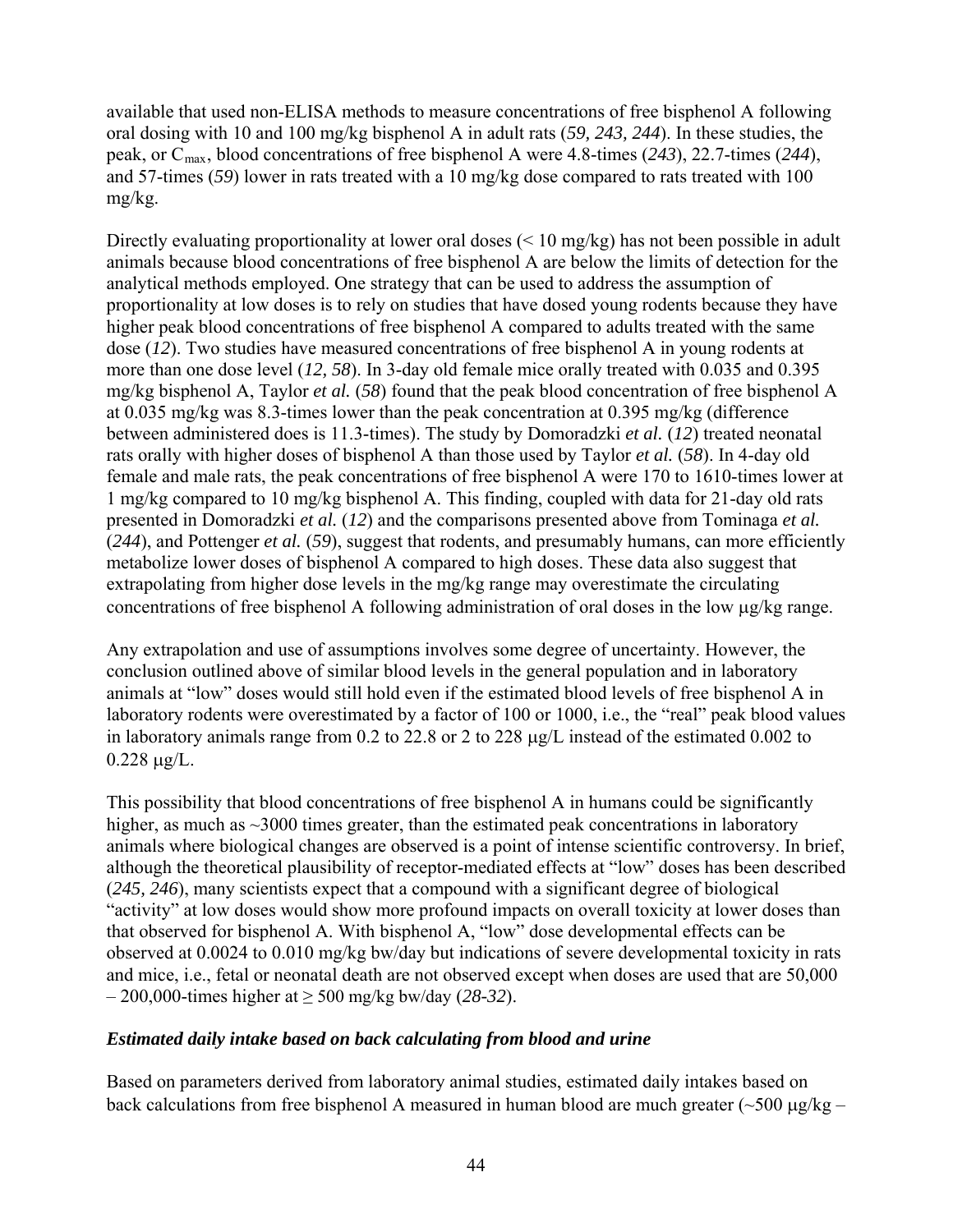available that used non-ELISA methods to measure concentrations of free bisphenol A following oral dosing with 10 and 100 mg/kg bisphenol A in adult rats (*59, 243, 244*). In these studies, the peak, or Cmax, blood concentrations of free bisphenol A were 4.8-times (*243*), 22.7-times (*244*), and 57-times (59) lower in rats treated with a 10 mg/kg dose compared to rats treated with 100 mg/kg.

Directly evaluating proportionality at lower oral doses (< 10 mg/kg) has not been possible in adult animals because blood concentrations of free bisphenol A are below the limits of detection for the analytical methods employed. One strategy that can be used to address the assumption of proportionality at low doses is to rely on studies that have dosed young rodents because they have higher peak blood concentrations of free bisphenol A compared to adults treated with the same dose (*12*). Two studies have measured concentrations of free bisphenol A in young rodents at more than one dose level (*12, 58*). In 3-day old female mice orally treated with 0.035 and 0.395 mg/kg bisphenol A, Taylor *et al.* (*58*) found that the peak blood concentration of free bisphenol A at 0.035 mg/kg was 8.3-times lower than the peak concentration at 0.395 mg/kg (difference between administered does is 11.3-times). The study by Domoradzki *et al.* (*12*) treated neonatal rats orally with higher doses of bisphenol A than those used by Taylor *et al.* (*58*). In 4-day old female and male rats, the peak concentrations of free bisphenol A were 170 to 1610-times lower at 1 mg/kg compared to 10 mg/kg bisphenol A. This finding, coupled with data for 21-day old rats presented in Domoradzki *et al.* (*12*) and the comparisons presented above from Tominaga *et al.* (*244*), and Pottenger *et al.* (*59*), suggest that rodents, and presumably humans, can more efficiently metabolize lower doses of bisphenol A compared to high doses. These data also suggest that extrapolating from higher dose levels in the mg/kg range may overestimate the circulating concentrations of free bisphenol A following administration of oral doses in the low μg/kg range.

Any extrapolation and use of assumptions involves some degree of uncertainty. However, the conclusion outlined above of similar blood levels in the general population and in laboratory animals at "low" doses would still hold even if the estimated blood levels of free bisphenol A in laboratory rodents were overestimated by a factor of 100 or 1000, i.e., the "real" peak blood values in laboratory animals range from 0.2 to 22.8 or 2 to 228 μg/L instead of the estimated 0.002 to  $0.228 \mu g/L$ .

This possibility that blood concentrations of free bisphenol A in humans could be significantly higher, as much as ~3000 times greater, than the estimated peak concentrations in laboratory animals where biological changes are observed is a point of intense scientific controversy. In brief, although the theoretical plausibility of receptor-mediated effects at "low" doses has been described (*245, 246*), many scientists expect that a compound with a significant degree of biological "activity" at low doses would show more profound impacts on overall toxicity at lower doses than that observed for bisphenol A. With bisphenol A, "low" dose developmental effects can be observed at 0.0024 to 0.010 mg/kg bw/day but indications of severe developmental toxicity in rats and mice, i.e., fetal or neonatal death are not observed except when doses are used that are 50,000 – 200,000-times higher at ≥ 500 mg/kg bw/day (*28-32*).

#### *Estimated daily intake based on back calculating from blood and urine*

Based on parameters derived from laboratory animal studies, estimated daily intakes based on back calculations from free bisphenol A measured in human blood are much greater ( $\sim$ 500 μg/kg –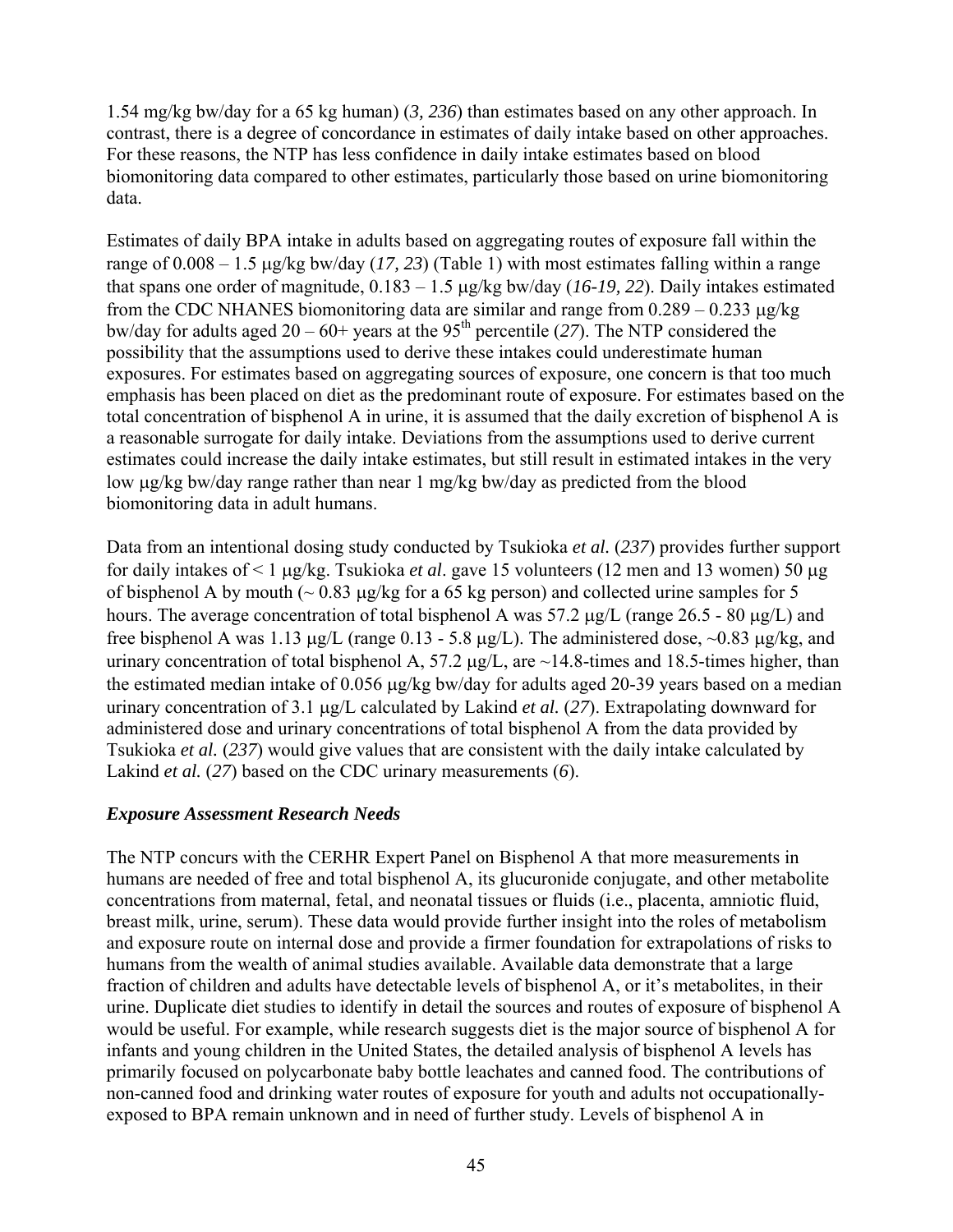1.54 mg/kg bw/day for a 65 kg human) (*3, 236*) than estimates based on any other approach. In contrast, there is a degree of concordance in estimates of daily intake based on other approaches. For these reasons, the NTP has less confidence in daily intake estimates based on blood biomonitoring data compared to other estimates, particularly those based on urine biomonitoring data.

Estimates of daily BPA intake in adults based on aggregating routes of exposure fall within the range of 0.008 – 1.5 μg/kg bw/day (*17, 23*) (Table 1) with most estimates falling within a range that spans one order of magnitude, 0.183 – 1.5 μg/kg bw/day (*16-19, 22*). Daily intakes estimated from the CDC NHANES biomonitoring data are similar and range from 0.289 – 0.233 μg/kg bw/day for adults aged  $20 - 60$ + years at the 95<sup>th</sup> percentile (27). The NTP considered the possibility that the assumptions used to derive these intakes could underestimate human exposures. For estimates based on aggregating sources of exposure, one concern is that too much emphasis has been placed on diet as the predominant route of exposure. For estimates based on the total concentration of bisphenol A in urine, it is assumed that the daily excretion of bisphenol A is a reasonable surrogate for daily intake. Deviations from the assumptions used to derive current estimates could increase the daily intake estimates, but still result in estimated intakes in the very low μg/kg bw/day range rather than near 1 mg/kg bw/day as predicted from the blood biomonitoring data in adult humans.

Data from an intentional dosing study conducted by Tsukioka *et al.* (*237*) provides further support for daily intakes of < 1 μg/kg. Tsukioka *et al*. gave 15 volunteers (12 men and 13 women) 50 μg of bisphenol A by mouth ( $\sim 0.83 \mu$ g/kg for a 65 kg person) and collected urine samples for 5 hours. The average concentration of total bisphenol A was 57.2 μg/L (range 26.5 - 80 μg/L) and free bisphenol A was 1.13 μg/L (range 0.13 - 5.8 μg/L). The administered dose,  $\sim$ 0.83 μg/kg, and urinary concentration of total bisphenol A,  $57.2 \mu g/L$ , are  $\sim$ 14.8-times and 18.5-times higher, than the estimated median intake of 0.056 μg/kg bw/day for adults aged 20-39 years based on a median urinary concentration of 3.1 μg/L calculated by Lakind *et al.* (*27*). Extrapolating downward for administered dose and urinary concentrations of total bisphenol A from the data provided by Tsukioka *et al.* (*237*) would give values that are consistent with the daily intake calculated by Lakind *et al.* (*27*) based on the CDC urinary measurements (*6*).

#### *Exposure Assessment Research Needs*

The NTP concurs with the CERHR Expert Panel on Bisphenol A that more measurements in humans are needed of free and total bisphenol A, its glucuronide conjugate, and other metabolite concentrations from maternal, fetal, and neonatal tissues or fluids (i.e., placenta, amniotic fluid, breast milk, urine, serum). These data would provide further insight into the roles of metabolism and exposure route on internal dose and provide a firmer foundation for extrapolations of risks to humans from the wealth of animal studies available. Available data demonstrate that a large fraction of children and adults have detectable levels of bisphenol A, or it's metabolites, in their urine. Duplicate diet studies to identify in detail the sources and routes of exposure of bisphenol A would be useful. For example, while research suggests diet is the major source of bisphenol A for infants and young children in the United States, the detailed analysis of bisphenol A levels has primarily focused on polycarbonate baby bottle leachates and canned food. The contributions of non-canned food and drinking water routes of exposure for youth and adults not occupationallyexposed to BPA remain unknown and in need of further study. Levels of bisphenol A in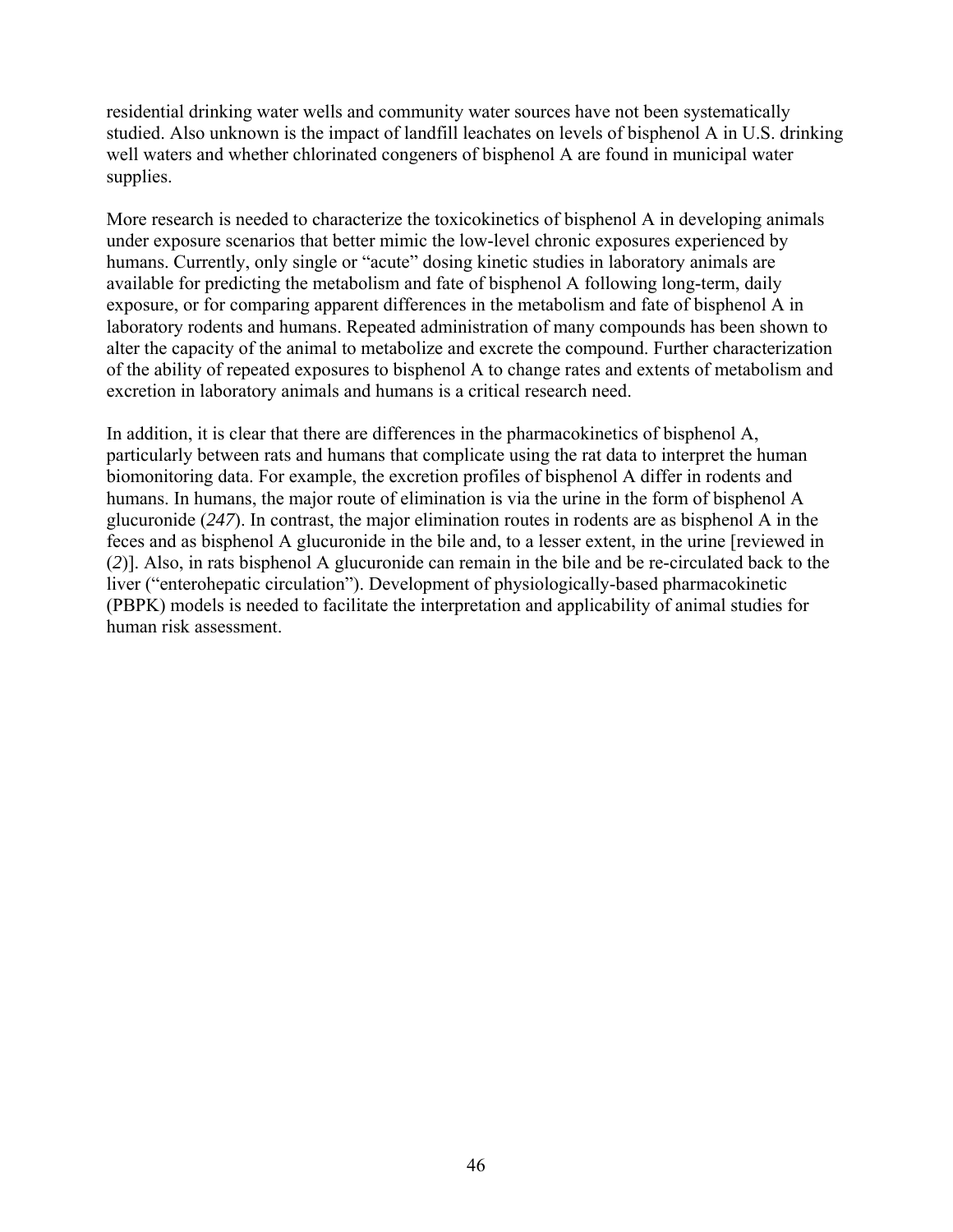residential drinking water wells and community water sources have not been systematically studied. Also unknown is the impact of landfill leachates on levels of bisphenol A in U.S. drinking well waters and whether chlorinated congeners of bisphenol A are found in municipal water supplies.

More research is needed to characterize the toxicokinetics of bisphenol A in developing animals under exposure scenarios that better mimic the low-level chronic exposures experienced by humans. Currently, only single or "acute" dosing kinetic studies in laboratory animals are available for predicting the metabolism and fate of bisphenol A following long-term, daily exposure, or for comparing apparent differences in the metabolism and fate of bisphenol A in laboratory rodents and humans. Repeated administration of many compounds has been shown to alter the capacity of the animal to metabolize and excrete the compound. Further characterization of the ability of repeated exposures to bisphenol A to change rates and extents of metabolism and excretion in laboratory animals and humans is a critical research need.

In addition, it is clear that there are differences in the pharmacokinetics of bisphenol A, particularly between rats and humans that complicate using the rat data to interpret the human biomonitoring data. For example, the excretion profiles of bisphenol A differ in rodents and humans. In humans, the major route of elimination is via the urine in the form of bisphenol A glucuronide (*247*). In contrast, the major elimination routes in rodents are as bisphenol A in the feces and as bisphenol A glucuronide in the bile and, to a lesser extent, in the urine [reviewed in (*2*)]. Also, in rats bisphenol A glucuronide can remain in the bile and be re-circulated back to the liver ("enterohepatic circulation"). Development of physiologically-based pharmacokinetic (PBPK) models is needed to facilitate the interpretation and applicability of animal studies for human risk assessment.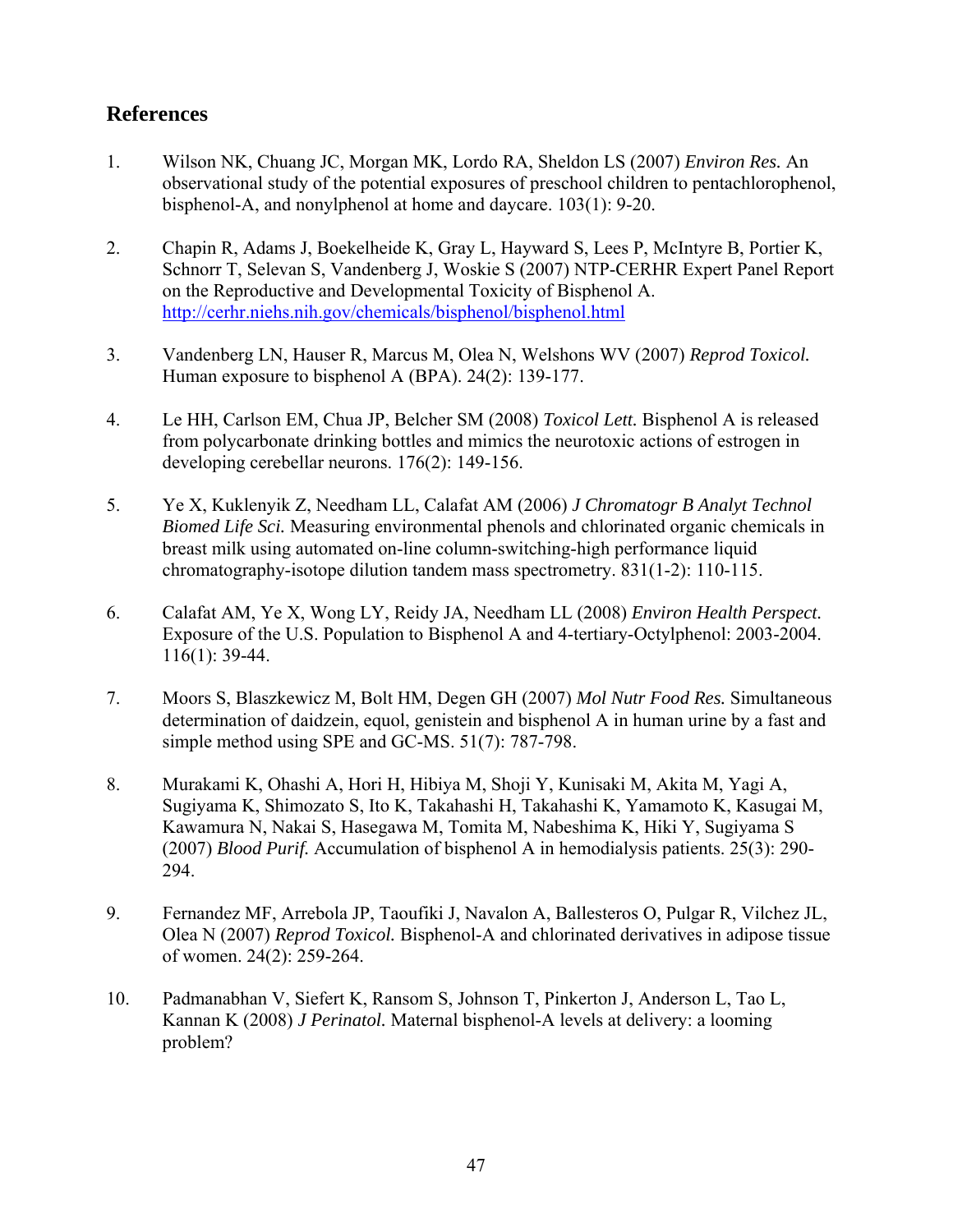## <span id="page-47-0"></span>**References**

- 1. Wilson NK, Chuang JC, Morgan MK, Lordo RA, Sheldon LS (2007) *Environ Res.* An observational study of the potential exposures of preschool children to pentachlorophenol, bisphenol-A, and nonylphenol at home and daycare. 103(1): 9-20.
- 2. Chapin R, Adams J, Boekelheide K, Gray L, Hayward S, Lees P, McIntyre B, Portier K, Schnorr T, Selevan S, Vandenberg J, Woskie S (2007) NTP-CERHR Expert Panel Report on the Reproductive and Developmental Toxicity of Bisphenol A. <http://cerhr.niehs.nih.gov/chemicals/bisphenol/bisphenol.html>
- 3. Vandenberg LN, Hauser R, Marcus M, Olea N, Welshons WV (2007) *Reprod Toxicol.* Human exposure to bisphenol A (BPA). 24(2): 139-177.
- 4. Le HH, Carlson EM, Chua JP, Belcher SM (2008) *Toxicol Lett.* Bisphenol A is released from polycarbonate drinking bottles and mimics the neurotoxic actions of estrogen in developing cerebellar neurons. 176(2): 149-156.
- 5. Ye X, Kuklenyik Z, Needham LL, Calafat AM (2006) *J Chromatogr B Analyt Technol Biomed Life Sci.* Measuring environmental phenols and chlorinated organic chemicals in breast milk using automated on-line column-switching-high performance liquid chromatography-isotope dilution tandem mass spectrometry. 831(1-2): 110-115.
- 6. Calafat AM, Ye X, Wong LY, Reidy JA, Needham LL (2008) *Environ Health Perspect.* Exposure of the U.S. Population to Bisphenol A and 4-tertiary-Octylphenol: 2003-2004. 116(1): 39-44.
- 7. Moors S, Blaszkewicz M, Bolt HM, Degen GH (2007) *Mol Nutr Food Res.* Simultaneous determination of daidzein, equol, genistein and bisphenol A in human urine by a fast and simple method using SPE and GC-MS. 51(7): 787-798.
- 8. Murakami K, Ohashi A, Hori H, Hibiya M, Shoji Y, Kunisaki M, Akita M, Yagi A, Sugiyama K, Shimozato S, Ito K, Takahashi H, Takahashi K, Yamamoto K, Kasugai M, Kawamura N, Nakai S, Hasegawa M, Tomita M, Nabeshima K, Hiki Y, Sugiyama S (2007) *Blood Purif.* Accumulation of bisphenol A in hemodialysis patients. 25(3): 290- 294.
- 9. Fernandez MF, Arrebola JP, Taoufiki J, Navalon A, Ballesteros O, Pulgar R, Vilchez JL, Olea N (2007) *Reprod Toxicol.* Bisphenol-A and chlorinated derivatives in adipose tissue of women. 24(2): 259-264.
- 10. Padmanabhan V, Siefert K, Ransom S, Johnson T, Pinkerton J, Anderson L, Tao L, Kannan K (2008) *J Perinatol.* Maternal bisphenol-A levels at delivery: a looming problem?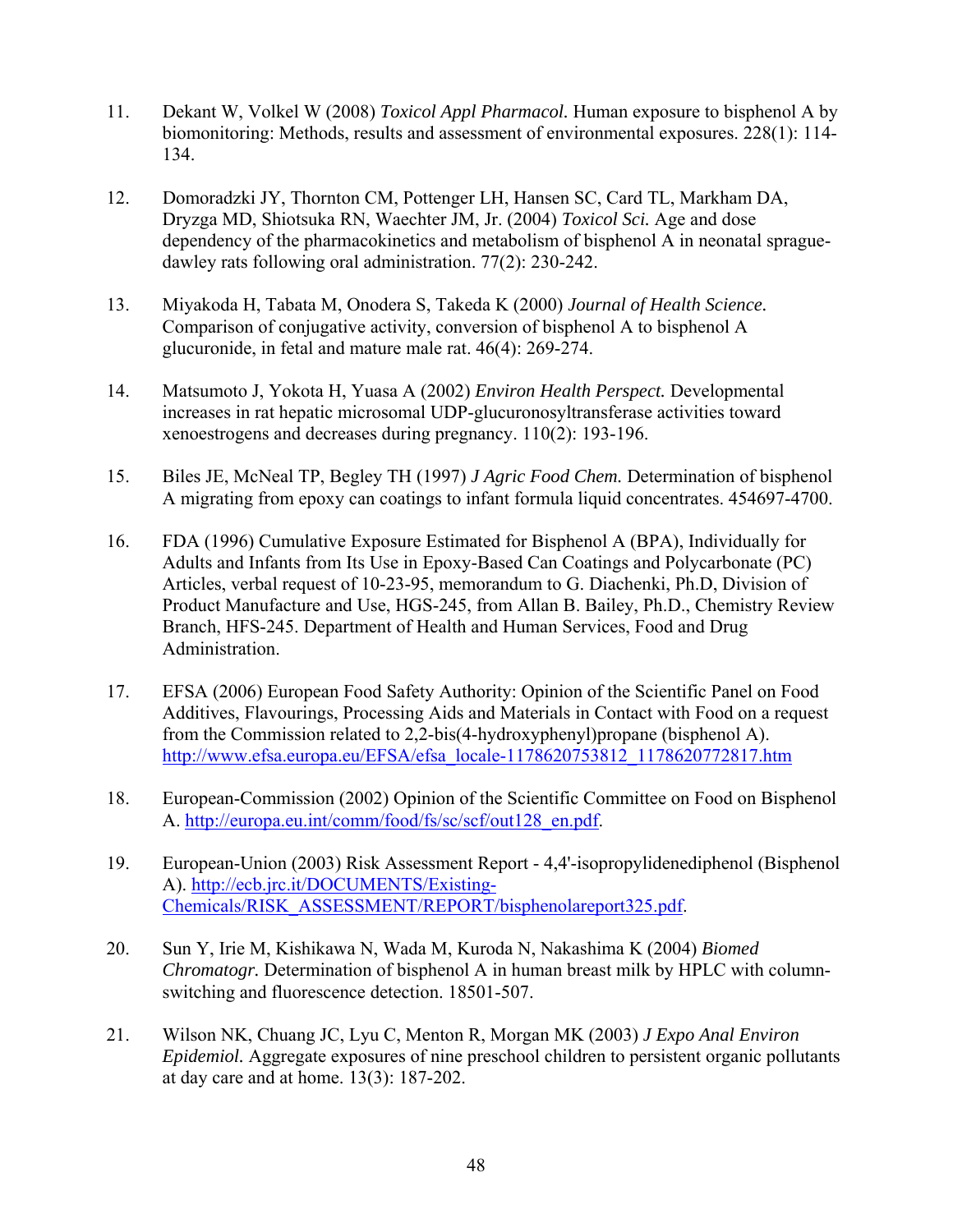- 11. Dekant W, Volkel W (2008) *Toxicol Appl Pharmacol.* Human exposure to bisphenol A by biomonitoring: Methods, results and assessment of environmental exposures. 228(1): 114- 134.
- 12. Domoradzki JY, Thornton CM, Pottenger LH, Hansen SC, Card TL, Markham DA, Dryzga MD, Shiotsuka RN, Waechter JM, Jr. (2004) *Toxicol Sci.* Age and dose dependency of the pharmacokinetics and metabolism of bisphenol A in neonatal spraguedawley rats following oral administration. 77(2): 230-242.
- 13. Miyakoda H, Tabata M, Onodera S, Takeda K (2000) *Journal of Health Science.* Comparison of conjugative activity, conversion of bisphenol A to bisphenol A glucuronide, in fetal and mature male rat. 46(4): 269-274.
- 14. Matsumoto J, Yokota H, Yuasa A (2002) *Environ Health Perspect.* Developmental increases in rat hepatic microsomal UDP-glucuronosyltransferase activities toward xenoestrogens and decreases during pregnancy. 110(2): 193-196.
- 15. Biles JE, McNeal TP, Begley TH (1997) *J Agric Food Chem.* Determination of bisphenol A migrating from epoxy can coatings to infant formula liquid concentrates. 454697-4700.
- 16. FDA (1996) Cumulative Exposure Estimated for Bisphenol A (BPA), Individually for Adults and Infants from Its Use in Epoxy-Based Can Coatings and Polycarbonate (PC) Articles, verbal request of 10-23-95, memorandum to G. Diachenki, Ph.D, Division of Product Manufacture and Use, HGS-245, from Allan B. Bailey, Ph.D., Chemistry Review Branch, HFS-245. Department of Health and Human Services, Food and Drug Administration.
- 17. EFSA (2006) European Food Safety Authority: Opinion of the Scientific Panel on Food Additives, Flavourings, Processing Aids and Materials in Contact with Food on a request from the Commission related to 2,2-bis(4-hydroxyphenyl)propane (bisphenol A). [http://www.efsa.europa.eu/EFSA/efsa\\_locale-1178620753812\\_1178620772817.htm](http://www.efsa.europa.eu/EFSA/efsa_locale-1178620753812_1178620772817.htm)
- 18. European-Commission (2002) Opinion of the Scientific Committee on Food on Bisphenol A. [http://europa.eu.int/comm/food/fs/sc/scf/out128\\_en.pdf.](http://europa.eu.int/comm/food/fs/sc/scf/out128_en.pdf)
- 19. European-Union (2003) Risk Assessment Report 4,4'-isopropylidenediphenol (Bisphenol A). [http://ecb.jrc.it/DOCUMENTS/Existing-](http://ecb.jrc.it/DOCUMENTS/Existing-Chemicals/RISK_ASSESSMENT/REPORT/bisphenolareport325.pdf)[Chemicals/RISK\\_ASSESSMENT/REPORT/bisphenolareport325.pdf.](http://ecb.jrc.it/DOCUMENTS/Existing-Chemicals/RISK_ASSESSMENT/REPORT/bisphenolareport325.pdf)
- 20. Sun Y, Irie M, Kishikawa N, Wada M, Kuroda N, Nakashima K (2004) *Biomed Chromatogr.* Determination of bisphenol A in human breast milk by HPLC with columnswitching and fluorescence detection. 18501-507.
- 21. Wilson NK, Chuang JC, Lyu C, Menton R, Morgan MK (2003) *J Expo Anal Environ Epidemiol.* Aggregate exposures of nine preschool children to persistent organic pollutants at day care and at home. 13(3): 187-202.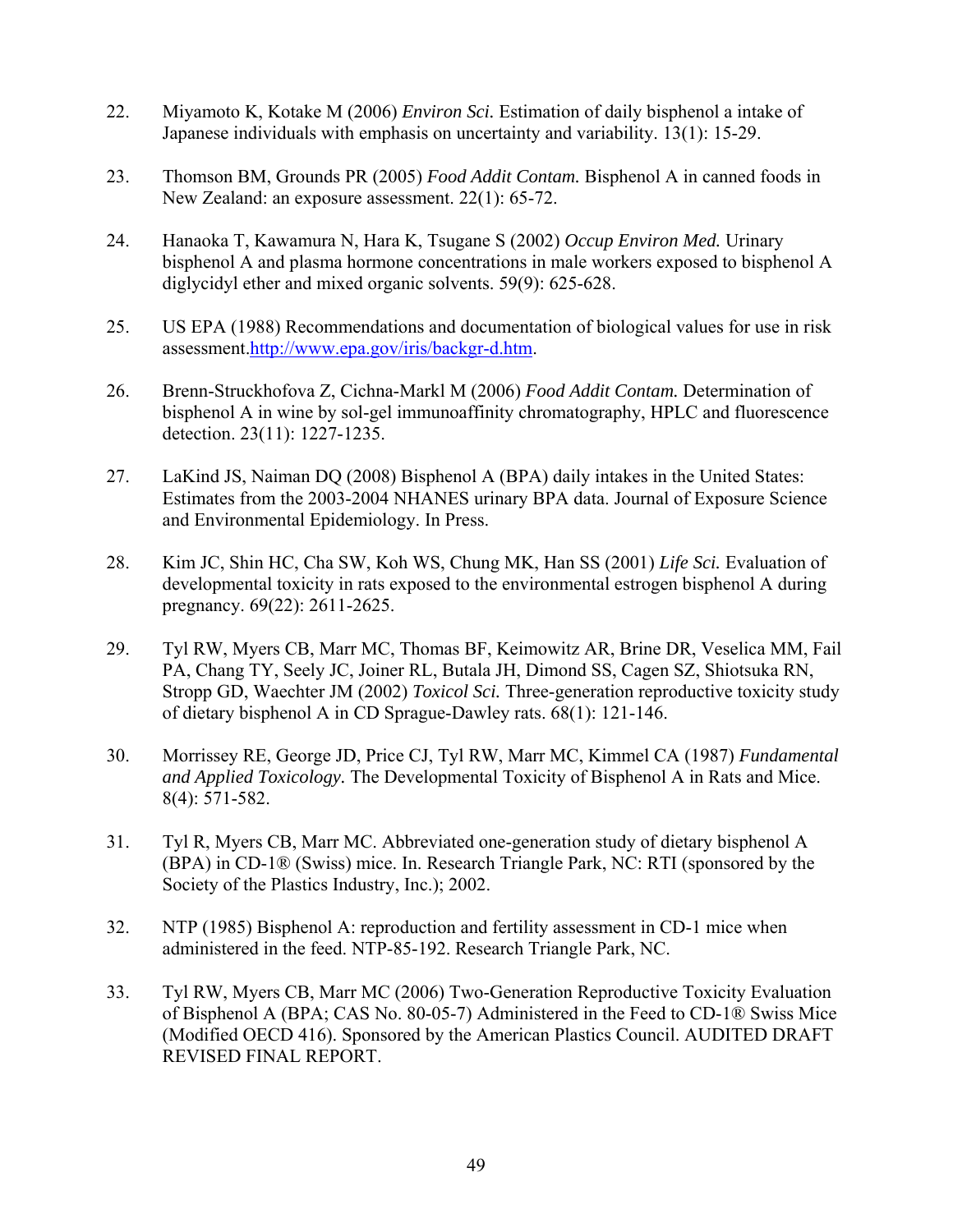- 22. Miyamoto K, Kotake M (2006) *Environ Sci.* Estimation of daily bisphenol a intake of Japanese individuals with emphasis on uncertainty and variability. 13(1): 15-29.
- 23. Thomson BM, Grounds PR (2005) *Food Addit Contam.* Bisphenol A in canned foods in New Zealand: an exposure assessment. 22(1): 65-72.
- 24. Hanaoka T, Kawamura N, Hara K, Tsugane S (2002) *Occup Environ Med.* Urinary bisphenol A and plasma hormone concentrations in male workers exposed to bisphenol A diglycidyl ether and mixed organic solvents. 59(9): 625-628.
- 25. US EPA (1988) Recommendations and documentation of biological values for use in risk assessment.<http://www.epa.gov/iris/backgr-d.htm>.
- 26. Brenn-Struckhofova Z, Cichna-Markl M (2006) *Food Addit Contam.* Determination of bisphenol A in wine by sol-gel immunoaffinity chromatography, HPLC and fluorescence detection. 23(11): 1227-1235.
- 27. LaKind JS, Naiman DQ (2008) Bisphenol A (BPA) daily intakes in the United States: Estimates from the 2003-2004 NHANES urinary BPA data. Journal of Exposure Science and Environmental Epidemiology. In Press.
- 28. Kim JC, Shin HC, Cha SW, Koh WS, Chung MK, Han SS (2001) *Life Sci.* Evaluation of developmental toxicity in rats exposed to the environmental estrogen bisphenol A during pregnancy. 69(22): 2611-2625.
- 29. Tyl RW, Myers CB, Marr MC, Thomas BF, Keimowitz AR, Brine DR, Veselica MM, Fail PA, Chang TY, Seely JC, Joiner RL, Butala JH, Dimond SS, Cagen SZ, Shiotsuka RN, Stropp GD, Waechter JM (2002) *Toxicol Sci.* Three-generation reproductive toxicity study of dietary bisphenol A in CD Sprague-Dawley rats. 68(1): 121-146.
- 30. Morrissey RE, George JD, Price CJ, Tyl RW, Marr MC, Kimmel CA (1987) *Fundamental and Applied Toxicology.* The Developmental Toxicity of Bisphenol A in Rats and Mice. 8(4): 571-582.
- 31. Tyl R, Myers CB, Marr MC. Abbreviated one-generation study of dietary bisphenol A (BPA) in CD-1® (Swiss) mice. In. Research Triangle Park, NC: RTI (sponsored by the Society of the Plastics Industry, Inc.); 2002.
- 32. NTP (1985) Bisphenol A: reproduction and fertility assessment in CD-1 mice when administered in the feed. NTP-85-192. Research Triangle Park, NC.
- 33. Tyl RW, Myers CB, Marr MC (2006) Two-Generation Reproductive Toxicity Evaluation of Bisphenol A (BPA; CAS No. 80-05-7) Administered in the Feed to CD-1® Swiss Mice (Modified OECD 416). Sponsored by the American Plastics Council. AUDITED DRAFT REVISED FINAL REPORT.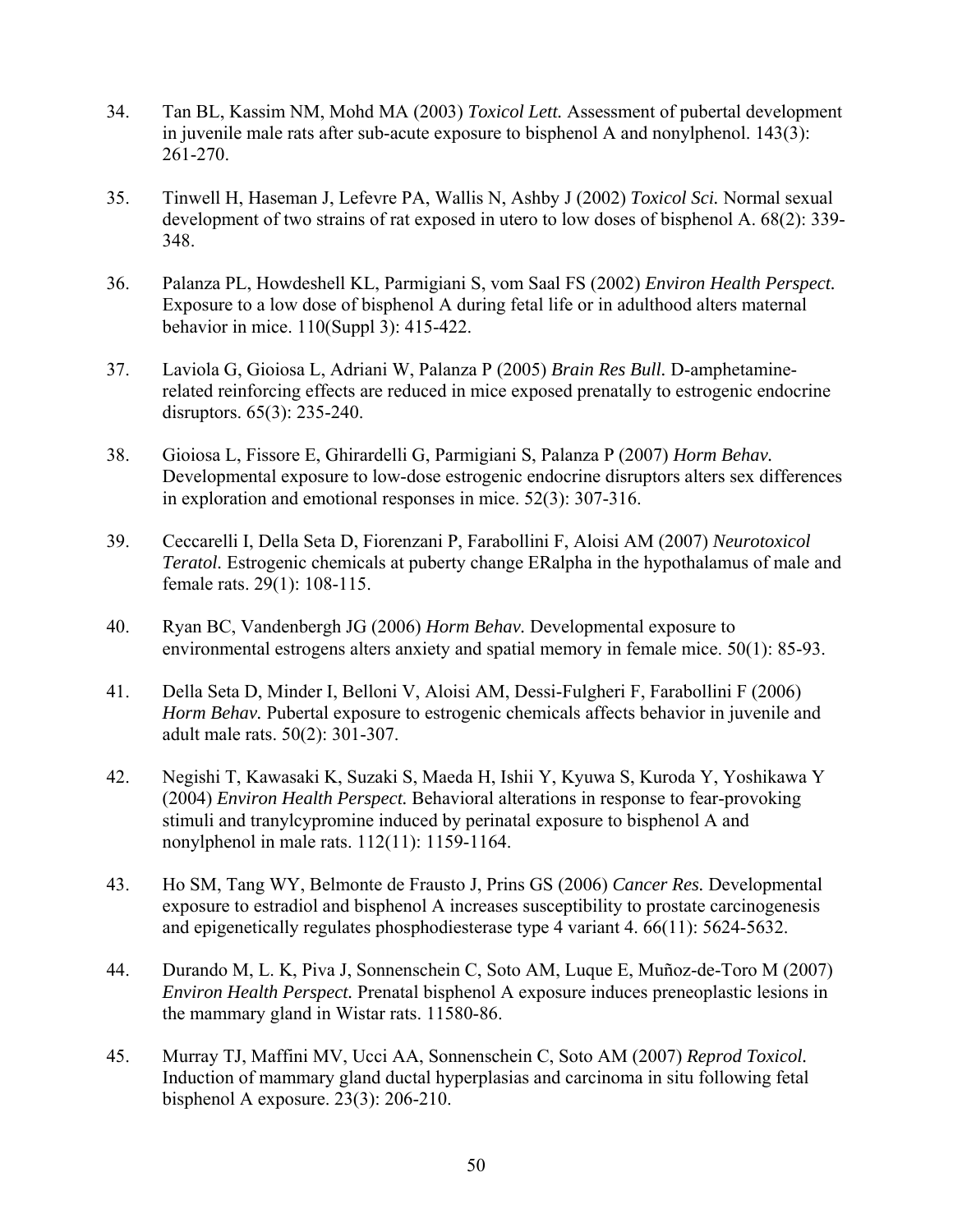- 34. Tan BL, Kassim NM, Mohd MA (2003) *Toxicol Lett.* Assessment of pubertal development in juvenile male rats after sub-acute exposure to bisphenol A and nonylphenol. 143(3): 261-270.
- 35. Tinwell H, Haseman J, Lefevre PA, Wallis N, Ashby J (2002) *Toxicol Sci.* Normal sexual development of two strains of rat exposed in utero to low doses of bisphenol A. 68(2): 339- 348.
- 36. Palanza PL, Howdeshell KL, Parmigiani S, vom Saal FS (2002) *Environ Health Perspect.* Exposure to a low dose of bisphenol A during fetal life or in adulthood alters maternal behavior in mice. 110(Suppl 3): 415-422.
- 37. Laviola G, Gioiosa L, Adriani W, Palanza P (2005) *Brain Res Bull.* D-amphetaminerelated reinforcing effects are reduced in mice exposed prenatally to estrogenic endocrine disruptors. 65(3): 235-240.
- 38. Gioiosa L, Fissore E, Ghirardelli G, Parmigiani S, Palanza P (2007) *Horm Behav.* Developmental exposure to low-dose estrogenic endocrine disruptors alters sex differences in exploration and emotional responses in mice. 52(3): 307-316.
- 39. Ceccarelli I, Della Seta D, Fiorenzani P, Farabollini F, Aloisi AM (2007) *Neurotoxicol Teratol.* Estrogenic chemicals at puberty change ERalpha in the hypothalamus of male and female rats. 29(1): 108-115.
- 40. Ryan BC, Vandenbergh JG (2006) *Horm Behav.* Developmental exposure to environmental estrogens alters anxiety and spatial memory in female mice. 50(1): 85-93.
- 41. Della Seta D, Minder I, Belloni V, Aloisi AM, Dessi-Fulgheri F, Farabollini F (2006) *Horm Behav.* Pubertal exposure to estrogenic chemicals affects behavior in juvenile and adult male rats. 50(2): 301-307.
- 42. Negishi T, Kawasaki K, Suzaki S, Maeda H, Ishii Y, Kyuwa S, Kuroda Y, Yoshikawa Y (2004) *Environ Health Perspect.* Behavioral alterations in response to fear-provoking stimuli and tranylcypromine induced by perinatal exposure to bisphenol A and nonylphenol in male rats. 112(11): 1159-1164.
- 43. Ho SM, Tang WY, Belmonte de Frausto J, Prins GS (2006) *Cancer Res.* Developmental exposure to estradiol and bisphenol A increases susceptibility to prostate carcinogenesis and epigenetically regulates phosphodiesterase type 4 variant 4. 66(11): 5624-5632.
- 44. Durando M, L. K, Piva J, Sonnenschein C, Soto AM, Luque E, Muñoz-de-Toro M (2007) *Environ Health Perspect.* Prenatal bisphenol A exposure induces preneoplastic lesions in the mammary gland in Wistar rats. 11580-86.
- 45. Murray TJ, Maffini MV, Ucci AA, Sonnenschein C, Soto AM (2007) *Reprod Toxicol.* Induction of mammary gland ductal hyperplasias and carcinoma in situ following fetal bisphenol A exposure. 23(3): 206-210.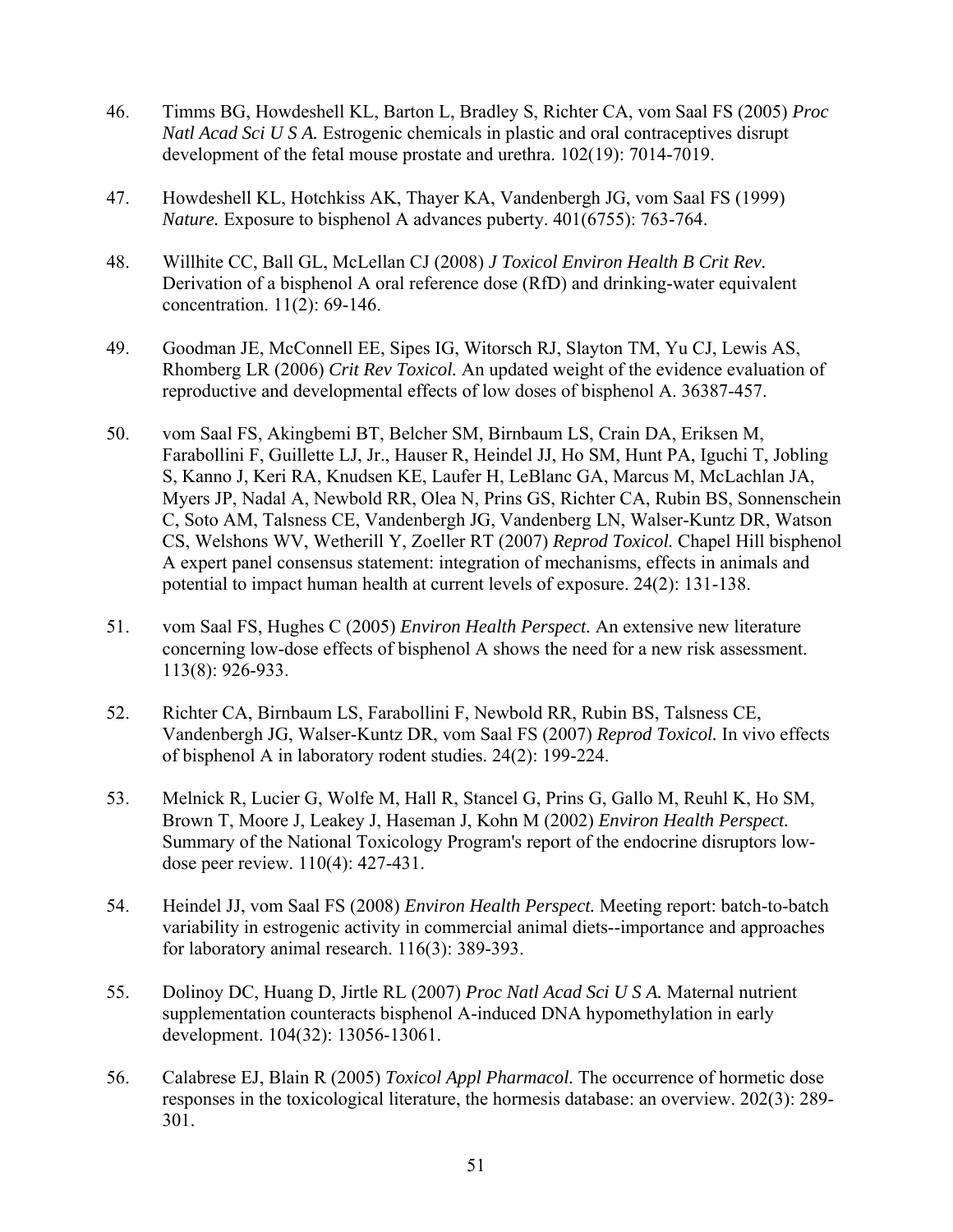- 46. Timms BG, Howdeshell KL, Barton L, Bradley S, Richter CA, vom Saal FS (2005) *Proc Natl Acad Sci U S A.* Estrogenic chemicals in plastic and oral contraceptives disrupt development of the fetal mouse prostate and urethra. 102(19): 7014-7019.
- 47. Howdeshell KL, Hotchkiss AK, Thayer KA, Vandenbergh JG, vom Saal FS (1999) *Nature.* Exposure to bisphenol A advances puberty. 401(6755): 763-764.
- 48. Willhite CC, Ball GL, McLellan CJ (2008) *J Toxicol Environ Health B Crit Rev.* Derivation of a bisphenol A oral reference dose (RfD) and drinking-water equivalent concentration. 11(2): 69-146.
- 49. Goodman JE, McConnell EE, Sipes IG, Witorsch RJ, Slayton TM, Yu CJ, Lewis AS, Rhomberg LR (2006) *Crit Rev Toxicol.* An updated weight of the evidence evaluation of reproductive and developmental effects of low doses of bisphenol A. 36387-457.
- 50. vom Saal FS, Akingbemi BT, Belcher SM, Birnbaum LS, Crain DA, Eriksen M, Farabollini F, Guillette LJ, Jr., Hauser R, Heindel JJ, Ho SM, Hunt PA, Iguchi T, Jobling S, Kanno J, Keri RA, Knudsen KE, Laufer H, LeBlanc GA, Marcus M, McLachlan JA, Myers JP, Nadal A, Newbold RR, Olea N, Prins GS, Richter CA, Rubin BS, Sonnenschein C, Soto AM, Talsness CE, Vandenbergh JG, Vandenberg LN, Walser-Kuntz DR, Watson CS, Welshons WV, Wetherill Y, Zoeller RT (2007) *Reprod Toxicol.* Chapel Hill bisphenol A expert panel consensus statement: integration of mechanisms, effects in animals and potential to impact human health at current levels of exposure. 24(2): 131-138.
- 51. vom Saal FS, Hughes C (2005) *Environ Health Perspect.* An extensive new literature concerning low-dose effects of bisphenol A shows the need for a new risk assessment. 113(8): 926-933.
- 52. Richter CA, Birnbaum LS, Farabollini F, Newbold RR, Rubin BS, Talsness CE, Vandenbergh JG, Walser-Kuntz DR, vom Saal FS (2007) *Reprod Toxicol.* In vivo effects of bisphenol A in laboratory rodent studies. 24(2): 199-224.
- 53. Melnick R, Lucier G, Wolfe M, Hall R, Stancel G, Prins G, Gallo M, Reuhl K, Ho SM, Brown T, Moore J, Leakey J, Haseman J, Kohn M (2002) *Environ Health Perspect.* Summary of the National Toxicology Program's report of the endocrine disruptors lowdose peer review. 110(4): 427-431.
- 54. Heindel JJ, vom Saal FS (2008) *Environ Health Perspect.* Meeting report: batch-to-batch variability in estrogenic activity in commercial animal diets--importance and approaches for laboratory animal research. 116(3): 389-393.
- 55. Dolinoy DC, Huang D, Jirtle RL (2007) *Proc Natl Acad Sci U S A.* Maternal nutrient supplementation counteracts bisphenol A-induced DNA hypomethylation in early development. 104(32): 13056-13061.
- 56. Calabrese EJ, Blain R (2005) *Toxicol Appl Pharmacol.* The occurrence of hormetic dose responses in the toxicological literature, the hormesis database: an overview. 202(3): 289- 301.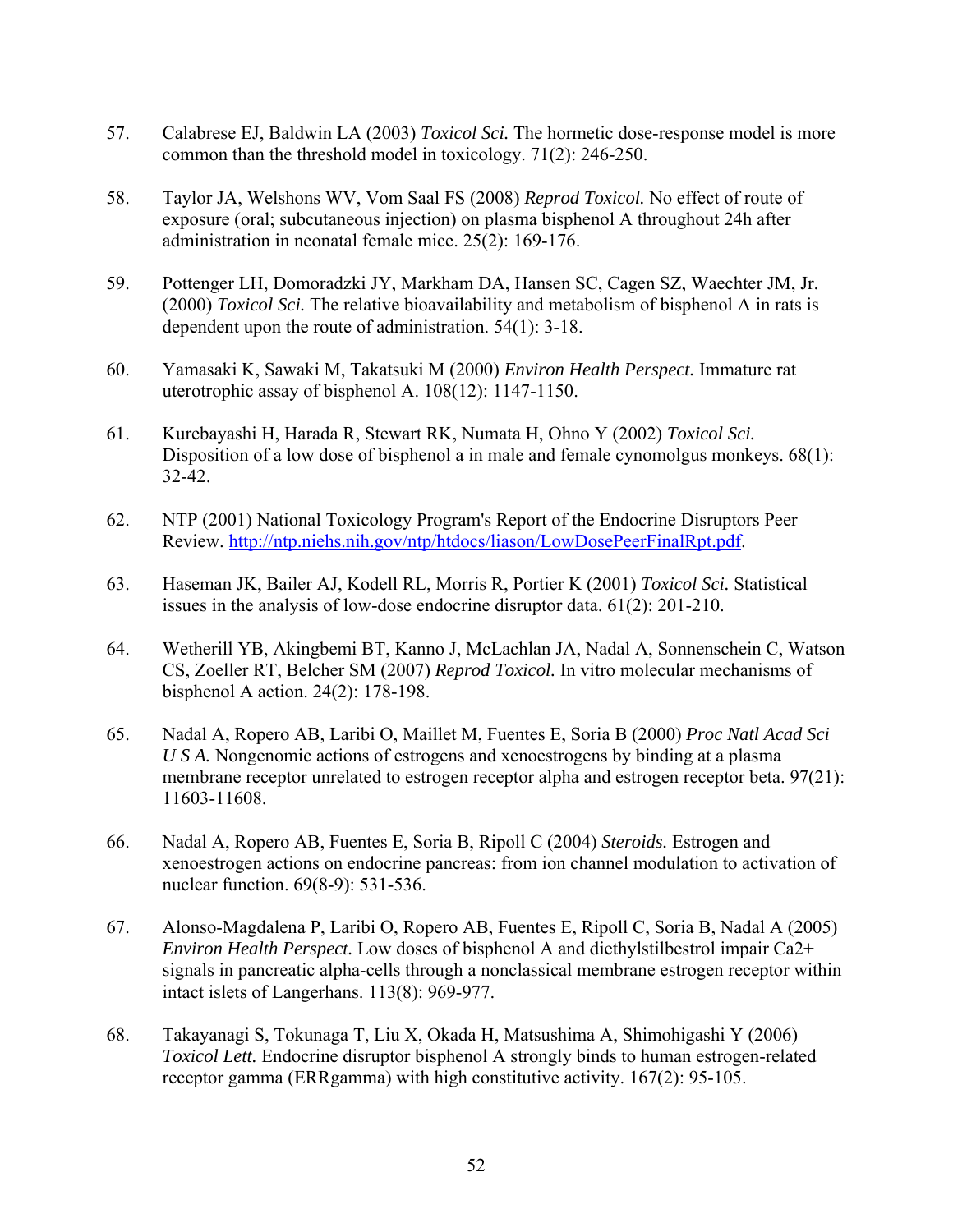- 57. Calabrese EJ, Baldwin LA (2003) *Toxicol Sci.* The hormetic dose-response model is more common than the threshold model in toxicology. 71(2): 246-250.
- 58. Taylor JA, Welshons WV, Vom Saal FS (2008) *Reprod Toxicol.* No effect of route of exposure (oral; subcutaneous injection) on plasma bisphenol A throughout 24h after administration in neonatal female mice. 25(2): 169-176.
- 59. Pottenger LH, Domoradzki JY, Markham DA, Hansen SC, Cagen SZ, Waechter JM, Jr. (2000) *Toxicol Sci.* The relative bioavailability and metabolism of bisphenol A in rats is dependent upon the route of administration. 54(1): 3-18.
- 60. Yamasaki K, Sawaki M, Takatsuki M (2000) *Environ Health Perspect.* Immature rat uterotrophic assay of bisphenol A. 108(12): 1147-1150.
- 61. Kurebayashi H, Harada R, Stewart RK, Numata H, Ohno Y (2002) *Toxicol Sci.* Disposition of a low dose of bisphenol a in male and female cynomolgus monkeys. 68(1): 32-42.
- 62. NTP (2001) National Toxicology Program's Report of the Endocrine Disruptors Peer Review.<http://ntp.niehs.nih.gov/ntp/htdocs/liason/LowDosePeerFinalRpt.pdf>.
- 63. Haseman JK, Bailer AJ, Kodell RL, Morris R, Portier K (2001) *Toxicol Sci.* Statistical issues in the analysis of low-dose endocrine disruptor data. 61(2): 201-210.
- 64. Wetherill YB, Akingbemi BT, Kanno J, McLachlan JA, Nadal A, Sonnenschein C, Watson CS, Zoeller RT, Belcher SM (2007) *Reprod Toxicol.* In vitro molecular mechanisms of bisphenol A action. 24(2): 178-198.
- 65. Nadal A, Ropero AB, Laribi O, Maillet M, Fuentes E, Soria B (2000) *Proc Natl Acad Sci U S A.* Nongenomic actions of estrogens and xenoestrogens by binding at a plasma membrane receptor unrelated to estrogen receptor alpha and estrogen receptor beta. 97(21): 11603-11608.
- 66. Nadal A, Ropero AB, Fuentes E, Soria B, Ripoll C (2004) *Steroids.* Estrogen and xenoestrogen actions on endocrine pancreas: from ion channel modulation to activation of nuclear function. 69(8-9): 531-536.
- 67. Alonso-Magdalena P, Laribi O, Ropero AB, Fuentes E, Ripoll C, Soria B, Nadal A (2005) *Environ Health Perspect.* Low doses of bisphenol A and diethylstilbestrol impair Ca2+ signals in pancreatic alpha-cells through a nonclassical membrane estrogen receptor within intact islets of Langerhans. 113(8): 969-977.
- 68. Takayanagi S, Tokunaga T, Liu X, Okada H, Matsushima A, Shimohigashi Y (2006) *Toxicol Lett.* Endocrine disruptor bisphenol A strongly binds to human estrogen-related receptor gamma (ERRgamma) with high constitutive activity. 167(2): 95-105.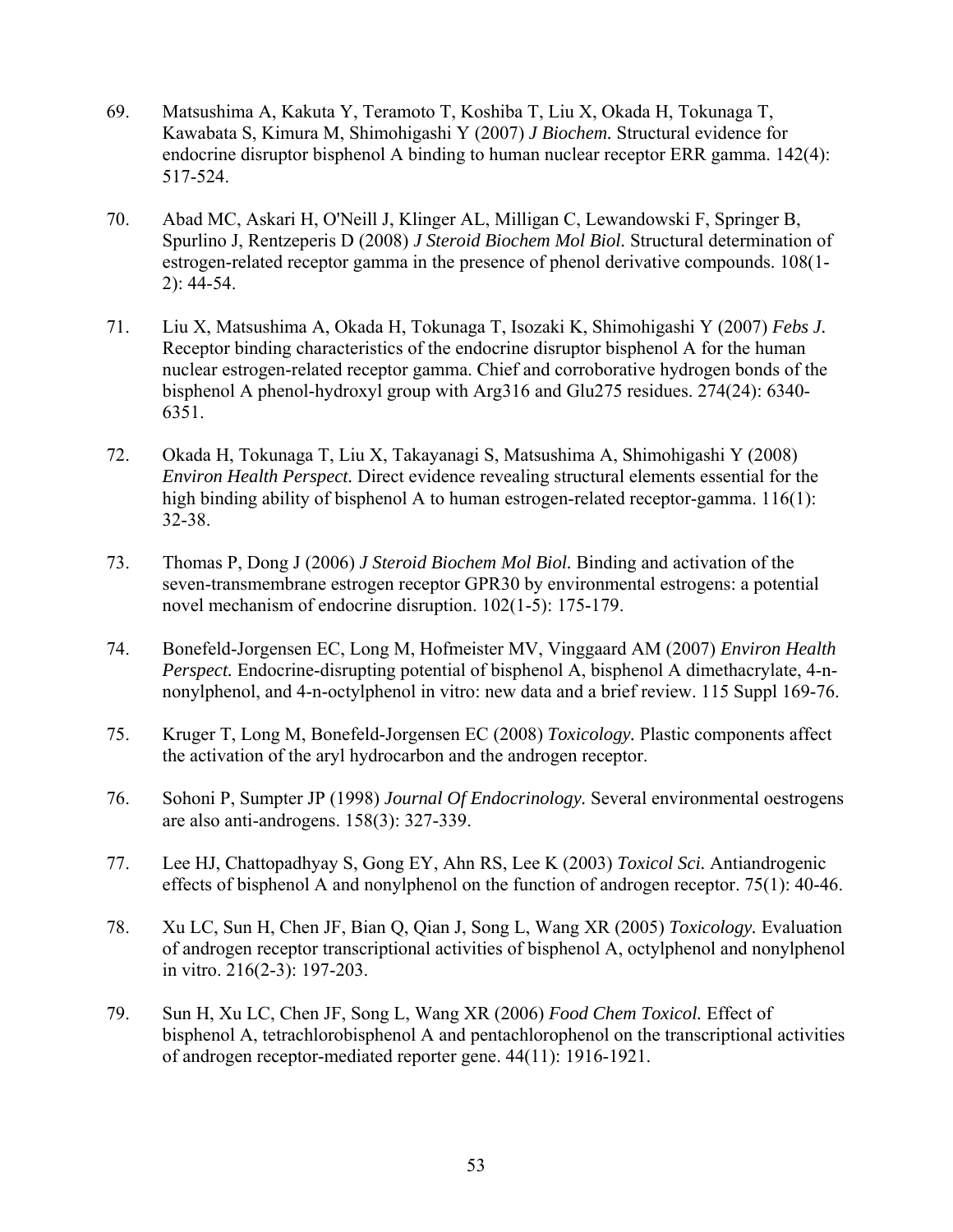- 69. Matsushima A, Kakuta Y, Teramoto T, Koshiba T, Liu X, Okada H, Tokunaga T, Kawabata S, Kimura M, Shimohigashi Y (2007) *J Biochem.* Structural evidence for endocrine disruptor bisphenol A binding to human nuclear receptor ERR gamma. 142(4): 517-524.
- 70. Abad MC, Askari H, O'Neill J, Klinger AL, Milligan C, Lewandowski F, Springer B, Spurlino J, Rentzeperis D (2008) *J Steroid Biochem Mol Biol.* Structural determination of estrogen-related receptor gamma in the presence of phenol derivative compounds. 108(1- 2): 44-54.
- 71. Liu X, Matsushima A, Okada H, Tokunaga T, Isozaki K, Shimohigashi Y (2007) *Febs J.* Receptor binding characteristics of the endocrine disruptor bisphenol A for the human nuclear estrogen-related receptor gamma. Chief and corroborative hydrogen bonds of the bisphenol A phenol-hydroxyl group with Arg316 and Glu275 residues. 274(24): 6340- 6351.
- 72. Okada H, Tokunaga T, Liu X, Takayanagi S, Matsushima A, Shimohigashi Y (2008) *Environ Health Perspect.* Direct evidence revealing structural elements essential for the high binding ability of bisphenol A to human estrogen-related receptor-gamma. 116(1): 32-38.
- 73. Thomas P, Dong J (2006) *J Steroid Biochem Mol Biol.* Binding and activation of the seven-transmembrane estrogen receptor GPR30 by environmental estrogens: a potential novel mechanism of endocrine disruption. 102(1-5): 175-179.
- 74. Bonefeld-Jorgensen EC, Long M, Hofmeister MV, Vinggaard AM (2007) *Environ Health Perspect.* Endocrine-disrupting potential of bisphenol A, bisphenol A dimethacrylate, 4-nnonylphenol, and 4-n-octylphenol in vitro: new data and a brief review. 115 Suppl 169-76.
- 75. Kruger T, Long M, Bonefeld-Jorgensen EC (2008) *Toxicology.* Plastic components affect the activation of the aryl hydrocarbon and the androgen receptor.
- 76. Sohoni P, Sumpter JP (1998) *Journal Of Endocrinology.* Several environmental oestrogens are also anti-androgens. 158(3): 327-339.
- 77. Lee HJ, Chattopadhyay S, Gong EY, Ahn RS, Lee K (2003) *Toxicol Sci.* Antiandrogenic effects of bisphenol A and nonylphenol on the function of androgen receptor. 75(1): 40-46.
- 78. Xu LC, Sun H, Chen JF, Bian Q, Qian J, Song L, Wang XR (2005) *Toxicology.* Evaluation of androgen receptor transcriptional activities of bisphenol A, octylphenol and nonylphenol in vitro. 216(2-3): 197-203.
- 79. Sun H, Xu LC, Chen JF, Song L, Wang XR (2006) *Food Chem Toxicol.* Effect of bisphenol A, tetrachlorobisphenol A and pentachlorophenol on the transcriptional activities of androgen receptor-mediated reporter gene. 44(11): 1916-1921.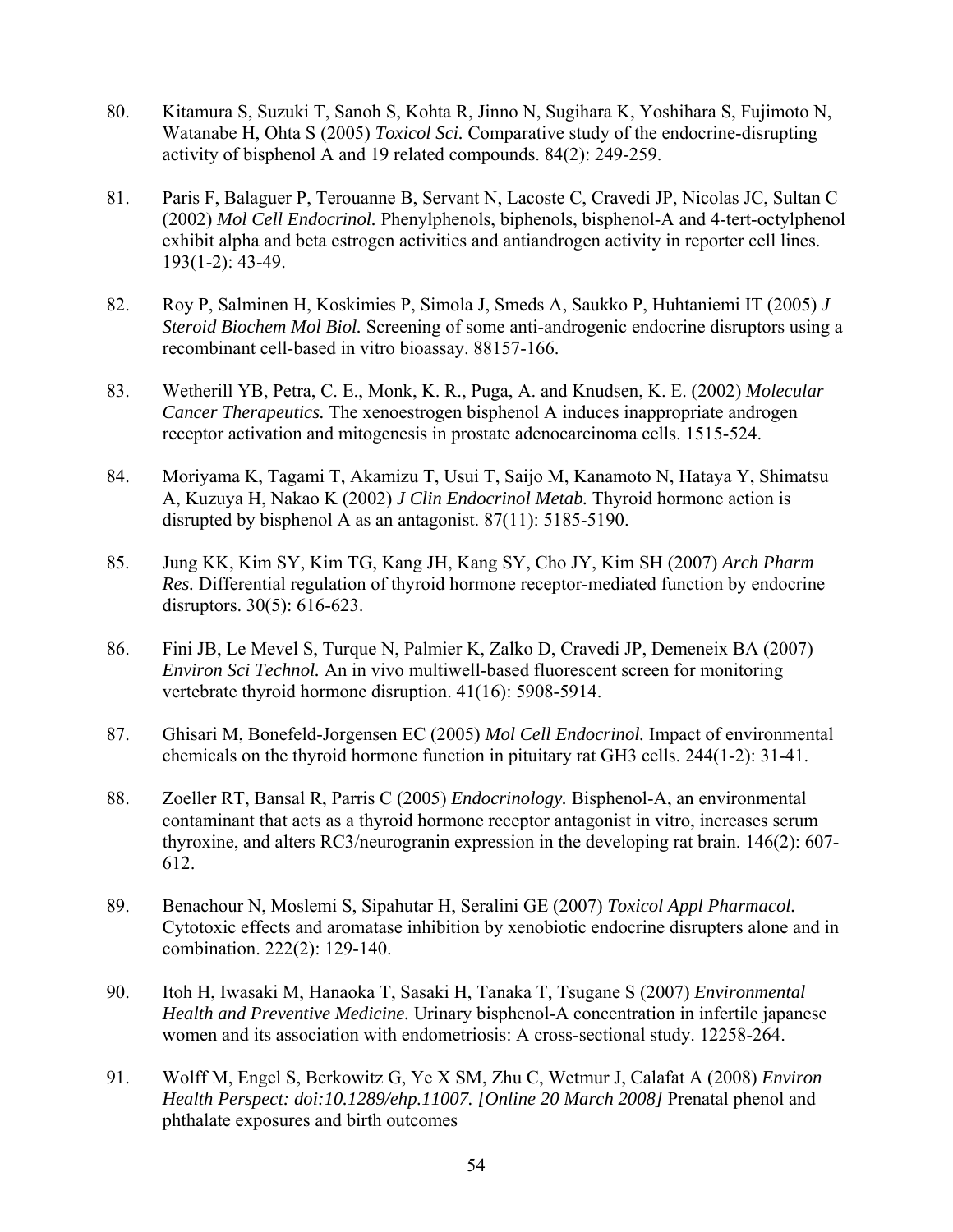- 80. Kitamura S, Suzuki T, Sanoh S, Kohta R, Jinno N, Sugihara K, Yoshihara S, Fujimoto N, Watanabe H, Ohta S (2005) *Toxicol Sci.* Comparative study of the endocrine-disrupting activity of bisphenol A and 19 related compounds. 84(2): 249-259.
- 81. Paris F, Balaguer P, Terouanne B, Servant N, Lacoste C, Cravedi JP, Nicolas JC, Sultan C (2002) *Mol Cell Endocrinol.* Phenylphenols, biphenols, bisphenol-A and 4-tert-octylphenol exhibit alpha and beta estrogen activities and antiandrogen activity in reporter cell lines. 193(1-2): 43-49.
- 82. Roy P, Salminen H, Koskimies P, Simola J, Smeds A, Saukko P, Huhtaniemi IT (2005) *J Steroid Biochem Mol Biol.* Screening of some anti-androgenic endocrine disruptors using a recombinant cell-based in vitro bioassay. 88157-166.
- 83. Wetherill YB, Petra, C. E., Monk, K. R., Puga, A. and Knudsen, K. E. (2002) *Molecular Cancer Therapeutics.* The xenoestrogen bisphenol A induces inappropriate androgen receptor activation and mitogenesis in prostate adenocarcinoma cells. 1515-524.
- 84. Moriyama K, Tagami T, Akamizu T, Usui T, Saijo M, Kanamoto N, Hataya Y, Shimatsu A, Kuzuya H, Nakao K (2002) *J Clin Endocrinol Metab.* Thyroid hormone action is disrupted by bisphenol A as an antagonist. 87(11): 5185-5190.
- 85. Jung KK, Kim SY, Kim TG, Kang JH, Kang SY, Cho JY, Kim SH (2007) *Arch Pharm Res.* Differential regulation of thyroid hormone receptor-mediated function by endocrine disruptors. 30(5): 616-623.
- 86. Fini JB, Le Mevel S, Turque N, Palmier K, Zalko D, Cravedi JP, Demeneix BA (2007) *Environ Sci Technol.* An in vivo multiwell-based fluorescent screen for monitoring vertebrate thyroid hormone disruption. 41(16): 5908-5914.
- 87. Ghisari M, Bonefeld-Jorgensen EC (2005) *Mol Cell Endocrinol.* Impact of environmental chemicals on the thyroid hormone function in pituitary rat GH3 cells. 244(1-2): 31-41.
- 88. Zoeller RT, Bansal R, Parris C (2005) *Endocrinology.* Bisphenol-A, an environmental contaminant that acts as a thyroid hormone receptor antagonist in vitro, increases serum thyroxine, and alters RC3/neurogranin expression in the developing rat brain. 146(2): 607- 612.
- 89. Benachour N, Moslemi S, Sipahutar H, Seralini GE (2007) *Toxicol Appl Pharmacol.* Cytotoxic effects and aromatase inhibition by xenobiotic endocrine disrupters alone and in combination. 222(2): 129-140.
- 90. Itoh H, Iwasaki M, Hanaoka T, Sasaki H, Tanaka T, Tsugane S (2007) *Environmental Health and Preventive Medicine.* Urinary bisphenol-A concentration in infertile japanese women and its association with endometriosis: A cross-sectional study. 12258-264.
- 91. Wolff M, Engel S, Berkowitz G, Ye X SM, Zhu C, Wetmur J, Calafat A (2008) *Environ Health Perspect: doi:10.1289/ehp.11007. [Online 20 March 2008]* Prenatal phenol and phthalate exposures and birth outcomes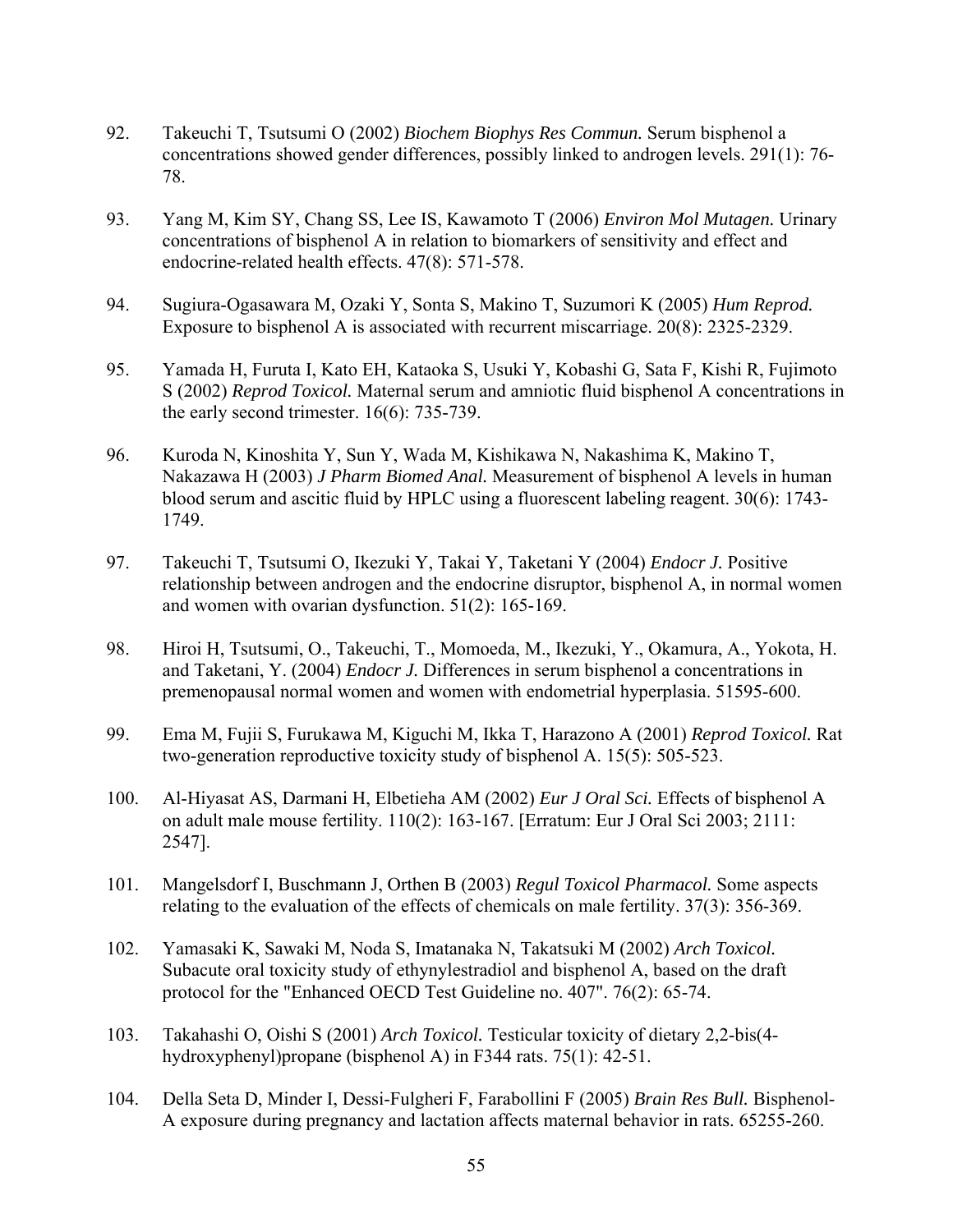- 92. Takeuchi T, Tsutsumi O (2002) *Biochem Biophys Res Commun.* Serum bisphenol a concentrations showed gender differences, possibly linked to androgen levels. 291(1): 76- 78.
- 93. Yang M, Kim SY, Chang SS, Lee IS, Kawamoto T (2006) *Environ Mol Mutagen.* Urinary concentrations of bisphenol A in relation to biomarkers of sensitivity and effect and endocrine-related health effects. 47(8): 571-578.
- 94. Sugiura-Ogasawara M, Ozaki Y, Sonta S, Makino T, Suzumori K (2005) *Hum Reprod.* Exposure to bisphenol A is associated with recurrent miscarriage. 20(8): 2325-2329.
- 95. Yamada H, Furuta I, Kato EH, Kataoka S, Usuki Y, Kobashi G, Sata F, Kishi R, Fujimoto S (2002) *Reprod Toxicol.* Maternal serum and amniotic fluid bisphenol A concentrations in the early second trimester. 16(6): 735-739.
- 96. Kuroda N, Kinoshita Y, Sun Y, Wada M, Kishikawa N, Nakashima K, Makino T, Nakazawa H (2003) *J Pharm Biomed Anal.* Measurement of bisphenol A levels in human blood serum and ascitic fluid by HPLC using a fluorescent labeling reagent. 30(6): 1743- 1749.
- 97. Takeuchi T, Tsutsumi O, Ikezuki Y, Takai Y, Taketani Y (2004) *Endocr J.* Positive relationship between androgen and the endocrine disruptor, bisphenol A, in normal women and women with ovarian dysfunction. 51(2): 165-169.
- 98. Hiroi H, Tsutsumi, O., Takeuchi, T., Momoeda, M., Ikezuki, Y., Okamura, A., Yokota, H. and Taketani, Y. (2004) *Endocr J.* Differences in serum bisphenol a concentrations in premenopausal normal women and women with endometrial hyperplasia. 51595-600.
- 99. Ema M, Fujii S, Furukawa M, Kiguchi M, Ikka T, Harazono A (2001) *Reprod Toxicol.* Rat two-generation reproductive toxicity study of bisphenol A. 15(5): 505-523.
- 100. Al-Hiyasat AS, Darmani H, Elbetieha AM (2002) *Eur J Oral Sci.* Effects of bisphenol A on adult male mouse fertility. 110(2): 163-167. [Erratum: Eur J Oral Sci 2003; 2111: 2547].
- 101. Mangelsdorf I, Buschmann J, Orthen B (2003) *Regul Toxicol Pharmacol.* Some aspects relating to the evaluation of the effects of chemicals on male fertility. 37(3): 356-369.
- 102. Yamasaki K, Sawaki M, Noda S, Imatanaka N, Takatsuki M (2002) *Arch Toxicol.* Subacute oral toxicity study of ethynylestradiol and bisphenol A, based on the draft protocol for the "Enhanced OECD Test Guideline no. 407". 76(2): 65-74.
- 103. Takahashi O, Oishi S (2001) *Arch Toxicol.* Testicular toxicity of dietary 2,2-bis(4 hydroxyphenyl)propane (bisphenol A) in F344 rats. 75(1): 42-51.
- 104. Della Seta D, Minder I, Dessi-Fulgheri F, Farabollini F (2005) *Brain Res Bull.* Bisphenol-A exposure during pregnancy and lactation affects maternal behavior in rats. 65255-260.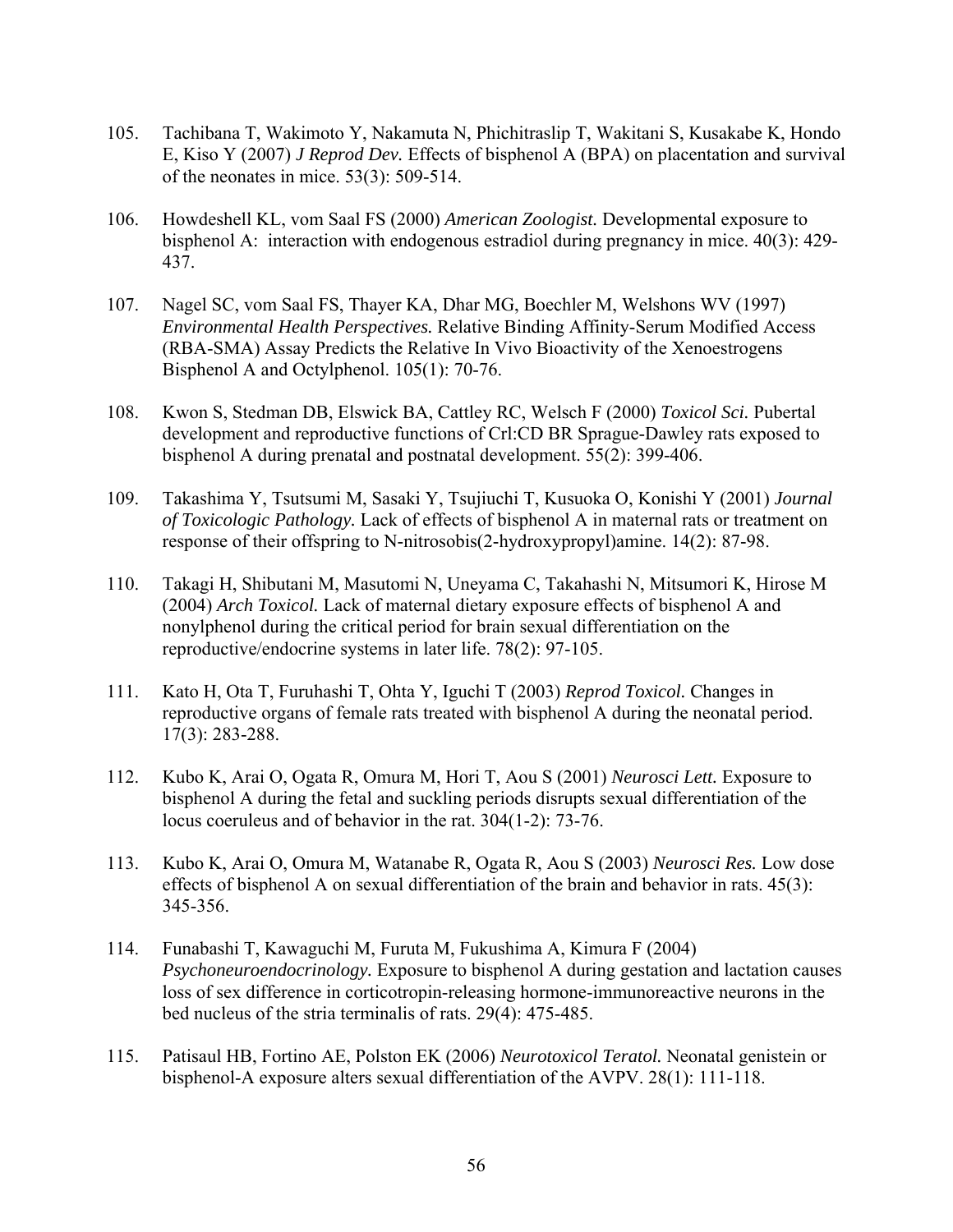- 105. Tachibana T, Wakimoto Y, Nakamuta N, Phichitraslip T, Wakitani S, Kusakabe K, Hondo E, Kiso Y (2007) *J Reprod Dev.* Effects of bisphenol A (BPA) on placentation and survival of the neonates in mice. 53(3): 509-514.
- 106. Howdeshell KL, vom Saal FS (2000) *American Zoologist.* Developmental exposure to bisphenol A: interaction with endogenous estradiol during pregnancy in mice. 40(3): 429- 437.
- 107. Nagel SC, vom Saal FS, Thayer KA, Dhar MG, Boechler M, Welshons WV (1997) *Environmental Health Perspectives.* Relative Binding Affinity-Serum Modified Access (RBA-SMA) Assay Predicts the Relative In Vivo Bioactivity of the Xenoestrogens Bisphenol A and Octylphenol. 105(1): 70-76.
- 108. Kwon S, Stedman DB, Elswick BA, Cattley RC, Welsch F (2000) *Toxicol Sci.* Pubertal development and reproductive functions of Crl:CD BR Sprague-Dawley rats exposed to bisphenol A during prenatal and postnatal development. 55(2): 399-406.
- 109. Takashima Y, Tsutsumi M, Sasaki Y, Tsujiuchi T, Kusuoka O, Konishi Y (2001) *Journal of Toxicologic Pathology.* Lack of effects of bisphenol A in maternal rats or treatment on response of their offspring to N-nitrosobis(2-hydroxypropyl)amine. 14(2): 87-98.
- 110. Takagi H, Shibutani M, Masutomi N, Uneyama C, Takahashi N, Mitsumori K, Hirose M (2004) *Arch Toxicol.* Lack of maternal dietary exposure effects of bisphenol A and nonylphenol during the critical period for brain sexual differentiation on the reproductive/endocrine systems in later life. 78(2): 97-105.
- 111. Kato H, Ota T, Furuhashi T, Ohta Y, Iguchi T (2003) *Reprod Toxicol.* Changes in reproductive organs of female rats treated with bisphenol A during the neonatal period. 17(3): 283-288.
- 112. Kubo K, Arai O, Ogata R, Omura M, Hori T, Aou S (2001) *Neurosci Lett.* Exposure to bisphenol A during the fetal and suckling periods disrupts sexual differentiation of the locus coeruleus and of behavior in the rat. 304(1-2): 73-76.
- 113. Kubo K, Arai O, Omura M, Watanabe R, Ogata R, Aou S (2003) *Neurosci Res.* Low dose effects of bisphenol A on sexual differentiation of the brain and behavior in rats. 45(3): 345-356.
- 114. Funabashi T, Kawaguchi M, Furuta M, Fukushima A, Kimura F (2004) *Psychoneuroendocrinology.* Exposure to bisphenol A during gestation and lactation causes loss of sex difference in corticotropin-releasing hormone-immunoreactive neurons in the bed nucleus of the stria terminalis of rats. 29(4): 475-485.
- 115. Patisaul HB, Fortino AE, Polston EK (2006) *Neurotoxicol Teratol.* Neonatal genistein or bisphenol-A exposure alters sexual differentiation of the AVPV. 28(1): 111-118.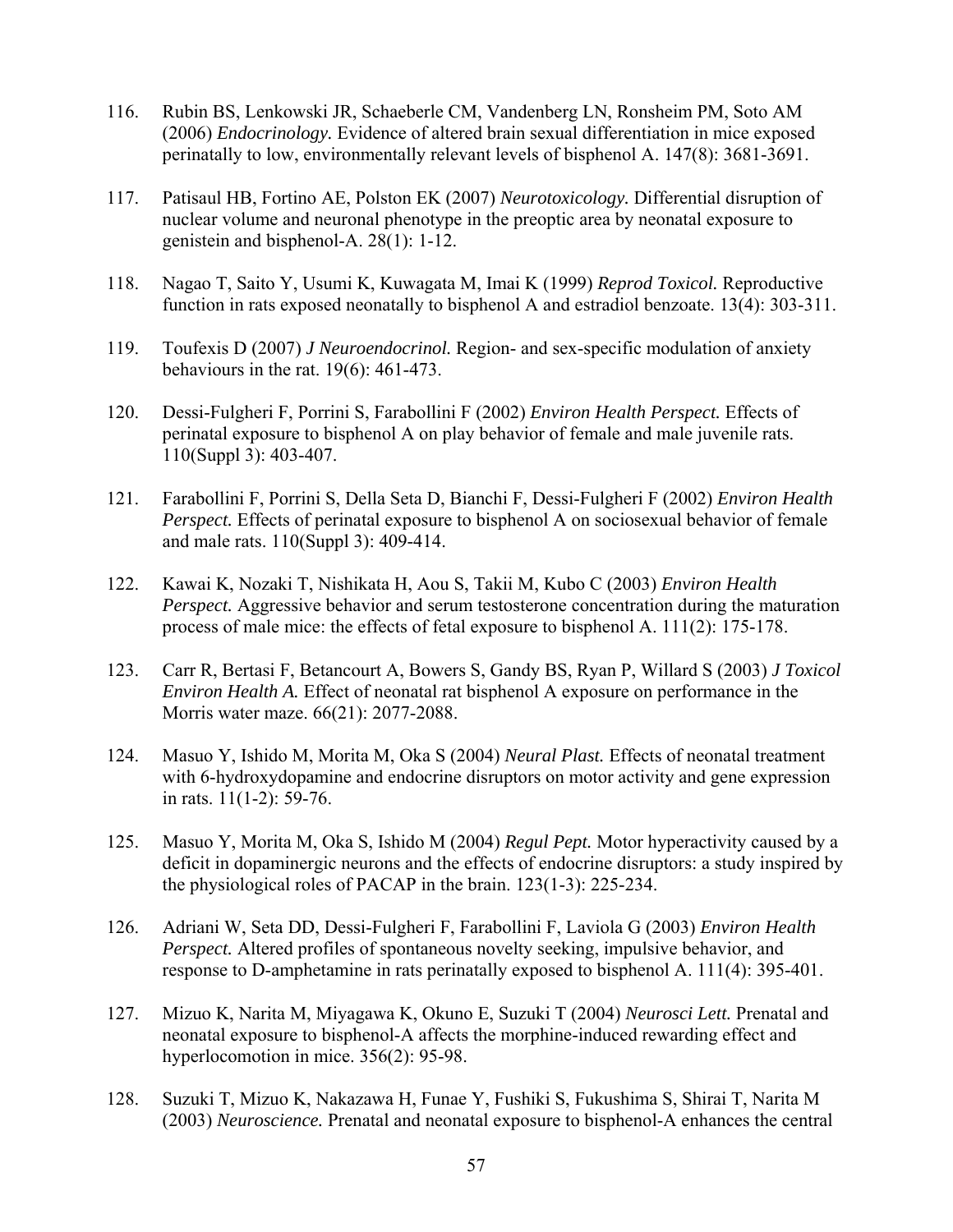- 116. Rubin BS, Lenkowski JR, Schaeberle CM, Vandenberg LN, Ronsheim PM, Soto AM (2006) *Endocrinology.* Evidence of altered brain sexual differentiation in mice exposed perinatally to low, environmentally relevant levels of bisphenol A. 147(8): 3681-3691.
- 117. Patisaul HB, Fortino AE, Polston EK (2007) *Neurotoxicology.* Differential disruption of nuclear volume and neuronal phenotype in the preoptic area by neonatal exposure to genistein and bisphenol-A. 28(1): 1-12.
- 118. Nagao T, Saito Y, Usumi K, Kuwagata M, Imai K (1999) *Reprod Toxicol.* Reproductive function in rats exposed neonatally to bisphenol A and estradiol benzoate. 13(4): 303-311.
- 119. Toufexis D (2007) *J Neuroendocrinol.* Region- and sex-specific modulation of anxiety behaviours in the rat. 19(6): 461-473.
- 120. Dessi-Fulgheri F, Porrini S, Farabollini F (2002) *Environ Health Perspect.* Effects of perinatal exposure to bisphenol A on play behavior of female and male juvenile rats. 110(Suppl 3): 403-407.
- 121. Farabollini F, Porrini S, Della Seta D, Bianchi F, Dessi-Fulgheri F (2002) *Environ Health Perspect.* Effects of perinatal exposure to bisphenol A on sociosexual behavior of female and male rats. 110(Suppl 3): 409-414.
- 122. Kawai K, Nozaki T, Nishikata H, Aou S, Takii M, Kubo C (2003) *Environ Health Perspect.* Aggressive behavior and serum testosterone concentration during the maturation process of male mice: the effects of fetal exposure to bisphenol A. 111(2): 175-178.
- 123. Carr R, Bertasi F, Betancourt A, Bowers S, Gandy BS, Ryan P, Willard S (2003) *J Toxicol Environ Health A.* Effect of neonatal rat bisphenol A exposure on performance in the Morris water maze. 66(21): 2077-2088.
- 124. Masuo Y, Ishido M, Morita M, Oka S (2004) *Neural Plast.* Effects of neonatal treatment with 6-hydroxydopamine and endocrine disruptors on motor activity and gene expression in rats. 11(1-2): 59-76.
- 125. Masuo Y, Morita M, Oka S, Ishido M (2004) *Regul Pept.* Motor hyperactivity caused by a deficit in dopaminergic neurons and the effects of endocrine disruptors: a study inspired by the physiological roles of PACAP in the brain. 123(1-3): 225-234.
- 126. Adriani W, Seta DD, Dessi-Fulgheri F, Farabollini F, Laviola G (2003) *Environ Health Perspect.* Altered profiles of spontaneous novelty seeking, impulsive behavior, and response to D-amphetamine in rats perinatally exposed to bisphenol A. 111(4): 395-401.
- 127. Mizuo K, Narita M, Miyagawa K, Okuno E, Suzuki T (2004) *Neurosci Lett.* Prenatal and neonatal exposure to bisphenol-A affects the morphine-induced rewarding effect and hyperlocomotion in mice. 356(2): 95-98.
- 128. Suzuki T, Mizuo K, Nakazawa H, Funae Y, Fushiki S, Fukushima S, Shirai T, Narita M (2003) *Neuroscience.* Prenatal and neonatal exposure to bisphenol-A enhances the central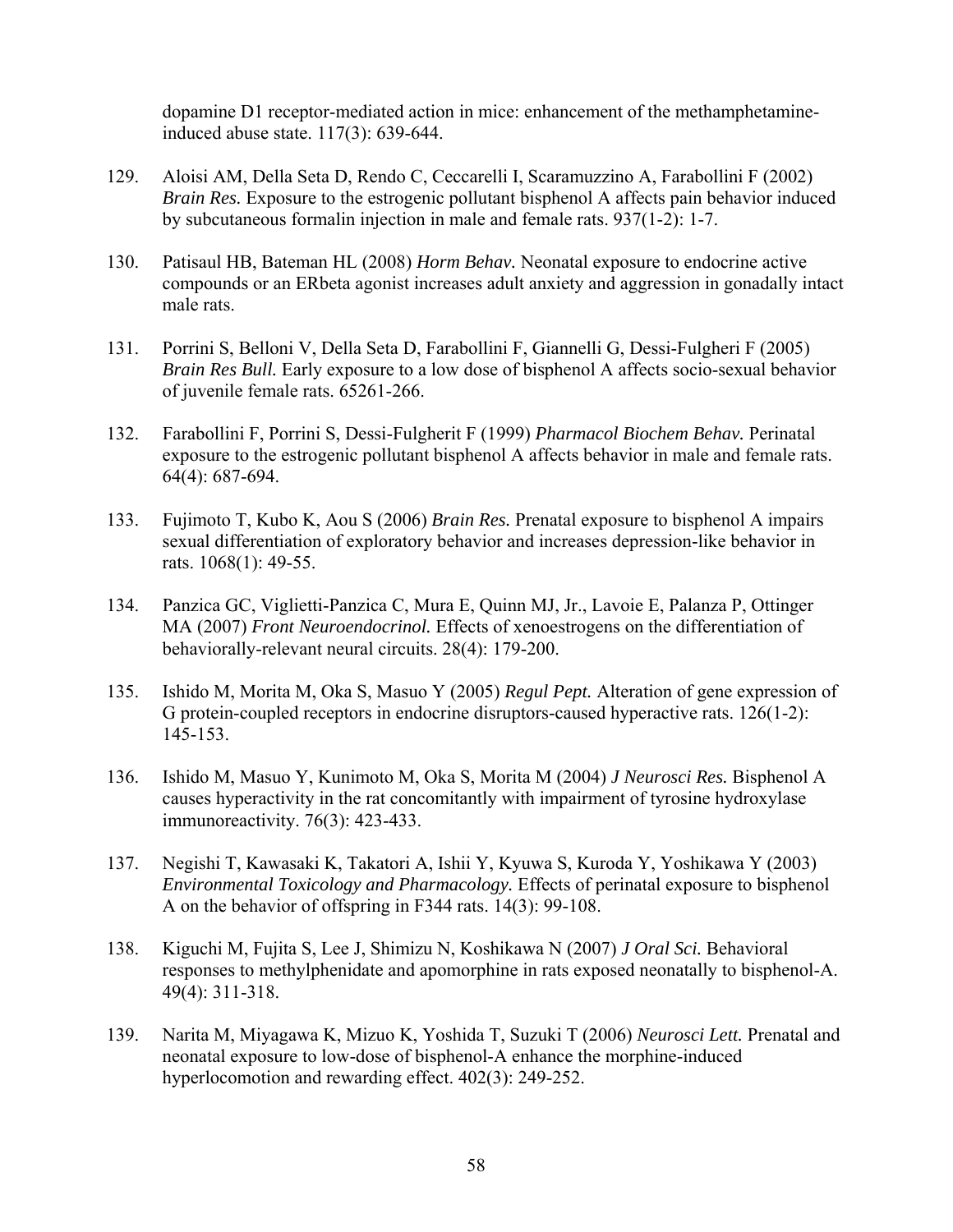dopamine D1 receptor-mediated action in mice: enhancement of the methamphetamineinduced abuse state. 117(3): 639-644.

- 129. Aloisi AM, Della Seta D, Rendo C, Ceccarelli I, Scaramuzzino A, Farabollini F (2002) *Brain Res.* Exposure to the estrogenic pollutant bisphenol A affects pain behavior induced by subcutaneous formalin injection in male and female rats. 937(1-2): 1-7.
- 130. Patisaul HB, Bateman HL (2008) *Horm Behav.* Neonatal exposure to endocrine active compounds or an ERbeta agonist increases adult anxiety and aggression in gonadally intact male rats.
- 131. Porrini S, Belloni V, Della Seta D, Farabollini F, Giannelli G, Dessi-Fulgheri F (2005) *Brain Res Bull.* Early exposure to a low dose of bisphenol A affects socio-sexual behavior of juvenile female rats. 65261-266.
- 132. Farabollini F, Porrini S, Dessi-Fulgherit F (1999) *Pharmacol Biochem Behav.* Perinatal exposure to the estrogenic pollutant bisphenol A affects behavior in male and female rats. 64(4): 687-694.
- 133. Fujimoto T, Kubo K, Aou S (2006) *Brain Res.* Prenatal exposure to bisphenol A impairs sexual differentiation of exploratory behavior and increases depression-like behavior in rats. 1068(1): 49-55.
- 134. Panzica GC, Viglietti-Panzica C, Mura E, Quinn MJ, Jr., Lavoie E, Palanza P, Ottinger MA (2007) *Front Neuroendocrinol.* Effects of xenoestrogens on the differentiation of behaviorally-relevant neural circuits. 28(4): 179-200.
- 135. Ishido M, Morita M, Oka S, Masuo Y (2005) *Regul Pept.* Alteration of gene expression of G protein-coupled receptors in endocrine disruptors-caused hyperactive rats. 126(1-2): 145-153.
- 136. Ishido M, Masuo Y, Kunimoto M, Oka S, Morita M (2004) *J Neurosci Res.* Bisphenol A causes hyperactivity in the rat concomitantly with impairment of tyrosine hydroxylase immunoreactivity. 76(3): 423-433.
- 137. Negishi T, Kawasaki K, Takatori A, Ishii Y, Kyuwa S, Kuroda Y, Yoshikawa Y (2003) *Environmental Toxicology and Pharmacology.* Effects of perinatal exposure to bisphenol A on the behavior of offspring in F344 rats. 14(3): 99-108.
- 138. Kiguchi M, Fujita S, Lee J, Shimizu N, Koshikawa N (2007) *J Oral Sci.* Behavioral responses to methylphenidate and apomorphine in rats exposed neonatally to bisphenol-A. 49(4): 311-318.
- 139. Narita M, Miyagawa K, Mizuo K, Yoshida T, Suzuki T (2006) *Neurosci Lett.* Prenatal and neonatal exposure to low-dose of bisphenol-A enhance the morphine-induced hyperlocomotion and rewarding effect. 402(3): 249-252.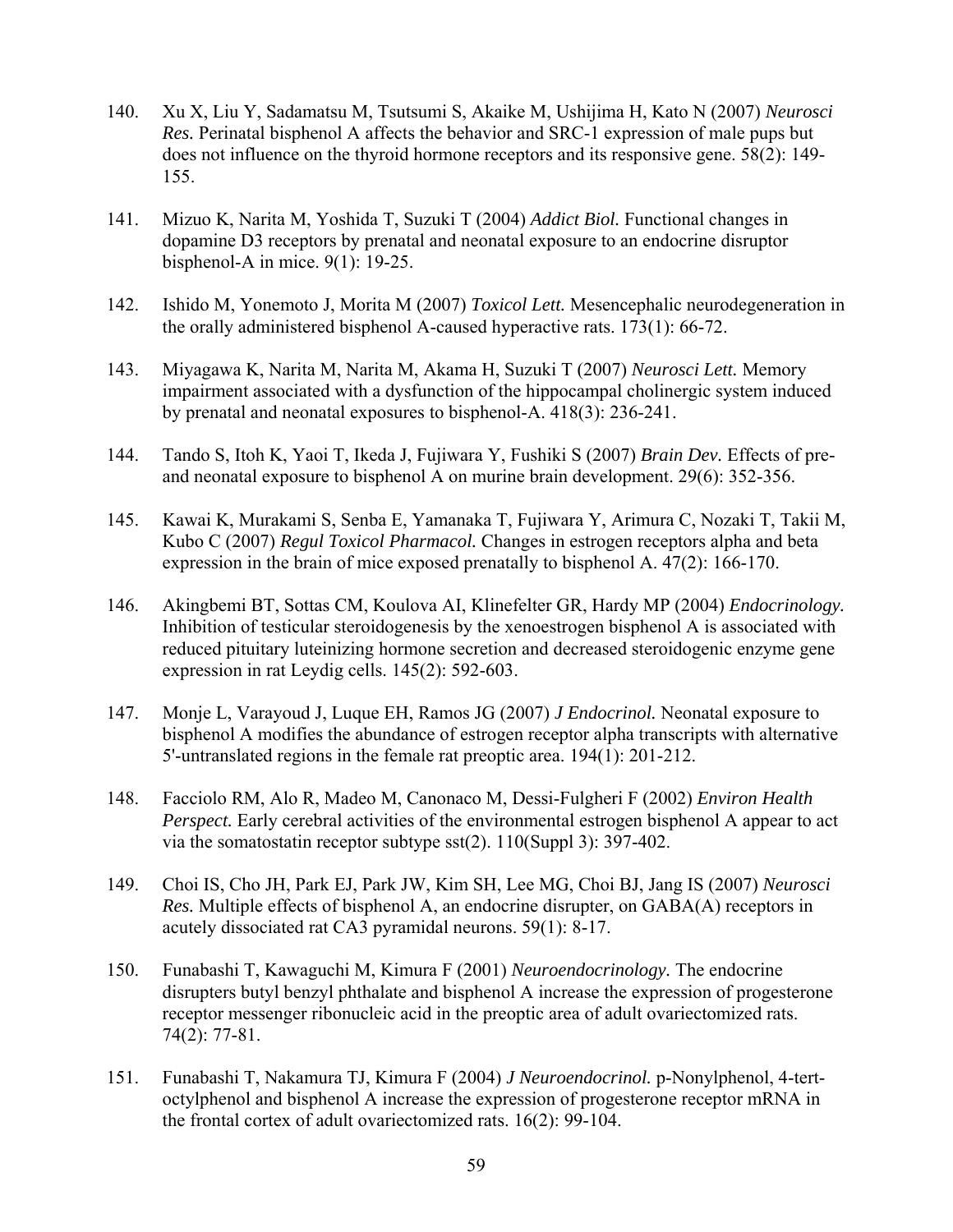- 140. Xu X, Liu Y, Sadamatsu M, Tsutsumi S, Akaike M, Ushijima H, Kato N (2007) *Neurosci Res.* Perinatal bisphenol A affects the behavior and SRC-1 expression of male pups but does not influence on the thyroid hormone receptors and its responsive gene. 58(2): 149- 155.
- 141. Mizuo K, Narita M, Yoshida T, Suzuki T (2004) *Addict Biol.* Functional changes in dopamine D3 receptors by prenatal and neonatal exposure to an endocrine disruptor bisphenol-A in mice. 9(1): 19-25.
- 142. Ishido M, Yonemoto J, Morita M (2007) *Toxicol Lett.* Mesencephalic neurodegeneration in the orally administered bisphenol A-caused hyperactive rats. 173(1): 66-72.
- 143. Miyagawa K, Narita M, Narita M, Akama H, Suzuki T (2007) *Neurosci Lett.* Memory impairment associated with a dysfunction of the hippocampal cholinergic system induced by prenatal and neonatal exposures to bisphenol-A. 418(3): 236-241.
- 144. Tando S, Itoh K, Yaoi T, Ikeda J, Fujiwara Y, Fushiki S (2007) *Brain Dev.* Effects of preand neonatal exposure to bisphenol A on murine brain development. 29(6): 352-356.
- 145. Kawai K, Murakami S, Senba E, Yamanaka T, Fujiwara Y, Arimura C, Nozaki T, Takii M, Kubo C (2007) *Regul Toxicol Pharmacol.* Changes in estrogen receptors alpha and beta expression in the brain of mice exposed prenatally to bisphenol A. 47(2): 166-170.
- 146. Akingbemi BT, Sottas CM, Koulova AI, Klinefelter GR, Hardy MP (2004) *Endocrinology.* Inhibition of testicular steroidogenesis by the xenoestrogen bisphenol A is associated with reduced pituitary luteinizing hormone secretion and decreased steroidogenic enzyme gene expression in rat Leydig cells. 145(2): 592-603.
- 147. Monje L, Varayoud J, Luque EH, Ramos JG (2007) *J Endocrinol.* Neonatal exposure to bisphenol A modifies the abundance of estrogen receptor alpha transcripts with alternative 5'-untranslated regions in the female rat preoptic area. 194(1): 201-212.
- 148. Facciolo RM, Alo R, Madeo M, Canonaco M, Dessi-Fulgheri F (2002) *Environ Health Perspect.* Early cerebral activities of the environmental estrogen bisphenol A appear to act via the somatostatin receptor subtype sst(2). 110(Suppl 3): 397-402.
- 149. Choi IS, Cho JH, Park EJ, Park JW, Kim SH, Lee MG, Choi BJ, Jang IS (2007) *Neurosci Res.* Multiple effects of bisphenol A, an endocrine disrupter, on GABA(A) receptors in acutely dissociated rat CA3 pyramidal neurons. 59(1): 8-17.
- 150. Funabashi T, Kawaguchi M, Kimura F (2001) *Neuroendocrinology.* The endocrine disrupters butyl benzyl phthalate and bisphenol A increase the expression of progesterone receptor messenger ribonucleic acid in the preoptic area of adult ovariectomized rats. 74(2): 77-81.
- 151. Funabashi T, Nakamura TJ, Kimura F (2004) *J Neuroendocrinol.* p-Nonylphenol, 4-tertoctylphenol and bisphenol A increase the expression of progesterone receptor mRNA in the frontal cortex of adult ovariectomized rats. 16(2): 99-104.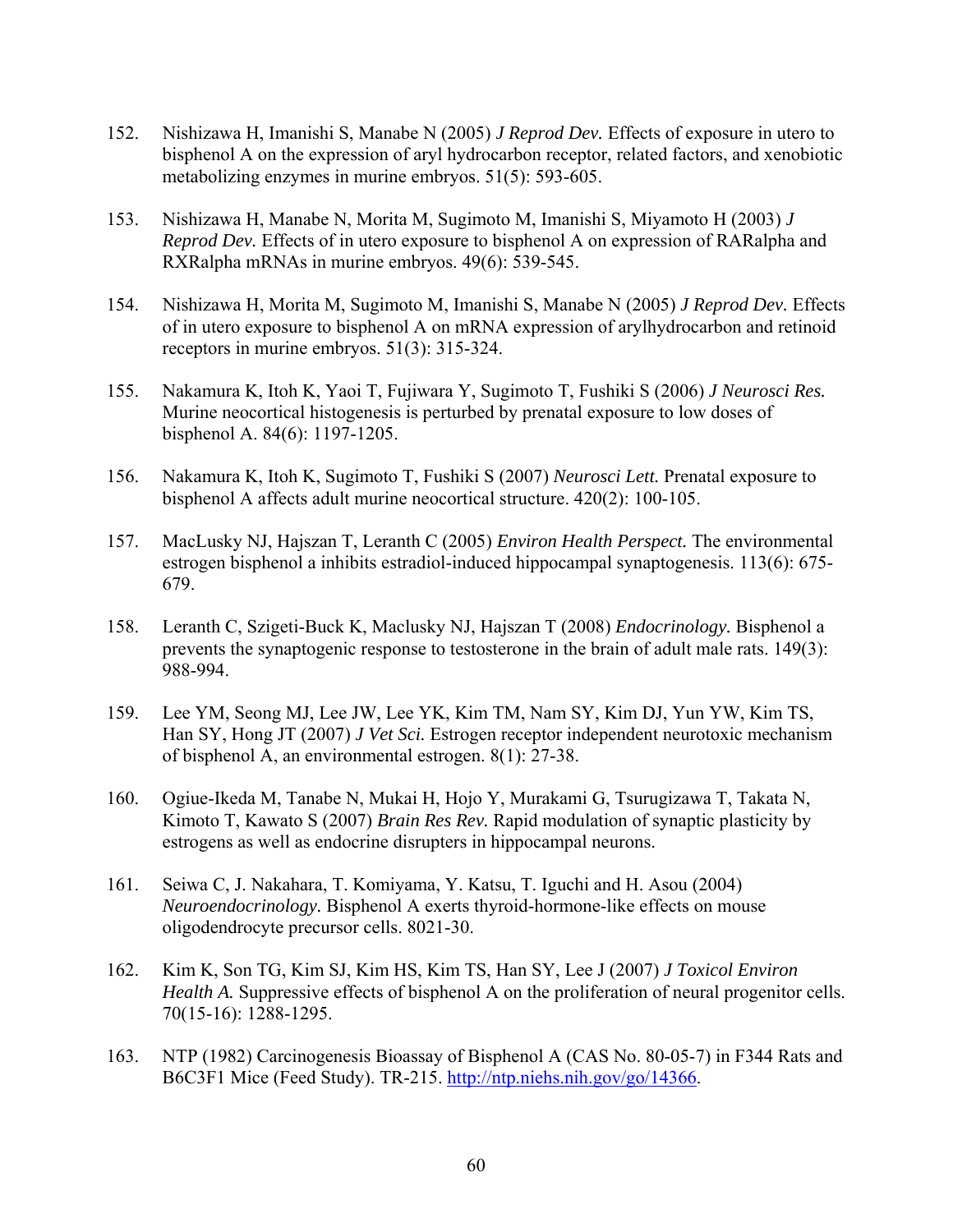- 152. Nishizawa H, Imanishi S, Manabe N (2005) *J Reprod Dev.* Effects of exposure in utero to bisphenol A on the expression of aryl hydrocarbon receptor, related factors, and xenobiotic metabolizing enzymes in murine embryos. 51(5): 593-605.
- 153. Nishizawa H, Manabe N, Morita M, Sugimoto M, Imanishi S, Miyamoto H (2003) *J Reprod Dev.* Effects of in utero exposure to bisphenol A on expression of RARalpha and RXRalpha mRNAs in murine embryos. 49(6): 539-545.
- 154. Nishizawa H, Morita M, Sugimoto M, Imanishi S, Manabe N (2005) *J Reprod Dev.* Effects of in utero exposure to bisphenol A on mRNA expression of arylhydrocarbon and retinoid receptors in murine embryos. 51(3): 315-324.
- 155. Nakamura K, Itoh K, Yaoi T, Fujiwara Y, Sugimoto T, Fushiki S (2006) *J Neurosci Res.* Murine neocortical histogenesis is perturbed by prenatal exposure to low doses of bisphenol A. 84(6): 1197-1205.
- 156. Nakamura K, Itoh K, Sugimoto T, Fushiki S (2007) *Neurosci Lett.* Prenatal exposure to bisphenol A affects adult murine neocortical structure. 420(2): 100-105.
- 157. MacLusky NJ, Hajszan T, Leranth C (2005) *Environ Health Perspect.* The environmental estrogen bisphenol a inhibits estradiol-induced hippocampal synaptogenesis. 113(6): 675- 679.
- 158. Leranth C, Szigeti-Buck K, Maclusky NJ, Hajszan T (2008) *Endocrinology.* Bisphenol a prevents the synaptogenic response to testosterone in the brain of adult male rats. 149(3): 988-994.
- 159. Lee YM, Seong MJ, Lee JW, Lee YK, Kim TM, Nam SY, Kim DJ, Yun YW, Kim TS, Han SY, Hong JT (2007) *J Vet Sci.* Estrogen receptor independent neurotoxic mechanism of bisphenol A, an environmental estrogen. 8(1): 27-38.
- 160. Ogiue-Ikeda M, Tanabe N, Mukai H, Hojo Y, Murakami G, Tsurugizawa T, Takata N, Kimoto T, Kawato S (2007) *Brain Res Rev.* Rapid modulation of synaptic plasticity by estrogens as well as endocrine disrupters in hippocampal neurons.
- 161. Seiwa C, J. Nakahara, T. Komiyama, Y. Katsu, T. Iguchi and H. Asou (2004) *Neuroendocrinology.* Bisphenol A exerts thyroid-hormone-like effects on mouse oligodendrocyte precursor cells. 8021-30.
- 162. Kim K, Son TG, Kim SJ, Kim HS, Kim TS, Han SY, Lee J (2007) *J Toxicol Environ Health A.* Suppressive effects of bisphenol A on the proliferation of neural progenitor cells. 70(15-16): 1288-1295.
- 163. NTP (1982) Carcinogenesis Bioassay of Bisphenol A (CAS No. 80-05-7) in F344 Rats and B6C3F1 Mice (Feed Study). TR-215. [http://ntp.niehs.nih.gov/go/14366.](http://ntp.niehs.nih.gov/go/14366)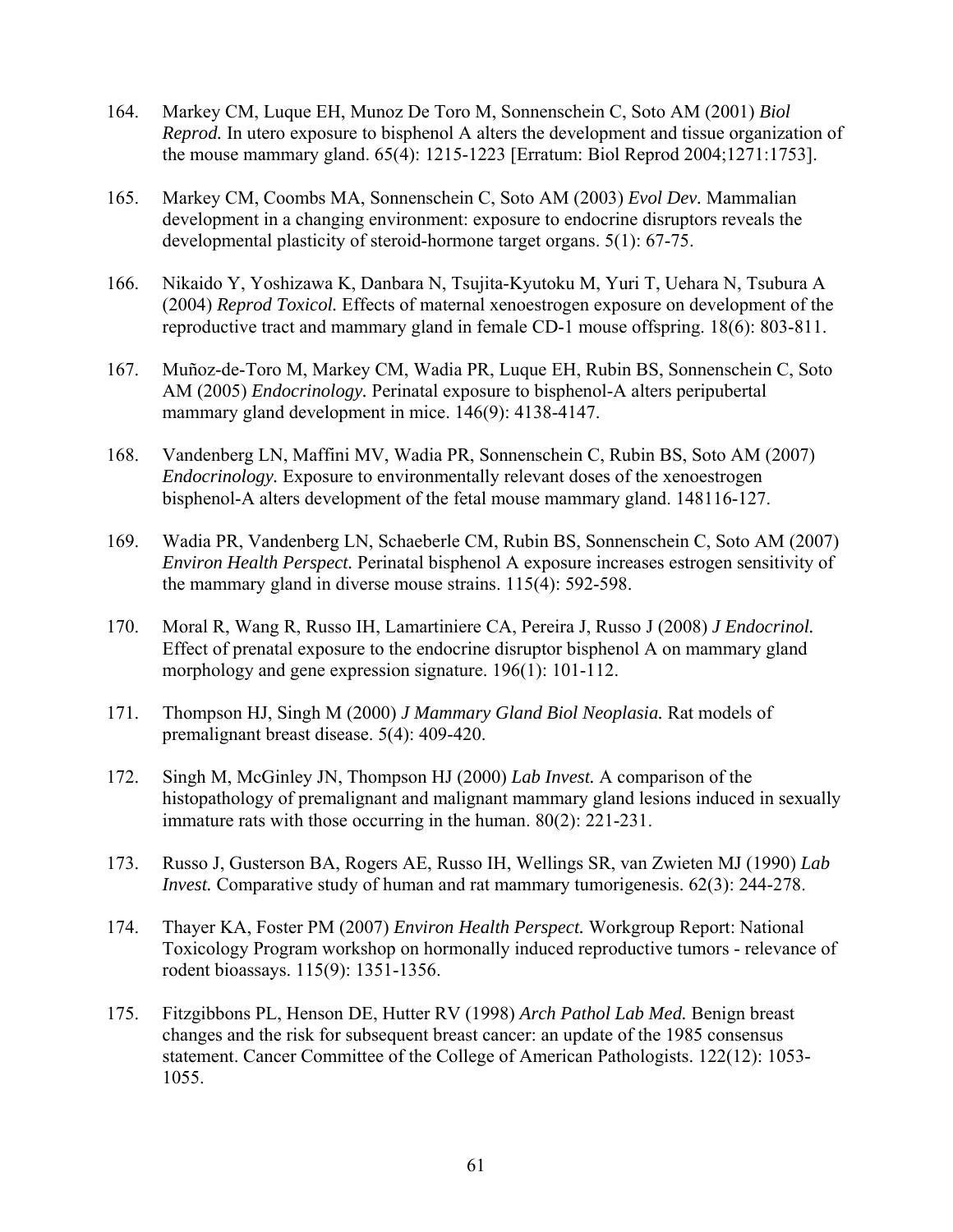- 164. Markey CM, Luque EH, Munoz De Toro M, Sonnenschein C, Soto AM (2001) *Biol Reprod.* In utero exposure to bisphenol A alters the development and tissue organization of the mouse mammary gland. 65(4): 1215-1223 [Erratum: Biol Reprod 2004;1271:1753].
- 165. Markey CM, Coombs MA, Sonnenschein C, Soto AM (2003) *Evol Dev.* Mammalian development in a changing environment: exposure to endocrine disruptors reveals the developmental plasticity of steroid-hormone target organs. 5(1): 67-75.
- 166. Nikaido Y, Yoshizawa K, Danbara N, Tsujita-Kyutoku M, Yuri T, Uehara N, Tsubura A (2004) *Reprod Toxicol.* Effects of maternal xenoestrogen exposure on development of the reproductive tract and mammary gland in female CD-1 mouse offspring. 18(6): 803-811.
- 167. Muñoz-de-Toro M, Markey CM, Wadia PR, Luque EH, Rubin BS, Sonnenschein C, Soto AM (2005) *Endocrinology.* Perinatal exposure to bisphenol-A alters peripubertal mammary gland development in mice. 146(9): 4138-4147.
- 168. Vandenberg LN, Maffini MV, Wadia PR, Sonnenschein C, Rubin BS, Soto AM (2007) *Endocrinology*. Exposure to environmentally relevant doses of the xenoestrogen bisphenol-A alters development of the fetal mouse mammary gland. 148116-127.
- 169. Wadia PR, Vandenberg LN, Schaeberle CM, Rubin BS, Sonnenschein C, Soto AM (2007) *Environ Health Perspect.* Perinatal bisphenol A exposure increases estrogen sensitivity of the mammary gland in diverse mouse strains. 115(4): 592-598.
- 170. Moral R, Wang R, Russo IH, Lamartiniere CA, Pereira J, Russo J (2008) *J Endocrinol.* Effect of prenatal exposure to the endocrine disruptor bisphenol A on mammary gland morphology and gene expression signature. 196(1): 101-112.
- 171. Thompson HJ, Singh M (2000) *J Mammary Gland Biol Neoplasia.* Rat models of premalignant breast disease. 5(4): 409-420.
- 172. Singh M, McGinley JN, Thompson HJ (2000) *Lab Invest.* A comparison of the histopathology of premalignant and malignant mammary gland lesions induced in sexually immature rats with those occurring in the human. 80(2): 221-231.
- 173. Russo J, Gusterson BA, Rogers AE, Russo IH, Wellings SR, van Zwieten MJ (1990) *Lab Invest.* Comparative study of human and rat mammary tumorigenesis. 62(3): 244-278.
- 174. Thayer KA, Foster PM (2007) *Environ Health Perspect.* Workgroup Report: National Toxicology Program workshop on hormonally induced reproductive tumors - relevance of rodent bioassays. 115(9): 1351-1356.
- 175. Fitzgibbons PL, Henson DE, Hutter RV (1998) *Arch Pathol Lab Med.* Benign breast changes and the risk for subsequent breast cancer: an update of the 1985 consensus statement. Cancer Committee of the College of American Pathologists. 122(12): 1053- 1055.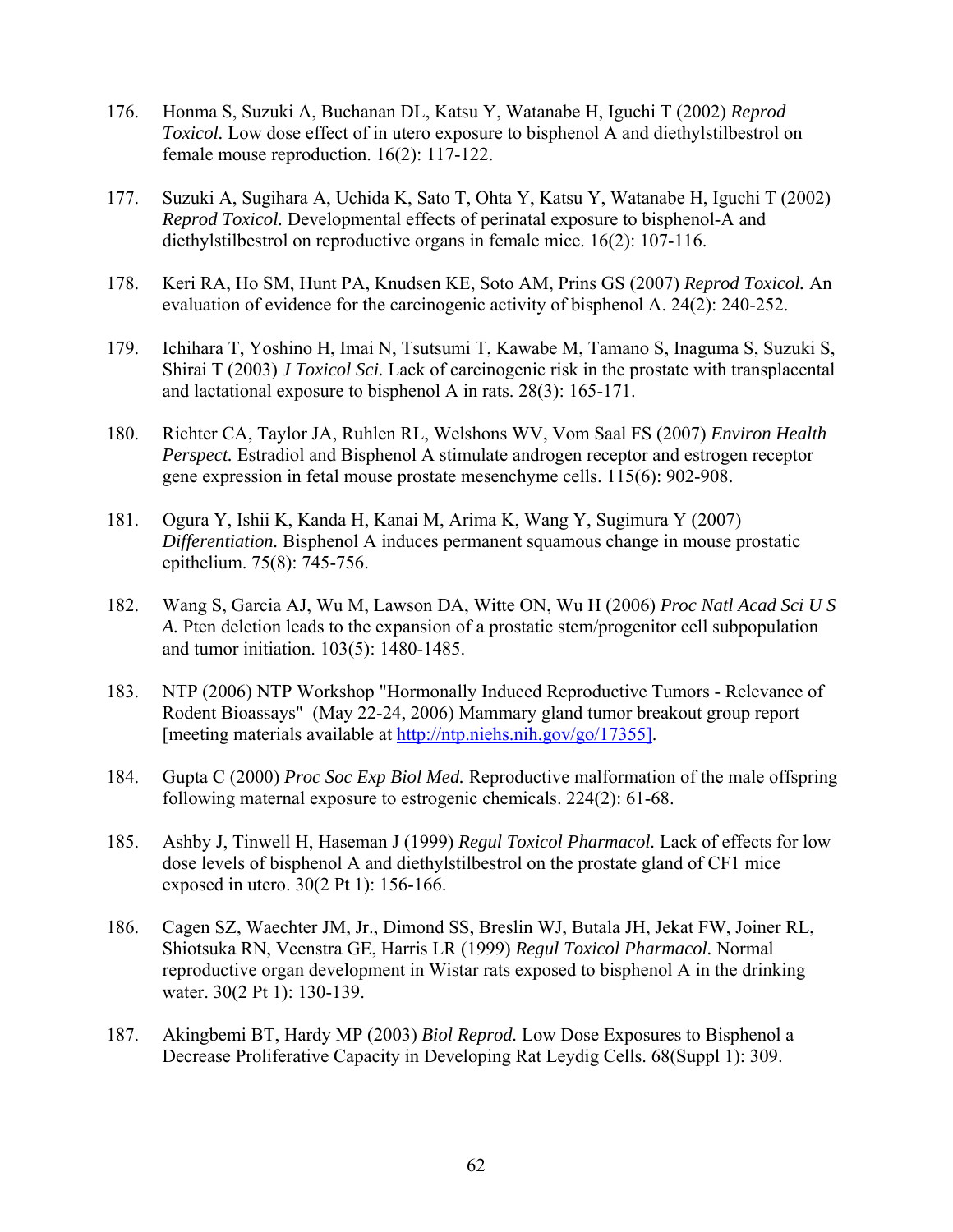- 176. Honma S, Suzuki A, Buchanan DL, Katsu Y, Watanabe H, Iguchi T (2002) *Reprod Toxicol.* Low dose effect of in utero exposure to bisphenol A and diethylstilbestrol on female mouse reproduction. 16(2): 117-122.
- 177. Suzuki A, Sugihara A, Uchida K, Sato T, Ohta Y, Katsu Y, Watanabe H, Iguchi T (2002) *Reprod Toxicol.* Developmental effects of perinatal exposure to bisphenol-A and diethylstilbestrol on reproductive organs in female mice. 16(2): 107-116.
- 178. Keri RA, Ho SM, Hunt PA, Knudsen KE, Soto AM, Prins GS (2007) *Reprod Toxicol.* An evaluation of evidence for the carcinogenic activity of bisphenol A. 24(2): 240-252.
- 179. Ichihara T, Yoshino H, Imai N, Tsutsumi T, Kawabe M, Tamano S, Inaguma S, Suzuki S, Shirai T (2003) *J Toxicol Sci.* Lack of carcinogenic risk in the prostate with transplacental and lactational exposure to bisphenol A in rats. 28(3): 165-171.
- 180. Richter CA, Taylor JA, Ruhlen RL, Welshons WV, Vom Saal FS (2007) *Environ Health Perspect.* Estradiol and Bisphenol A stimulate androgen receptor and estrogen receptor gene expression in fetal mouse prostate mesenchyme cells. 115(6): 902-908.
- 181. Ogura Y, Ishii K, Kanda H, Kanai M, Arima K, Wang Y, Sugimura Y (2007) *Differentiation.* Bisphenol A induces permanent squamous change in mouse prostatic epithelium. 75(8): 745-756.
- 182. Wang S, Garcia AJ, Wu M, Lawson DA, Witte ON, Wu H (2006) *Proc Natl Acad Sci U S A.* Pten deletion leads to the expansion of a prostatic stem/progenitor cell subpopulation and tumor initiation. 103(5): 1480-1485.
- 183. NTP (2006) NTP Workshop "Hormonally Induced Reproductive Tumors Relevance of Rodent Bioassays" (May 22-24, 2006) Mammary gland tumor breakout group report [meeting materials available at [http://ntp.niehs.nih.gov/go/17355\]](http://ntp.niehs.nih.gov/go/17355%5D).
- 184. Gupta C (2000) *Proc Soc Exp Biol Med.* Reproductive malformation of the male offspring following maternal exposure to estrogenic chemicals. 224(2): 61-68.
- 185. Ashby J, Tinwell H, Haseman J (1999) *Regul Toxicol Pharmacol.* Lack of effects for low dose levels of bisphenol A and diethylstilbestrol on the prostate gland of CF1 mice exposed in utero. 30(2 Pt 1): 156-166.
- 186. Cagen SZ, Waechter JM, Jr., Dimond SS, Breslin WJ, Butala JH, Jekat FW, Joiner RL, Shiotsuka RN, Veenstra GE, Harris LR (1999) *Regul Toxicol Pharmacol.* Normal reproductive organ development in Wistar rats exposed to bisphenol A in the drinking water. 30(2 Pt 1): 130-139.
- 187. Akingbemi BT, Hardy MP (2003) *Biol Reprod.* Low Dose Exposures to Bisphenol a Decrease Proliferative Capacity in Developing Rat Leydig Cells. 68(Suppl 1): 309.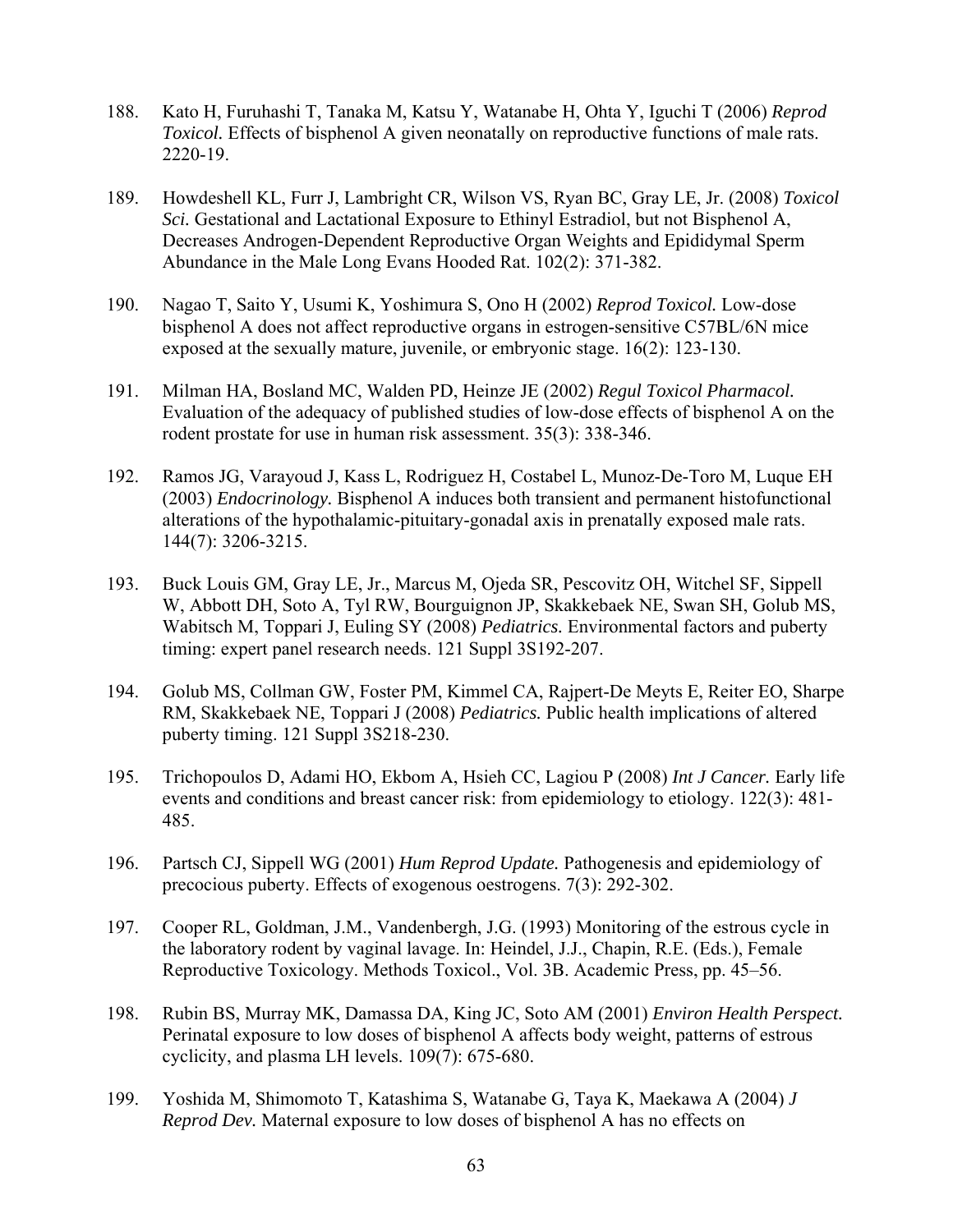- 188. Kato H, Furuhashi T, Tanaka M, Katsu Y, Watanabe H, Ohta Y, Iguchi T (2006) *Reprod Toxicol.* Effects of bisphenol A given neonatally on reproductive functions of male rats. 2220-19.
- 189. Howdeshell KL, Furr J, Lambright CR, Wilson VS, Ryan BC, Gray LE, Jr. (2008) *Toxicol Sci.* Gestational and Lactational Exposure to Ethinyl Estradiol, but not Bisphenol A, Decreases Androgen-Dependent Reproductive Organ Weights and Epididymal Sperm Abundance in the Male Long Evans Hooded Rat. 102(2): 371-382.
- 190. Nagao T, Saito Y, Usumi K, Yoshimura S, Ono H (2002) *Reprod Toxicol.* Low-dose bisphenol A does not affect reproductive organs in estrogen-sensitive C57BL/6N mice exposed at the sexually mature, juvenile, or embryonic stage. 16(2): 123-130.
- 191. Milman HA, Bosland MC, Walden PD, Heinze JE (2002) *Regul Toxicol Pharmacol.* Evaluation of the adequacy of published studies of low-dose effects of bisphenol A on the rodent prostate for use in human risk assessment. 35(3): 338-346.
- 192. Ramos JG, Varayoud J, Kass L, Rodriguez H, Costabel L, Munoz-De-Toro M, Luque EH (2003) *Endocrinology.* Bisphenol A induces both transient and permanent histofunctional alterations of the hypothalamic-pituitary-gonadal axis in prenatally exposed male rats. 144(7): 3206-3215.
- 193. Buck Louis GM, Gray LE, Jr., Marcus M, Ojeda SR, Pescovitz OH, Witchel SF, Sippell W, Abbott DH, Soto A, Tyl RW, Bourguignon JP, Skakkebaek NE, Swan SH, Golub MS, Wabitsch M, Toppari J, Euling SY (2008) *Pediatrics.* Environmental factors and puberty timing: expert panel research needs. 121 Suppl 3S192-207.
- 194. Golub MS, Collman GW, Foster PM, Kimmel CA, Rajpert-De Meyts E, Reiter EO, Sharpe RM, Skakkebaek NE, Toppari J (2008) *Pediatrics.* Public health implications of altered puberty timing. 121 Suppl 3S218-230.
- 195. Trichopoulos D, Adami HO, Ekbom A, Hsieh CC, Lagiou P (2008) *Int J Cancer.* Early life events and conditions and breast cancer risk: from epidemiology to etiology. 122(3): 481- 485.
- 196. Partsch CJ, Sippell WG (2001) *Hum Reprod Update.* Pathogenesis and epidemiology of precocious puberty. Effects of exogenous oestrogens. 7(3): 292-302.
- 197. Cooper RL, Goldman, J.M., Vandenbergh, J.G. (1993) Monitoring of the estrous cycle in the laboratory rodent by vaginal lavage. In: Heindel, J.J., Chapin, R.E. (Eds.), Female Reproductive Toxicology. Methods Toxicol., Vol. 3B. Academic Press, pp. 45–56.
- 198. Rubin BS, Murray MK, Damassa DA, King JC, Soto AM (2001) *Environ Health Perspect.* Perinatal exposure to low doses of bisphenol A affects body weight, patterns of estrous cyclicity, and plasma LH levels. 109(7): 675-680.
- 199. Yoshida M, Shimomoto T, Katashima S, Watanabe G, Taya K, Maekawa A (2004) *J Reprod Dev.* Maternal exposure to low doses of bisphenol A has no effects on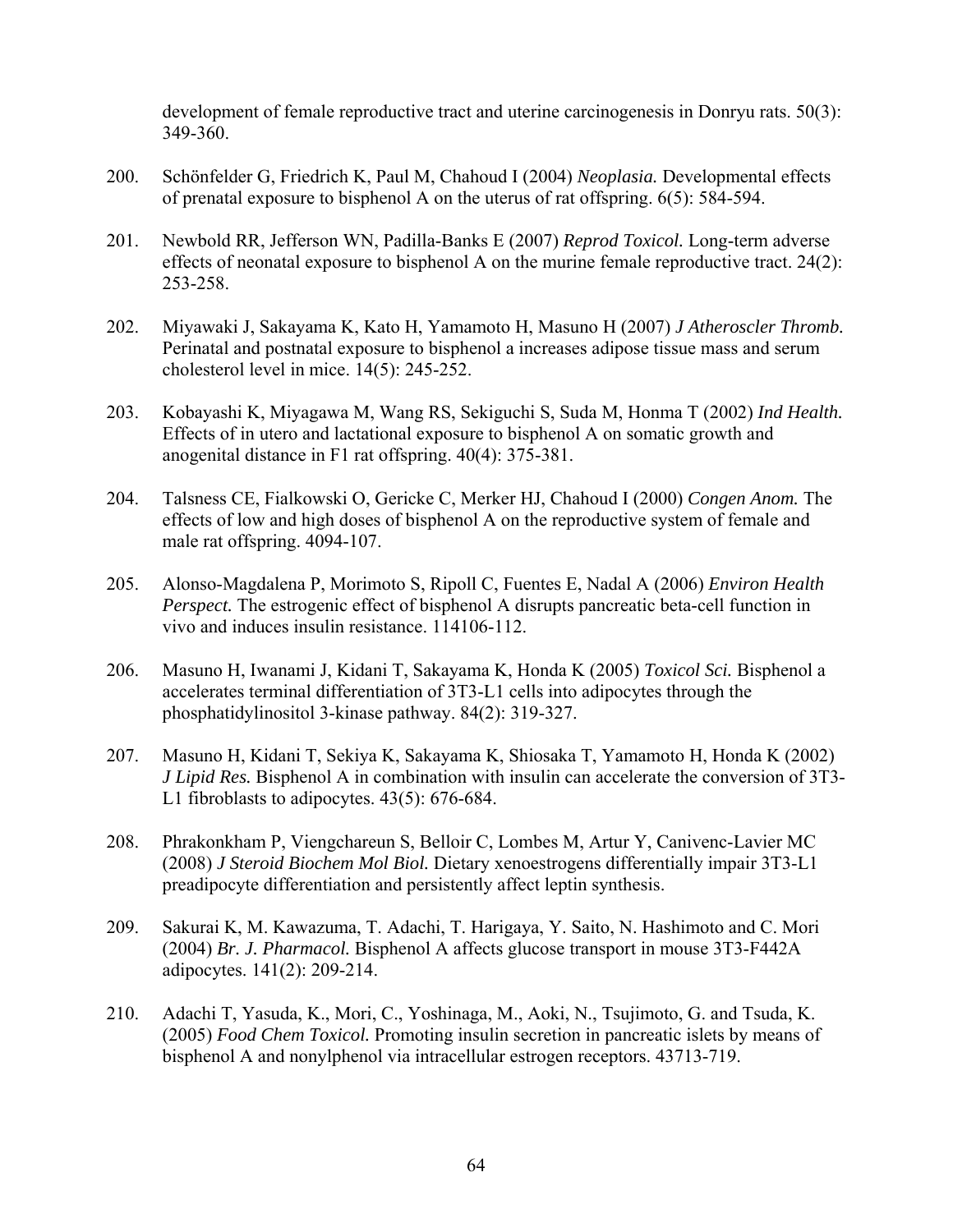development of female reproductive tract and uterine carcinogenesis in Donryu rats. 50(3): 349-360.

- 200. Schönfelder G, Friedrich K, Paul M, Chahoud I (2004) *Neoplasia.* Developmental effects of prenatal exposure to bisphenol A on the uterus of rat offspring. 6(5): 584-594.
- 201. Newbold RR, Jefferson WN, Padilla-Banks E (2007) *Reprod Toxicol.* Long-term adverse effects of neonatal exposure to bisphenol A on the murine female reproductive tract.  $24(2)$ : 253-258.
- 202. Miyawaki J, Sakayama K, Kato H, Yamamoto H, Masuno H (2007) *J Atheroscler Thromb.* Perinatal and postnatal exposure to bisphenol a increases adipose tissue mass and serum cholesterol level in mice. 14(5): 245-252.
- 203. Kobayashi K, Miyagawa M, Wang RS, Sekiguchi S, Suda M, Honma T (2002) *Ind Health.* Effects of in utero and lactational exposure to bisphenol A on somatic growth and anogenital distance in F1 rat offspring. 40(4): 375-381.
- 204. Talsness CE, Fialkowski O, Gericke C, Merker HJ, Chahoud I (2000) *Congen Anom.* The effects of low and high doses of bisphenol A on the reproductive system of female and male rat offspring. 4094-107.
- 205. Alonso-Magdalena P, Morimoto S, Ripoll C, Fuentes E, Nadal A (2006) *Environ Health Perspect.* The estrogenic effect of bisphenol A disrupts pancreatic beta-cell function in vivo and induces insulin resistance. 114106-112.
- 206. Masuno H, Iwanami J, Kidani T, Sakayama K, Honda K (2005) *Toxicol Sci.* Bisphenol a accelerates terminal differentiation of 3T3-L1 cells into adipocytes through the phosphatidylinositol 3-kinase pathway. 84(2): 319-327.
- 207. Masuno H, Kidani T, Sekiya K, Sakayama K, Shiosaka T, Yamamoto H, Honda K (2002) *J Lipid Res.* Bisphenol A in combination with insulin can accelerate the conversion of 3T3- L1 fibroblasts to adipocytes. 43(5): 676-684.
- 208. Phrakonkham P, Viengchareun S, Belloir C, Lombes M, Artur Y, Canivenc-Lavier MC (2008) *J Steroid Biochem Mol Biol.* Dietary xenoestrogens differentially impair 3T3-L1 preadipocyte differentiation and persistently affect leptin synthesis.
- 209. Sakurai K, M. Kawazuma, T. Adachi, T. Harigaya, Y. Saito, N. Hashimoto and C. Mori (2004) *Br. J. Pharmacol.* Bisphenol A affects glucose transport in mouse 3T3-F442A adipocytes. 141(2): 209-214.
- 210. Adachi T, Yasuda, K., Mori, C., Yoshinaga, M., Aoki, N., Tsujimoto, G. and Tsuda, K. (2005) *Food Chem Toxicol.* Promoting insulin secretion in pancreatic islets by means of bisphenol A and nonylphenol via intracellular estrogen receptors. 43713-719.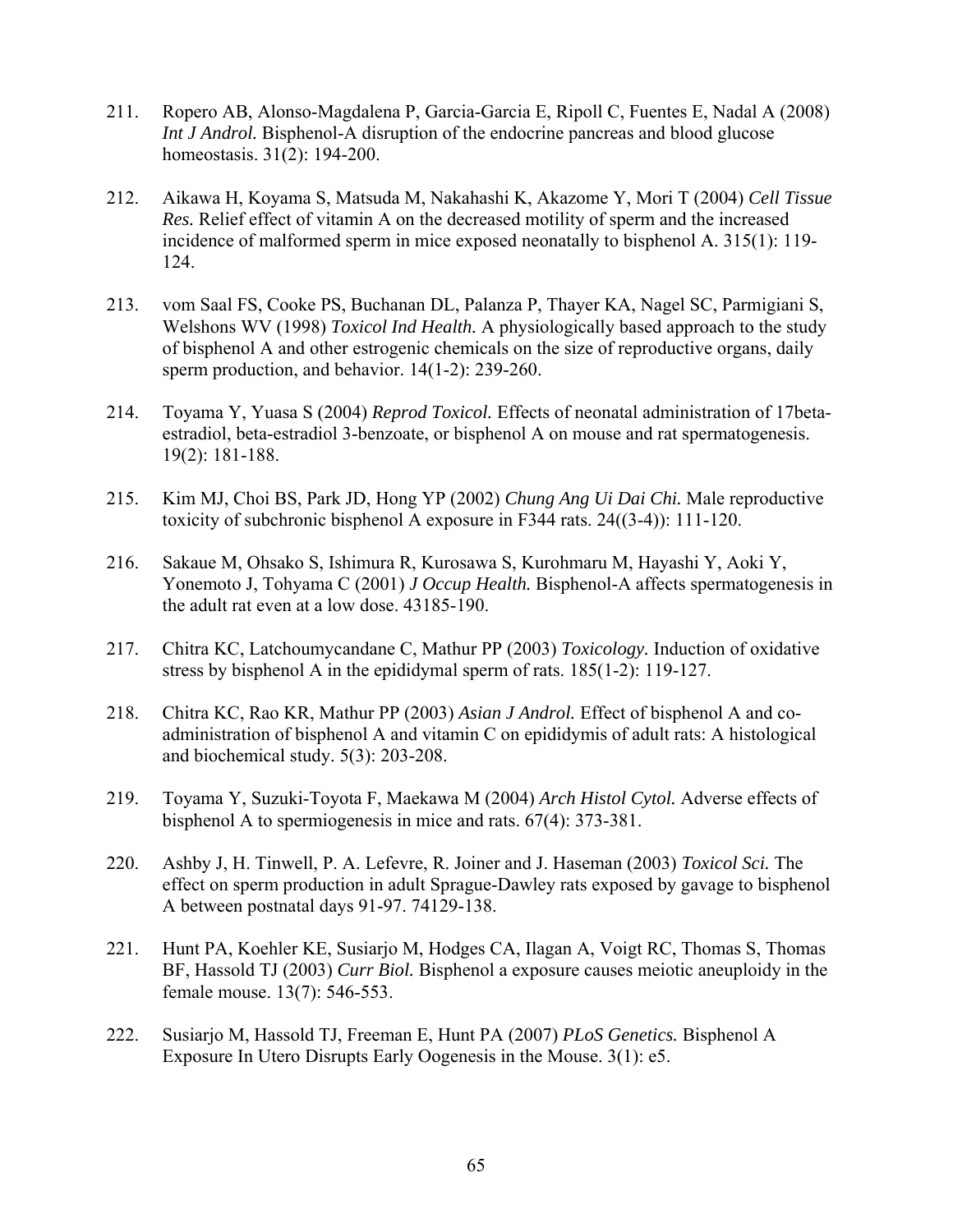- 211. Ropero AB, Alonso-Magdalena P, Garcia-Garcia E, Ripoll C, Fuentes E, Nadal A (2008) *Int J Androl.* Bisphenol-A disruption of the endocrine pancreas and blood glucose homeostasis. 31(2): 194-200.
- 212. Aikawa H, Koyama S, Matsuda M, Nakahashi K, Akazome Y, Mori T (2004) *Cell Tissue Res.* Relief effect of vitamin A on the decreased motility of sperm and the increased incidence of malformed sperm in mice exposed neonatally to bisphenol A. 315(1): 119- 124.
- 213. vom Saal FS, Cooke PS, Buchanan DL, Palanza P, Thayer KA, Nagel SC, Parmigiani S, Welshons WV (1998) *Toxicol Ind Health.* A physiologically based approach to the study of bisphenol A and other estrogenic chemicals on the size of reproductive organs, daily sperm production, and behavior. 14(1-2): 239-260.
- 214. Toyama Y, Yuasa S (2004) *Reprod Toxicol.* Effects of neonatal administration of 17betaestradiol, beta-estradiol 3-benzoate, or bisphenol A on mouse and rat spermatogenesis. 19(2): 181-188.
- 215. Kim MJ, Choi BS, Park JD, Hong YP (2002) *Chung Ang Ui Dai Chi.* Male reproductive toxicity of subchronic bisphenol A exposure in F344 rats. 24((3-4)): 111-120.
- 216. Sakaue M, Ohsako S, Ishimura R, Kurosawa S, Kurohmaru M, Hayashi Y, Aoki Y, Yonemoto J, Tohyama C (2001) *J Occup Health.* Bisphenol-A affects spermatogenesis in the adult rat even at a low dose. 43185-190.
- 217. Chitra KC, Latchoumycandane C, Mathur PP (2003) *Toxicology.* Induction of oxidative stress by bisphenol A in the epididymal sperm of rats. 185(1-2): 119-127.
- 218. Chitra KC, Rao KR, Mathur PP (2003) *Asian J Androl.* Effect of bisphenol A and coadministration of bisphenol A and vitamin C on epididymis of adult rats: A histological and biochemical study. 5(3): 203-208.
- 219. Toyama Y, Suzuki-Toyota F, Maekawa M (2004) *Arch Histol Cytol.* Adverse effects of bisphenol A to spermiogenesis in mice and rats. 67(4): 373-381.
- 220. Ashby J, H. Tinwell, P. A. Lefevre, R. Joiner and J. Haseman (2003) *Toxicol Sci.* The effect on sperm production in adult Sprague-Dawley rats exposed by gavage to bisphenol A between postnatal days 91-97. 74129-138.
- 221. Hunt PA, Koehler KE, Susiarjo M, Hodges CA, Ilagan A, Voigt RC, Thomas S, Thomas BF, Hassold TJ (2003) *Curr Biol.* Bisphenol a exposure causes meiotic aneuploidy in the female mouse. 13(7): 546-553.
- 222. Susiarjo M, Hassold TJ, Freeman E, Hunt PA (2007) *PLoS Genetics.* Bisphenol A Exposure In Utero Disrupts Early Oogenesis in the Mouse. 3(1): e5.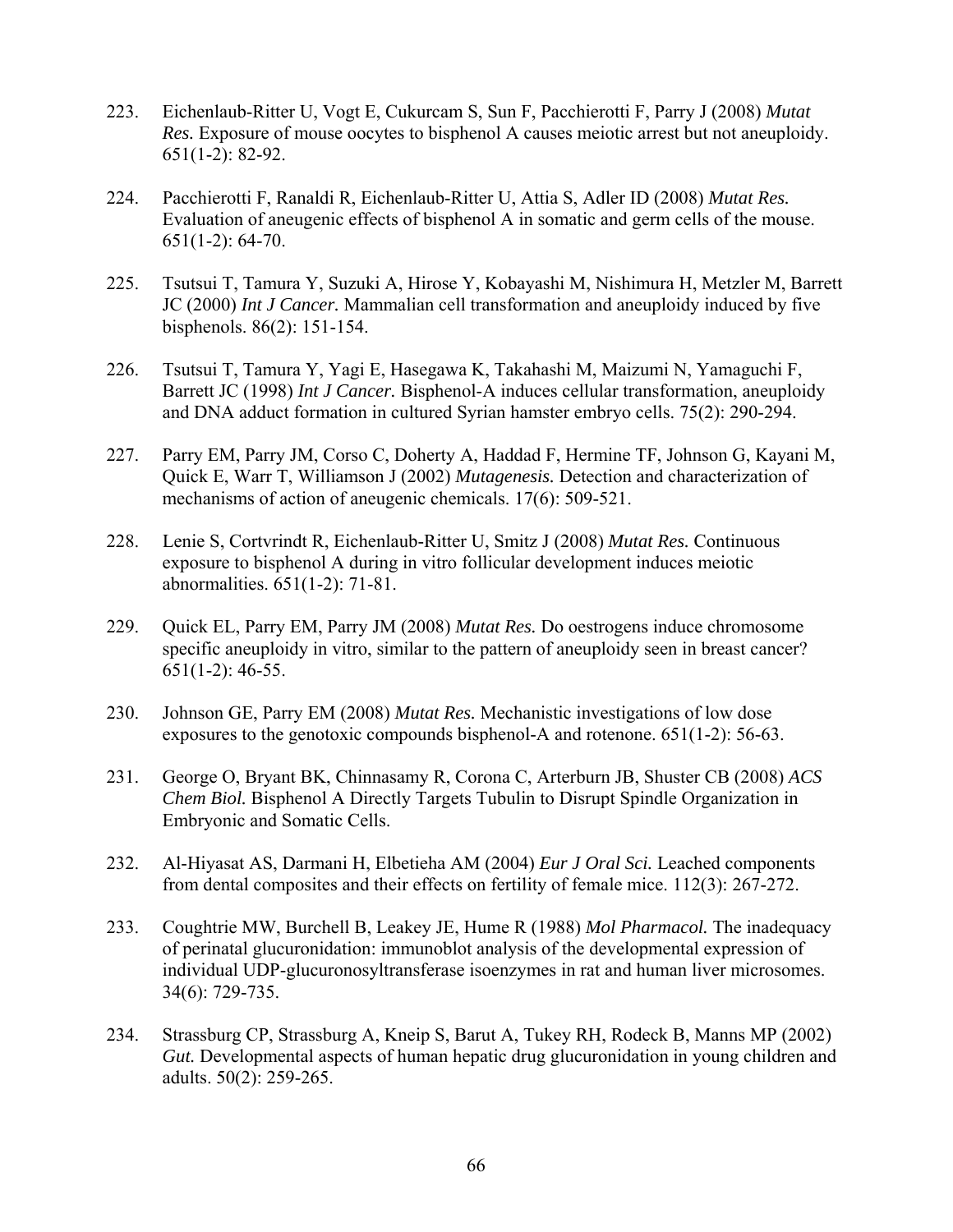- 223. Eichenlaub-Ritter U, Vogt E, Cukurcam S, Sun F, Pacchierotti F, Parry J (2008) *Mutat Res.* Exposure of mouse oocytes to bisphenol A causes meiotic arrest but not aneuploidy. 651(1-2): 82-92.
- 224. Pacchierotti F, Ranaldi R, Eichenlaub-Ritter U, Attia S, Adler ID (2008) *Mutat Res.* Evaluation of aneugenic effects of bisphenol A in somatic and germ cells of the mouse. 651(1-2): 64-70.
- 225. Tsutsui T, Tamura Y, Suzuki A, Hirose Y, Kobayashi M, Nishimura H, Metzler M, Barrett JC (2000) *Int J Cancer.* Mammalian cell transformation and aneuploidy induced by five bisphenols. 86(2): 151-154.
- 226. Tsutsui T, Tamura Y, Yagi E, Hasegawa K, Takahashi M, Maizumi N, Yamaguchi F, Barrett JC (1998) *Int J Cancer.* Bisphenol-A induces cellular transformation, aneuploidy and DNA adduct formation in cultured Syrian hamster embryo cells. 75(2): 290-294.
- 227. Parry EM, Parry JM, Corso C, Doherty A, Haddad F, Hermine TF, Johnson G, Kayani M, Quick E, Warr T, Williamson J (2002) *Mutagenesis.* Detection and characterization of mechanisms of action of aneugenic chemicals. 17(6): 509-521.
- 228. Lenie S, Cortvrindt R, Eichenlaub-Ritter U, Smitz J (2008) *Mutat Res.* Continuous exposure to bisphenol A during in vitro follicular development induces meiotic abnormalities. 651(1-2): 71-81.
- 229. Quick EL, Parry EM, Parry JM (2008) *Mutat Res.* Do oestrogens induce chromosome specific aneuploidy in vitro, similar to the pattern of aneuploidy seen in breast cancer? 651(1-2): 46-55.
- 230. Johnson GE, Parry EM (2008) *Mutat Res.* Mechanistic investigations of low dose exposures to the genotoxic compounds bisphenol-A and rotenone. 651(1-2): 56-63.
- 231. George O, Bryant BK, Chinnasamy R, Corona C, Arterburn JB, Shuster CB (2008) *ACS Chem Biol.* Bisphenol A Directly Targets Tubulin to Disrupt Spindle Organization in Embryonic and Somatic Cells.
- 232. Al-Hiyasat AS, Darmani H, Elbetieha AM (2004) *Eur J Oral Sci.* Leached components from dental composites and their effects on fertility of female mice. 112(3): 267-272.
- 233. Coughtrie MW, Burchell B, Leakey JE, Hume R (1988) *Mol Pharmacol.* The inadequacy of perinatal glucuronidation: immunoblot analysis of the developmental expression of individual UDP-glucuronosyltransferase isoenzymes in rat and human liver microsomes. 34(6): 729-735.
- 234. Strassburg CP, Strassburg A, Kneip S, Barut A, Tukey RH, Rodeck B, Manns MP (2002) *Gut.* Developmental aspects of human hepatic drug glucuronidation in young children and adults. 50(2): 259-265.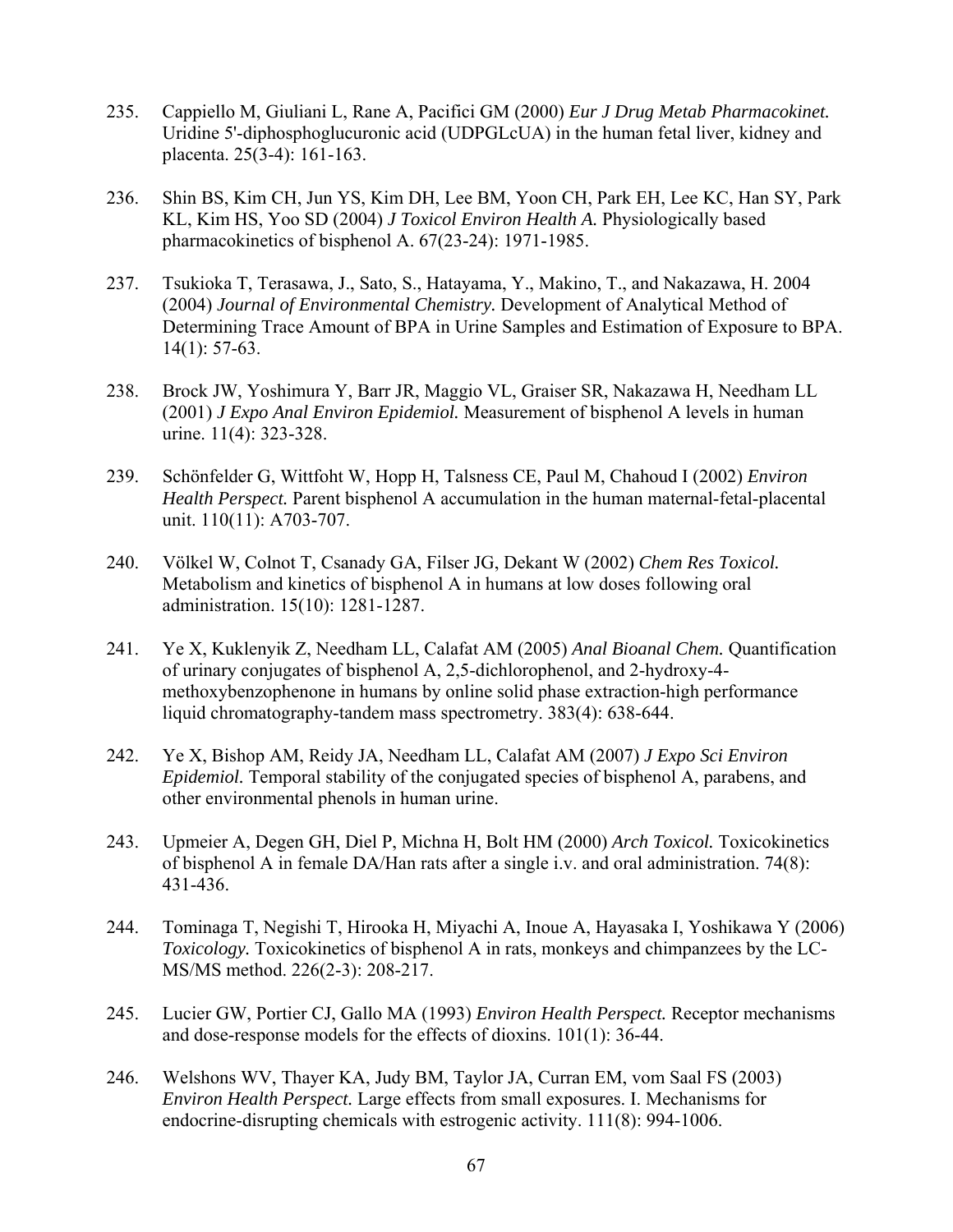- 235. Cappiello M, Giuliani L, Rane A, Pacifici GM (2000) *Eur J Drug Metab Pharmacokinet.* Uridine 5'-diphosphoglucuronic acid (UDPGLcUA) in the human fetal liver, kidney and placenta. 25(3-4): 161-163.
- 236. Shin BS, Kim CH, Jun YS, Kim DH, Lee BM, Yoon CH, Park EH, Lee KC, Han SY, Park KL, Kim HS, Yoo SD (2004) *J Toxicol Environ Health A.* Physiologically based pharmacokinetics of bisphenol A. 67(23-24): 1971-1985.
- 237. Tsukioka T, Terasawa, J., Sato, S., Hatayama, Y., Makino, T., and Nakazawa, H. 2004 (2004) *Journal of Environmental Chemistry.* Development of Analytical Method of Determining Trace Amount of BPA in Urine Samples and Estimation of Exposure to BPA. 14(1): 57-63.
- 238. Brock JW, Yoshimura Y, Barr JR, Maggio VL, Graiser SR, Nakazawa H, Needham LL (2001) *J Expo Anal Environ Epidemiol.* Measurement of bisphenol A levels in human urine. 11(4): 323-328.
- 239. Schönfelder G, Wittfoht W, Hopp H, Talsness CE, Paul M, Chahoud I (2002) *Environ Health Perspect.* Parent bisphenol A accumulation in the human maternal-fetal-placental unit. 110(11): A703-707.
- 240. Völkel W, Colnot T, Csanady GA, Filser JG, Dekant W (2002) *Chem Res Toxicol.* Metabolism and kinetics of bisphenol A in humans at low doses following oral administration. 15(10): 1281-1287.
- 241. Ye X, Kuklenyik Z, Needham LL, Calafat AM (2005) *Anal Bioanal Chem.* Quantification of urinary conjugates of bisphenol A, 2,5-dichlorophenol, and 2-hydroxy-4 methoxybenzophenone in humans by online solid phase extraction-high performance liquid chromatography-tandem mass spectrometry. 383(4): 638-644.
- 242. Ye X, Bishop AM, Reidy JA, Needham LL, Calafat AM (2007) *J Expo Sci Environ Epidemiol.* Temporal stability of the conjugated species of bisphenol A, parabens, and other environmental phenols in human urine.
- 243. Upmeier A, Degen GH, Diel P, Michna H, Bolt HM (2000) *Arch Toxicol.* Toxicokinetics of bisphenol A in female DA/Han rats after a single i.v. and oral administration. 74(8): 431-436.
- 244. Tominaga T, Negishi T, Hirooka H, Miyachi A, Inoue A, Hayasaka I, Yoshikawa Y (2006) *Toxicology.* Toxicokinetics of bisphenol A in rats, monkeys and chimpanzees by the LC-MS/MS method. 226(2-3): 208-217.
- 245. Lucier GW, Portier CJ, Gallo MA (1993) *Environ Health Perspect.* Receptor mechanisms and dose-response models for the effects of dioxins. 101(1): 36-44.
- 246. Welshons WV, Thayer KA, Judy BM, Taylor JA, Curran EM, vom Saal FS (2003) *Environ Health Perspect.* Large effects from small exposures. I. Mechanisms for endocrine-disrupting chemicals with estrogenic activity. 111(8): 994-1006.